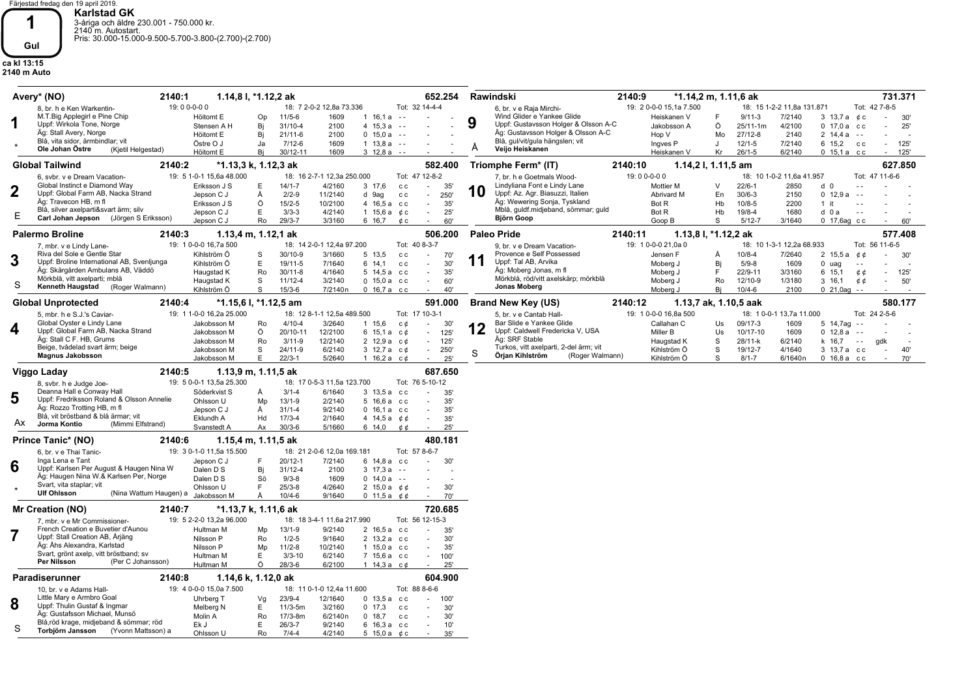Färjestad fredag den 19 april 2019. **Karlstad GK**<br>3-åriga och äldre 230.001 - 750.000 kr.<br>2140 m. Autostart.<br>Pris: 30.000-15.000-9.500-5.700-3.800-(2.700)-(2.700)

## **ca kl 13:15 2140 m Auto Gul**

**1**

|    | Avery* (NO)<br>2140:1                                                    |                                                                                                                                                                                                                                                                                                                                                                                                                                                                                                                                                                                                                                                                                                                                                                                                                                                                                                                                                                                                                                                                                                                                                                                                                                                                                                                                                                                                                                                                                                                                                                                                                                                                                                                                                                                                                                                                                                                                                                                                                                                          | 1.14,8 l, *1.12,2 ak               |                            |                                  | 652.254                               | Rawindski                                                             | 2140:9                             | *1.14,2 m, 1.11,6 ak                | 731.371                                            |
|----|--------------------------------------------------------------------------|----------------------------------------------------------------------------------------------------------------------------------------------------------------------------------------------------------------------------------------------------------------------------------------------------------------------------------------------------------------------------------------------------------------------------------------------------------------------------------------------------------------------------------------------------------------------------------------------------------------------------------------------------------------------------------------------------------------------------------------------------------------------------------------------------------------------------------------------------------------------------------------------------------------------------------------------------------------------------------------------------------------------------------------------------------------------------------------------------------------------------------------------------------------------------------------------------------------------------------------------------------------------------------------------------------------------------------------------------------------------------------------------------------------------------------------------------------------------------------------------------------------------------------------------------------------------------------------------------------------------------------------------------------------------------------------------------------------------------------------------------------------------------------------------------------------------------------------------------------------------------------------------------------------------------------------------------------------------------------------------------------------------------------------------------------|------------------------------------|----------------------------|----------------------------------|---------------------------------------|-----------------------------------------------------------------------|------------------------------------|-------------------------------------|----------------------------------------------------|
|    | 8, br. h e Ken Warkentin-                                                | 19:00-0-00                                                                                                                                                                                                                                                                                                                                                                                                                                                                                                                                                                                                                                                                                                                                                                                                                                                                                                                                                                                                                                                                                                                                                                                                                                                                                                                                                                                                                                                                                                                                                                                                                                                                                                                                                                                                                                                                                                                                                                                                                                               |                                    | 18: 7 2-0-2 12,8a 73.336   |                                  | Tot: 32 14-4-4                        | 6, br. v e Raja Mirchi-                                               | 19: 2 0-0-0 15,1a 7.500            |                                     | 18: 15 1-2-2 11,8a 131.871<br>Tot: 42 7-8-5        |
|    | M.T.Big Applegirl e Pine Chip                                            | Höitomt E                                                                                                                                                                                                                                                                                                                                                                                                                                                                                                                                                                                                                                                                                                                                                                                                                                                                                                                                                                                                                                                                                                                                                                                                                                                                                                                                                                                                                                                                                                                                                                                                                                                                                                                                                                                                                                                                                                                                                                                                                                                | $11/5 - 6$<br>Op                   | 1609                       | $1\,16,1a - -$                   |                                       | Wind Glider e Yankee Glide<br>9                                       | Heiskanen V                        | $9/11-3$                            | 7/2140<br>3 13,7 a $\phi$ c<br>30'                 |
| 1  | Uppf: Wirkola Tone, Norge                                                | Stensen A H                                                                                                                                                                                                                                                                                                                                                                                                                                                                                                                                                                                                                                                                                                                                                                                                                                                                                                                                                                                                                                                                                                                                                                                                                                                                                                                                                                                                                                                                                                                                                                                                                                                                                                                                                                                                                                                                                                                                                                                                                                              | Bi<br>31/10-4                      | 2100                       | 4 $15.3a$                        | $\sim$ $\sim$                         | Uppf: Gustavsson Holger & Olsson A-C                                  | Jakobsson A                        | Ö<br>25/11-1m                       | 4/2100<br>$0, 17.0a$ cc<br>25'                     |
|    | Äg: Stall Avery, Norge<br>Blå, vita sidor, ärmbindlar; vit               | Höitomt E                                                                                                                                                                                                                                                                                                                                                                                                                                                                                                                                                                                                                                                                                                                                                                                                                                                                                                                                                                                                                                                                                                                                                                                                                                                                                                                                                                                                                                                                                                                                                                                                                                                                                                                                                                                                                                                                                                                                                                                                                                                | Bi<br>$21/11-6$                    | 2100                       | 0, 15, 0a                        | $\sim$ $\sim$                         | Äg: Gustavsson Holger & Olsson A-C<br>Blå, gul/vit/gula hängslen; vit | Hop V                              | $27/12 - 8$<br>Mo                   | $2 \t14.4a$<br>2140<br>$\sim$ $\sim$               |
|    | Ole Johan Östre<br>(Kjetil Helgestad)                                    | Östre O J                                                                                                                                                                                                                                                                                                                                                                                                                                                                                                                                                                                                                                                                                                                                                                                                                                                                                                                                                                                                                                                                                                                                                                                                                                                                                                                                                                                                                                                                                                                                                                                                                                                                                                                                                                                                                                                                                                                                                                                                                                                | $7/12 - 6$<br>Ja<br>Bi<br>30/12-11 | 1609<br>1609               | $1 13.8a - -$<br>$3 \t12.8a - -$ |                                       | A<br>Veijo Heiskanen                                                  | Ingves <sub>P</sub><br>Heiskanen V | $12/1 - 5$<br>J<br>Kr<br>$26/1 - 5$ | 7/2140<br>6 15,2<br>125<br>c c<br>6/2140<br>$\sim$ |
|    | <b>Global Tailwind</b><br>2140:2                                         | Höitomt E                                                                                                                                                                                                                                                                                                                                                                                                                                                                                                                                                                                                                                                                                                                                                                                                                                                                                                                                                                                                                                                                                                                                                                                                                                                                                                                                                                                                                                                                                                                                                                                                                                                                                                                                                                                                                                                                                                                                                                                                                                                | *1.13,3 k, 1.12,3 ak               |                            |                                  | 582.400                               | Triomphe Ferm* (IT)                                                   | 2140:10                            | 1.14,2 l, 1.11,5 am                 | 0, 15, 1a, c<br>125<br>627.850                     |
|    | 6. svbr. v e Dream Vacation-                                             |                                                                                                                                                                                                                                                                                                                                                                                                                                                                                                                                                                                                                                                                                                                                                                                                                                                                                                                                                                                                                                                                                                                                                                                                                                                                                                                                                                                                                                                                                                                                                                                                                                                                                                                                                                                                                                                                                                                                                                                                                                                          |                                    |                            |                                  |                                       |                                                                       |                                    |                                     |                                                    |
|    | Global Instinct e Diamond Way                                            |                                                                                                                                                                                                                                                                                                                                                                                                                                                                                                                                                                                                                                                                                                                                                                                                                                                                                                                                                                                                                                                                                                                                                                                                                                                                                                                                                                                                                                                                                                                                                                                                                                                                                                                                                                                                                                                                                                                                                                                                                                                          |                                    |                            |                                  | ÷                                     |                                                                       |                                    | $\vee$                              | $\sim$                                             |
|    | Uppf: Global Farm AB, Nacka Strand                                       | Jepson C J                                                                                                                                                                                                                                                                                                                                                                                                                                                                                                                                                                                                                                                                                                                                                                                                                                                                                                                                                                                                                                                                                                                                                                                                                                                                                                                                                                                                                                                                                                                                                                                                                                                                                                                                                                                                                                                                                                                                                                                                                                               | Å                                  | 11/2140                    | d 9ag                            | 250<br>c c<br>$\sim$                  | Uppf: Az. Agr. Biasuzzi, Italien                                      | Abrivard M                         | $30/6 - 3$<br>En                    | 2150<br>0, 12.9a<br>$\sim$ $\sim$                  |
|    | Äg: Travecon HB, m fl                                                    | Eriksson J S                                                                                                                                                                                                                                                                                                                                                                                                                                                                                                                                                                                                                                                                                                                                                                                                                                                                                                                                                                                                                                                                                                                                                                                                                                                                                                                                                                                                                                                                                                                                                                                                                                                                                                                                                                                                                                                                                                                                                                                                                                             | Ö                                  | 10/2100                    |                                  | $\sim$<br>35'                         | Äg: Wewering Sonja, Tyskland                                          | Bot R                              | Hb<br>$10/8 - 5$                    | 2200<br>$1$ it                                     |
| Е  | Blå, silver axelparti&svart ärm; silv                                    | Jepson C J                                                                                                                                                                                                                                                                                                                                                                                                                                                                                                                                                                                                                                                                                                                                                                                                                                                                                                                                                                                                                                                                                                                                                                                                                                                                                                                                                                                                                                                                                                                                                                                                                                                                                                                                                                                                                                                                                                                                                                                                                                               | E                                  | 4/2140                     |                                  | 25'<br>$\sim$                         |                                                                       | Bot R                              | $19/8 - 4$<br>Hb                    | 1680<br>d 0 a<br>$\sim$ $\sim$                     |
|    |                                                                          | Mblå, guldf.midjeband, sömmar; guld<br>$3/3-3$<br>1 15.6 $a$ $c$ $c$<br>Björn Goop<br>$29/3 - 7$<br>Jepson C J<br>Ro<br>3/3160<br>6 16,7<br>60'<br>Goop B<br>S<br>$5/12 - 7$<br>3/1640<br>0 17,6ag cc<br>60'<br>¢с<br>$\sim$<br>1.13,8 l, *1.12,2 ak<br>577.408<br>1.13,4 m, 1.12,1 ak<br>506.200<br><b>Paleo Pride</b><br>2140:11<br>2140:3<br>19: 1 0-0-0 16,7a 500<br>18: 14 2-0-1 12,4a 97.200<br>Tot: 40 8-3-7<br>19: 1 0-0-0 21,0a 0<br>18: 10 1-3-1 12,2a 68.933<br>Tot: 56 11-6-5<br>9, br. v e Dream Vacation-<br>Provence e Self Possessed<br>30/10-9<br>7/2640<br>Kihlström Ö<br>3/1660<br>5 13.5<br>Jensen F<br>$10/8 - 4$<br>2, 15, 5a<br>S<br>c c<br>70'<br>¢ ¢<br>30'<br>$\sim$<br>A<br>11<br>Uppf: Tal AB, Arvika<br>Kihlström Ö<br>E<br>19/11-5<br>7/1640<br>Bi<br>$5/9 - 8$<br>6 14,1<br>30'<br>Moberg J<br>1609<br>$0$ uag<br>c c<br>$\overline{\phantom{a}}$<br>Äg: Moberg Jonas, m fl<br>$30/11 - 8$<br>4/1640<br>35'<br>22/9-11<br>3/3160<br>Haugstad K<br>Ro<br>5 14,5 а сс<br>Moberg J<br>F<br>6 15,1<br>¢¢<br>125<br>$\sim$<br>Mörkblå, röd/vitt axelskärp; mörkblå<br>S<br>$11/12 - 4$<br>Ro<br>Haugstad K<br>3/2140<br>$0, 15, 0a$ cc<br>60'<br>Moberg J<br>12/10-9<br>1/3180<br>$3 \t16.1$<br>¢¢<br>50'<br>$\sim$<br>Jonas Moberg<br>Kihlström Ö<br>S<br>$15/3 - 6$<br>7/2140n<br>$0, 16, 7a$ cc<br>40'<br>Moberg J<br>Bi<br>$10/4 - 6$<br>2100<br>$0$ 21,0ag --<br>580.177<br>591.000<br>2140:4<br>*1.15,6 l, *1.12,5 am<br><b>Brand New Key (US)</b><br>2140:12<br>1.13,7 ak, 1.10,5 aak<br>19: 1 1-0-0 16,2a 25.000<br>19: 1 0-0-0 16,8a 500<br>Tot: 24 2-5-6<br>18: 12 8-1-1 12,5a 489.500<br>Tot: 17 10-3-1<br>18: 1 0-0-1 13,7a 11.000<br>5, br. v e Cantab Hall-<br>Bar Slide e Yankee Glide<br>$4/10 - 4$<br>3/2640<br>Callahan C<br>09/17-3<br>1609<br>Jakobsson M<br>Ro<br>1 15,6<br>30'<br>Us<br>5 14,7ag --<br>с¢<br>12<br>Uppf: Caldwell Fredericka V, USA<br>Ö<br>20/10-11<br>12/2100<br>6 15.1 a $c \phi$<br>Miller B<br>Us<br>10/17-10<br>1609<br>0, 12.8a<br>Jakobsson M<br>125'<br>$\sim$ $\sim$<br>$\sim$ |                                    |                            |                                  |                                       |                                                                       |                                    |                                     |                                                    |
|    | <b>Palermo Broline</b>                                                   | $2/2-9$<br>$15/2 - 5$<br>4 16,5 а сс<br>Äg: SRF Stable<br>Ro<br>$3/11 - 9$<br>12/2140<br>$2\;12.9\,a\;c\;d$<br>S<br>28/11-k<br>k 16.7<br>Jakobsson M<br>$\sim$<br>125'<br>Haugstad K<br>6/2140<br>$\sim$ $-$<br>qdk<br>Turkos, vitt axelparti, 2-del ärm; vit<br>$24/11-9$<br>6/2140<br>19/12-7<br>S.<br>3 12.7 a $c$ $\phi$<br>Kihlström Ö<br>S<br>4/1640<br>3 13,7 a cc<br>Jakobsson M<br>250<br>40'<br>$\sim$<br>$\sim$                                                                                                                                                                                                                                                                                                                                                                                                                                                                                                                                                                                                                                                                                                                                                                                                                                                                                                                                                                                                                                                                                                                                                                                                                                                                                                                                                                                                                                                                                                                                                                                                                               |                                    |                            |                                  |                                       |                                                                       |                                    |                                     |                                                    |
|    | 7, mbr. v e Lindy Lane-                                                  |                                                                                                                                                                                                                                                                                                                                                                                                                                                                                                                                                                                                                                                                                                                                                                                                                                                                                                                                                                                                                                                                                                                                                                                                                                                                                                                                                                                                                                                                                                                                                                                                                                                                                                                                                                                                                                                                                                                                                                                                                                                          |                                    |                            |                                  |                                       |                                                                       |                                    |                                     |                                                    |
| 3  |                                                                          |                                                                                                                                                                                                                                                                                                                                                                                                                                                                                                                                                                                                                                                                                                                                                                                                                                                                                                                                                                                                                                                                                                                                                                                                                                                                                                                                                                                                                                                                                                                                                                                                                                                                                                                                                                                                                                                                                                                                                                                                                                                          |                                    |                            |                                  |                                       |                                                                       |                                    |                                     |                                                    |
|    |                                                                          |                                                                                                                                                                                                                                                                                                                                                                                                                                                                                                                                                                                                                                                                                                                                                                                                                                                                                                                                                                                                                                                                                                                                                                                                                                                                                                                                                                                                                                                                                                                                                                                                                                                                                                                                                                                                                                                                                                                                                                                                                                                          |                                    |                            |                                  |                                       |                                                                       |                                    |                                     |                                                    |
|    |                                                                          |                                                                                                                                                                                                                                                                                                                                                                                                                                                                                                                                                                                                                                                                                                                                                                                                                                                                                                                                                                                                                                                                                                                                                                                                                                                                                                                                                                                                                                                                                                                                                                                                                                                                                                                                                                                                                                                                                                                                                                                                                                                          |                                    |                            |                                  |                                       |                                                                       |                                    |                                     |                                                    |
| S  |                                                                          |                                                                                                                                                                                                                                                                                                                                                                                                                                                                                                                                                                                                                                                                                                                                                                                                                                                                                                                                                                                                                                                                                                                                                                                                                                                                                                                                                                                                                                                                                                                                                                                                                                                                                                                                                                                                                                                                                                                                                                                                                                                          |                                    |                            |                                  |                                       |                                                                       |                                    |                                     |                                                    |
|    |                                                                          | S<br>Örian Kihlström<br>(Roger Walmann)<br>$22/3 - 1$<br>Jakobsson M<br>Ε<br>5/2640<br>1 16,2 a $c \notin$<br>25'<br>Kihlström Ö<br>S<br>$8/1 - 7$<br>6/1640n<br>$0,16,8a$ cc<br>70'                                                                                                                                                                                                                                                                                                                                                                                                                                                                                                                                                                                                                                                                                                                                                                                                                                                                                                                                                                                                                                                                                                                                                                                                                                                                                                                                                                                                                                                                                                                                                                                                                                                                                                                                                                                                                                                                     |                                    |                            |                                  |                                       |                                                                       |                                    |                                     |                                                    |
|    |                                                                          | 10<br>Carl Johan Jepson (Jörgen S Eriksson)<br>Riva del Sole e Gentle Star<br>Uppf: Broline International AB, Svenljunga<br>Äg: Skärgården Ambulans AB, Väddö<br>Mörkblå, vitt axelparti; mblå<br>Kenneth Haugstad (Roger Walmann)<br><b>Global Unprotected</b><br>5, mbr. h e S.J.'s Caviar-<br>Global Oyster e Lindy Lane<br>2140:5<br>687.650<br>1.13,9 m, 1.11,5 ak                                                                                                                                                                                                                                                                                                                                                                                                                                                                                                                                                                                                                                                                                                                                                                                                                                                                                                                                                                                                                                                                                                                                                                                                                                                                                                                                                                                                                                                                                                                                                                                                                                                                                  |                                    |                            |                                  |                                       |                                                                       |                                    |                                     |                                                    |
|    |                                                                          | 7. br. h e Goetmals Wood-<br>Lindyliana Font e Lindy Lane<br>$22/6 - 1$<br>Eriksson J S<br>$14/1 - 7$<br>4/2160<br>2850<br>d <sub>0</sub><br>Е<br>3 17,6<br>35'<br>Mottier M<br>C C<br>19: 5 0-0-1 13,5a 25.300<br>18: 17 0-5-3 11,5a 123.700<br>Tot: 76 5-10-12                                                                                                                                                                                                                                                                                                                                                                                                                                                                                                                                                                                                                                                                                                                                                                                                                                                                                                                                                                                                                                                                                                                                                                                                                                                                                                                                                                                                                                                                                                                                                                                                                                                                                                                                                                                         |                                    |                            |                                  |                                       |                                                                       |                                    |                                     |                                                    |
| 4  | Uppf: Global Farm AB, Nacka Strand                                       | 19: 5 1-0-1 15,6a 48.000<br>18: 16 2-7-1 12,3a 250.000<br>Tot: 47 12-8-2<br>19:00-0-00<br>Tot: 47 11-6-6<br>18: 10 1-0-2 11,6a 41.957                                                                                                                                                                                                                                                                                                                                                                                                                                                                                                                                                                                                                                                                                                                                                                                                                                                                                                                                                                                                                                                                                                                                                                                                                                                                                                                                                                                                                                                                                                                                                                                                                                                                                                                                                                                                                                                                                                                    |                                    |                            |                                  |                                       |                                                                       |                                    |                                     |                                                    |
|    | Äg: Stall C F. HB, Grums                                                 |                                                                                                                                                                                                                                                                                                                                                                                                                                                                                                                                                                                                                                                                                                                                                                                                                                                                                                                                                                                                                                                                                                                                                                                                                                                                                                                                                                                                                                                                                                                                                                                                                                                                                                                                                                                                                                                                                                                                                                                                                                                          |                                    |                            |                                  |                                       |                                                                       |                                    |                                     |                                                    |
|    | Beige, tvådelad svart ärm; beige                                         |                                                                                                                                                                                                                                                                                                                                                                                                                                                                                                                                                                                                                                                                                                                                                                                                                                                                                                                                                                                                                                                                                                                                                                                                                                                                                                                                                                                                                                                                                                                                                                                                                                                                                                                                                                                                                                                                                                                                                                                                                                                          |                                    |                            |                                  |                                       |                                                                       |                                    |                                     |                                                    |
|    | <b>Magnus Jakobsson</b>                                                  |                                                                                                                                                                                                                                                                                                                                                                                                                                                                                                                                                                                                                                                                                                                                                                                                                                                                                                                                                                                                                                                                                                                                                                                                                                                                                                                                                                                                                                                                                                                                                                                                                                                                                                                                                                                                                                                                                                                                                                                                                                                          |                                    |                            |                                  |                                       |                                                                       |                                    |                                     |                                                    |
|    | Viggo Laday                                                              |                                                                                                                                                                                                                                                                                                                                                                                                                                                                                                                                                                                                                                                                                                                                                                                                                                                                                                                                                                                                                                                                                                                                                                                                                                                                                                                                                                                                                                                                                                                                                                                                                                                                                                                                                                                                                                                                                                                                                                                                                                                          |                                    |                            |                                  |                                       |                                                                       |                                    |                                     |                                                    |
|    |                                                                          |                                                                                                                                                                                                                                                                                                                                                                                                                                                                                                                                                                                                                                                                                                                                                                                                                                                                                                                                                                                                                                                                                                                                                                                                                                                                                                                                                                                                                                                                                                                                                                                                                                                                                                                                                                                                                                                                                                                                                                                                                                                          |                                    |                            |                                  |                                       |                                                                       |                                    |                                     |                                                    |
|    | 8, svbr. h e Judge Joe-                                                  |                                                                                                                                                                                                                                                                                                                                                                                                                                                                                                                                                                                                                                                                                                                                                                                                                                                                                                                                                                                                                                                                                                                                                                                                                                                                                                                                                                                                                                                                                                                                                                                                                                                                                                                                                                                                                                                                                                                                                                                                                                                          |                                    |                            |                                  |                                       |                                                                       |                                    |                                     |                                                    |
|    | Deanna Hall e Conway Hall                                                | Söderkvist S                                                                                                                                                                                                                                                                                                                                                                                                                                                                                                                                                                                                                                                                                                                                                                                                                                                                                                                                                                                                                                                                                                                                                                                                                                                                                                                                                                                                                                                                                                                                                                                                                                                                                                                                                                                                                                                                                                                                                                                                                                             | $3/1 - 4$<br>A                     | 6/1640                     | 3 13,5 a cc                      | 35'                                   |                                                                       |                                    |                                     |                                                    |
|    | Uppf: Fredriksson Roland & Olsson Annelie                                | Ohlsson U                                                                                                                                                                                                                                                                                                                                                                                                                                                                                                                                                                                                                                                                                                                                                                                                                                                                                                                                                                                                                                                                                                                                                                                                                                                                                                                                                                                                                                                                                                                                                                                                                                                                                                                                                                                                                                                                                                                                                                                                                                                | $13/1 - 9$<br>Mp                   | 2/2140                     | 5 16,6 а сс                      | 35'<br>$\sim$                         |                                                                       |                                    |                                     |                                                    |
|    | Äg: Rozzo Trotting HB, m fl                                              | Jepson C J                                                                                                                                                                                                                                                                                                                                                                                                                                                                                                                                                                                                                                                                                                                                                                                                                                                                                                                                                                                                                                                                                                                                                                                                                                                                                                                                                                                                                                                                                                                                                                                                                                                                                                                                                                                                                                                                                                                                                                                                                                               | Å<br>$31/1 - 4$                    | 9/2140                     | $0$ 16,1 $a$ cc                  | 35'<br>$\sim$                         |                                                                       |                                    |                                     |                                                    |
| Ax | Blå, vit bröstband & blå ärmar; vit<br>Jorma Kontio                      | Eklundh A                                                                                                                                                                                                                                                                                                                                                                                                                                                                                                                                                                                                                                                                                                                                                                                                                                                                                                                                                                                                                                                                                                                                                                                                                                                                                                                                                                                                                                                                                                                                                                                                                                                                                                                                                                                                                                                                                                                                                                                                                                                | $17/3 - 4$<br>Hd                   | 2/1640                     | 4 14,5 a $\phi$                  | 35'<br>$\sim$                         |                                                                       |                                    |                                     |                                                    |
|    | (Mimmi Elfstrand)                                                        | Svanstedt A                                                                                                                                                                                                                                                                                                                                                                                                                                                                                                                                                                                                                                                                                                                                                                                                                                                                                                                                                                                                                                                                                                                                                                                                                                                                                                                                                                                                                                                                                                                                                                                                                                                                                                                                                                                                                                                                                                                                                                                                                                              | $30/3 - 6$<br>Ax                   | 5/1660                     | 6 14,0                           | 25'<br>¢ ¢                            |                                                                       |                                    |                                     |                                                    |
|    | Prince Tanic* (NO)<br>2140:6                                             | 19: 3 0-1-0 11,5a 15.500                                                                                                                                                                                                                                                                                                                                                                                                                                                                                                                                                                                                                                                                                                                                                                                                                                                                                                                                                                                                                                                                                                                                                                                                                                                                                                                                                                                                                                                                                                                                                                                                                                                                                                                                                                                                                                                                                                                                                                                                                                 | 1.15,4 m, 1.11,5 ak                | 18: 21 2-0-6 12,0a 169.181 |                                  | 480.181<br>Tot: 57 8-6-7              |                                                                       |                                    |                                     |                                                    |
|    | 6, br. v e Thai Tanic-<br>Inga Lena e Tant                               | Jepson C J                                                                                                                                                                                                                                                                                                                                                                                                                                                                                                                                                                                                                                                                                                                                                                                                                                                                                                                                                                                                                                                                                                                                                                                                                                                                                                                                                                                                                                                                                                                                                                                                                                                                                                                                                                                                                                                                                                                                                                                                                                               | $20/12 - 1$<br>F                   | 7/2140                     | 6 14.8 а сс                      | 30'                                   |                                                                       |                                    |                                     |                                                    |
| 6  | Uppf: Karlsen Per August & Haugen Nina W                                 | Dalen D S                                                                                                                                                                                                                                                                                                                                                                                                                                                                                                                                                                                                                                                                                                                                                                                                                                                                                                                                                                                                                                                                                                                                                                                                                                                                                                                                                                                                                                                                                                                                                                                                                                                                                                                                                                                                                                                                                                                                                                                                                                                | Bi<br>$31/12 - 4$                  | 2100                       | $3\;17.3a$                       | $\sim$ $-$                            |                                                                       |                                    |                                     |                                                    |
|    | Äg: Haugen Nina W.& Karlsen Per, Norge                                   | Dalen D S                                                                                                                                                                                                                                                                                                                                                                                                                                                                                                                                                                                                                                                                                                                                                                                                                                                                                                                                                                                                                                                                                                                                                                                                                                                                                                                                                                                                                                                                                                                                                                                                                                                                                                                                                                                                                                                                                                                                                                                                                                                | $9/3 - 8$<br>Sö                    | 1609                       | $0$ 14.0 a $-$                   |                                       |                                                                       |                                    |                                     |                                                    |
|    | Svart, vita staplar; vit                                                 | Ohlsson U                                                                                                                                                                                                                                                                                                                                                                                                                                                                                                                                                                                                                                                                                                                                                                                                                                                                                                                                                                                                                                                                                                                                                                                                                                                                                                                                                                                                                                                                                                                                                                                                                                                                                                                                                                                                                                                                                                                                                                                                                                                | F<br>$25/3 - 8$                    | 4/2640                     | 2 15,0 a $\phi$                  | 30'                                   |                                                                       |                                    |                                     |                                                    |
|    | Ulf Ohlsson<br>(Nina Wattum Haugen) a                                    | Jakobsson M                                                                                                                                                                                                                                                                                                                                                                                                                                                                                                                                                                                                                                                                                                                                                                                                                                                                                                                                                                                                                                                                                                                                                                                                                                                                                                                                                                                                                                                                                                                                                                                                                                                                                                                                                                                                                                                                                                                                                                                                                                              | $10/4 - 6$<br>Ă                    | 9/1640                     | 0 11,5 a $\phi \phi$             | 70'<br>$\sim$                         |                                                                       |                                    |                                     |                                                    |
|    | <b>Mr Creation (NO)</b><br>2140:7                                        |                                                                                                                                                                                                                                                                                                                                                                                                                                                                                                                                                                                                                                                                                                                                                                                                                                                                                                                                                                                                                                                                                                                                                                                                                                                                                                                                                                                                                                                                                                                                                                                                                                                                                                                                                                                                                                                                                                                                                                                                                                                          | *1.13,7 k, 1.11,6 ak               |                            |                                  | 720.685                               |                                                                       |                                    |                                     |                                                    |
|    | 7, mbr. v e Mr Commissioner-                                             | 19: 5 2-2-0 13,2a 96.000                                                                                                                                                                                                                                                                                                                                                                                                                                                                                                                                                                                                                                                                                                                                                                                                                                                                                                                                                                                                                                                                                                                                                                                                                                                                                                                                                                                                                                                                                                                                                                                                                                                                                                                                                                                                                                                                                                                                                                                                                                 |                                    | 18: 18 3-4-1 11,6a 217.990 |                                  | Tot: 56 12-15-3                       |                                                                       |                                    |                                     |                                                    |
|    | French Creation e Buvetier d'Aunou                                       | Hultman M                                                                                                                                                                                                                                                                                                                                                                                                                                                                                                                                                                                                                                                                                                                                                                                                                                                                                                                                                                                                                                                                                                                                                                                                                                                                                                                                                                                                                                                                                                                                                                                                                                                                                                                                                                                                                                                                                                                                                                                                                                                | $13/1 - 9$<br>Mp                   | 9/2140                     | 2 16,5 а сс                      | 35'                                   |                                                                       |                                    |                                     |                                                    |
|    | Uppf: Stall Creation AB, Årjäng<br>Äg: Åhs Alexandra, Karlstad           | Nilsson P                                                                                                                                                                                                                                                                                                                                                                                                                                                                                                                                                                                                                                                                                                                                                                                                                                                                                                                                                                                                                                                                                                                                                                                                                                                                                                                                                                                                                                                                                                                                                                                                                                                                                                                                                                                                                                                                                                                                                                                                                                                | Ro<br>$1/2 - 5$                    | 9/1640                     | $2\;13.2\,a\;cc$                 | 30'<br>$\sim$                         |                                                                       |                                    |                                     |                                                    |
|    | Svart, grönt axelp, vitt bröstband; sv                                   | Nilsson P                                                                                                                                                                                                                                                                                                                                                                                                                                                                                                                                                                                                                                                                                                                                                                                                                                                                                                                                                                                                                                                                                                                                                                                                                                                                                                                                                                                                                                                                                                                                                                                                                                                                                                                                                                                                                                                                                                                                                                                                                                                | Mp<br>$11/2 - 8$                   | 10/2140                    | $1.15,0a$ cc                     | 35'<br>$\sim$                         |                                                                       |                                    |                                     |                                                    |
|    | (Per C Johansson)<br>Per Nilsson                                         | Hultman M<br>Hultman M                                                                                                                                                                                                                                                                                                                                                                                                                                                                                                                                                                                                                                                                                                                                                                                                                                                                                                                                                                                                                                                                                                                                                                                                                                                                                                                                                                                                                                                                                                                                                                                                                                                                                                                                                                                                                                                                                                                                                                                                                                   | E<br>$3/3 - 10$<br>Ö<br>$28/3 - 6$ | 6/2140<br>6/2100           | 7 15,6 а сс<br>1 14,3 a $c \phi$ | 100'<br>$\sim$<br>25'<br>$\sim$       |                                                                       |                                    |                                     |                                                    |
|    | Paradiserunner<br>2140:8                                                 |                                                                                                                                                                                                                                                                                                                                                                                                                                                                                                                                                                                                                                                                                                                                                                                                                                                                                                                                                                                                                                                                                                                                                                                                                                                                                                                                                                                                                                                                                                                                                                                                                                                                                                                                                                                                                                                                                                                                                                                                                                                          | 1.14,6 k, 1.12,0 ak                |                            |                                  | 604.900                               |                                                                       |                                    |                                     |                                                    |
|    | 10, br. v e Adams Hall-                                                  | 19: 4 0-0-0 15,0a 7.500                                                                                                                                                                                                                                                                                                                                                                                                                                                                                                                                                                                                                                                                                                                                                                                                                                                                                                                                                                                                                                                                                                                                                                                                                                                                                                                                                                                                                                                                                                                                                                                                                                                                                                                                                                                                                                                                                                                                                                                                                                  |                                    | 18: 11 0-1-0 12,4a 11.600  |                                  | Tot: 88 8-6-6                         |                                                                       |                                    |                                     |                                                    |
|    | Little Mary e Armbro Goal                                                | Uhrberg T                                                                                                                                                                                                                                                                                                                                                                                                                                                                                                                                                                                                                                                                                                                                                                                                                                                                                                                                                                                                                                                                                                                                                                                                                                                                                                                                                                                                                                                                                                                                                                                                                                                                                                                                                                                                                                                                                                                                                                                                                                                | $23/9-4$<br>Vg                     | 12/1640                    | $0$ 13.5 a $cc$                  | 100'                                  |                                                                       |                                    |                                     |                                                    |
| 8  | Uppf: Thulin Gustaf & Ingmar                                             | Melberg N                                                                                                                                                                                                                                                                                                                                                                                                                                                                                                                                                                                                                                                                                                                                                                                                                                                                                                                                                                                                                                                                                                                                                                                                                                                                                                                                                                                                                                                                                                                                                                                                                                                                                                                                                                                                                                                                                                                                                                                                                                                | E<br>$11/3-5m$                     | 3/2160                     | 0, 17, 3                         | 30'<br>C C<br>$\sim$                  |                                                                       |                                    |                                     |                                                    |
|    | Äg: Gustafsson Michael, Munsö<br>Blå, röd krage, midjeband & sömmar; röd | Molin A<br>Ek J                                                                                                                                                                                                                                                                                                                                                                                                                                                                                                                                                                                                                                                                                                                                                                                                                                                                                                                                                                                                                                                                                                                                                                                                                                                                                                                                                                                                                                                                                                                                                                                                                                                                                                                                                                                                                                                                                                                                                                                                                                          | Ro<br>17/3-8m<br>E<br>$26/3 - 7$   | 6/2140n<br>9/2140          | 0, 18, 7<br>6 16,3а сс           | 30'<br>C C<br>$\sim$<br>10'<br>$\sim$ |                                                                       |                                    |                                     |                                                    |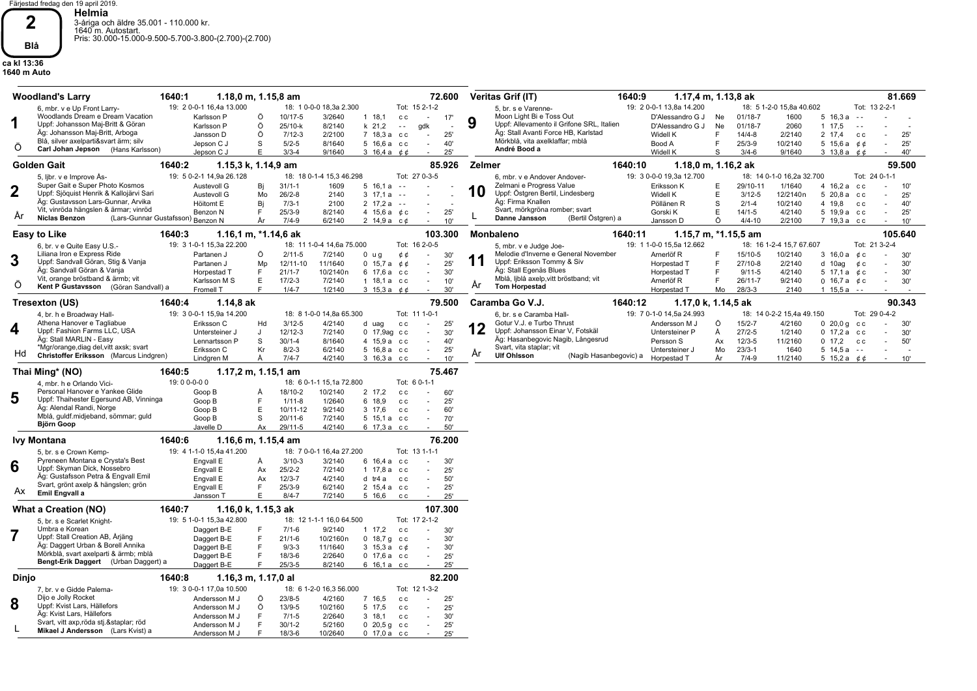Färjestad fredag den 19 april 2019. **Helmia** 3-åriga och äldre 35.001 - 110.000 kr. 1640 m. Autostart. Pris: 30.000-15.000-9.500-5.700-3.800-(2.700)-(2.700)

## **ca kl 13:36 1640 m Auto Blå**

**2**

|         | 1640:1<br><b>Woodland's Larry</b>                                                                                                                                                                                                        |                                                                                                               | $1.18,0 \text{ m}, 1.15,8 \text{ am}$                                                                                  |                                                                                                                                                                                                                                             | 72.600                          | Veritas Grif (IT)<br>1640:9<br>1.17,4 m, 1.13,8 ak                                                                                                                                                                                                                                                                                                                                                                                                                                                                                                                                                                                     | 81.669                              |
|---------|------------------------------------------------------------------------------------------------------------------------------------------------------------------------------------------------------------------------------------------|---------------------------------------------------------------------------------------------------------------|------------------------------------------------------------------------------------------------------------------------|---------------------------------------------------------------------------------------------------------------------------------------------------------------------------------------------------------------------------------------------|---------------------------------|----------------------------------------------------------------------------------------------------------------------------------------------------------------------------------------------------------------------------------------------------------------------------------------------------------------------------------------------------------------------------------------------------------------------------------------------------------------------------------------------------------------------------------------------------------------------------------------------------------------------------------------|-------------------------------------|
| Ő       | 6, mbr. v e Up Front Larry-<br>Woodlands Dream e Dream Vacation<br>Uppf: Johansson Maj-Britt & Göran<br>Äg: Johansson Maj-Britt, Arboga<br>Blå, silver axelparti&svart ärm; silv<br>Carl Johan Jepson (Hans Karlsson)                    | 19: 2 0-0-1 16,4a 13.000<br>Karlsson P<br>Karlsson P<br>Jansson D<br>Jepson C J<br>Jepson C J                 | 18: 1 0-0-0 18.3a 2.300<br>Õ<br>10/17-5<br>Ö<br>25/10-k<br>Ö<br>$7/12-3$<br>S<br>$5/2 - 5$<br>E<br>$3/3-4$             | Tot: 15 2-1-2<br>3/2640<br>$1 \t18.1$<br>c c<br>$\sim$<br>8/2140<br>$k$ 21,2<br>gdk<br>$\sim$ $-$<br>2/2100<br>7 18,3 а сс<br>$\sim$<br>8/1640<br>5 16,6 а сс<br>$\sim$<br>9/1640<br>3 16,4 a $\phi \phi$                                   | 17'<br>25'<br>40'<br>25'        | 19: 2 0-0-1 13.8a 14.200<br>18: 5 1-2-0 15.8a 40.602<br>Tot: 13 2-2-1<br>5, br. s e Varenne-<br>Moon Light Bi e Toss Out<br>D'Alessandro G J<br>$01/18 - 7$<br>1600<br>Ne<br>$5\;16.3a$<br>$\sim$ $\sim$<br>9<br>Uppf: Allevamento il Grifone SRL, Italien<br>D'Alessandro G J<br>$01/18 - 7$<br>2060<br>Ne<br>1 17.5<br>$\sim$ $\sim$<br>Äg: Stall Avanti Force HB, Karlstad<br>Widell K<br>F<br>$14/4 - 8$<br>2/2140<br>2 17.4<br>c c<br>Mörkblå, vita axelklaffar; mblå<br>Bood A<br>F<br>$25/3 - 9$<br>10/2140<br>5 15,6 a $0.6$<br>André Bood a<br>Widell K<br>9/1640<br>3 13.8 a $\phi$ $\phi$<br>S<br>$3/4 - 6$                 | 25'<br>25'<br>40'                   |
|         | <b>Golden Gait</b><br>1640:2                                                                                                                                                                                                             |                                                                                                               | 1.15,3 k, 1.14,9 am                                                                                                    |                                                                                                                                                                                                                                             | 85.926                          | Zelmer<br>1640:10<br>1.18,0 m, 1.16,2 ak                                                                                                                                                                                                                                                                                                                                                                                                                                                                                                                                                                                               | 59.500                              |
| 2<br>Ar | 5. libr. v e Improve As-<br>Super Gait e Super Photo Kosmos<br>Uppf: Sjöquist Henrik & Kallojärvi Sari<br>Äg: Gustavsson Lars-Gunnar, Arvika<br>Vit, vinröda hängslen & ärmar; vinröd<br><b>Niclas Benzon</b><br>(Lars-Gunnar Gustafsson | 19: 5 0-2-1 14,9a 26.128<br>Austevoll G<br>Austevoll G<br>Höitomt E<br>Benzon N<br><sup>)</sup> Benzon N      | 18: 18 0-1-4 15,3 46.298<br>Bi<br>$31/1 - 1$<br>Mo<br>$26/2-8$<br>Bj<br>$7/3-1$<br>$25/3 - 9$<br>F<br>År<br>$7/4 - 9$  | Tot: 27 0-3-5<br>1609<br>$5 \t16.1a - -$<br>2140<br>$3 \t17.1a$<br>$\sim$ $\sim$<br>2100<br>$2 \t17.2a - -$<br>4 15,6 a $\&c$<br>8/2140<br>$\sim$<br>6/2140<br>2 14,9 a $c \phi$                                                            | 25'<br>10'                      | 19: 3 0-0-0 19,3a 12.700<br>18: 14 0-1-0 16.2a 32.700<br>Tot: 24 0-1-1<br>6. mbr. v e Andover Andover-<br>Zelmani e Progress Value<br>29/10-11<br>1/1640<br>Eriksson K<br>Е<br>4 16,2 a cc<br>10<br>Uppf: Östgren Bertil, Lindesberg<br>Widell K<br>E<br>$3/12 - 5$<br>12/2140n<br>5 20.8 а сс<br>Äg: Firma Knallen<br>S<br>$2/1-4$<br>10/2140<br>4 19,8<br>Pöllänen R<br>c c<br>Svart, mörkgröna romber; svart<br>E<br>4/2140<br>5 19,9 а сс<br>Gorski K<br>$14/1 - 5$<br>$\sim$<br>Danne Jansson<br>(Bertil Östgren) a<br>Ö<br>$4/4 - 10$<br>2/2100<br>7 19,3 а сс<br>Jansson D<br>×                                                 | 10'<br>25'<br>40<br>÷<br>25'<br>10' |
|         | 1640:3<br>Easy to Like                                                                                                                                                                                                                   |                                                                                                               | 1.16,1 m, *1.14,6 ak                                                                                                   |                                                                                                                                                                                                                                             | 103.300                         | 1.15,7 m, $*1.15,5$ am<br><b>Monbaleno</b><br>1640:11                                                                                                                                                                                                                                                                                                                                                                                                                                                                                                                                                                                  | 105.640                             |
| 3<br>O  | 6, br. v e Quite Easy U.S.-<br>Liliana Iron e Express Ride<br>Uppf: Sandvall Göran, Stig & Vanja<br>Äg: Sandvall Göran & Vanja<br>Vit, orange bröstband & ärmb; vit<br>Kent P Gustavsson (Göran Sandvall) a                              | 19: 3 1-0-1 15,3a 22.200<br>Partanen J<br>Partanen J<br>Horpestad T<br>Karlsson M S<br>Fromell T              | 18: 11 1-0-4 14,6a 75.000<br>Ö<br>$2/11 - 5$<br>Mp<br>12/11-10<br>F<br>$21/1 - 7$<br>Е<br>$17/2 - 3$<br>F<br>$1/4 - 7$ | Tot: 16 2-0-5<br>7/2140<br>$0 \text{ u} g$<br>¢¢<br>$\sim$<br>11/1640<br>0 15,7 a $0$ $0$<br>$\sim$<br>10/2140n<br>6 17,6 а сс<br>$\sim$<br>7/2140<br>$1.18, 1a$ cc<br>$\overline{\phantom{a}}$<br>1/2140<br>3 15,3 a $\phi \phi$<br>$\sim$ | 30'<br>25'<br>30'<br>10'<br>30' | 19: 1 1-0-0 15.5a 12.662<br>Tot: 21 3-2-4<br>18: 16 1-2-4 15,7 67.607<br>5, mbr. v e Judge Joe-<br>Melodie d'Inverne e General November<br>Arnerlöf <sub>R</sub><br>15/10-5<br>10/2140<br>3 16.0 a c c<br>F<br>$\sim$<br>Uppf: Eriksson Tommy & Siv<br>2/2140<br>Horpestad T<br>F<br>27/10-8<br>$d$ 10ag<br>¢с<br>Äg: Stall Egenäs Blues<br>E<br>$9/11 - 5$<br>4/2140<br>Horpestad T<br>5 17.1 a $\&c$<br>Mblå, ljblå axelp, vitt bröstband; vit<br>F<br>26/11-7<br>9/2140<br>Arnerlöf R<br>0 16,7 a $\acute{e}$ c<br>Ar<br><b>Tom Horpestad</b><br>$28/3 - 3$<br>2140<br>$1\;15,5a - -$<br>Horpestad T<br>Mo                          | 30'<br>30'<br>30'<br>÷.<br>30'<br>٠ |
|         | Tresexton (US)<br>1640:4                                                                                                                                                                                                                 | 1.14,8 ak                                                                                                     |                                                                                                                        |                                                                                                                                                                                                                                             | 79.500                          | Caramba Go V.J.<br>1640:12<br>1.17,0 k, 1.14,5 ak                                                                                                                                                                                                                                                                                                                                                                                                                                                                                                                                                                                      | 90.343                              |
| 4<br>Hd | 4, br. h e Broadway Hall-<br>Athena Hanover e Tagliabue<br>Uppf: Fashion Farms LLC, USA<br>Äg: Stall MARLIN - Easy<br>*Mgr/orange, diag del, vitt axsk; svart<br>Christoffer Eriksson (Marcus Lindgren)                                  | 19: 3 0-0-1 15,9a 14.200<br>Eriksson C<br>Untersteiner J<br>Lennartsson P<br>Eriksson C<br>Lindgren M         | 18: 8 1-0-0 14,8a 65.300<br>Hd<br>$3/12 - 5$<br>12/12-3<br>J<br>S<br>$30/1 - 4$<br>$8/2 - 3$<br>Кr<br>$7/4 - 7$<br>Ă   | Tot: 11 1-0-1<br>4/2140<br>d uag<br>c c<br>$\sim$<br>7/2140<br>0 17,9ag cc<br>×.<br>8/1640<br>4 15,9 a cc<br>$\sim$<br>6/2140<br>5 16,8 а сс<br>$\overline{\phantom{a}}$<br>4/2140<br>3 16,3 а сс                                           | 25<br>30'<br>40'<br>25'<br>10'  | 19: 7 0-1-0 14,5a 24.993<br>Tot: 29 0-4-2<br>18: 14 0-2-2 15,4a 49.150<br>6. br. s e Caramba Hall-<br>Gotur V.J. e Turbo Thrust<br>Ö<br>$15/2 - 7$<br>4/2160<br>Andersson M J<br>$0,20,0q$ cc<br>Uppf: Johansson Einar V, Fotskäl<br>Untersteiner P<br>$27/2 - 5$<br>1/2140<br>$0$ 17,2 a $cc$<br>Å<br>Äg: Hasanbegovic Nagib, Långesrud<br>$12/3 - 5$<br>11/2160<br>0, 17.2, c.c.<br>Persson S<br>Ax<br>×<br>Svart, vita staplar; vit<br>$23/3 - 1$<br>$5\;14.5a$<br>Untersteiner J<br>Mo<br>1640<br>$\sim$ $-$<br>Ar<br><b>Ulf Ohlsson</b><br>(Nagib Hasanbegovic) a<br>Horpestad T<br>År<br>$7/4 - 9$<br>11/2140<br>5 15,2 a $0.66$ | -30'<br>30'<br>٠<br>50'<br>10'      |
|         | 1640:5<br>Thai Ming* (NO)                                                                                                                                                                                                                |                                                                                                               | $1.17,2 \text{ m}, 1.15,1 \text{ am}$                                                                                  |                                                                                                                                                                                                                                             | 75.467                          |                                                                                                                                                                                                                                                                                                                                                                                                                                                                                                                                                                                                                                        |                                     |
| 5       | 4, mbr. h e Orlando Vici-<br>Personal Hanover e Yankee Glide<br>Uppf: Thaihester Egersund AB, Vinninga<br>Äg: Alendal Randi, Norge<br>Mblå, guldf.midjeband, sömmar; guld<br><b>Björn Goop</b>                                           | 19:00-0-00<br>Goop B<br>Goop B<br>Goop B<br>Goop B<br>Javelle D                                               | 18: 6 0-1-1 15.1a 72.800<br>18/10-2<br>Å<br>E<br>$1/11 - 8$<br>E.<br>10/11-12<br>S<br>$20/11 - 6$<br>Ax<br>$29/11-5$   | Tot: 6 0-1-1<br>10/2140<br>2 17,2<br>c c<br>1/2640<br>6 18.9<br>c c<br>$\overline{\phantom{a}}$<br>9/2140<br>3 17,6<br>c c<br>$\sim$<br>7/2140<br>5 15,1 a cc<br>$\sim$<br>4/2140<br>6 17,3 а сс<br>$\sim$                                  | 60'<br>25'<br>60'<br>70'<br>50' |                                                                                                                                                                                                                                                                                                                                                                                                                                                                                                                                                                                                                                        |                                     |
|         | 1640:6<br><b>Ivy Montana</b>                                                                                                                                                                                                             |                                                                                                               | 1.16,6 m, 1.15,4 am                                                                                                    |                                                                                                                                                                                                                                             | 76.200                          |                                                                                                                                                                                                                                                                                                                                                                                                                                                                                                                                                                                                                                        |                                     |
| 6<br>Аx | 5, br. s e Crown Kemp-<br>Pyreneen Montana e Crysta's Best<br>Uppf: Skyman Dick, Nossebro<br>Äg: Gustafsson Petra & Engvall Emil<br>Svart, grönt axelp & hängslen; grön<br>Emil Engvall a                                                | 19: 4 1-1-0 15,4a 41.200<br>Engvall E<br>Engvall E<br>Engvall E<br>Engvall E<br>Jansson T                     | 18: 7 0-0-1 16,4a 27.200<br>Å<br>$3/10-3$<br>$25/2 - 2$<br>Ax<br>$12/3 - 7$<br>Ax<br>F<br>$25/3-9$<br>E.<br>$8/4 - 7$  | Tot: 13 1-1-1<br>3/2140<br>6 16.4 а сс<br>$\sim$<br>7/2140<br>1 17,8 a cc<br>$\sim$<br>4/2140<br>d tr4 a<br>C C<br>$\sim$<br>6/2140<br>2 15.4 а сс<br>$\sim$<br>7/2140<br>5 16,6<br>c c<br>$\sim$                                           | 30'<br>25'<br>50'<br>25'<br>25' |                                                                                                                                                                                                                                                                                                                                                                                                                                                                                                                                                                                                                                        |                                     |
|         | What a Creation (NO)<br>1640:7                                                                                                                                                                                                           |                                                                                                               | 1.16,0 k, 1.15,3 ak                                                                                                    |                                                                                                                                                                                                                                             | 107.300                         |                                                                                                                                                                                                                                                                                                                                                                                                                                                                                                                                                                                                                                        |                                     |
|         | 5, br. s e Scarlet Knight-<br>Umbra e Korean<br>Uppf: Stall Creation AB, Årjäng<br>Äg: Daggert Urban & Borell Annika<br>Mörkblå, svart axelparti & ärmb; mblå<br>Bengt-Erik Daggert (Urban Daggert) a                                    | 19: 5 1-0-1 15,3a 42.800<br>Daggert B-E<br>Daggert B-E<br>Daggert B-E<br>Daggert B-E<br>Daggert B-E           | 18: 12 1-1-1 16,0 64.500<br>$7/1-6$<br>E<br>F.<br>$21/1 - 6$<br>F<br>$9/3-3$<br>F<br>$18/3 - 6$<br>$25/3 - 5$<br>F.    | Tot: 17 2-1-2<br>9/2140<br>$1 \t17.2$<br>c c<br>0, 18, 7, g, c<br>10/2160n<br>$\sim$<br>11/1640<br>$3\;15.3\,a\;c$<br>$\sim$<br>2/2640<br>$0$ 17,6 a $cc$<br>$\sim$<br>8/2140<br>6 16,1 а сс<br>$\sim$                                      | 30'<br>30'<br>30'<br>25'<br>25' |                                                                                                                                                                                                                                                                                                                                                                                                                                                                                                                                                                                                                                        |                                     |
| Dinjo   | 1640:8                                                                                                                                                                                                                                   |                                                                                                               | 1.16,3 m, 1.17,0 al                                                                                                    |                                                                                                                                                                                                                                             | 82.200                          |                                                                                                                                                                                                                                                                                                                                                                                                                                                                                                                                                                                                                                        |                                     |
| 8       | 7. br. v e Gidde Palema-<br>Dijo e Jolly Rocket<br>Uppf: Kvist Lars, Hällefors<br>Äg: Kvist Lars, Hällefors<br>Svart, vitt axp,röda stj.&staplar röd<br>Mikael J Andersson (Lars Kvist) a                                                | 19: 3 0-0-1 17,0a 10.500<br>Andersson M J<br>Andersson M J<br>Andersson M J<br>Andersson M J<br>Andersson M J | 18: 6 1-2-0 16,3 56.000<br>$23/8 - 5$<br>Ő<br>Ö<br>$13/9 - 5$<br>E<br>$7/1 - 5$<br>E<br>$30/1 - 2$<br>E<br>$18/3 - 6$  | Tot: 12 1-3-2<br>4/2160<br>7 16.5<br>c c<br>×.<br>10/2160<br>5 17,5<br>c c<br>$\sim$<br>2/2640<br>$3 \t18.1$<br>c c<br>$\sim$<br>5/2160<br>$0, 20, 5, g$ cc<br>$\sim$<br>10/2640<br>$0\,17.0\,a\,c\,c$                                      | 25'<br>25'<br>30'<br>25'<br>25' |                                                                                                                                                                                                                                                                                                                                                                                                                                                                                                                                                                                                                                        |                                     |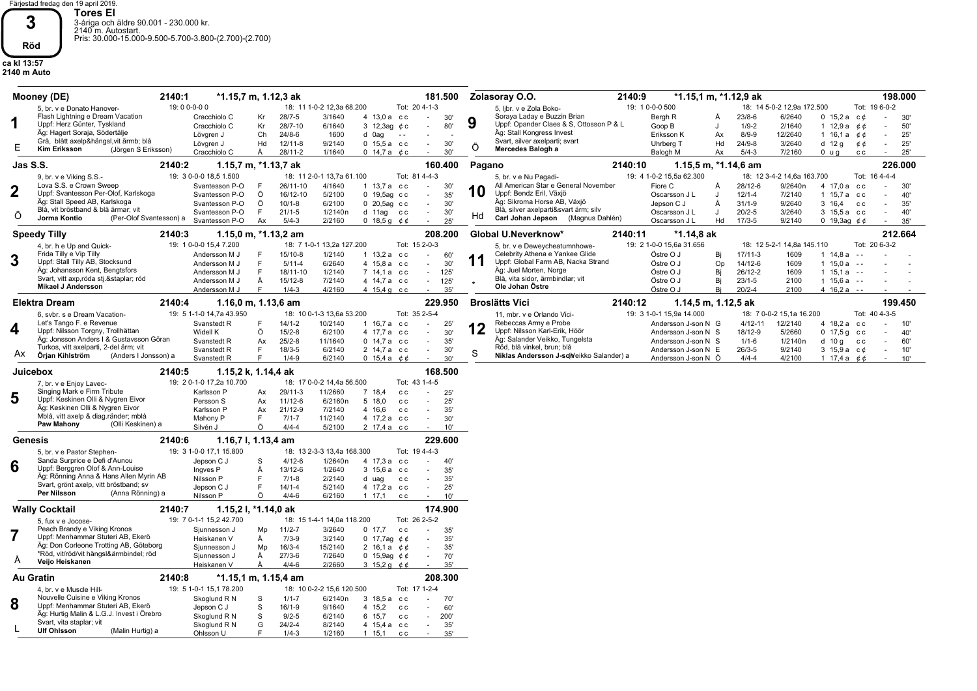Färjestad fredag den 19 april 2019. **Tores El** 3-åriga och äldre 90.001 - 230.000 kr. 2140 m. Autostart. Pris: 30.000-15.000-9.500-5.700-3.800-(2.700)-(2.700)

## **ca kl 13:57 2140 m Auto Röd**

**3**

| 19:00-0-00<br>18: 11 1-0-2 12,3a 68.200<br>Tot: 20 4-1-3<br>19: 1 0-0-0 500<br>18: 14 5-0-2 12,9a 172.500<br>Tot: 19 6-0-2<br>5, libr. v e Zola Boko-<br>5, br. v e Donato Hanover-<br>Soraya Laday e Buzzin Brian<br>Flash Lightning e Dream Vacation<br>$28/7 - 5$<br>3/1640<br>$23/8 - 6$<br>6/2640<br>Cracchiolo C<br>Kr<br>4 13,0 a cc<br>30'<br>Bergh R<br>0, 15, 2a<br>c ¢<br>30'<br>$\sim$<br>A<br>9<br>1<br>Uppf: Herz Günter, Tyskland<br>Uppf: Opander Claes & S, Ottosson P & L<br>Cracchiolo C<br>28/7-10<br>3 12,3ag $¢c$<br>$1/9 - 2$<br>$1 \t12.9a$<br>Kr<br>6/1640<br>80'<br>Goop B<br>2/1640<br>¢ ¢<br>50'<br>Äg: Hagert Soraja, Södertälje<br>Äg: Stall Kongress Invest<br>Lövgren J<br>Ch<br>$24/8 - 6$<br>1600<br>d 0ag<br>Eriksson K<br>$8/9 - 9$<br>12/2640<br>1 16,1 a $\acute{e}$ $\acute{e}$<br>25'<br>Ax<br>$\sim$ $\sim$<br>Grå, blått axelp&hängsl, vit ärmb; blå<br>Svart, silver axelparti; svart<br>Lövgren J<br>$12/11-8$<br>9/2140<br>30'<br>Uhrberg T<br>Hd<br>$24/9 - 8$<br>3/2640<br>$d$ 12 g<br>Hd<br>$0\,15,5a\,c$<br>¢¢<br>25'<br>$\sim$<br>$\sim$<br>Ö<br>Е<br><b>Kim Eriksson</b><br>Mercedes Balogh a<br>(Jörgen S Eriksson)<br>Cracchiolo C<br>28/11-2<br>1/1640<br>0 14,7 a $\phi$ c<br>Balogh M<br>$5/4-3$<br>7/2160<br>25'<br>A<br>30'<br>Ax<br>$0 \text{ u} g$<br>c c<br>Jas S.S.<br>226.000<br>2140:2<br>1.15,7 m, *1.13,7 ak<br>160.400<br>Pagano<br>2140:10<br>1.15,5 m, *1.14,6 am<br>19: 4 1-0-2 15,5a 62.300<br>19: 3 0-0-0 18,5 1.500<br>18: 11 2-0-1 13,7a 61.100<br>Tot: 81 4-4-3<br>18: 12 3-4-2 14,6a 163.700<br>Tot: 16 4-4-4<br>9, br. v e Viking S.S.-<br>5, br. v e Nu Pagadi-<br>Lova S.S. e Crown Sweep<br>All American Star e General November<br>Svantesson P-O<br>26/11-10<br>4/1640<br>Fiore C<br>28/12-6<br>9/2640n<br>4 17,0 a cc<br>1 $13.7a$ cc<br>30'<br>Å<br>30'<br>$\sim$<br>10<br>Uppf: Bendz Eril, Växjö<br>Uppf: Svantesson Per-Olof, Karlskoga<br>Svantesson P-O<br>Ö<br>16/12-10<br>5/2100<br>0 19,5ag cc<br>$12/1 - 4$<br>1 15,7 a cc<br>35'<br>Oscarsson J L<br>7/2140<br>40'<br>$\sim$<br>Äg: Stall Speed AB, Karlskoga<br>Äg: Sikroma Horse AB, Växjö<br>Svantesson P-O<br>Ö<br>$10/1 - 8$<br>6/2100<br>0 20,5ag cc<br>Jepson C J<br>$31/1 - 9$<br>9/2640<br>3 16.4<br>$\sim$<br>30'<br>A<br>C C<br>35'<br>Blå, vit bröstband & blå ärmar; vit<br>Blå, silver axelparti&svart ärm; silv<br>E<br>$21/1-5$<br>1/2140n<br>$20/2 - 5$<br>3/2640<br>Svantesson P-O<br>30'<br>Oscarsson J L<br>3 15,5 а сс<br>d 11ag cc<br>$\cdot$<br>40'<br>$\sim$<br>Hd<br>O<br>Jorma Kontio<br>(Per-Olof Svantesson) a<br>Carl Johan Jepson<br>(Magnus Dahlén)<br>$17/3 - 5$<br>Svantesson P-O<br>Ax<br>$5/4-3$<br>2/2160<br>0 18,5 g $66$<br>25'<br>Oscarsson J L<br>Hd<br>9/2140<br>0 19,3ag $¢$ $¢$<br>35'<br>212.664<br>2140:3<br>1.15,0 m, $*1.13,2$ am<br>208.200<br>Global U.Neverknow*<br>2140:11<br>*1.14,8 ak<br><b>Speedy Tilly</b><br>19: 1 0-0-0 15,4 7.200<br>18: 7 1-0-1 13,2a 127.200<br>Tot: 15 2-0-3<br>19: 2 1-0-0 15,6a 31.656<br>Tot: 20 6-3-2<br>18: 12 5-2-1 14,8a 145.110<br>4, br. h e Up and Quick-<br>5, br. v e Deweycheatumnhowe-<br>Frida Tilly e Vip Tilly<br>Celebrity Athena e Yankee Glide<br>$15/10-8$<br>1/2140<br>Östre O J<br>Bi<br>$17/11-3$<br>1609<br>1, 14.8a<br>Andersson M J<br>1 $13,2a$<br>c c<br>$\sim$<br>60'<br>$\sim$ $\sim$<br>3<br>11<br>Uppf: Stall Tilly AB, Stocksund<br>Uppf: Global Farm AB, Nacka Strand<br>Andersson M J<br>E<br>$5/11 - 4$<br>6/2640<br>4 15.8 a cc<br>30'<br>Östre O J<br>Op<br>14/12-6<br>1609<br>1, 15.0a<br>$\sim$<br>$\sim$ $\sim$<br>Äg: Juel Morten, Norge<br>Äg: Johansson Kent, Bengtsfors<br>E<br>18/11-10<br>1/2140<br>7 14,1 a cc<br>125<br>Östre O J<br>Bj<br>26/12-2<br>1609<br>$1 \t15.1a - -$<br>Andersson M J<br>$\sim$<br>Blå, vita sidor, ärmbindlar; vit<br>Svart, vitt axp, röda stj. & staplar; röd<br>Å<br>$15/12-8$<br>7/2140<br>4 14,7 a cc<br>125'<br>Bi<br>$23/1 - 5$<br>2100<br>$1\;15.6a$<br>Andersson M J<br>Östre O J<br>$\sim$ $\sim$<br>$\sim$<br><b>Mikael J Andersson</b><br>Ole Johan Östre<br>4/2160<br>Östre O J<br>Bi<br>$20/2 - 4$<br>2100<br>Andersson M J<br>F<br>$1/4 - 3$<br>4 15,4 g cc<br>35'<br>4 $16.2a - -$<br><b>Elektra Dream</b><br>229.950<br><b>Broslätts Vici</b><br>2140:12<br>199.450<br>2140:4<br>1.16,0 m, 1.13,6 am<br>1.14,5 m, 1.12,5 ak<br>19: 5 1-1-0 14,7a 43.950<br>18: 10 0-1-3 13,6a 53.200<br>Tot: 35 2-5-4<br>19: 3 1-0-1 15,9a 14.000<br>18: 7 0-0-2 15,1a 16.200<br>Tot: 40 4-3-5<br>6. svbr. s e Dream Vacation-<br>11, mbr. v e Orlando Vici-<br>Let's Tango F. e Revenue<br>Rebeccas Army e Probe<br>10/2140<br>$4/12 - 11$<br>Svanstedt R<br>$14/1 - 2$<br>1 16,7 a cc<br>25'<br>Andersson J-son N G<br>12/2140<br>4 18.2 a cc<br>10'<br>12<br>4<br>Uppf: Nilsson Torgny, Trollhättan<br>Uppf: Nilsson Karl-Erik, Höör<br>Ö<br>4 17.7 a<br>Widell K<br>$15/2 - 8$<br>6/2100<br>18/12-9<br>5/2660<br>$0, 17.5$ g<br>30'<br>Andersson J-son N S<br>C C<br>$\sim$<br>C C<br>40'<br>Äg: Jonsson Anders I & Gustavsson Göran<br>Äg: Salander Veikko, Tungelsta<br>Svanstedt R<br>Ax<br>$25/2 - 8$<br>11/1640<br>$0$ 14,7 a $cc$<br>35'<br>$1/1 - 6$<br>1/2140n<br>$d$ 10 g c c<br>Andersson J-son N S<br>60'<br>$\sim$<br>Röd, blå vinkel, brun; blå<br>Turkos, vitt axelparti, 2-del ärm; vit<br>Svanstedt R<br>F<br>$18/3 - 5$<br>6/2140<br>2 14,7 a cc<br>$26/3 - 5$<br>9/2140<br>3 15,9 a $c \phi$<br>30'<br>Andersson J-son N E<br>10'<br>$\sim$<br>$\sim$<br>S<br>AX.<br>Örjan Kihlström<br>Niklas Andersson J-solveikko Salander) a<br>(Anders I Jonsson) a<br>F<br>$1/4 - 9$<br>6/2140<br>$4/4 - 4$<br>4/2100<br>Svanstedt R<br>0 15,4 a $\phi$<br>Andersson J-son N Ö<br>1 17,4 a $0,6$<br>30'<br>10'<br>168.500<br>Juicebox<br>2140:5<br>1.15,2 k, 1.14,4 ak<br>19: 2 0-1-0 17,2a 10.700<br>18: 17 0-0-2 14.4a 56.500<br>Tot: 43 1-4-5<br>7, br. v e Enjoy Lavec-<br>Singing Mark e Firm Tribute<br>Karlsson P<br>29/11-3<br>11/2660<br>Ax<br>7 18.4<br>25'<br>C.C.<br>5<br>Uppf: Keskinen Olli & Nygren Eivor<br>$11/12-6$<br>6/2160n<br>5 18.0<br>Persson S<br>Ax<br>25'<br>C C<br>Äg: Keskinen Olli & Nygren Eivor<br>21/12-9<br>7/2140<br>Karlsson P<br>4 16,6<br>35'<br>Ax<br>c c<br>$\sim$<br>Mblå, vitt axelp & diag.ränder; mblå<br>Mahony P<br>E<br>$7/1 - 7$<br>11/2140<br>4 17,2 a cc<br>30'<br>$\sim$<br>Paw Mahony<br>(Olli Keskinen) a<br>Ö<br>$4/4 - 4$<br>Silvén J<br>5/2100<br>2 17,4 а сс<br>10'<br>229.600<br>Genesis<br>2140:6<br>1.16,7 l, 1.13,4 am<br>19: 3 1-0-0 17,1 15.800<br>Tot: 19 4-4-3<br>18: 13 2-3-3 13,4a 168.300<br>5, br. v e Pastor Stephen-<br>Sanda Surprice e Defi d'Aunou<br>$4/12 - 6$<br>1/2640n<br>4 17.3 a cc<br>Jepson C J<br>-S<br>40'<br>$\sim$<br>6<br>Uppf: Berggren Olof & Ann-Louise<br>13/12-6<br>1/2640<br>3 15,6 а сс<br>Ingves P<br>Ă<br>35'<br>$\sim$<br>Äg: Rönning Anna & Hans Allen Myrin AB<br>E<br>$7/1 - 8$<br>2/2140<br>35'<br>Nilsson P<br>d uag<br>c c<br>$\sim$<br>Svart, grönt axelp, vitt bröstband; sv<br>$14/1 - 4$<br>5/2140<br>Jepson C J<br>F<br>4 17,2 a<br>25'<br>c c<br>$\sim$<br>Per Nilsson<br>(Anna Rönning) a<br>Ö<br>$4/4 - 6$<br>Nilsson P<br>6/2160<br>$1 \t17.1$<br>10'<br>c c<br>$\sim$<br>174.900<br><b>Wally Cocktail</b><br>2140:7<br>1.15,2 l, *1.14,0 ak<br>19: 7 0-1-1 15,2 42.700<br>18: 15 1-4-1 14,0a 118.200<br>Tot: 26 2-5-2<br>5. fux y e Jocose-<br>Peach Brandy e Viking Kronos<br>Sjunnesson J<br>$11/2 - 7$<br>3/2640<br>0, 17, 7<br>35'<br>Mp<br>C C<br>Uppf: Menhammar Stuteri AB, Ekerö<br>Heiskanen V<br>Å<br>$7/3-9$<br>3/2140<br>0 17,7ag $¢$ $¢$<br>35'<br>$\sim$<br>Äg: Don Corleone Trotting AB, Göteborg<br>Sjunnesson J<br>Mp<br>$16/3 - 4$<br>15/2140<br>2 16,1 a $\phi$ $\phi$<br>35'<br>$\sim$<br>*Röd, vit/röd/vit hängsl&ärmbindel; röd<br>$27/3 - 6$<br>7/2640<br>70'<br>Å<br>Sjunnesson J<br>0 15,9ag $66$<br>$\overline{\phantom{a}}$<br>A<br>Veijo Heiskanen<br>$4/4 - 6$<br>2/2660<br>35'<br>Heiskanen V<br>Å<br>3 15,2 g $\phi$<br><b>Au Gratin</b><br>2140:8<br>208.300<br>*1.15,1 m, 1.15,4 am<br>19: 5 1-0-1 15,1 78.200<br>18: 10 0-2-2 15,6 120.500<br>Tot: 17 1-2-4<br>4. br. v e Muscle Hill-<br>Nouvelle Cuisine e Viking Kronos<br>$1/1 - 7$<br>6/2140n<br>Skoglund R N<br>S<br>3 18,5 a<br>70'<br>c c<br>8<br>Uppf: Menhammar Stuteri AB, Ekerö<br>$16/1-9$<br>60'<br>S<br>9/1640<br>4 15,2<br>Jepson C J<br>c c<br>Äg: Hurtig Malin & L.G.J. Invest i Örebro<br>S<br>$9/2 - 5$<br>6/2140<br>6 15,7<br>200'<br>Skoglund R N<br>$\sim$<br>c c<br>Svart, vita staplar; vit<br>35'<br>Skoglund R N<br>G<br>$24/2 - 4$<br>8/2140<br>4 15.4 a cc<br>$\sim$<br><b>Ulf Ohlsson</b><br>(Malin Hurtig) a<br>E<br>$1/4 - 3$<br>1/2160<br>$1 \t15, 1$<br>35'<br>Ohlsson U<br>c c | 2140:1<br>Mooney (DE) |  | *1.15,7 m, 1.12,3 ak |  |  | 181.500 | Zolasoray O.O. | 2140:9 | *1.15,1 m, *1.12,9 ak |  | 198.000 |
|--------------------------------------------------------------------------------------------------------------------------------------------------------------------------------------------------------------------------------------------------------------------------------------------------------------------------------------------------------------------------------------------------------------------------------------------------------------------------------------------------------------------------------------------------------------------------------------------------------------------------------------------------------------------------------------------------------------------------------------------------------------------------------------------------------------------------------------------------------------------------------------------------------------------------------------------------------------------------------------------------------------------------------------------------------------------------------------------------------------------------------------------------------------------------------------------------------------------------------------------------------------------------------------------------------------------------------------------------------------------------------------------------------------------------------------------------------------------------------------------------------------------------------------------------------------------------------------------------------------------------------------------------------------------------------------------------------------------------------------------------------------------------------------------------------------------------------------------------------------------------------------------------------------------------------------------------------------------------------------------------------------------------------------------------------------------------------------------------------------------------------------------------------------------------------------------------------------------------------------------------------------------------------------------------------------------------------------------------------------------------------------------------------------------------------------------------------------------------------------------------------------------------------------------------------------------------------------------------------------------------------------------------------------------------------------------------------------------------------------------------------------------------------------------------------------------------------------------------------------------------------------------------------------------------------------------------------------------------------------------------------------------------------------------------------------------------------------------------------------------------------------------------------------------------------------------------------------------------------------------------------------------------------------------------------------------------------------------------------------------------------------------------------------------------------------------------------------------------------------------------------------------------------------------------------------------------------------------------------------------------------------------------------------------------------------------------------------------------------------------------------------------------------------------------------------------------------------------------------------------------------------------------------------------------------------------------------------------------------------------------------------------------------------------------------------------------------------------------------------------------------------------------------------------------------------------------------------------------------------------------------------------------------------------------------------------------------------------------------------------------------------------------------------------------------------------------------------------------------------------------------------------------------------------------------------------------------------------------------------------------------------------------------------------------------------------------------------------------------------------------------------------------------------------------------------------------------------------------------------------------------------------------------------------------------------------------------------------------------------------------------------------------------------------------------------------------------------------------------------------------------------------------------------------------------------------------------------------------------------------------------------------------------------------------------------------------------------------------------------------------------------------------------------------------------------------------------------------------------------------------------------------------------------------------------------------------------------------------------------------------------------------------------------------------------------------------------------------------------------------------------------------------------------------------------------------------------------------------------------------------------------------------------------------------------------------------------------------------------------------------------------------------------------------------------------------------------------------------------------------------------------------------------------------------------------------------------------------------------------------------------------------------------------------------------------------------------------------------------------------------------------------------------------------------------------------------------------------------------------------------------------------------------------------------------------------------------------------------------------------------------------------------------------------------------------------------------------------------------------------------------------------------------------------------------------------------------------------------------------------------------------------------------------------------------------------------------------------------------------------------------------------------------------------------------------------------------------------------------------------------------------------------------------------------------------------------------------------------------------------------------------------------------------------------------------------------------------------------------------------------------------------------------------------------------------------------------------------------------------------------------------------------------------------------------------------------------------------------------------------------------------------------------------------------------------------------------------------------------------------------------------------------------------------------------------------------------------------------------------------------------------------------------------------------------------------------------------------------------------------------------------------------------------------------------------------------------------------------------------------------------------------------------------------------------------------------------------------------------------------------------------------------------------------------------------------------------------------------------------------------------------------------------------------------------------------------------------------------------------------------------------------------------------------------------------------------------------------------------------------------------------------------------------------------------------------------------------------------------------------|-----------------------|--|----------------------|--|--|---------|----------------|--------|-----------------------|--|---------|
|                                                                                                                                                                                                                                                                                                                                                                                                                                                                                                                                                                                                                                                                                                                                                                                                                                                                                                                                                                                                                                                                                                                                                                                                                                                                                                                                                                                                                                                                                                                                                                                                                                                                                                                                                                                                                                                                                                                                                                                                                                                                                                                                                                                                                                                                                                                                                                                                                                                                                                                                                                                                                                                                                                                                                                                                                                                                                                                                                                                                                                                                                                                                                                                                                                                                                                                                                                                                                                                                                                                                                                                                                                                                                                                                                                                                                                                                                                                                                                                                                                                                                                                                                                                                                                                                                                                                                                                                                                                                                                                                                                                                                                                                                                                                                                                                                                                                                                                                                                                                                                                                                                                                                                                                                                                                                                                                                                                                                                                                                                                                                                                                                                                                                                                                                                                                                                                                                                                                                                                                                                                                                                                                                                                                                                                                                                                                                                                                                                                                                                                                                                                                                                                                                                                                                                                                                                                                                                                                                                                                                                                                                                                                                                                                                                                                                                                                                                                                                                                                                                                                                                                                                                                                                                                                                                                                                                                                                                                                                                                                                                                                                                                                                                                                                                                                                                                                                                                                                                                                                                                                                                                                                                                                                                                                            |                       |  |                      |  |  |         |                |        |                       |  |         |
|                                                                                                                                                                                                                                                                                                                                                                                                                                                                                                                                                                                                                                                                                                                                                                                                                                                                                                                                                                                                                                                                                                                                                                                                                                                                                                                                                                                                                                                                                                                                                                                                                                                                                                                                                                                                                                                                                                                                                                                                                                                                                                                                                                                                                                                                                                                                                                                                                                                                                                                                                                                                                                                                                                                                                                                                                                                                                                                                                                                                                                                                                                                                                                                                                                                                                                                                                                                                                                                                                                                                                                                                                                                                                                                                                                                                                                                                                                                                                                                                                                                                                                                                                                                                                                                                                                                                                                                                                                                                                                                                                                                                                                                                                                                                                                                                                                                                                                                                                                                                                                                                                                                                                                                                                                                                                                                                                                                                                                                                                                                                                                                                                                                                                                                                                                                                                                                                                                                                                                                                                                                                                                                                                                                                                                                                                                                                                                                                                                                                                                                                                                                                                                                                                                                                                                                                                                                                                                                                                                                                                                                                                                                                                                                                                                                                                                                                                                                                                                                                                                                                                                                                                                                                                                                                                                                                                                                                                                                                                                                                                                                                                                                                                                                                                                                                                                                                                                                                                                                                                                                                                                                                                                                                                                                                            |                       |  |                      |  |  |         |                |        |                       |  |         |
|                                                                                                                                                                                                                                                                                                                                                                                                                                                                                                                                                                                                                                                                                                                                                                                                                                                                                                                                                                                                                                                                                                                                                                                                                                                                                                                                                                                                                                                                                                                                                                                                                                                                                                                                                                                                                                                                                                                                                                                                                                                                                                                                                                                                                                                                                                                                                                                                                                                                                                                                                                                                                                                                                                                                                                                                                                                                                                                                                                                                                                                                                                                                                                                                                                                                                                                                                                                                                                                                                                                                                                                                                                                                                                                                                                                                                                                                                                                                                                                                                                                                                                                                                                                                                                                                                                                                                                                                                                                                                                                                                                                                                                                                                                                                                                                                                                                                                                                                                                                                                                                                                                                                                                                                                                                                                                                                                                                                                                                                                                                                                                                                                                                                                                                                                                                                                                                                                                                                                                                                                                                                                                                                                                                                                                                                                                                                                                                                                                                                                                                                                                                                                                                                                                                                                                                                                                                                                                                                                                                                                                                                                                                                                                                                                                                                                                                                                                                                                                                                                                                                                                                                                                                                                                                                                                                                                                                                                                                                                                                                                                                                                                                                                                                                                                                                                                                                                                                                                                                                                                                                                                                                                                                                                                                                            |                       |  |                      |  |  |         |                |        |                       |  |         |
|                                                                                                                                                                                                                                                                                                                                                                                                                                                                                                                                                                                                                                                                                                                                                                                                                                                                                                                                                                                                                                                                                                                                                                                                                                                                                                                                                                                                                                                                                                                                                                                                                                                                                                                                                                                                                                                                                                                                                                                                                                                                                                                                                                                                                                                                                                                                                                                                                                                                                                                                                                                                                                                                                                                                                                                                                                                                                                                                                                                                                                                                                                                                                                                                                                                                                                                                                                                                                                                                                                                                                                                                                                                                                                                                                                                                                                                                                                                                                                                                                                                                                                                                                                                                                                                                                                                                                                                                                                                                                                                                                                                                                                                                                                                                                                                                                                                                                                                                                                                                                                                                                                                                                                                                                                                                                                                                                                                                                                                                                                                                                                                                                                                                                                                                                                                                                                                                                                                                                                                                                                                                                                                                                                                                                                                                                                                                                                                                                                                                                                                                                                                                                                                                                                                                                                                                                                                                                                                                                                                                                                                                                                                                                                                                                                                                                                                                                                                                                                                                                                                                                                                                                                                                                                                                                                                                                                                                                                                                                                                                                                                                                                                                                                                                                                                                                                                                                                                                                                                                                                                                                                                                                                                                                                                                            |                       |  |                      |  |  |         |                |        |                       |  |         |
|                                                                                                                                                                                                                                                                                                                                                                                                                                                                                                                                                                                                                                                                                                                                                                                                                                                                                                                                                                                                                                                                                                                                                                                                                                                                                                                                                                                                                                                                                                                                                                                                                                                                                                                                                                                                                                                                                                                                                                                                                                                                                                                                                                                                                                                                                                                                                                                                                                                                                                                                                                                                                                                                                                                                                                                                                                                                                                                                                                                                                                                                                                                                                                                                                                                                                                                                                                                                                                                                                                                                                                                                                                                                                                                                                                                                                                                                                                                                                                                                                                                                                                                                                                                                                                                                                                                                                                                                                                                                                                                                                                                                                                                                                                                                                                                                                                                                                                                                                                                                                                                                                                                                                                                                                                                                                                                                                                                                                                                                                                                                                                                                                                                                                                                                                                                                                                                                                                                                                                                                                                                                                                                                                                                                                                                                                                                                                                                                                                                                                                                                                                                                                                                                                                                                                                                                                                                                                                                                                                                                                                                                                                                                                                                                                                                                                                                                                                                                                                                                                                                                                                                                                                                                                                                                                                                                                                                                                                                                                                                                                                                                                                                                                                                                                                                                                                                                                                                                                                                                                                                                                                                                                                                                                                                                            |                       |  |                      |  |  |         |                |        |                       |  |         |
|                                                                                                                                                                                                                                                                                                                                                                                                                                                                                                                                                                                                                                                                                                                                                                                                                                                                                                                                                                                                                                                                                                                                                                                                                                                                                                                                                                                                                                                                                                                                                                                                                                                                                                                                                                                                                                                                                                                                                                                                                                                                                                                                                                                                                                                                                                                                                                                                                                                                                                                                                                                                                                                                                                                                                                                                                                                                                                                                                                                                                                                                                                                                                                                                                                                                                                                                                                                                                                                                                                                                                                                                                                                                                                                                                                                                                                                                                                                                                                                                                                                                                                                                                                                                                                                                                                                                                                                                                                                                                                                                                                                                                                                                                                                                                                                                                                                                                                                                                                                                                                                                                                                                                                                                                                                                                                                                                                                                                                                                                                                                                                                                                                                                                                                                                                                                                                                                                                                                                                                                                                                                                                                                                                                                                                                                                                                                                                                                                                                                                                                                                                                                                                                                                                                                                                                                                                                                                                                                                                                                                                                                                                                                                                                                                                                                                                                                                                                                                                                                                                                                                                                                                                                                                                                                                                                                                                                                                                                                                                                                                                                                                                                                                                                                                                                                                                                                                                                                                                                                                                                                                                                                                                                                                                                                            |                       |  |                      |  |  |         |                |        |                       |  |         |
|                                                                                                                                                                                                                                                                                                                                                                                                                                                                                                                                                                                                                                                                                                                                                                                                                                                                                                                                                                                                                                                                                                                                                                                                                                                                                                                                                                                                                                                                                                                                                                                                                                                                                                                                                                                                                                                                                                                                                                                                                                                                                                                                                                                                                                                                                                                                                                                                                                                                                                                                                                                                                                                                                                                                                                                                                                                                                                                                                                                                                                                                                                                                                                                                                                                                                                                                                                                                                                                                                                                                                                                                                                                                                                                                                                                                                                                                                                                                                                                                                                                                                                                                                                                                                                                                                                                                                                                                                                                                                                                                                                                                                                                                                                                                                                                                                                                                                                                                                                                                                                                                                                                                                                                                                                                                                                                                                                                                                                                                                                                                                                                                                                                                                                                                                                                                                                                                                                                                                                                                                                                                                                                                                                                                                                                                                                                                                                                                                                                                                                                                                                                                                                                                                                                                                                                                                                                                                                                                                                                                                                                                                                                                                                                                                                                                                                                                                                                                                                                                                                                                                                                                                                                                                                                                                                                                                                                                                                                                                                                                                                                                                                                                                                                                                                                                                                                                                                                                                                                                                                                                                                                                                                                                                                                                            |                       |  |                      |  |  |         |                |        |                       |  |         |
|                                                                                                                                                                                                                                                                                                                                                                                                                                                                                                                                                                                                                                                                                                                                                                                                                                                                                                                                                                                                                                                                                                                                                                                                                                                                                                                                                                                                                                                                                                                                                                                                                                                                                                                                                                                                                                                                                                                                                                                                                                                                                                                                                                                                                                                                                                                                                                                                                                                                                                                                                                                                                                                                                                                                                                                                                                                                                                                                                                                                                                                                                                                                                                                                                                                                                                                                                                                                                                                                                                                                                                                                                                                                                                                                                                                                                                                                                                                                                                                                                                                                                                                                                                                                                                                                                                                                                                                                                                                                                                                                                                                                                                                                                                                                                                                                                                                                                                                                                                                                                                                                                                                                                                                                                                                                                                                                                                                                                                                                                                                                                                                                                                                                                                                                                                                                                                                                                                                                                                                                                                                                                                                                                                                                                                                                                                                                                                                                                                                                                                                                                                                                                                                                                                                                                                                                                                                                                                                                                                                                                                                                                                                                                                                                                                                                                                                                                                                                                                                                                                                                                                                                                                                                                                                                                                                                                                                                                                                                                                                                                                                                                                                                                                                                                                                                                                                                                                                                                                                                                                                                                                                                                                                                                                                                            |                       |  |                      |  |  |         |                |        |                       |  |         |
|                                                                                                                                                                                                                                                                                                                                                                                                                                                                                                                                                                                                                                                                                                                                                                                                                                                                                                                                                                                                                                                                                                                                                                                                                                                                                                                                                                                                                                                                                                                                                                                                                                                                                                                                                                                                                                                                                                                                                                                                                                                                                                                                                                                                                                                                                                                                                                                                                                                                                                                                                                                                                                                                                                                                                                                                                                                                                                                                                                                                                                                                                                                                                                                                                                                                                                                                                                                                                                                                                                                                                                                                                                                                                                                                                                                                                                                                                                                                                                                                                                                                                                                                                                                                                                                                                                                                                                                                                                                                                                                                                                                                                                                                                                                                                                                                                                                                                                                                                                                                                                                                                                                                                                                                                                                                                                                                                                                                                                                                                                                                                                                                                                                                                                                                                                                                                                                                                                                                                                                                                                                                                                                                                                                                                                                                                                                                                                                                                                                                                                                                                                                                                                                                                                                                                                                                                                                                                                                                                                                                                                                                                                                                                                                                                                                                                                                                                                                                                                                                                                                                                                                                                                                                                                                                                                                                                                                                                                                                                                                                                                                                                                                                                                                                                                                                                                                                                                                                                                                                                                                                                                                                                                                                                                                                            |                       |  |                      |  |  |         |                |        |                       |  |         |
|                                                                                                                                                                                                                                                                                                                                                                                                                                                                                                                                                                                                                                                                                                                                                                                                                                                                                                                                                                                                                                                                                                                                                                                                                                                                                                                                                                                                                                                                                                                                                                                                                                                                                                                                                                                                                                                                                                                                                                                                                                                                                                                                                                                                                                                                                                                                                                                                                                                                                                                                                                                                                                                                                                                                                                                                                                                                                                                                                                                                                                                                                                                                                                                                                                                                                                                                                                                                                                                                                                                                                                                                                                                                                                                                                                                                                                                                                                                                                                                                                                                                                                                                                                                                                                                                                                                                                                                                                                                                                                                                                                                                                                                                                                                                                                                                                                                                                                                                                                                                                                                                                                                                                                                                                                                                                                                                                                                                                                                                                                                                                                                                                                                                                                                                                                                                                                                                                                                                                                                                                                                                                                                                                                                                                                                                                                                                                                                                                                                                                                                                                                                                                                                                                                                                                                                                                                                                                                                                                                                                                                                                                                                                                                                                                                                                                                                                                                                                                                                                                                                                                                                                                                                                                                                                                                                                                                                                                                                                                                                                                                                                                                                                                                                                                                                                                                                                                                                                                                                                                                                                                                                                                                                                                                                                            |                       |  |                      |  |  |         |                |        |                       |  |         |
|                                                                                                                                                                                                                                                                                                                                                                                                                                                                                                                                                                                                                                                                                                                                                                                                                                                                                                                                                                                                                                                                                                                                                                                                                                                                                                                                                                                                                                                                                                                                                                                                                                                                                                                                                                                                                                                                                                                                                                                                                                                                                                                                                                                                                                                                                                                                                                                                                                                                                                                                                                                                                                                                                                                                                                                                                                                                                                                                                                                                                                                                                                                                                                                                                                                                                                                                                                                                                                                                                                                                                                                                                                                                                                                                                                                                                                                                                                                                                                                                                                                                                                                                                                                                                                                                                                                                                                                                                                                                                                                                                                                                                                                                                                                                                                                                                                                                                                                                                                                                                                                                                                                                                                                                                                                                                                                                                                                                                                                                                                                                                                                                                                                                                                                                                                                                                                                                                                                                                                                                                                                                                                                                                                                                                                                                                                                                                                                                                                                                                                                                                                                                                                                                                                                                                                                                                                                                                                                                                                                                                                                                                                                                                                                                                                                                                                                                                                                                                                                                                                                                                                                                                                                                                                                                                                                                                                                                                                                                                                                                                                                                                                                                                                                                                                                                                                                                                                                                                                                                                                                                                                                                                                                                                                                                            |                       |  |                      |  |  |         |                |        |                       |  |         |
|                                                                                                                                                                                                                                                                                                                                                                                                                                                                                                                                                                                                                                                                                                                                                                                                                                                                                                                                                                                                                                                                                                                                                                                                                                                                                                                                                                                                                                                                                                                                                                                                                                                                                                                                                                                                                                                                                                                                                                                                                                                                                                                                                                                                                                                                                                                                                                                                                                                                                                                                                                                                                                                                                                                                                                                                                                                                                                                                                                                                                                                                                                                                                                                                                                                                                                                                                                                                                                                                                                                                                                                                                                                                                                                                                                                                                                                                                                                                                                                                                                                                                                                                                                                                                                                                                                                                                                                                                                                                                                                                                                                                                                                                                                                                                                                                                                                                                                                                                                                                                                                                                                                                                                                                                                                                                                                                                                                                                                                                                                                                                                                                                                                                                                                                                                                                                                                                                                                                                                                                                                                                                                                                                                                                                                                                                                                                                                                                                                                                                                                                                                                                                                                                                                                                                                                                                                                                                                                                                                                                                                                                                                                                                                                                                                                                                                                                                                                                                                                                                                                                                                                                                                                                                                                                                                                                                                                                                                                                                                                                                                                                                                                                                                                                                                                                                                                                                                                                                                                                                                                                                                                                                                                                                                                                            |                       |  |                      |  |  |         |                |        |                       |  |         |
|                                                                                                                                                                                                                                                                                                                                                                                                                                                                                                                                                                                                                                                                                                                                                                                                                                                                                                                                                                                                                                                                                                                                                                                                                                                                                                                                                                                                                                                                                                                                                                                                                                                                                                                                                                                                                                                                                                                                                                                                                                                                                                                                                                                                                                                                                                                                                                                                                                                                                                                                                                                                                                                                                                                                                                                                                                                                                                                                                                                                                                                                                                                                                                                                                                                                                                                                                                                                                                                                                                                                                                                                                                                                                                                                                                                                                                                                                                                                                                                                                                                                                                                                                                                                                                                                                                                                                                                                                                                                                                                                                                                                                                                                                                                                                                                                                                                                                                                                                                                                                                                                                                                                                                                                                                                                                                                                                                                                                                                                                                                                                                                                                                                                                                                                                                                                                                                                                                                                                                                                                                                                                                                                                                                                                                                                                                                                                                                                                                                                                                                                                                                                                                                                                                                                                                                                                                                                                                                                                                                                                                                                                                                                                                                                                                                                                                                                                                                                                                                                                                                                                                                                                                                                                                                                                                                                                                                                                                                                                                                                                                                                                                                                                                                                                                                                                                                                                                                                                                                                                                                                                                                                                                                                                                                                            |                       |  |                      |  |  |         |                |        |                       |  |         |
|                                                                                                                                                                                                                                                                                                                                                                                                                                                                                                                                                                                                                                                                                                                                                                                                                                                                                                                                                                                                                                                                                                                                                                                                                                                                                                                                                                                                                                                                                                                                                                                                                                                                                                                                                                                                                                                                                                                                                                                                                                                                                                                                                                                                                                                                                                                                                                                                                                                                                                                                                                                                                                                                                                                                                                                                                                                                                                                                                                                                                                                                                                                                                                                                                                                                                                                                                                                                                                                                                                                                                                                                                                                                                                                                                                                                                                                                                                                                                                                                                                                                                                                                                                                                                                                                                                                                                                                                                                                                                                                                                                                                                                                                                                                                                                                                                                                                                                                                                                                                                                                                                                                                                                                                                                                                                                                                                                                                                                                                                                                                                                                                                                                                                                                                                                                                                                                                                                                                                                                                                                                                                                                                                                                                                                                                                                                                                                                                                                                                                                                                                                                                                                                                                                                                                                                                                                                                                                                                                                                                                                                                                                                                                                                                                                                                                                                                                                                                                                                                                                                                                                                                                                                                                                                                                                                                                                                                                                                                                                                                                                                                                                                                                                                                                                                                                                                                                                                                                                                                                                                                                                                                                                                                                                                                            |                       |  |                      |  |  |         |                |        |                       |  |         |
|                                                                                                                                                                                                                                                                                                                                                                                                                                                                                                                                                                                                                                                                                                                                                                                                                                                                                                                                                                                                                                                                                                                                                                                                                                                                                                                                                                                                                                                                                                                                                                                                                                                                                                                                                                                                                                                                                                                                                                                                                                                                                                                                                                                                                                                                                                                                                                                                                                                                                                                                                                                                                                                                                                                                                                                                                                                                                                                                                                                                                                                                                                                                                                                                                                                                                                                                                                                                                                                                                                                                                                                                                                                                                                                                                                                                                                                                                                                                                                                                                                                                                                                                                                                                                                                                                                                                                                                                                                                                                                                                                                                                                                                                                                                                                                                                                                                                                                                                                                                                                                                                                                                                                                                                                                                                                                                                                                                                                                                                                                                                                                                                                                                                                                                                                                                                                                                                                                                                                                                                                                                                                                                                                                                                                                                                                                                                                                                                                                                                                                                                                                                                                                                                                                                                                                                                                                                                                                                                                                                                                                                                                                                                                                                                                                                                                                                                                                                                                                                                                                                                                                                                                                                                                                                                                                                                                                                                                                                                                                                                                                                                                                                                                                                                                                                                                                                                                                                                                                                                                                                                                                                                                                                                                                                                            |                       |  |                      |  |  |         |                |        |                       |  |         |
|                                                                                                                                                                                                                                                                                                                                                                                                                                                                                                                                                                                                                                                                                                                                                                                                                                                                                                                                                                                                                                                                                                                                                                                                                                                                                                                                                                                                                                                                                                                                                                                                                                                                                                                                                                                                                                                                                                                                                                                                                                                                                                                                                                                                                                                                                                                                                                                                                                                                                                                                                                                                                                                                                                                                                                                                                                                                                                                                                                                                                                                                                                                                                                                                                                                                                                                                                                                                                                                                                                                                                                                                                                                                                                                                                                                                                                                                                                                                                                                                                                                                                                                                                                                                                                                                                                                                                                                                                                                                                                                                                                                                                                                                                                                                                                                                                                                                                                                                                                                                                                                                                                                                                                                                                                                                                                                                                                                                                                                                                                                                                                                                                                                                                                                                                                                                                                                                                                                                                                                                                                                                                                                                                                                                                                                                                                                                                                                                                                                                                                                                                                                                                                                                                                                                                                                                                                                                                                                                                                                                                                                                                                                                                                                                                                                                                                                                                                                                                                                                                                                                                                                                                                                                                                                                                                                                                                                                                                                                                                                                                                                                                                                                                                                                                                                                                                                                                                                                                                                                                                                                                                                                                                                                                                                                            |                       |  |                      |  |  |         |                |        |                       |  |         |
|                                                                                                                                                                                                                                                                                                                                                                                                                                                                                                                                                                                                                                                                                                                                                                                                                                                                                                                                                                                                                                                                                                                                                                                                                                                                                                                                                                                                                                                                                                                                                                                                                                                                                                                                                                                                                                                                                                                                                                                                                                                                                                                                                                                                                                                                                                                                                                                                                                                                                                                                                                                                                                                                                                                                                                                                                                                                                                                                                                                                                                                                                                                                                                                                                                                                                                                                                                                                                                                                                                                                                                                                                                                                                                                                                                                                                                                                                                                                                                                                                                                                                                                                                                                                                                                                                                                                                                                                                                                                                                                                                                                                                                                                                                                                                                                                                                                                                                                                                                                                                                                                                                                                                                                                                                                                                                                                                                                                                                                                                                                                                                                                                                                                                                                                                                                                                                                                                                                                                                                                                                                                                                                                                                                                                                                                                                                                                                                                                                                                                                                                                                                                                                                                                                                                                                                                                                                                                                                                                                                                                                                                                                                                                                                                                                                                                                                                                                                                                                                                                                                                                                                                                                                                                                                                                                                                                                                                                                                                                                                                                                                                                                                                                                                                                                                                                                                                                                                                                                                                                                                                                                                                                                                                                                                                            |                       |  |                      |  |  |         |                |        |                       |  |         |
|                                                                                                                                                                                                                                                                                                                                                                                                                                                                                                                                                                                                                                                                                                                                                                                                                                                                                                                                                                                                                                                                                                                                                                                                                                                                                                                                                                                                                                                                                                                                                                                                                                                                                                                                                                                                                                                                                                                                                                                                                                                                                                                                                                                                                                                                                                                                                                                                                                                                                                                                                                                                                                                                                                                                                                                                                                                                                                                                                                                                                                                                                                                                                                                                                                                                                                                                                                                                                                                                                                                                                                                                                                                                                                                                                                                                                                                                                                                                                                                                                                                                                                                                                                                                                                                                                                                                                                                                                                                                                                                                                                                                                                                                                                                                                                                                                                                                                                                                                                                                                                                                                                                                                                                                                                                                                                                                                                                                                                                                                                                                                                                                                                                                                                                                                                                                                                                                                                                                                                                                                                                                                                                                                                                                                                                                                                                                                                                                                                                                                                                                                                                                                                                                                                                                                                                                                                                                                                                                                                                                                                                                                                                                                                                                                                                                                                                                                                                                                                                                                                                                                                                                                                                                                                                                                                                                                                                                                                                                                                                                                                                                                                                                                                                                                                                                                                                                                                                                                                                                                                                                                                                                                                                                                                                                            |                       |  |                      |  |  |         |                |        |                       |  |         |
|                                                                                                                                                                                                                                                                                                                                                                                                                                                                                                                                                                                                                                                                                                                                                                                                                                                                                                                                                                                                                                                                                                                                                                                                                                                                                                                                                                                                                                                                                                                                                                                                                                                                                                                                                                                                                                                                                                                                                                                                                                                                                                                                                                                                                                                                                                                                                                                                                                                                                                                                                                                                                                                                                                                                                                                                                                                                                                                                                                                                                                                                                                                                                                                                                                                                                                                                                                                                                                                                                                                                                                                                                                                                                                                                                                                                                                                                                                                                                                                                                                                                                                                                                                                                                                                                                                                                                                                                                                                                                                                                                                                                                                                                                                                                                                                                                                                                                                                                                                                                                                                                                                                                                                                                                                                                                                                                                                                                                                                                                                                                                                                                                                                                                                                                                                                                                                                                                                                                                                                                                                                                                                                                                                                                                                                                                                                                                                                                                                                                                                                                                                                                                                                                                                                                                                                                                                                                                                                                                                                                                                                                                                                                                                                                                                                                                                                                                                                                                                                                                                                                                                                                                                                                                                                                                                                                                                                                                                                                                                                                                                                                                                                                                                                                                                                                                                                                                                                                                                                                                                                                                                                                                                                                                                                                            |                       |  |                      |  |  |         |                |        |                       |  |         |
|                                                                                                                                                                                                                                                                                                                                                                                                                                                                                                                                                                                                                                                                                                                                                                                                                                                                                                                                                                                                                                                                                                                                                                                                                                                                                                                                                                                                                                                                                                                                                                                                                                                                                                                                                                                                                                                                                                                                                                                                                                                                                                                                                                                                                                                                                                                                                                                                                                                                                                                                                                                                                                                                                                                                                                                                                                                                                                                                                                                                                                                                                                                                                                                                                                                                                                                                                                                                                                                                                                                                                                                                                                                                                                                                                                                                                                                                                                                                                                                                                                                                                                                                                                                                                                                                                                                                                                                                                                                                                                                                                                                                                                                                                                                                                                                                                                                                                                                                                                                                                                                                                                                                                                                                                                                                                                                                                                                                                                                                                                                                                                                                                                                                                                                                                                                                                                                                                                                                                                                                                                                                                                                                                                                                                                                                                                                                                                                                                                                                                                                                                                                                                                                                                                                                                                                                                                                                                                                                                                                                                                                                                                                                                                                                                                                                                                                                                                                                                                                                                                                                                                                                                                                                                                                                                                                                                                                                                                                                                                                                                                                                                                                                                                                                                                                                                                                                                                                                                                                                                                                                                                                                                                                                                                                                            |                       |  |                      |  |  |         |                |        |                       |  |         |
|                                                                                                                                                                                                                                                                                                                                                                                                                                                                                                                                                                                                                                                                                                                                                                                                                                                                                                                                                                                                                                                                                                                                                                                                                                                                                                                                                                                                                                                                                                                                                                                                                                                                                                                                                                                                                                                                                                                                                                                                                                                                                                                                                                                                                                                                                                                                                                                                                                                                                                                                                                                                                                                                                                                                                                                                                                                                                                                                                                                                                                                                                                                                                                                                                                                                                                                                                                                                                                                                                                                                                                                                                                                                                                                                                                                                                                                                                                                                                                                                                                                                                                                                                                                                                                                                                                                                                                                                                                                                                                                                                                                                                                                                                                                                                                                                                                                                                                                                                                                                                                                                                                                                                                                                                                                                                                                                                                                                                                                                                                                                                                                                                                                                                                                                                                                                                                                                                                                                                                                                                                                                                                                                                                                                                                                                                                                                                                                                                                                                                                                                                                                                                                                                                                                                                                                                                                                                                                                                                                                                                                                                                                                                                                                                                                                                                                                                                                                                                                                                                                                                                                                                                                                                                                                                                                                                                                                                                                                                                                                                                                                                                                                                                                                                                                                                                                                                                                                                                                                                                                                                                                                                                                                                                                                                            |                       |  |                      |  |  |         |                |        |                       |  |         |
|                                                                                                                                                                                                                                                                                                                                                                                                                                                                                                                                                                                                                                                                                                                                                                                                                                                                                                                                                                                                                                                                                                                                                                                                                                                                                                                                                                                                                                                                                                                                                                                                                                                                                                                                                                                                                                                                                                                                                                                                                                                                                                                                                                                                                                                                                                                                                                                                                                                                                                                                                                                                                                                                                                                                                                                                                                                                                                                                                                                                                                                                                                                                                                                                                                                                                                                                                                                                                                                                                                                                                                                                                                                                                                                                                                                                                                                                                                                                                                                                                                                                                                                                                                                                                                                                                                                                                                                                                                                                                                                                                                                                                                                                                                                                                                                                                                                                                                                                                                                                                                                                                                                                                                                                                                                                                                                                                                                                                                                                                                                                                                                                                                                                                                                                                                                                                                                                                                                                                                                                                                                                                                                                                                                                                                                                                                                                                                                                                                                                                                                                                                                                                                                                                                                                                                                                                                                                                                                                                                                                                                                                                                                                                                                                                                                                                                                                                                                                                                                                                                                                                                                                                                                                                                                                                                                                                                                                                                                                                                                                                                                                                                                                                                                                                                                                                                                                                                                                                                                                                                                                                                                                                                                                                                                                            |                       |  |                      |  |  |         |                |        |                       |  |         |
|                                                                                                                                                                                                                                                                                                                                                                                                                                                                                                                                                                                                                                                                                                                                                                                                                                                                                                                                                                                                                                                                                                                                                                                                                                                                                                                                                                                                                                                                                                                                                                                                                                                                                                                                                                                                                                                                                                                                                                                                                                                                                                                                                                                                                                                                                                                                                                                                                                                                                                                                                                                                                                                                                                                                                                                                                                                                                                                                                                                                                                                                                                                                                                                                                                                                                                                                                                                                                                                                                                                                                                                                                                                                                                                                                                                                                                                                                                                                                                                                                                                                                                                                                                                                                                                                                                                                                                                                                                                                                                                                                                                                                                                                                                                                                                                                                                                                                                                                                                                                                                                                                                                                                                                                                                                                                                                                                                                                                                                                                                                                                                                                                                                                                                                                                                                                                                                                                                                                                                                                                                                                                                                                                                                                                                                                                                                                                                                                                                                                                                                                                                                                                                                                                                                                                                                                                                                                                                                                                                                                                                                                                                                                                                                                                                                                                                                                                                                                                                                                                                                                                                                                                                                                                                                                                                                                                                                                                                                                                                                                                                                                                                                                                                                                                                                                                                                                                                                                                                                                                                                                                                                                                                                                                                                                            |                       |  |                      |  |  |         |                |        |                       |  |         |
|                                                                                                                                                                                                                                                                                                                                                                                                                                                                                                                                                                                                                                                                                                                                                                                                                                                                                                                                                                                                                                                                                                                                                                                                                                                                                                                                                                                                                                                                                                                                                                                                                                                                                                                                                                                                                                                                                                                                                                                                                                                                                                                                                                                                                                                                                                                                                                                                                                                                                                                                                                                                                                                                                                                                                                                                                                                                                                                                                                                                                                                                                                                                                                                                                                                                                                                                                                                                                                                                                                                                                                                                                                                                                                                                                                                                                                                                                                                                                                                                                                                                                                                                                                                                                                                                                                                                                                                                                                                                                                                                                                                                                                                                                                                                                                                                                                                                                                                                                                                                                                                                                                                                                                                                                                                                                                                                                                                                                                                                                                                                                                                                                                                                                                                                                                                                                                                                                                                                                                                                                                                                                                                                                                                                                                                                                                                                                                                                                                                                                                                                                                                                                                                                                                                                                                                                                                                                                                                                                                                                                                                                                                                                                                                                                                                                                                                                                                                                                                                                                                                                                                                                                                                                                                                                                                                                                                                                                                                                                                                                                                                                                                                                                                                                                                                                                                                                                                                                                                                                                                                                                                                                                                                                                                                                            |                       |  |                      |  |  |         |                |        |                       |  |         |
|                                                                                                                                                                                                                                                                                                                                                                                                                                                                                                                                                                                                                                                                                                                                                                                                                                                                                                                                                                                                                                                                                                                                                                                                                                                                                                                                                                                                                                                                                                                                                                                                                                                                                                                                                                                                                                                                                                                                                                                                                                                                                                                                                                                                                                                                                                                                                                                                                                                                                                                                                                                                                                                                                                                                                                                                                                                                                                                                                                                                                                                                                                                                                                                                                                                                                                                                                                                                                                                                                                                                                                                                                                                                                                                                                                                                                                                                                                                                                                                                                                                                                                                                                                                                                                                                                                                                                                                                                                                                                                                                                                                                                                                                                                                                                                                                                                                                                                                                                                                                                                                                                                                                                                                                                                                                                                                                                                                                                                                                                                                                                                                                                                                                                                                                                                                                                                                                                                                                                                                                                                                                                                                                                                                                                                                                                                                                                                                                                                                                                                                                                                                                                                                                                                                                                                                                                                                                                                                                                                                                                                                                                                                                                                                                                                                                                                                                                                                                                                                                                                                                                                                                                                                                                                                                                                                                                                                                                                                                                                                                                                                                                                                                                                                                                                                                                                                                                                                                                                                                                                                                                                                                                                                                                                                                            |                       |  |                      |  |  |         |                |        |                       |  |         |
|                                                                                                                                                                                                                                                                                                                                                                                                                                                                                                                                                                                                                                                                                                                                                                                                                                                                                                                                                                                                                                                                                                                                                                                                                                                                                                                                                                                                                                                                                                                                                                                                                                                                                                                                                                                                                                                                                                                                                                                                                                                                                                                                                                                                                                                                                                                                                                                                                                                                                                                                                                                                                                                                                                                                                                                                                                                                                                                                                                                                                                                                                                                                                                                                                                                                                                                                                                                                                                                                                                                                                                                                                                                                                                                                                                                                                                                                                                                                                                                                                                                                                                                                                                                                                                                                                                                                                                                                                                                                                                                                                                                                                                                                                                                                                                                                                                                                                                                                                                                                                                                                                                                                                                                                                                                                                                                                                                                                                                                                                                                                                                                                                                                                                                                                                                                                                                                                                                                                                                                                                                                                                                                                                                                                                                                                                                                                                                                                                                                                                                                                                                                                                                                                                                                                                                                                                                                                                                                                                                                                                                                                                                                                                                                                                                                                                                                                                                                                                                                                                                                                                                                                                                                                                                                                                                                                                                                                                                                                                                                                                                                                                                                                                                                                                                                                                                                                                                                                                                                                                                                                                                                                                                                                                                                                            |                       |  |                      |  |  |         |                |        |                       |  |         |
|                                                                                                                                                                                                                                                                                                                                                                                                                                                                                                                                                                                                                                                                                                                                                                                                                                                                                                                                                                                                                                                                                                                                                                                                                                                                                                                                                                                                                                                                                                                                                                                                                                                                                                                                                                                                                                                                                                                                                                                                                                                                                                                                                                                                                                                                                                                                                                                                                                                                                                                                                                                                                                                                                                                                                                                                                                                                                                                                                                                                                                                                                                                                                                                                                                                                                                                                                                                                                                                                                                                                                                                                                                                                                                                                                                                                                                                                                                                                                                                                                                                                                                                                                                                                                                                                                                                                                                                                                                                                                                                                                                                                                                                                                                                                                                                                                                                                                                                                                                                                                                                                                                                                                                                                                                                                                                                                                                                                                                                                                                                                                                                                                                                                                                                                                                                                                                                                                                                                                                                                                                                                                                                                                                                                                                                                                                                                                                                                                                                                                                                                                                                                                                                                                                                                                                                                                                                                                                                                                                                                                                                                                                                                                                                                                                                                                                                                                                                                                                                                                                                                                                                                                                                                                                                                                                                                                                                                                                                                                                                                                                                                                                                                                                                                                                                                                                                                                                                                                                                                                                                                                                                                                                                                                                                                            |                       |  |                      |  |  |         |                |        |                       |  |         |
|                                                                                                                                                                                                                                                                                                                                                                                                                                                                                                                                                                                                                                                                                                                                                                                                                                                                                                                                                                                                                                                                                                                                                                                                                                                                                                                                                                                                                                                                                                                                                                                                                                                                                                                                                                                                                                                                                                                                                                                                                                                                                                                                                                                                                                                                                                                                                                                                                                                                                                                                                                                                                                                                                                                                                                                                                                                                                                                                                                                                                                                                                                                                                                                                                                                                                                                                                                                                                                                                                                                                                                                                                                                                                                                                                                                                                                                                                                                                                                                                                                                                                                                                                                                                                                                                                                                                                                                                                                                                                                                                                                                                                                                                                                                                                                                                                                                                                                                                                                                                                                                                                                                                                                                                                                                                                                                                                                                                                                                                                                                                                                                                                                                                                                                                                                                                                                                                                                                                                                                                                                                                                                                                                                                                                                                                                                                                                                                                                                                                                                                                                                                                                                                                                                                                                                                                                                                                                                                                                                                                                                                                                                                                                                                                                                                                                                                                                                                                                                                                                                                                                                                                                                                                                                                                                                                                                                                                                                                                                                                                                                                                                                                                                                                                                                                                                                                                                                                                                                                                                                                                                                                                                                                                                                                                            |                       |  |                      |  |  |         |                |        |                       |  |         |
|                                                                                                                                                                                                                                                                                                                                                                                                                                                                                                                                                                                                                                                                                                                                                                                                                                                                                                                                                                                                                                                                                                                                                                                                                                                                                                                                                                                                                                                                                                                                                                                                                                                                                                                                                                                                                                                                                                                                                                                                                                                                                                                                                                                                                                                                                                                                                                                                                                                                                                                                                                                                                                                                                                                                                                                                                                                                                                                                                                                                                                                                                                                                                                                                                                                                                                                                                                                                                                                                                                                                                                                                                                                                                                                                                                                                                                                                                                                                                                                                                                                                                                                                                                                                                                                                                                                                                                                                                                                                                                                                                                                                                                                                                                                                                                                                                                                                                                                                                                                                                                                                                                                                                                                                                                                                                                                                                                                                                                                                                                                                                                                                                                                                                                                                                                                                                                                                                                                                                                                                                                                                                                                                                                                                                                                                                                                                                                                                                                                                                                                                                                                                                                                                                                                                                                                                                                                                                                                                                                                                                                                                                                                                                                                                                                                                                                                                                                                                                                                                                                                                                                                                                                                                                                                                                                                                                                                                                                                                                                                                                                                                                                                                                                                                                                                                                                                                                                                                                                                                                                                                                                                                                                                                                                                                            |                       |  |                      |  |  |         |                |        |                       |  |         |
|                                                                                                                                                                                                                                                                                                                                                                                                                                                                                                                                                                                                                                                                                                                                                                                                                                                                                                                                                                                                                                                                                                                                                                                                                                                                                                                                                                                                                                                                                                                                                                                                                                                                                                                                                                                                                                                                                                                                                                                                                                                                                                                                                                                                                                                                                                                                                                                                                                                                                                                                                                                                                                                                                                                                                                                                                                                                                                                                                                                                                                                                                                                                                                                                                                                                                                                                                                                                                                                                                                                                                                                                                                                                                                                                                                                                                                                                                                                                                                                                                                                                                                                                                                                                                                                                                                                                                                                                                                                                                                                                                                                                                                                                                                                                                                                                                                                                                                                                                                                                                                                                                                                                                                                                                                                                                                                                                                                                                                                                                                                                                                                                                                                                                                                                                                                                                                                                                                                                                                                                                                                                                                                                                                                                                                                                                                                                                                                                                                                                                                                                                                                                                                                                                                                                                                                                                                                                                                                                                                                                                                                                                                                                                                                                                                                                                                                                                                                                                                                                                                                                                                                                                                                                                                                                                                                                                                                                                                                                                                                                                                                                                                                                                                                                                                                                                                                                                                                                                                                                                                                                                                                                                                                                                                                                            |                       |  |                      |  |  |         |                |        |                       |  |         |
|                                                                                                                                                                                                                                                                                                                                                                                                                                                                                                                                                                                                                                                                                                                                                                                                                                                                                                                                                                                                                                                                                                                                                                                                                                                                                                                                                                                                                                                                                                                                                                                                                                                                                                                                                                                                                                                                                                                                                                                                                                                                                                                                                                                                                                                                                                                                                                                                                                                                                                                                                                                                                                                                                                                                                                                                                                                                                                                                                                                                                                                                                                                                                                                                                                                                                                                                                                                                                                                                                                                                                                                                                                                                                                                                                                                                                                                                                                                                                                                                                                                                                                                                                                                                                                                                                                                                                                                                                                                                                                                                                                                                                                                                                                                                                                                                                                                                                                                                                                                                                                                                                                                                                                                                                                                                                                                                                                                                                                                                                                                                                                                                                                                                                                                                                                                                                                                                                                                                                                                                                                                                                                                                                                                                                                                                                                                                                                                                                                                                                                                                                                                                                                                                                                                                                                                                                                                                                                                                                                                                                                                                                                                                                                                                                                                                                                                                                                                                                                                                                                                                                                                                                                                                                                                                                                                                                                                                                                                                                                                                                                                                                                                                                                                                                                                                                                                                                                                                                                                                                                                                                                                                                                                                                                                                            |                       |  |                      |  |  |         |                |        |                       |  |         |
|                                                                                                                                                                                                                                                                                                                                                                                                                                                                                                                                                                                                                                                                                                                                                                                                                                                                                                                                                                                                                                                                                                                                                                                                                                                                                                                                                                                                                                                                                                                                                                                                                                                                                                                                                                                                                                                                                                                                                                                                                                                                                                                                                                                                                                                                                                                                                                                                                                                                                                                                                                                                                                                                                                                                                                                                                                                                                                                                                                                                                                                                                                                                                                                                                                                                                                                                                                                                                                                                                                                                                                                                                                                                                                                                                                                                                                                                                                                                                                                                                                                                                                                                                                                                                                                                                                                                                                                                                                                                                                                                                                                                                                                                                                                                                                                                                                                                                                                                                                                                                                                                                                                                                                                                                                                                                                                                                                                                                                                                                                                                                                                                                                                                                                                                                                                                                                                                                                                                                                                                                                                                                                                                                                                                                                                                                                                                                                                                                                                                                                                                                                                                                                                                                                                                                                                                                                                                                                                                                                                                                                                                                                                                                                                                                                                                                                                                                                                                                                                                                                                                                                                                                                                                                                                                                                                                                                                                                                                                                                                                                                                                                                                                                                                                                                                                                                                                                                                                                                                                                                                                                                                                                                                                                                                                            |                       |  |                      |  |  |         |                |        |                       |  |         |
|                                                                                                                                                                                                                                                                                                                                                                                                                                                                                                                                                                                                                                                                                                                                                                                                                                                                                                                                                                                                                                                                                                                                                                                                                                                                                                                                                                                                                                                                                                                                                                                                                                                                                                                                                                                                                                                                                                                                                                                                                                                                                                                                                                                                                                                                                                                                                                                                                                                                                                                                                                                                                                                                                                                                                                                                                                                                                                                                                                                                                                                                                                                                                                                                                                                                                                                                                                                                                                                                                                                                                                                                                                                                                                                                                                                                                                                                                                                                                                                                                                                                                                                                                                                                                                                                                                                                                                                                                                                                                                                                                                                                                                                                                                                                                                                                                                                                                                                                                                                                                                                                                                                                                                                                                                                                                                                                                                                                                                                                                                                                                                                                                                                                                                                                                                                                                                                                                                                                                                                                                                                                                                                                                                                                                                                                                                                                                                                                                                                                                                                                                                                                                                                                                                                                                                                                                                                                                                                                                                                                                                                                                                                                                                                                                                                                                                                                                                                                                                                                                                                                                                                                                                                                                                                                                                                                                                                                                                                                                                                                                                                                                                                                                                                                                                                                                                                                                                                                                                                                                                                                                                                                                                                                                                                                            |                       |  |                      |  |  |         |                |        |                       |  |         |
|                                                                                                                                                                                                                                                                                                                                                                                                                                                                                                                                                                                                                                                                                                                                                                                                                                                                                                                                                                                                                                                                                                                                                                                                                                                                                                                                                                                                                                                                                                                                                                                                                                                                                                                                                                                                                                                                                                                                                                                                                                                                                                                                                                                                                                                                                                                                                                                                                                                                                                                                                                                                                                                                                                                                                                                                                                                                                                                                                                                                                                                                                                                                                                                                                                                                                                                                                                                                                                                                                                                                                                                                                                                                                                                                                                                                                                                                                                                                                                                                                                                                                                                                                                                                                                                                                                                                                                                                                                                                                                                                                                                                                                                                                                                                                                                                                                                                                                                                                                                                                                                                                                                                                                                                                                                                                                                                                                                                                                                                                                                                                                                                                                                                                                                                                                                                                                                                                                                                                                                                                                                                                                                                                                                                                                                                                                                                                                                                                                                                                                                                                                                                                                                                                                                                                                                                                                                                                                                                                                                                                                                                                                                                                                                                                                                                                                                                                                                                                                                                                                                                                                                                                                                                                                                                                                                                                                                                                                                                                                                                                                                                                                                                                                                                                                                                                                                                                                                                                                                                                                                                                                                                                                                                                                                                            |                       |  |                      |  |  |         |                |        |                       |  |         |
|                                                                                                                                                                                                                                                                                                                                                                                                                                                                                                                                                                                                                                                                                                                                                                                                                                                                                                                                                                                                                                                                                                                                                                                                                                                                                                                                                                                                                                                                                                                                                                                                                                                                                                                                                                                                                                                                                                                                                                                                                                                                                                                                                                                                                                                                                                                                                                                                                                                                                                                                                                                                                                                                                                                                                                                                                                                                                                                                                                                                                                                                                                                                                                                                                                                                                                                                                                                                                                                                                                                                                                                                                                                                                                                                                                                                                                                                                                                                                                                                                                                                                                                                                                                                                                                                                                                                                                                                                                                                                                                                                                                                                                                                                                                                                                                                                                                                                                                                                                                                                                                                                                                                                                                                                                                                                                                                                                                                                                                                                                                                                                                                                                                                                                                                                                                                                                                                                                                                                                                                                                                                                                                                                                                                                                                                                                                                                                                                                                                                                                                                                                                                                                                                                                                                                                                                                                                                                                                                                                                                                                                                                                                                                                                                                                                                                                                                                                                                                                                                                                                                                                                                                                                                                                                                                                                                                                                                                                                                                                                                                                                                                                                                                                                                                                                                                                                                                                                                                                                                                                                                                                                                                                                                                                                                            |                       |  |                      |  |  |         |                |        |                       |  |         |
|                                                                                                                                                                                                                                                                                                                                                                                                                                                                                                                                                                                                                                                                                                                                                                                                                                                                                                                                                                                                                                                                                                                                                                                                                                                                                                                                                                                                                                                                                                                                                                                                                                                                                                                                                                                                                                                                                                                                                                                                                                                                                                                                                                                                                                                                                                                                                                                                                                                                                                                                                                                                                                                                                                                                                                                                                                                                                                                                                                                                                                                                                                                                                                                                                                                                                                                                                                                                                                                                                                                                                                                                                                                                                                                                                                                                                                                                                                                                                                                                                                                                                                                                                                                                                                                                                                                                                                                                                                                                                                                                                                                                                                                                                                                                                                                                                                                                                                                                                                                                                                                                                                                                                                                                                                                                                                                                                                                                                                                                                                                                                                                                                                                                                                                                                                                                                                                                                                                                                                                                                                                                                                                                                                                                                                                                                                                                                                                                                                                                                                                                                                                                                                                                                                                                                                                                                                                                                                                                                                                                                                                                                                                                                                                                                                                                                                                                                                                                                                                                                                                                                                                                                                                                                                                                                                                                                                                                                                                                                                                                                                                                                                                                                                                                                                                                                                                                                                                                                                                                                                                                                                                                                                                                                                                                            |                       |  |                      |  |  |         |                |        |                       |  |         |
|                                                                                                                                                                                                                                                                                                                                                                                                                                                                                                                                                                                                                                                                                                                                                                                                                                                                                                                                                                                                                                                                                                                                                                                                                                                                                                                                                                                                                                                                                                                                                                                                                                                                                                                                                                                                                                                                                                                                                                                                                                                                                                                                                                                                                                                                                                                                                                                                                                                                                                                                                                                                                                                                                                                                                                                                                                                                                                                                                                                                                                                                                                                                                                                                                                                                                                                                                                                                                                                                                                                                                                                                                                                                                                                                                                                                                                                                                                                                                                                                                                                                                                                                                                                                                                                                                                                                                                                                                                                                                                                                                                                                                                                                                                                                                                                                                                                                                                                                                                                                                                                                                                                                                                                                                                                                                                                                                                                                                                                                                                                                                                                                                                                                                                                                                                                                                                                                                                                                                                                                                                                                                                                                                                                                                                                                                                                                                                                                                                                                                                                                                                                                                                                                                                                                                                                                                                                                                                                                                                                                                                                                                                                                                                                                                                                                                                                                                                                                                                                                                                                                                                                                                                                                                                                                                                                                                                                                                                                                                                                                                                                                                                                                                                                                                                                                                                                                                                                                                                                                                                                                                                                                                                                                                                                                            |                       |  |                      |  |  |         |                |        |                       |  |         |
|                                                                                                                                                                                                                                                                                                                                                                                                                                                                                                                                                                                                                                                                                                                                                                                                                                                                                                                                                                                                                                                                                                                                                                                                                                                                                                                                                                                                                                                                                                                                                                                                                                                                                                                                                                                                                                                                                                                                                                                                                                                                                                                                                                                                                                                                                                                                                                                                                                                                                                                                                                                                                                                                                                                                                                                                                                                                                                                                                                                                                                                                                                                                                                                                                                                                                                                                                                                                                                                                                                                                                                                                                                                                                                                                                                                                                                                                                                                                                                                                                                                                                                                                                                                                                                                                                                                                                                                                                                                                                                                                                                                                                                                                                                                                                                                                                                                                                                                                                                                                                                                                                                                                                                                                                                                                                                                                                                                                                                                                                                                                                                                                                                                                                                                                                                                                                                                                                                                                                                                                                                                                                                                                                                                                                                                                                                                                                                                                                                                                                                                                                                                                                                                                                                                                                                                                                                                                                                                                                                                                                                                                                                                                                                                                                                                                                                                                                                                                                                                                                                                                                                                                                                                                                                                                                                                                                                                                                                                                                                                                                                                                                                                                                                                                                                                                                                                                                                                                                                                                                                                                                                                                                                                                                                                                            |                       |  |                      |  |  |         |                |        |                       |  |         |
|                                                                                                                                                                                                                                                                                                                                                                                                                                                                                                                                                                                                                                                                                                                                                                                                                                                                                                                                                                                                                                                                                                                                                                                                                                                                                                                                                                                                                                                                                                                                                                                                                                                                                                                                                                                                                                                                                                                                                                                                                                                                                                                                                                                                                                                                                                                                                                                                                                                                                                                                                                                                                                                                                                                                                                                                                                                                                                                                                                                                                                                                                                                                                                                                                                                                                                                                                                                                                                                                                                                                                                                                                                                                                                                                                                                                                                                                                                                                                                                                                                                                                                                                                                                                                                                                                                                                                                                                                                                                                                                                                                                                                                                                                                                                                                                                                                                                                                                                                                                                                                                                                                                                                                                                                                                                                                                                                                                                                                                                                                                                                                                                                                                                                                                                                                                                                                                                                                                                                                                                                                                                                                                                                                                                                                                                                                                                                                                                                                                                                                                                                                                                                                                                                                                                                                                                                                                                                                                                                                                                                                                                                                                                                                                                                                                                                                                                                                                                                                                                                                                                                                                                                                                                                                                                                                                                                                                                                                                                                                                                                                                                                                                                                                                                                                                                                                                                                                                                                                                                                                                                                                                                                                                                                                                                            |                       |  |                      |  |  |         |                |        |                       |  |         |
|                                                                                                                                                                                                                                                                                                                                                                                                                                                                                                                                                                                                                                                                                                                                                                                                                                                                                                                                                                                                                                                                                                                                                                                                                                                                                                                                                                                                                                                                                                                                                                                                                                                                                                                                                                                                                                                                                                                                                                                                                                                                                                                                                                                                                                                                                                                                                                                                                                                                                                                                                                                                                                                                                                                                                                                                                                                                                                                                                                                                                                                                                                                                                                                                                                                                                                                                                                                                                                                                                                                                                                                                                                                                                                                                                                                                                                                                                                                                                                                                                                                                                                                                                                                                                                                                                                                                                                                                                                                                                                                                                                                                                                                                                                                                                                                                                                                                                                                                                                                                                                                                                                                                                                                                                                                                                                                                                                                                                                                                                                                                                                                                                                                                                                                                                                                                                                                                                                                                                                                                                                                                                                                                                                                                                                                                                                                                                                                                                                                                                                                                                                                                                                                                                                                                                                                                                                                                                                                                                                                                                                                                                                                                                                                                                                                                                                                                                                                                                                                                                                                                                                                                                                                                                                                                                                                                                                                                                                                                                                                                                                                                                                                                                                                                                                                                                                                                                                                                                                                                                                                                                                                                                                                                                                                                            |                       |  |                      |  |  |         |                |        |                       |  |         |
|                                                                                                                                                                                                                                                                                                                                                                                                                                                                                                                                                                                                                                                                                                                                                                                                                                                                                                                                                                                                                                                                                                                                                                                                                                                                                                                                                                                                                                                                                                                                                                                                                                                                                                                                                                                                                                                                                                                                                                                                                                                                                                                                                                                                                                                                                                                                                                                                                                                                                                                                                                                                                                                                                                                                                                                                                                                                                                                                                                                                                                                                                                                                                                                                                                                                                                                                                                                                                                                                                                                                                                                                                                                                                                                                                                                                                                                                                                                                                                                                                                                                                                                                                                                                                                                                                                                                                                                                                                                                                                                                                                                                                                                                                                                                                                                                                                                                                                                                                                                                                                                                                                                                                                                                                                                                                                                                                                                                                                                                                                                                                                                                                                                                                                                                                                                                                                                                                                                                                                                                                                                                                                                                                                                                                                                                                                                                                                                                                                                                                                                                                                                                                                                                                                                                                                                                                                                                                                                                                                                                                                                                                                                                                                                                                                                                                                                                                                                                                                                                                                                                                                                                                                                                                                                                                                                                                                                                                                                                                                                                                                                                                                                                                                                                                                                                                                                                                                                                                                                                                                                                                                                                                                                                                                                                            |                       |  |                      |  |  |         |                |        |                       |  |         |
|                                                                                                                                                                                                                                                                                                                                                                                                                                                                                                                                                                                                                                                                                                                                                                                                                                                                                                                                                                                                                                                                                                                                                                                                                                                                                                                                                                                                                                                                                                                                                                                                                                                                                                                                                                                                                                                                                                                                                                                                                                                                                                                                                                                                                                                                                                                                                                                                                                                                                                                                                                                                                                                                                                                                                                                                                                                                                                                                                                                                                                                                                                                                                                                                                                                                                                                                                                                                                                                                                                                                                                                                                                                                                                                                                                                                                                                                                                                                                                                                                                                                                                                                                                                                                                                                                                                                                                                                                                                                                                                                                                                                                                                                                                                                                                                                                                                                                                                                                                                                                                                                                                                                                                                                                                                                                                                                                                                                                                                                                                                                                                                                                                                                                                                                                                                                                                                                                                                                                                                                                                                                                                                                                                                                                                                                                                                                                                                                                                                                                                                                                                                                                                                                                                                                                                                                                                                                                                                                                                                                                                                                                                                                                                                                                                                                                                                                                                                                                                                                                                                                                                                                                                                                                                                                                                                                                                                                                                                                                                                                                                                                                                                                                                                                                                                                                                                                                                                                                                                                                                                                                                                                                                                                                                                                            |                       |  |                      |  |  |         |                |        |                       |  |         |
|                                                                                                                                                                                                                                                                                                                                                                                                                                                                                                                                                                                                                                                                                                                                                                                                                                                                                                                                                                                                                                                                                                                                                                                                                                                                                                                                                                                                                                                                                                                                                                                                                                                                                                                                                                                                                                                                                                                                                                                                                                                                                                                                                                                                                                                                                                                                                                                                                                                                                                                                                                                                                                                                                                                                                                                                                                                                                                                                                                                                                                                                                                                                                                                                                                                                                                                                                                                                                                                                                                                                                                                                                                                                                                                                                                                                                                                                                                                                                                                                                                                                                                                                                                                                                                                                                                                                                                                                                                                                                                                                                                                                                                                                                                                                                                                                                                                                                                                                                                                                                                                                                                                                                                                                                                                                                                                                                                                                                                                                                                                                                                                                                                                                                                                                                                                                                                                                                                                                                                                                                                                                                                                                                                                                                                                                                                                                                                                                                                                                                                                                                                                                                                                                                                                                                                                                                                                                                                                                                                                                                                                                                                                                                                                                                                                                                                                                                                                                                                                                                                                                                                                                                                                                                                                                                                                                                                                                                                                                                                                                                                                                                                                                                                                                                                                                                                                                                                                                                                                                                                                                                                                                                                                                                                                                            |                       |  |                      |  |  |         |                |        |                       |  |         |
|                                                                                                                                                                                                                                                                                                                                                                                                                                                                                                                                                                                                                                                                                                                                                                                                                                                                                                                                                                                                                                                                                                                                                                                                                                                                                                                                                                                                                                                                                                                                                                                                                                                                                                                                                                                                                                                                                                                                                                                                                                                                                                                                                                                                                                                                                                                                                                                                                                                                                                                                                                                                                                                                                                                                                                                                                                                                                                                                                                                                                                                                                                                                                                                                                                                                                                                                                                                                                                                                                                                                                                                                                                                                                                                                                                                                                                                                                                                                                                                                                                                                                                                                                                                                                                                                                                                                                                                                                                                                                                                                                                                                                                                                                                                                                                                                                                                                                                                                                                                                                                                                                                                                                                                                                                                                                                                                                                                                                                                                                                                                                                                                                                                                                                                                                                                                                                                                                                                                                                                                                                                                                                                                                                                                                                                                                                                                                                                                                                                                                                                                                                                                                                                                                                                                                                                                                                                                                                                                                                                                                                                                                                                                                                                                                                                                                                                                                                                                                                                                                                                                                                                                                                                                                                                                                                                                                                                                                                                                                                                                                                                                                                                                                                                                                                                                                                                                                                                                                                                                                                                                                                                                                                                                                                                                            |                       |  |                      |  |  |         |                |        |                       |  |         |
|                                                                                                                                                                                                                                                                                                                                                                                                                                                                                                                                                                                                                                                                                                                                                                                                                                                                                                                                                                                                                                                                                                                                                                                                                                                                                                                                                                                                                                                                                                                                                                                                                                                                                                                                                                                                                                                                                                                                                                                                                                                                                                                                                                                                                                                                                                                                                                                                                                                                                                                                                                                                                                                                                                                                                                                                                                                                                                                                                                                                                                                                                                                                                                                                                                                                                                                                                                                                                                                                                                                                                                                                                                                                                                                                                                                                                                                                                                                                                                                                                                                                                                                                                                                                                                                                                                                                                                                                                                                                                                                                                                                                                                                                                                                                                                                                                                                                                                                                                                                                                                                                                                                                                                                                                                                                                                                                                                                                                                                                                                                                                                                                                                                                                                                                                                                                                                                                                                                                                                                                                                                                                                                                                                                                                                                                                                                                                                                                                                                                                                                                                                                                                                                                                                                                                                                                                                                                                                                                                                                                                                                                                                                                                                                                                                                                                                                                                                                                                                                                                                                                                                                                                                                                                                                                                                                                                                                                                                                                                                                                                                                                                                                                                                                                                                                                                                                                                                                                                                                                                                                                                                                                                                                                                                                                            |                       |  |                      |  |  |         |                |        |                       |  |         |
|                                                                                                                                                                                                                                                                                                                                                                                                                                                                                                                                                                                                                                                                                                                                                                                                                                                                                                                                                                                                                                                                                                                                                                                                                                                                                                                                                                                                                                                                                                                                                                                                                                                                                                                                                                                                                                                                                                                                                                                                                                                                                                                                                                                                                                                                                                                                                                                                                                                                                                                                                                                                                                                                                                                                                                                                                                                                                                                                                                                                                                                                                                                                                                                                                                                                                                                                                                                                                                                                                                                                                                                                                                                                                                                                                                                                                                                                                                                                                                                                                                                                                                                                                                                                                                                                                                                                                                                                                                                                                                                                                                                                                                                                                                                                                                                                                                                                                                                                                                                                                                                                                                                                                                                                                                                                                                                                                                                                                                                                                                                                                                                                                                                                                                                                                                                                                                                                                                                                                                                                                                                                                                                                                                                                                                                                                                                                                                                                                                                                                                                                                                                                                                                                                                                                                                                                                                                                                                                                                                                                                                                                                                                                                                                                                                                                                                                                                                                                                                                                                                                                                                                                                                                                                                                                                                                                                                                                                                                                                                                                                                                                                                                                                                                                                                                                                                                                                                                                                                                                                                                                                                                                                                                                                                                                            |                       |  |                      |  |  |         |                |        |                       |  |         |
|                                                                                                                                                                                                                                                                                                                                                                                                                                                                                                                                                                                                                                                                                                                                                                                                                                                                                                                                                                                                                                                                                                                                                                                                                                                                                                                                                                                                                                                                                                                                                                                                                                                                                                                                                                                                                                                                                                                                                                                                                                                                                                                                                                                                                                                                                                                                                                                                                                                                                                                                                                                                                                                                                                                                                                                                                                                                                                                                                                                                                                                                                                                                                                                                                                                                                                                                                                                                                                                                                                                                                                                                                                                                                                                                                                                                                                                                                                                                                                                                                                                                                                                                                                                                                                                                                                                                                                                                                                                                                                                                                                                                                                                                                                                                                                                                                                                                                                                                                                                                                                                                                                                                                                                                                                                                                                                                                                                                                                                                                                                                                                                                                                                                                                                                                                                                                                                                                                                                                                                                                                                                                                                                                                                                                                                                                                                                                                                                                                                                                                                                                                                                                                                                                                                                                                                                                                                                                                                                                                                                                                                                                                                                                                                                                                                                                                                                                                                                                                                                                                                                                                                                                                                                                                                                                                                                                                                                                                                                                                                                                                                                                                                                                                                                                                                                                                                                                                                                                                                                                                                                                                                                                                                                                                                                            |                       |  |                      |  |  |         |                |        |                       |  |         |
|                                                                                                                                                                                                                                                                                                                                                                                                                                                                                                                                                                                                                                                                                                                                                                                                                                                                                                                                                                                                                                                                                                                                                                                                                                                                                                                                                                                                                                                                                                                                                                                                                                                                                                                                                                                                                                                                                                                                                                                                                                                                                                                                                                                                                                                                                                                                                                                                                                                                                                                                                                                                                                                                                                                                                                                                                                                                                                                                                                                                                                                                                                                                                                                                                                                                                                                                                                                                                                                                                                                                                                                                                                                                                                                                                                                                                                                                                                                                                                                                                                                                                                                                                                                                                                                                                                                                                                                                                                                                                                                                                                                                                                                                                                                                                                                                                                                                                                                                                                                                                                                                                                                                                                                                                                                                                                                                                                                                                                                                                                                                                                                                                                                                                                                                                                                                                                                                                                                                                                                                                                                                                                                                                                                                                                                                                                                                                                                                                                                                                                                                                                                                                                                                                                                                                                                                                                                                                                                                                                                                                                                                                                                                                                                                                                                                                                                                                                                                                                                                                                                                                                                                                                                                                                                                                                                                                                                                                                                                                                                                                                                                                                                                                                                                                                                                                                                                                                                                                                                                                                                                                                                                                                                                                                                                            |                       |  |                      |  |  |         |                |        |                       |  |         |
|                                                                                                                                                                                                                                                                                                                                                                                                                                                                                                                                                                                                                                                                                                                                                                                                                                                                                                                                                                                                                                                                                                                                                                                                                                                                                                                                                                                                                                                                                                                                                                                                                                                                                                                                                                                                                                                                                                                                                                                                                                                                                                                                                                                                                                                                                                                                                                                                                                                                                                                                                                                                                                                                                                                                                                                                                                                                                                                                                                                                                                                                                                                                                                                                                                                                                                                                                                                                                                                                                                                                                                                                                                                                                                                                                                                                                                                                                                                                                                                                                                                                                                                                                                                                                                                                                                                                                                                                                                                                                                                                                                                                                                                                                                                                                                                                                                                                                                                                                                                                                                                                                                                                                                                                                                                                                                                                                                                                                                                                                                                                                                                                                                                                                                                                                                                                                                                                                                                                                                                                                                                                                                                                                                                                                                                                                                                                                                                                                                                                                                                                                                                                                                                                                                                                                                                                                                                                                                                                                                                                                                                                                                                                                                                                                                                                                                                                                                                                                                                                                                                                                                                                                                                                                                                                                                                                                                                                                                                                                                                                                                                                                                                                                                                                                                                                                                                                                                                                                                                                                                                                                                                                                                                                                                                                            |                       |  |                      |  |  |         |                |        |                       |  |         |
|                                                                                                                                                                                                                                                                                                                                                                                                                                                                                                                                                                                                                                                                                                                                                                                                                                                                                                                                                                                                                                                                                                                                                                                                                                                                                                                                                                                                                                                                                                                                                                                                                                                                                                                                                                                                                                                                                                                                                                                                                                                                                                                                                                                                                                                                                                                                                                                                                                                                                                                                                                                                                                                                                                                                                                                                                                                                                                                                                                                                                                                                                                                                                                                                                                                                                                                                                                                                                                                                                                                                                                                                                                                                                                                                                                                                                                                                                                                                                                                                                                                                                                                                                                                                                                                                                                                                                                                                                                                                                                                                                                                                                                                                                                                                                                                                                                                                                                                                                                                                                                                                                                                                                                                                                                                                                                                                                                                                                                                                                                                                                                                                                                                                                                                                                                                                                                                                                                                                                                                                                                                                                                                                                                                                                                                                                                                                                                                                                                                                                                                                                                                                                                                                                                                                                                                                                                                                                                                                                                                                                                                                                                                                                                                                                                                                                                                                                                                                                                                                                                                                                                                                                                                                                                                                                                                                                                                                                                                                                                                                                                                                                                                                                                                                                                                                                                                                                                                                                                                                                                                                                                                                                                                                                                                                            |                       |  |                      |  |  |         |                |        |                       |  |         |
|                                                                                                                                                                                                                                                                                                                                                                                                                                                                                                                                                                                                                                                                                                                                                                                                                                                                                                                                                                                                                                                                                                                                                                                                                                                                                                                                                                                                                                                                                                                                                                                                                                                                                                                                                                                                                                                                                                                                                                                                                                                                                                                                                                                                                                                                                                                                                                                                                                                                                                                                                                                                                                                                                                                                                                                                                                                                                                                                                                                                                                                                                                                                                                                                                                                                                                                                                                                                                                                                                                                                                                                                                                                                                                                                                                                                                                                                                                                                                                                                                                                                                                                                                                                                                                                                                                                                                                                                                                                                                                                                                                                                                                                                                                                                                                                                                                                                                                                                                                                                                                                                                                                                                                                                                                                                                                                                                                                                                                                                                                                                                                                                                                                                                                                                                                                                                                                                                                                                                                                                                                                                                                                                                                                                                                                                                                                                                                                                                                                                                                                                                                                                                                                                                                                                                                                                                                                                                                                                                                                                                                                                                                                                                                                                                                                                                                                                                                                                                                                                                                                                                                                                                                                                                                                                                                                                                                                                                                                                                                                                                                                                                                                                                                                                                                                                                                                                                                                                                                                                                                                                                                                                                                                                                                                                            |                       |  |                      |  |  |         |                |        |                       |  |         |
|                                                                                                                                                                                                                                                                                                                                                                                                                                                                                                                                                                                                                                                                                                                                                                                                                                                                                                                                                                                                                                                                                                                                                                                                                                                                                                                                                                                                                                                                                                                                                                                                                                                                                                                                                                                                                                                                                                                                                                                                                                                                                                                                                                                                                                                                                                                                                                                                                                                                                                                                                                                                                                                                                                                                                                                                                                                                                                                                                                                                                                                                                                                                                                                                                                                                                                                                                                                                                                                                                                                                                                                                                                                                                                                                                                                                                                                                                                                                                                                                                                                                                                                                                                                                                                                                                                                                                                                                                                                                                                                                                                                                                                                                                                                                                                                                                                                                                                                                                                                                                                                                                                                                                                                                                                                                                                                                                                                                                                                                                                                                                                                                                                                                                                                                                                                                                                                                                                                                                                                                                                                                                                                                                                                                                                                                                                                                                                                                                                                                                                                                                                                                                                                                                                                                                                                                                                                                                                                                                                                                                                                                                                                                                                                                                                                                                                                                                                                                                                                                                                                                                                                                                                                                                                                                                                                                                                                                                                                                                                                                                                                                                                                                                                                                                                                                                                                                                                                                                                                                                                                                                                                                                                                                                                                                            |                       |  |                      |  |  |         |                |        |                       |  |         |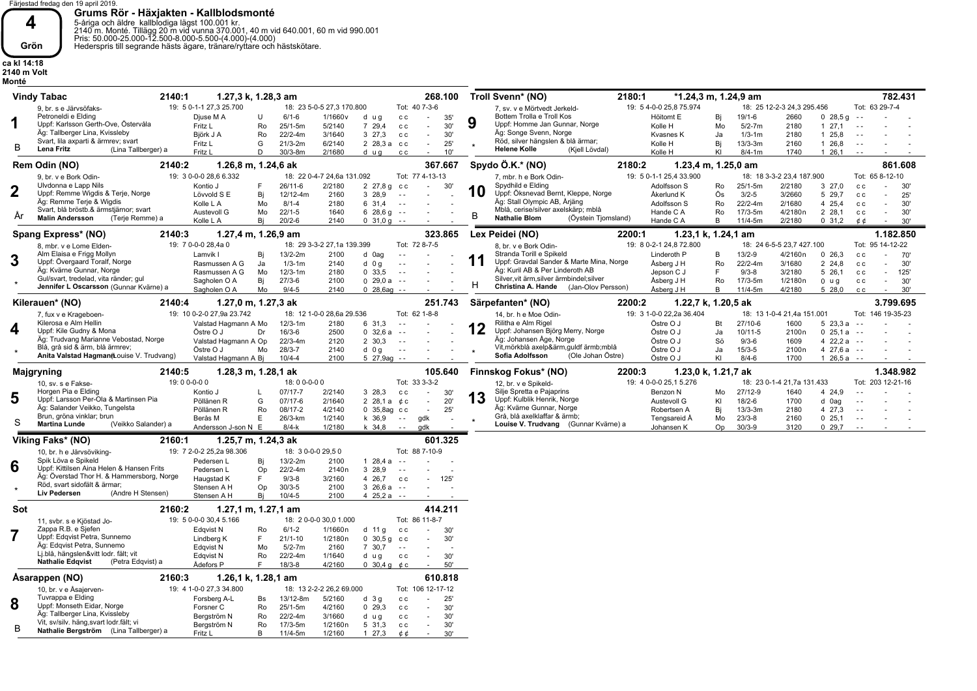

**Grums Rör - Häxjakten - Kallblodsmonté**<br>5-åriga och äldre kallblodiga lägst 100.001 kr.<br>2140 m. Monté. Tillägg 20 m vid vunna 370.001, 40 m vid 640.001, 60 m vid 990.001<br>Pris: 50.000-25.000-12.500-8.000-5.500-(4.000)-(4.

**ca kl 14:18 2140 m Volt Monté** 

|     |                                                                                                                                                                                                                                                                                                                                                                                                                                                                                                                                                                                                                                                                                                                                                                                                                                                                                                                                                                                                                                                                                                                                                                                                                                                                                                                                                                                                                                                                                                                                                                                                                                                                                                                                                                                                                                                                                                                                                                                                                                                                                                                                                                                                                                                                                                                                                                                                                                                                                                                                                                                                                                                                                                                                                                                                                                                                                                                                                                                                                                                                                                                                                                                                                                                                                                                                                                                                                                                                                                                                                                                                                                                                                                                                                                                                                                                                                                                                                                                                                                                                                                                                                                                                                                                                                                                                                                                                                                                                                                                                                                                                                                                                                                                                                                                                                                                                                                                                                                                                                                                                                                                                                                                                                                                                                                                                                                                                                                                                                                                                                                                                                                                                                                                                                                                                                                                                                                                                                                                                                                                                                                                                                                                                                                                                                                                                                                                                                                                                                            |                            |                     |                          |                          |                             | 268.100              |                                       | 2180:1 |           |    |            |      |          |               | 782.431 |
|-----|--------------------------------------------------------------------------------------------------------------------------------------------------------------------------------------------------------------------------------------------------------------------------------------------------------------------------------------------------------------------------------------------------------------------------------------------------------------------------------------------------------------------------------------------------------------------------------------------------------------------------------------------------------------------------------------------------------------------------------------------------------------------------------------------------------------------------------------------------------------------------------------------------------------------------------------------------------------------------------------------------------------------------------------------------------------------------------------------------------------------------------------------------------------------------------------------------------------------------------------------------------------------------------------------------------------------------------------------------------------------------------------------------------------------------------------------------------------------------------------------------------------------------------------------------------------------------------------------------------------------------------------------------------------------------------------------------------------------------------------------------------------------------------------------------------------------------------------------------------------------------------------------------------------------------------------------------------------------------------------------------------------------------------------------------------------------------------------------------------------------------------------------------------------------------------------------------------------------------------------------------------------------------------------------------------------------------------------------------------------------------------------------------------------------------------------------------------------------------------------------------------------------------------------------------------------------------------------------------------------------------------------------------------------------------------------------------------------------------------------------------------------------------------------------------------------------------------------------------------------------------------------------------------------------------------------------------------------------------------------------------------------------------------------------------------------------------------------------------------------------------------------------------------------------------------------------------------------------------------------------------------------------------------------------------------------------------------------------------------------------------------------------------------------------------------------------------------------------------------------------------------------------------------------------------------------------------------------------------------------------------------------------------------------------------------------------------------------------------------------------------------------------------------------------------------------------------------------------------------------------------------------------------------------------------------------------------------------------------------------------------------------------------------------------------------------------------------------------------------------------------------------------------------------------------------------------------------------------------------------------------------------------------------------------------------------------------------------------------------------------------------------------------------------------------------------------------------------------------------------------------------------------------------------------------------------------------------------------------------------------------------------------------------------------------------------------------------------------------------------------------------------------------------------------------------------------------------------------------------------------------------------------------------------------------------------------------------------------------------------------------------------------------------------------------------------------------------------------------------------------------------------------------------------------------------------------------------------------------------------------------------------------------------------------------------------------------------------------------------------------------------------------------------------------------------------------------------------------------------------------------------------------------------------------------------------------------------------------------------------------------------------------------------------------------------------------------------------------------------------------------------------------------------------------------------------------------------------------------------------------------------------------------------------------------------------------------------------------------------------------------------------------------------------------------------------------------------------------------------------------------------------------------------------------------------------------------------------------------------------------------------------------------------------------------------------------------------------------------------------------------------------------------------------------------------------------------------------------------------------------|----------------------------|---------------------|--------------------------|--------------------------|-----------------------------|----------------------|---------------------------------------|--------|-----------|----|------------|------|----------|---------------|---------|
|     | 9, br. s e Järvsöfaks-                                                                                                                                                                                                                                                                                                                                                                                                                                                                                                                                                                                                                                                                                                                                                                                                                                                                                                                                                                                                                                                                                                                                                                                                                                                                                                                                                                                                                                                                                                                                                                                                                                                                                                                                                                                                                                                                                                                                                                                                                                                                                                                                                                                                                                                                                                                                                                                                                                                                                                                                                                                                                                                                                                                                                                                                                                                                                                                                                                                                                                                                                                                                                                                                                                                                                                                                                                                                                                                                                                                                                                                                                                                                                                                                                                                                                                                                                                                                                                                                                                                                                                                                                                                                                                                                                                                                                                                                                                                                                                                                                                                                                                                                                                                                                                                                                                                                                                                                                                                                                                                                                                                                                                                                                                                                                                                                                                                                                                                                                                                                                                                                                                                                                                                                                                                                                                                                                                                                                                                                                                                                                                                                                                                                                                                                                                                                                                                                                                                                     |                            |                     |                          |                          |                             |                      | 7, sv. v e Mörtvedt Jerkeld-          |        |           |    |            |      |          |               |         |
|     | Petroneldi e Elding                                                                                                                                                                                                                                                                                                                                                                                                                                                                                                                                                                                                                                                                                                                                                                                                                                                                                                                                                                                                                                                                                                                                                                                                                                                                                                                                                                                                                                                                                                                                                                                                                                                                                                                                                                                                                                                                                                                                                                                                                                                                                                                                                                                                                                                                                                                                                                                                                                                                                                                                                                                                                                                                                                                                                                                                                                                                                                                                                                                                                                                                                                                                                                                                                                                                                                                                                                                                                                                                                                                                                                                                                                                                                                                                                                                                                                                                                                                                                                                                                                                                                                                                                                                                                                                                                                                                                                                                                                                                                                                                                                                                                                                                                                                                                                                                                                                                                                                                                                                                                                                                                                                                                                                                                                                                                                                                                                                                                                                                                                                                                                                                                                                                                                                                                                                                                                                                                                                                                                                                                                                                                                                                                                                                                                                                                                                                                                                                                                                                        |                            | U                   | $6/1 - 6$                |                          |                             | $\sim$               | Bottem Trolla e Troll Kos             |        | Höitomt E |    |            |      |          | $\sim$ .      |         |
| 1   | Uppf: Karlsson Gerth-Ove, Östervåla                                                                                                                                                                                                                                                                                                                                                                                                                                                                                                                                                                                                                                                                                                                                                                                                                                                                                                                                                                                                                                                                                                                                                                                                                                                                                                                                                                                                                                                                                                                                                                                                                                                                                                                                                                                                                                                                                                                                                                                                                                                                                                                                                                                                                                                                                                                                                                                                                                                                                                                                                                                                                                                                                                                                                                                                                                                                                                                                                                                                                                                                                                                                                                                                                                                                                                                                                                                                                                                                                                                                                                                                                                                                                                                                                                                                                                                                                                                                                                                                                                                                                                                                                                                                                                                                                                                                                                                                                                                                                                                                                                                                                                                                                                                                                                                                                                                                                                                                                                                                                                                                                                                                                                                                                                                                                                                                                                                                                                                                                                                                                                                                                                                                                                                                                                                                                                                                                                                                                                                                                                                                                                                                                                                                                                                                                                                                                                                                                                                        | Fritz L                    | Ro                  |                          |                          |                             | 30'<br>$\sim$        | Uppf: Homme Jan Gunnar, Norge         |        | Kolle H   | Mo |            |      |          | $\sim$ $\sim$ |         |
|     | Äg: Tallberger Lina, Kvissleby                                                                                                                                                                                                                                                                                                                                                                                                                                                                                                                                                                                                                                                                                                                                                                                                                                                                                                                                                                                                                                                                                                                                                                                                                                                                                                                                                                                                                                                                                                                                                                                                                                                                                                                                                                                                                                                                                                                                                                                                                                                                                                                                                                                                                                                                                                                                                                                                                                                                                                                                                                                                                                                                                                                                                                                                                                                                                                                                                                                                                                                                                                                                                                                                                                                                                                                                                                                                                                                                                                                                                                                                                                                                                                                                                                                                                                                                                                                                                                                                                                                                                                                                                                                                                                                                                                                                                                                                                                                                                                                                                                                                                                                                                                                                                                                                                                                                                                                                                                                                                                                                                                                                                                                                                                                                                                                                                                                                                                                                                                                                                                                                                                                                                                                                                                                                                                                                                                                                                                                                                                                                                                                                                                                                                                                                                                                                                                                                                                                             |                            |                     |                          |                          |                             | ×.                   | Äg: Songe Svenn, Norge                |        |           |    |            |      |          |               |         |
|     | Svart, lila axparti & ärmrev; svart                                                                                                                                                                                                                                                                                                                                                                                                                                                                                                                                                                                                                                                                                                                                                                                                                                                                                                                                                                                                                                                                                                                                                                                                                                                                                                                                                                                                                                                                                                                                                                                                                                                                                                                                                                                                                                                                                                                                                                                                                                                                                                                                                                                                                                                                                                                                                                                                                                                                                                                                                                                                                                                                                                                                                                                                                                                                                                                                                                                                                                                                                                                                                                                                                                                                                                                                                                                                                                                                                                                                                                                                                                                                                                                                                                                                                                                                                                                                                                                                                                                                                                                                                                                                                                                                                                                                                                                                                                                                                                                                                                                                                                                                                                                                                                                                                                                                                                                                                                                                                                                                                                                                                                                                                                                                                                                                                                                                                                                                                                                                                                                                                                                                                                                                                                                                                                                                                                                                                                                                                                                                                                                                                                                                                                                                                                                                                                                                                                                        |                            |                     |                          |                          |                             | $\sim$               | Röd, silver hängslen & blå ärmar;     |        |           |    |            |      |          | $\sim$ $\sim$ |         |
| В   | Lena Fritz                                                                                                                                                                                                                                                                                                                                                                                                                                                                                                                                                                                                                                                                                                                                                                                                                                                                                                                                                                                                                                                                                                                                                                                                                                                                                                                                                                                                                                                                                                                                                                                                                                                                                                                                                                                                                                                                                                                                                                                                                                                                                                                                                                                                                                                                                                                                                                                                                                                                                                                                                                                                                                                                                                                                                                                                                                                                                                                                                                                                                                                                                                                                                                                                                                                                                                                                                                                                                                                                                                                                                                                                                                                                                                                                                                                                                                                                                                                                                                                                                                                                                                                                                                                                                                                                                                                                                                                                                                                                                                                                                                                                                                                                                                                                                                                                                                                                                                                                                                                                                                                                                                                                                                                                                                                                                                                                                                                                                                                                                                                                                                                                                                                                                                                                                                                                                                                                                                                                                                                                                                                                                                                                                                                                                                                                                                                                                                                                                                                                                 | Fritz L                    | D                   | $30/3 - 8m$              | 2/1680                   | d ug                        | 10'<br>$\sim$        | <b>Helene Kolle</b><br>(Kjell Lövdal) |        | Kolle H   | KI | $8/4 - 1m$ | 1740 | 1, 26, 1 | $\sim$ $\sim$ |         |
|     | Troll Svenn* (NO)<br><b>Vindy Tabac</b><br>2140:1<br>*1.24,3 m, 1.24,9 am<br>1.27,3 k, 1.28,3 am<br>Tot: 63 29-7-4<br>19: 5 0-1-1 27,3 25.700<br>18: 23 5-0-5 27,3 170.800<br>Tot: 40 7-3-6<br>19: 5 4-0-0 25,8 75.974<br>18: 25 12-2-3 24,3 295.456<br>1/1660v<br>$19/1 - 6$<br>2660<br>$0, 28.5$ q<br>Djuse M A<br>35'<br>Bi<br>d ug<br>c c<br>9<br>$25/1 - 5m$<br>2180<br>127,1<br>5/2140<br>7 29,4<br>c c<br>$5/2 - 7m$<br>Ro<br>3/1640<br>3, 27.3<br>2180<br>1 25.8<br>Biörk J A<br>$22/2 - 4m$<br>30'<br>Kvasnes K<br>Ja<br>$1/3 - 1m$<br>c c<br>6/2140<br>$13/3 - 3m$<br>Fritz L<br>G<br>$21/3 - 2m$<br>2 28,3 а сс<br>25'<br>Kolle H<br>Bi<br>2160<br>1 26,8<br>(Lina Tallberger) a<br>c c<br>Spydo $\ddot{O}.K.*(NO)$<br>861.608<br>2140:2<br>1.26,8 m, 1.24,6 ak<br>367.667<br>2180:2<br>1.23,4 m, 1.25,0 am<br>19: 3 0-0-0 28,6 6.332<br>18: 22 0-4-7 24,6a 131.092<br>Tot: 77 4-13-13<br>19: 5 0-1-1 25,4 33.900<br>18: 18 3-3-2 23,4 187.900<br>Tot: 65 8-12-10<br>9, br. v e Bork Odin-<br>7. mbr. h e Bork Odin-<br>Ulvdonna e Lapp Nils<br>2/2180<br>Spydhild e Elding<br>Kontio J<br>$26/11-6$<br>Adolfsson S<br>25/1-5m<br>2/2180<br>327,0<br>F<br>$2\;27.8\;q$<br>c c<br>30'<br>Ro<br>c c<br>30'<br>$\sim$<br>$\sim$<br>10<br>Uppf: Remme Wigdis & Terje, Norge<br>Uppf: Öksnevad Bernt, Kleppe, Norge<br>Ös<br>Lövvold S E<br>Bj<br>12/12-4m<br>2160<br>3 28,9<br>Åkerlund K<br>$3/2 - 5$<br>3/2660<br>5 29,7<br>$\sim$ $\sim$<br>25'<br>c c<br>$\sim$<br>Äg: Remme Terje & Wigdis<br>Äg: Stall Olympic AB, Årjäng<br>$22/2 - 4m$<br>2/1680<br>4 25.4<br>Kolle L A<br>Mo<br>$8/1 - 4$<br>2180<br>6 31.4<br>Adolfsson S<br>Ro<br>30'<br>$\sim$ $\sim$<br>c c<br>Svart, blå bröstb.& ärmstjärnor; svart<br>Mblå, cerise/silver axelskärp; mblå<br>Austevoll G<br>Mo<br>$22/1 - 5$<br>1640<br>628,69<br>Ro<br>17/3-5m<br>4/2180n<br>2 28.1<br>Hande C A<br>30'<br>$\sim$ $\sim$<br>c c<br>$\sim$<br>B<br><b>Malin Andersson</b><br>(Terje Remme) a<br><b>Nathalie Blom</b><br>(Öystein Tjomsland)<br>Kolle L A<br>Bj<br>$20/2 - 6$<br>2140<br>0, 31, 0, g<br>Hande C A<br>B<br>$11/4 - 5m$<br>2/2180<br>0, 31, 2<br>30'<br>$\sim$ $\sim$<br>¢¢<br>$\sim$<br>1.182.850<br>2140:3<br>1.27,4 m, 1.26,9 am<br>323.865<br>Lex Peidei (NO)<br>2200:1<br>1.23.1 k. 1.24.1 am<br>19: 7 0-0-0 28,4a 0<br>18: 29 3-3-2 27,1a 139.399<br>Tot: 72 8-7-5<br>19: 8 0-2-1 24,8 72.800<br>Tot: 95 14-12-22<br>18: 24 6-5-5 23,7 427.100<br>8. mbr. v e Lome Elden-<br>8. br. v e Bork Odin-<br>Alm Elaisa e Frigg Mollyn<br>Stranda Torill e Spikeld<br>2100<br>$13/2 - 9$<br>Lamvik I<br>13/2-2m<br>d 0ag<br>Linderoth P<br>B<br>4/2160n<br>0, 26, 3<br>70'<br>Bi<br>$\sim$ $\sim$<br>C C<br>$\sim$<br>11<br>Uppf: Gravdal Sander & Marte Mina, Norge<br>Uppf: Övergaard Toralf, Norge<br>Ja<br>$1/3 - 1m$<br>2140<br>$d$ 0 g<br>Åsberg J H<br>Ro<br>22/2-4m<br>3/1680<br>2 24,8<br>Rasmussen A G<br>$\sim$ $\sim$<br>c c<br>30'<br>$\sim$<br>Äg: Kuril AB & Per Linderoth AB<br>Äg: Kvärne Gunnar, Norge<br>E<br>Rasmussen A G<br>Mo<br>$12/3 - 1m$<br>2180<br>0, 33, 5<br>Jepson C J<br>$9/3 - 8$<br>3/2180<br>5 26,1<br>$\sim$ $\sim$<br>c c<br>$\sim$<br>125'<br>Gul/svart, tredelad, vita ränder; gul<br>Silver, vit ärm, silver ärmbindel; silver<br>$27/3 - 6$<br>17/3-5m<br>Sagholen O A<br>Bi<br>2100<br>029.0a<br>Åsberg J H<br>Ro<br>1/2180n<br>30'<br>$\sim$ $\sim$<br>$0 \text{ u} g$<br>c c<br>$\sim$<br>н<br>Jennifer L Oscarsson (Gunnar Kvärne) a<br>Christina A. Hande<br>(Jan-Olov Persson)<br>$9/4 - 5$<br>2140<br>$0$ 28,6ag $-$<br>Åsberg J H<br>B<br>$11/4 - 5m$<br>4/2180<br>5 28,0<br>30'<br>Sagholen O A<br>Mo<br>c c<br>3.799.695<br>2140:4<br>1.27,0 m, 1.27,3 ak<br>251.743<br>Särpefanten* (NO)<br>2200:2<br>1.22,7 k, 1.20,5 ak<br>19: 10 0-2-0 27,9a 23.742<br>18: 12 1-0-0 28,6a 29.536<br>Tot: 62 1-8-8<br>19: 3 1-0-0 22,2a 36.404<br>Tot: 146 19-35-23<br>18: 13 1-0-4 21,4a 151.001<br>7, fux v e Krageboen-<br>14, br. h e Moe Odin-<br>Kilerosa e Alm Hellin<br>Rilitha e Alm Rigel<br>$12/3 - 1m$<br>6 31,3<br>Östre O J<br>27/10-6<br>523.3a<br>Valstad Hagmann A Mo<br>2180<br>Bt<br>1600<br>$\sim$ $\sim$<br>12<br>Uppf: Kile Gudny & Mona<br>Uppf: Johansen Björg Merry, Norge<br>$16/3-6$<br>2500<br>$0\,32.6a$<br>Östre O J<br>$10/11 - 5$<br>2100 <sub>n</sub><br>$0\;25.1a$<br>Östre O J<br>Dr<br>Ja<br>$\sim$ $\sim$<br>$\sim$ $\sim$<br>Äg: Trudvang Marianne Vebostad, Norge<br>Äg: Johansen Åge, Norge<br>$22/3 - 4m$<br>2120<br>2 30.3<br>Östre O J<br>Sö<br>$9/3-6$<br>1609<br>4 $22.2a$<br>Valstad Hagmann A Op<br>$\sim$ $\sim$<br>$\sim$ $\sim$<br>Blå, grå sid & ärm, blå ärmrev;<br>Vit, mörkblå axelp&ärm, guldf ärmb; mblå<br>Östre O J<br>$28/3 - 7$<br>2140<br>Östre O J<br>$15/3 - 5$<br>2100 <sub>n</sub><br>4 27,6 a<br>Mo<br>d 0 g<br>Ja<br>$\sim$ $\sim$<br>$\sim$ $\sim$<br>Sofia Adolfsson<br>Anita Valstad Hagman fLouise V. Trudvang)<br>(Ole Johan Östre)<br>2100<br>Östre O J<br>KI<br>$8/4 - 6$<br>1700<br>$126.5a - -$<br>Valstad Hagmann A Bj<br>$10/4 - 4$<br>5 27,9ag --<br>1.348.982<br>1.28,3 m, 1.28,1 ak<br>105.640<br>Finnskog Fokus* (NO)<br>2200:3<br>1.23,0 k, 1.21,7 ak<br>2140:5<br>19:00-0-00<br>Tot: 33 3-3-2<br>19: 4 0-0-0 25,1 5.276<br>18:00-0-00<br>18: 23 0-1-4 21,7a 131.433<br>Tot: 203 12-21-16<br>10, sv. s e Fakse-<br>12, br. v e Spikeld-<br>Horgen Pia e Elding<br>Silje Spretta e Pajaprins<br>Kontio J<br>$07/17 - 7$<br>27/12-9<br>$\mathsf{L}$<br>2/2140<br>3 28,3<br>c c<br>$\sim$<br>Benzon N<br>Mo<br>1640<br>4 24,9<br>30'<br>13<br>Uppf: Kulblik Henrik, Norge<br>Uppf: Larsson Per-Ola & Martinsen Pia<br>Pöllänen R<br>G<br>$07/17 - 6$<br>2/1640<br>2 28,1 a $¢c$<br>KI<br>$18/2 - 6$<br>1700<br>20'<br>Austevoll G<br>d 0ag<br>$\sim$<br>Äg: Salander Veikko, Tungelsta<br>Äg: Kvärne Gunnar, Norge<br>4/2140<br>Pöllänen R<br>Ro<br>08/17-2<br>$0$ 35,8ag $cc$<br>25'<br>Robertsen A<br>Bj<br>$13/3 - 3m$<br>2180<br>4 27,3<br>$\sim$ $\sim$<br>Brun, gröna vinklar; brun<br>Grå, blå axelklaffar & ärmb;<br>E<br>1/2140<br>k 36,9<br>$23/3 - 8$<br>Berås M<br>26/3-km<br>$\sim$ $ \sim$<br>qdk<br>Tengsareid Å<br>Mo<br>2160<br>0, 25.1<br>$\sim$ $\sim$<br><b>Martina Lunde</b><br>Louise V. Trudvang (Gunnar Kvärne) a<br>(Veikko Salander) a<br>$30/3 - 9$<br>Andersson J-son N E<br>$8/4-k$<br>1/2180<br>Op<br>3120<br>0.29.7<br>k 34.8<br>$\sim$ $-$<br>adk<br>Johansen K<br>$\sim$ $\sim$<br>601.325<br>Viking Faks* (NO)<br>2160:1<br>1.25,7 m, 1.24,3 ak |                            |                     |                          |                          |                             |                      |                                       |        |           |    |            |      |          |               |         |
|     |                                                                                                                                                                                                                                                                                                                                                                                                                                                                                                                                                                                                                                                                                                                                                                                                                                                                                                                                                                                                                                                                                                                                                                                                                                                                                                                                                                                                                                                                                                                                                                                                                                                                                                                                                                                                                                                                                                                                                                                                                                                                                                                                                                                                                                                                                                                                                                                                                                                                                                                                                                                                                                                                                                                                                                                                                                                                                                                                                                                                                                                                                                                                                                                                                                                                                                                                                                                                                                                                                                                                                                                                                                                                                                                                                                                                                                                                                                                                                                                                                                                                                                                                                                                                                                                                                                                                                                                                                                                                                                                                                                                                                                                                                                                                                                                                                                                                                                                                                                                                                                                                                                                                                                                                                                                                                                                                                                                                                                                                                                                                                                                                                                                                                                                                                                                                                                                                                                                                                                                                                                                                                                                                                                                                                                                                                                                                                                                                                                                                                            |                            |                     |                          |                          |                             |                      |                                       |        |           |    |            |      |          |               |         |
|     |                                                                                                                                                                                                                                                                                                                                                                                                                                                                                                                                                                                                                                                                                                                                                                                                                                                                                                                                                                                                                                                                                                                                                                                                                                                                                                                                                                                                                                                                                                                                                                                                                                                                                                                                                                                                                                                                                                                                                                                                                                                                                                                                                                                                                                                                                                                                                                                                                                                                                                                                                                                                                                                                                                                                                                                                                                                                                                                                                                                                                                                                                                                                                                                                                                                                                                                                                                                                                                                                                                                                                                                                                                                                                                                                                                                                                                                                                                                                                                                                                                                                                                                                                                                                                                                                                                                                                                                                                                                                                                                                                                                                                                                                                                                                                                                                                                                                                                                                                                                                                                                                                                                                                                                                                                                                                                                                                                                                                                                                                                                                                                                                                                                                                                                                                                                                                                                                                                                                                                                                                                                                                                                                                                                                                                                                                                                                                                                                                                                                                            |                            |                     |                          |                          |                             |                      |                                       |        |           |    |            |      |          |               |         |
|     |                                                                                                                                                                                                                                                                                                                                                                                                                                                                                                                                                                                                                                                                                                                                                                                                                                                                                                                                                                                                                                                                                                                                                                                                                                                                                                                                                                                                                                                                                                                                                                                                                                                                                                                                                                                                                                                                                                                                                                                                                                                                                                                                                                                                                                                                                                                                                                                                                                                                                                                                                                                                                                                                                                                                                                                                                                                                                                                                                                                                                                                                                                                                                                                                                                                                                                                                                                                                                                                                                                                                                                                                                                                                                                                                                                                                                                                                                                                                                                                                                                                                                                                                                                                                                                                                                                                                                                                                                                                                                                                                                                                                                                                                                                                                                                                                                                                                                                                                                                                                                                                                                                                                                                                                                                                                                                                                                                                                                                                                                                                                                                                                                                                                                                                                                                                                                                                                                                                                                                                                                                                                                                                                                                                                                                                                                                                                                                                                                                                                                            |                            |                     |                          |                          |                             |                      |                                       |        |           |    |            |      |          |               |         |
|     |                                                                                                                                                                                                                                                                                                                                                                                                                                                                                                                                                                                                                                                                                                                                                                                                                                                                                                                                                                                                                                                                                                                                                                                                                                                                                                                                                                                                                                                                                                                                                                                                                                                                                                                                                                                                                                                                                                                                                                                                                                                                                                                                                                                                                                                                                                                                                                                                                                                                                                                                                                                                                                                                                                                                                                                                                                                                                                                                                                                                                                                                                                                                                                                                                                                                                                                                                                                                                                                                                                                                                                                                                                                                                                                                                                                                                                                                                                                                                                                                                                                                                                                                                                                                                                                                                                                                                                                                                                                                                                                                                                                                                                                                                                                                                                                                                                                                                                                                                                                                                                                                                                                                                                                                                                                                                                                                                                                                                                                                                                                                                                                                                                                                                                                                                                                                                                                                                                                                                                                                                                                                                                                                                                                                                                                                                                                                                                                                                                                                                            |                            |                     |                          |                          |                             |                      |                                       |        |           |    |            |      |          |               |         |
|     |                                                                                                                                                                                                                                                                                                                                                                                                                                                                                                                                                                                                                                                                                                                                                                                                                                                                                                                                                                                                                                                                                                                                                                                                                                                                                                                                                                                                                                                                                                                                                                                                                                                                                                                                                                                                                                                                                                                                                                                                                                                                                                                                                                                                                                                                                                                                                                                                                                                                                                                                                                                                                                                                                                                                                                                                                                                                                                                                                                                                                                                                                                                                                                                                                                                                                                                                                                                                                                                                                                                                                                                                                                                                                                                                                                                                                                                                                                                                                                                                                                                                                                                                                                                                                                                                                                                                                                                                                                                                                                                                                                                                                                                                                                                                                                                                                                                                                                                                                                                                                                                                                                                                                                                                                                                                                                                                                                                                                                                                                                                                                                                                                                                                                                                                                                                                                                                                                                                                                                                                                                                                                                                                                                                                                                                                                                                                                                                                                                                                                            |                            |                     |                          |                          |                             |                      |                                       |        |           |    |            |      |          |               |         |
|     |                                                                                                                                                                                                                                                                                                                                                                                                                                                                                                                                                                                                                                                                                                                                                                                                                                                                                                                                                                                                                                                                                                                                                                                                                                                                                                                                                                                                                                                                                                                                                                                                                                                                                                                                                                                                                                                                                                                                                                                                                                                                                                                                                                                                                                                                                                                                                                                                                                                                                                                                                                                                                                                                                                                                                                                                                                                                                                                                                                                                                                                                                                                                                                                                                                                                                                                                                                                                                                                                                                                                                                                                                                                                                                                                                                                                                                                                                                                                                                                                                                                                                                                                                                                                                                                                                                                                                                                                                                                                                                                                                                                                                                                                                                                                                                                                                                                                                                                                                                                                                                                                                                                                                                                                                                                                                                                                                                                                                                                                                                                                                                                                                                                                                                                                                                                                                                                                                                                                                                                                                                                                                                                                                                                                                                                                                                                                                                                                                                                                                            |                            |                     |                          |                          |                             |                      |                                       |        |           |    |            |      |          |               |         |
|     | Rem Odin (NO)<br>Spang Express* (NO)<br>Kilerauen* (NO)<br>Majgryning                                                                                                                                                                                                                                                                                                                                                                                                                                                                                                                                                                                                                                                                                                                                                                                                                                                                                                                                                                                                                                                                                                                                                                                                                                                                                                                                                                                                                                                                                                                                                                                                                                                                                                                                                                                                                                                                                                                                                                                                                                                                                                                                                                                                                                                                                                                                                                                                                                                                                                                                                                                                                                                                                                                                                                                                                                                                                                                                                                                                                                                                                                                                                                                                                                                                                                                                                                                                                                                                                                                                                                                                                                                                                                                                                                                                                                                                                                                                                                                                                                                                                                                                                                                                                                                                                                                                                                                                                                                                                                                                                                                                                                                                                                                                                                                                                                                                                                                                                                                                                                                                                                                                                                                                                                                                                                                                                                                                                                                                                                                                                                                                                                                                                                                                                                                                                                                                                                                                                                                                                                                                                                                                                                                                                                                                                                                                                                                                                      |                            |                     |                          |                          |                             |                      |                                       |        |           |    |            |      |          |               |         |
|     |                                                                                                                                                                                                                                                                                                                                                                                                                                                                                                                                                                                                                                                                                                                                                                                                                                                                                                                                                                                                                                                                                                                                                                                                                                                                                                                                                                                                                                                                                                                                                                                                                                                                                                                                                                                                                                                                                                                                                                                                                                                                                                                                                                                                                                                                                                                                                                                                                                                                                                                                                                                                                                                                                                                                                                                                                                                                                                                                                                                                                                                                                                                                                                                                                                                                                                                                                                                                                                                                                                                                                                                                                                                                                                                                                                                                                                                                                                                                                                                                                                                                                                                                                                                                                                                                                                                                                                                                                                                                                                                                                                                                                                                                                                                                                                                                                                                                                                                                                                                                                                                                                                                                                                                                                                                                                                                                                                                                                                                                                                                                                                                                                                                                                                                                                                                                                                                                                                                                                                                                                                                                                                                                                                                                                                                                                                                                                                                                                                                                                            |                            |                     |                          |                          |                             |                      |                                       |        |           |    |            |      |          |               |         |
|     |                                                                                                                                                                                                                                                                                                                                                                                                                                                                                                                                                                                                                                                                                                                                                                                                                                                                                                                                                                                                                                                                                                                                                                                                                                                                                                                                                                                                                                                                                                                                                                                                                                                                                                                                                                                                                                                                                                                                                                                                                                                                                                                                                                                                                                                                                                                                                                                                                                                                                                                                                                                                                                                                                                                                                                                                                                                                                                                                                                                                                                                                                                                                                                                                                                                                                                                                                                                                                                                                                                                                                                                                                                                                                                                                                                                                                                                                                                                                                                                                                                                                                                                                                                                                                                                                                                                                                                                                                                                                                                                                                                                                                                                                                                                                                                                                                                                                                                                                                                                                                                                                                                                                                                                                                                                                                                                                                                                                                                                                                                                                                                                                                                                                                                                                                                                                                                                                                                                                                                                                                                                                                                                                                                                                                                                                                                                                                                                                                                                                                            |                            |                     |                          |                          |                             |                      |                                       |        |           |    |            |      |          |               |         |
| 3   |                                                                                                                                                                                                                                                                                                                                                                                                                                                                                                                                                                                                                                                                                                                                                                                                                                                                                                                                                                                                                                                                                                                                                                                                                                                                                                                                                                                                                                                                                                                                                                                                                                                                                                                                                                                                                                                                                                                                                                                                                                                                                                                                                                                                                                                                                                                                                                                                                                                                                                                                                                                                                                                                                                                                                                                                                                                                                                                                                                                                                                                                                                                                                                                                                                                                                                                                                                                                                                                                                                                                                                                                                                                                                                                                                                                                                                                                                                                                                                                                                                                                                                                                                                                                                                                                                                                                                                                                                                                                                                                                                                                                                                                                                                                                                                                                                                                                                                                                                                                                                                                                                                                                                                                                                                                                                                                                                                                                                                                                                                                                                                                                                                                                                                                                                                                                                                                                                                                                                                                                                                                                                                                                                                                                                                                                                                                                                                                                                                                                                            |                            |                     |                          |                          |                             |                      |                                       |        |           |    |            |      |          |               |         |
|     |                                                                                                                                                                                                                                                                                                                                                                                                                                                                                                                                                                                                                                                                                                                                                                                                                                                                                                                                                                                                                                                                                                                                                                                                                                                                                                                                                                                                                                                                                                                                                                                                                                                                                                                                                                                                                                                                                                                                                                                                                                                                                                                                                                                                                                                                                                                                                                                                                                                                                                                                                                                                                                                                                                                                                                                                                                                                                                                                                                                                                                                                                                                                                                                                                                                                                                                                                                                                                                                                                                                                                                                                                                                                                                                                                                                                                                                                                                                                                                                                                                                                                                                                                                                                                                                                                                                                                                                                                                                                                                                                                                                                                                                                                                                                                                                                                                                                                                                                                                                                                                                                                                                                                                                                                                                                                                                                                                                                                                                                                                                                                                                                                                                                                                                                                                                                                                                                                                                                                                                                                                                                                                                                                                                                                                                                                                                                                                                                                                                                                            |                            |                     |                          |                          |                             |                      |                                       |        |           |    |            |      |          |               |         |
|     |                                                                                                                                                                                                                                                                                                                                                                                                                                                                                                                                                                                                                                                                                                                                                                                                                                                                                                                                                                                                                                                                                                                                                                                                                                                                                                                                                                                                                                                                                                                                                                                                                                                                                                                                                                                                                                                                                                                                                                                                                                                                                                                                                                                                                                                                                                                                                                                                                                                                                                                                                                                                                                                                                                                                                                                                                                                                                                                                                                                                                                                                                                                                                                                                                                                                                                                                                                                                                                                                                                                                                                                                                                                                                                                                                                                                                                                                                                                                                                                                                                                                                                                                                                                                                                                                                                                                                                                                                                                                                                                                                                                                                                                                                                                                                                                                                                                                                                                                                                                                                                                                                                                                                                                                                                                                                                                                                                                                                                                                                                                                                                                                                                                                                                                                                                                                                                                                                                                                                                                                                                                                                                                                                                                                                                                                                                                                                                                                                                                                                            |                            |                     |                          |                          |                             |                      |                                       |        |           |    |            |      |          |               |         |
|     |                                                                                                                                                                                                                                                                                                                                                                                                                                                                                                                                                                                                                                                                                                                                                                                                                                                                                                                                                                                                                                                                                                                                                                                                                                                                                                                                                                                                                                                                                                                                                                                                                                                                                                                                                                                                                                                                                                                                                                                                                                                                                                                                                                                                                                                                                                                                                                                                                                                                                                                                                                                                                                                                                                                                                                                                                                                                                                                                                                                                                                                                                                                                                                                                                                                                                                                                                                                                                                                                                                                                                                                                                                                                                                                                                                                                                                                                                                                                                                                                                                                                                                                                                                                                                                                                                                                                                                                                                                                                                                                                                                                                                                                                                                                                                                                                                                                                                                                                                                                                                                                                                                                                                                                                                                                                                                                                                                                                                                                                                                                                                                                                                                                                                                                                                                                                                                                                                                                                                                                                                                                                                                                                                                                                                                                                                                                                                                                                                                                                                            |                            |                     |                          |                          |                             |                      |                                       |        |           |    |            |      |          |               |         |
|     |                                                                                                                                                                                                                                                                                                                                                                                                                                                                                                                                                                                                                                                                                                                                                                                                                                                                                                                                                                                                                                                                                                                                                                                                                                                                                                                                                                                                                                                                                                                                                                                                                                                                                                                                                                                                                                                                                                                                                                                                                                                                                                                                                                                                                                                                                                                                                                                                                                                                                                                                                                                                                                                                                                                                                                                                                                                                                                                                                                                                                                                                                                                                                                                                                                                                                                                                                                                                                                                                                                                                                                                                                                                                                                                                                                                                                                                                                                                                                                                                                                                                                                                                                                                                                                                                                                                                                                                                                                                                                                                                                                                                                                                                                                                                                                                                                                                                                                                                                                                                                                                                                                                                                                                                                                                                                                                                                                                                                                                                                                                                                                                                                                                                                                                                                                                                                                                                                                                                                                                                                                                                                                                                                                                                                                                                                                                                                                                                                                                                                            |                            |                     |                          |                          |                             |                      |                                       |        |           |    |            |      |          |               |         |
|     |                                                                                                                                                                                                                                                                                                                                                                                                                                                                                                                                                                                                                                                                                                                                                                                                                                                                                                                                                                                                                                                                                                                                                                                                                                                                                                                                                                                                                                                                                                                                                                                                                                                                                                                                                                                                                                                                                                                                                                                                                                                                                                                                                                                                                                                                                                                                                                                                                                                                                                                                                                                                                                                                                                                                                                                                                                                                                                                                                                                                                                                                                                                                                                                                                                                                                                                                                                                                                                                                                                                                                                                                                                                                                                                                                                                                                                                                                                                                                                                                                                                                                                                                                                                                                                                                                                                                                                                                                                                                                                                                                                                                                                                                                                                                                                                                                                                                                                                                                                                                                                                                                                                                                                                                                                                                                                                                                                                                                                                                                                                                                                                                                                                                                                                                                                                                                                                                                                                                                                                                                                                                                                                                                                                                                                                                                                                                                                                                                                                                                            |                            |                     |                          |                          |                             |                      |                                       |        |           |    |            |      |          |               |         |
|     |                                                                                                                                                                                                                                                                                                                                                                                                                                                                                                                                                                                                                                                                                                                                                                                                                                                                                                                                                                                                                                                                                                                                                                                                                                                                                                                                                                                                                                                                                                                                                                                                                                                                                                                                                                                                                                                                                                                                                                                                                                                                                                                                                                                                                                                                                                                                                                                                                                                                                                                                                                                                                                                                                                                                                                                                                                                                                                                                                                                                                                                                                                                                                                                                                                                                                                                                                                                                                                                                                                                                                                                                                                                                                                                                                                                                                                                                                                                                                                                                                                                                                                                                                                                                                                                                                                                                                                                                                                                                                                                                                                                                                                                                                                                                                                                                                                                                                                                                                                                                                                                                                                                                                                                                                                                                                                                                                                                                                                                                                                                                                                                                                                                                                                                                                                                                                                                                                                                                                                                                                                                                                                                                                                                                                                                                                                                                                                                                                                                                                            |                            |                     |                          |                          |                             |                      |                                       |        |           |    |            |      |          |               |         |
| 4   |                                                                                                                                                                                                                                                                                                                                                                                                                                                                                                                                                                                                                                                                                                                                                                                                                                                                                                                                                                                                                                                                                                                                                                                                                                                                                                                                                                                                                                                                                                                                                                                                                                                                                                                                                                                                                                                                                                                                                                                                                                                                                                                                                                                                                                                                                                                                                                                                                                                                                                                                                                                                                                                                                                                                                                                                                                                                                                                                                                                                                                                                                                                                                                                                                                                                                                                                                                                                                                                                                                                                                                                                                                                                                                                                                                                                                                                                                                                                                                                                                                                                                                                                                                                                                                                                                                                                                                                                                                                                                                                                                                                                                                                                                                                                                                                                                                                                                                                                                                                                                                                                                                                                                                                                                                                                                                                                                                                                                                                                                                                                                                                                                                                                                                                                                                                                                                                                                                                                                                                                                                                                                                                                                                                                                                                                                                                                                                                                                                                                                            |                            |                     |                          |                          |                             |                      |                                       |        |           |    |            |      |          |               |         |
|     |                                                                                                                                                                                                                                                                                                                                                                                                                                                                                                                                                                                                                                                                                                                                                                                                                                                                                                                                                                                                                                                                                                                                                                                                                                                                                                                                                                                                                                                                                                                                                                                                                                                                                                                                                                                                                                                                                                                                                                                                                                                                                                                                                                                                                                                                                                                                                                                                                                                                                                                                                                                                                                                                                                                                                                                                                                                                                                                                                                                                                                                                                                                                                                                                                                                                                                                                                                                                                                                                                                                                                                                                                                                                                                                                                                                                                                                                                                                                                                                                                                                                                                                                                                                                                                                                                                                                                                                                                                                                                                                                                                                                                                                                                                                                                                                                                                                                                                                                                                                                                                                                                                                                                                                                                                                                                                                                                                                                                                                                                                                                                                                                                                                                                                                                                                                                                                                                                                                                                                                                                                                                                                                                                                                                                                                                                                                                                                                                                                                                                            |                            |                     |                          |                          |                             |                      |                                       |        |           |    |            |      |          |               |         |
|     |                                                                                                                                                                                                                                                                                                                                                                                                                                                                                                                                                                                                                                                                                                                                                                                                                                                                                                                                                                                                                                                                                                                                                                                                                                                                                                                                                                                                                                                                                                                                                                                                                                                                                                                                                                                                                                                                                                                                                                                                                                                                                                                                                                                                                                                                                                                                                                                                                                                                                                                                                                                                                                                                                                                                                                                                                                                                                                                                                                                                                                                                                                                                                                                                                                                                                                                                                                                                                                                                                                                                                                                                                                                                                                                                                                                                                                                                                                                                                                                                                                                                                                                                                                                                                                                                                                                                                                                                                                                                                                                                                                                                                                                                                                                                                                                                                                                                                                                                                                                                                                                                                                                                                                                                                                                                                                                                                                                                                                                                                                                                                                                                                                                                                                                                                                                                                                                                                                                                                                                                                                                                                                                                                                                                                                                                                                                                                                                                                                                                                            |                            |                     |                          |                          |                             |                      |                                       |        |           |    |            |      |          |               |         |
|     |                                                                                                                                                                                                                                                                                                                                                                                                                                                                                                                                                                                                                                                                                                                                                                                                                                                                                                                                                                                                                                                                                                                                                                                                                                                                                                                                                                                                                                                                                                                                                                                                                                                                                                                                                                                                                                                                                                                                                                                                                                                                                                                                                                                                                                                                                                                                                                                                                                                                                                                                                                                                                                                                                                                                                                                                                                                                                                                                                                                                                                                                                                                                                                                                                                                                                                                                                                                                                                                                                                                                                                                                                                                                                                                                                                                                                                                                                                                                                                                                                                                                                                                                                                                                                                                                                                                                                                                                                                                                                                                                                                                                                                                                                                                                                                                                                                                                                                                                                                                                                                                                                                                                                                                                                                                                                                                                                                                                                                                                                                                                                                                                                                                                                                                                                                                                                                                                                                                                                                                                                                                                                                                                                                                                                                                                                                                                                                                                                                                                                            |                            |                     |                          |                          |                             |                      |                                       |        |           |    |            |      |          |               |         |
|     |                                                                                                                                                                                                                                                                                                                                                                                                                                                                                                                                                                                                                                                                                                                                                                                                                                                                                                                                                                                                                                                                                                                                                                                                                                                                                                                                                                                                                                                                                                                                                                                                                                                                                                                                                                                                                                                                                                                                                                                                                                                                                                                                                                                                                                                                                                                                                                                                                                                                                                                                                                                                                                                                                                                                                                                                                                                                                                                                                                                                                                                                                                                                                                                                                                                                                                                                                                                                                                                                                                                                                                                                                                                                                                                                                                                                                                                                                                                                                                                                                                                                                                                                                                                                                                                                                                                                                                                                                                                                                                                                                                                                                                                                                                                                                                                                                                                                                                                                                                                                                                                                                                                                                                                                                                                                                                                                                                                                                                                                                                                                                                                                                                                                                                                                                                                                                                                                                                                                                                                                                                                                                                                                                                                                                                                                                                                                                                                                                                                                                            |                            |                     |                          |                          |                             |                      |                                       |        |           |    |            |      |          |               |         |
|     |                                                                                                                                                                                                                                                                                                                                                                                                                                                                                                                                                                                                                                                                                                                                                                                                                                                                                                                                                                                                                                                                                                                                                                                                                                                                                                                                                                                                                                                                                                                                                                                                                                                                                                                                                                                                                                                                                                                                                                                                                                                                                                                                                                                                                                                                                                                                                                                                                                                                                                                                                                                                                                                                                                                                                                                                                                                                                                                                                                                                                                                                                                                                                                                                                                                                                                                                                                                                                                                                                                                                                                                                                                                                                                                                                                                                                                                                                                                                                                                                                                                                                                                                                                                                                                                                                                                                                                                                                                                                                                                                                                                                                                                                                                                                                                                                                                                                                                                                                                                                                                                                                                                                                                                                                                                                                                                                                                                                                                                                                                                                                                                                                                                                                                                                                                                                                                                                                                                                                                                                                                                                                                                                                                                                                                                                                                                                                                                                                                                                                            |                            |                     |                          |                          |                             |                      |                                       |        |           |    |            |      |          |               |         |
|     |                                                                                                                                                                                                                                                                                                                                                                                                                                                                                                                                                                                                                                                                                                                                                                                                                                                                                                                                                                                                                                                                                                                                                                                                                                                                                                                                                                                                                                                                                                                                                                                                                                                                                                                                                                                                                                                                                                                                                                                                                                                                                                                                                                                                                                                                                                                                                                                                                                                                                                                                                                                                                                                                                                                                                                                                                                                                                                                                                                                                                                                                                                                                                                                                                                                                                                                                                                                                                                                                                                                                                                                                                                                                                                                                                                                                                                                                                                                                                                                                                                                                                                                                                                                                                                                                                                                                                                                                                                                                                                                                                                                                                                                                                                                                                                                                                                                                                                                                                                                                                                                                                                                                                                                                                                                                                                                                                                                                                                                                                                                                                                                                                                                                                                                                                                                                                                                                                                                                                                                                                                                                                                                                                                                                                                                                                                                                                                                                                                                                                            |                            |                     |                          |                          |                             |                      |                                       |        |           |    |            |      |          |               |         |
| 5   |                                                                                                                                                                                                                                                                                                                                                                                                                                                                                                                                                                                                                                                                                                                                                                                                                                                                                                                                                                                                                                                                                                                                                                                                                                                                                                                                                                                                                                                                                                                                                                                                                                                                                                                                                                                                                                                                                                                                                                                                                                                                                                                                                                                                                                                                                                                                                                                                                                                                                                                                                                                                                                                                                                                                                                                                                                                                                                                                                                                                                                                                                                                                                                                                                                                                                                                                                                                                                                                                                                                                                                                                                                                                                                                                                                                                                                                                                                                                                                                                                                                                                                                                                                                                                                                                                                                                                                                                                                                                                                                                                                                                                                                                                                                                                                                                                                                                                                                                                                                                                                                                                                                                                                                                                                                                                                                                                                                                                                                                                                                                                                                                                                                                                                                                                                                                                                                                                                                                                                                                                                                                                                                                                                                                                                                                                                                                                                                                                                                                                            |                            |                     |                          |                          |                             |                      |                                       |        |           |    |            |      |          |               |         |
|     |                                                                                                                                                                                                                                                                                                                                                                                                                                                                                                                                                                                                                                                                                                                                                                                                                                                                                                                                                                                                                                                                                                                                                                                                                                                                                                                                                                                                                                                                                                                                                                                                                                                                                                                                                                                                                                                                                                                                                                                                                                                                                                                                                                                                                                                                                                                                                                                                                                                                                                                                                                                                                                                                                                                                                                                                                                                                                                                                                                                                                                                                                                                                                                                                                                                                                                                                                                                                                                                                                                                                                                                                                                                                                                                                                                                                                                                                                                                                                                                                                                                                                                                                                                                                                                                                                                                                                                                                                                                                                                                                                                                                                                                                                                                                                                                                                                                                                                                                                                                                                                                                                                                                                                                                                                                                                                                                                                                                                                                                                                                                                                                                                                                                                                                                                                                                                                                                                                                                                                                                                                                                                                                                                                                                                                                                                                                                                                                                                                                                                            |                            |                     |                          |                          |                             |                      |                                       |        |           |    |            |      |          |               |         |
|     |                                                                                                                                                                                                                                                                                                                                                                                                                                                                                                                                                                                                                                                                                                                                                                                                                                                                                                                                                                                                                                                                                                                                                                                                                                                                                                                                                                                                                                                                                                                                                                                                                                                                                                                                                                                                                                                                                                                                                                                                                                                                                                                                                                                                                                                                                                                                                                                                                                                                                                                                                                                                                                                                                                                                                                                                                                                                                                                                                                                                                                                                                                                                                                                                                                                                                                                                                                                                                                                                                                                                                                                                                                                                                                                                                                                                                                                                                                                                                                                                                                                                                                                                                                                                                                                                                                                                                                                                                                                                                                                                                                                                                                                                                                                                                                                                                                                                                                                                                                                                                                                                                                                                                                                                                                                                                                                                                                                                                                                                                                                                                                                                                                                                                                                                                                                                                                                                                                                                                                                                                                                                                                                                                                                                                                                                                                                                                                                                                                                                                            |                            |                     |                          |                          |                             |                      |                                       |        |           |    |            |      |          |               |         |
|     |                                                                                                                                                                                                                                                                                                                                                                                                                                                                                                                                                                                                                                                                                                                                                                                                                                                                                                                                                                                                                                                                                                                                                                                                                                                                                                                                                                                                                                                                                                                                                                                                                                                                                                                                                                                                                                                                                                                                                                                                                                                                                                                                                                                                                                                                                                                                                                                                                                                                                                                                                                                                                                                                                                                                                                                                                                                                                                                                                                                                                                                                                                                                                                                                                                                                                                                                                                                                                                                                                                                                                                                                                                                                                                                                                                                                                                                                                                                                                                                                                                                                                                                                                                                                                                                                                                                                                                                                                                                                                                                                                                                                                                                                                                                                                                                                                                                                                                                                                                                                                                                                                                                                                                                                                                                                                                                                                                                                                                                                                                                                                                                                                                                                                                                                                                                                                                                                                                                                                                                                                                                                                                                                                                                                                                                                                                                                                                                                                                                                                            |                            |                     |                          |                          |                             |                      |                                       |        |           |    |            |      |          |               |         |
| S   |                                                                                                                                                                                                                                                                                                                                                                                                                                                                                                                                                                                                                                                                                                                                                                                                                                                                                                                                                                                                                                                                                                                                                                                                                                                                                                                                                                                                                                                                                                                                                                                                                                                                                                                                                                                                                                                                                                                                                                                                                                                                                                                                                                                                                                                                                                                                                                                                                                                                                                                                                                                                                                                                                                                                                                                                                                                                                                                                                                                                                                                                                                                                                                                                                                                                                                                                                                                                                                                                                                                                                                                                                                                                                                                                                                                                                                                                                                                                                                                                                                                                                                                                                                                                                                                                                                                                                                                                                                                                                                                                                                                                                                                                                                                                                                                                                                                                                                                                                                                                                                                                                                                                                                                                                                                                                                                                                                                                                                                                                                                                                                                                                                                                                                                                                                                                                                                                                                                                                                                                                                                                                                                                                                                                                                                                                                                                                                                                                                                                                            |                            |                     |                          |                          |                             |                      |                                       |        |           |    |            |      |          |               |         |
|     |                                                                                                                                                                                                                                                                                                                                                                                                                                                                                                                                                                                                                                                                                                                                                                                                                                                                                                                                                                                                                                                                                                                                                                                                                                                                                                                                                                                                                                                                                                                                                                                                                                                                                                                                                                                                                                                                                                                                                                                                                                                                                                                                                                                                                                                                                                                                                                                                                                                                                                                                                                                                                                                                                                                                                                                                                                                                                                                                                                                                                                                                                                                                                                                                                                                                                                                                                                                                                                                                                                                                                                                                                                                                                                                                                                                                                                                                                                                                                                                                                                                                                                                                                                                                                                                                                                                                                                                                                                                                                                                                                                                                                                                                                                                                                                                                                                                                                                                                                                                                                                                                                                                                                                                                                                                                                                                                                                                                                                                                                                                                                                                                                                                                                                                                                                                                                                                                                                                                                                                                                                                                                                                                                                                                                                                                                                                                                                                                                                                                                            |                            |                     |                          |                          |                             |                      |                                       |        |           |    |            |      |          |               |         |
|     |                                                                                                                                                                                                                                                                                                                                                                                                                                                                                                                                                                                                                                                                                                                                                                                                                                                                                                                                                                                                                                                                                                                                                                                                                                                                                                                                                                                                                                                                                                                                                                                                                                                                                                                                                                                                                                                                                                                                                                                                                                                                                                                                                                                                                                                                                                                                                                                                                                                                                                                                                                                                                                                                                                                                                                                                                                                                                                                                                                                                                                                                                                                                                                                                                                                                                                                                                                                                                                                                                                                                                                                                                                                                                                                                                                                                                                                                                                                                                                                                                                                                                                                                                                                                                                                                                                                                                                                                                                                                                                                                                                                                                                                                                                                                                                                                                                                                                                                                                                                                                                                                                                                                                                                                                                                                                                                                                                                                                                                                                                                                                                                                                                                                                                                                                                                                                                                                                                                                                                                                                                                                                                                                                                                                                                                                                                                                                                                                                                                                                            | 19: 7 2-0-2 25,2a 98.306   |                     |                          | 18: 3 0-0-0 29,5 0       |                             | Tot: 88 7-10-9       |                                       |        |           |    |            |      |          |               |         |
|     | 10, br. h e Järvsöviking-<br>Spik Löva e Spikeld                                                                                                                                                                                                                                                                                                                                                                                                                                                                                                                                                                                                                                                                                                                                                                                                                                                                                                                                                                                                                                                                                                                                                                                                                                                                                                                                                                                                                                                                                                                                                                                                                                                                                                                                                                                                                                                                                                                                                                                                                                                                                                                                                                                                                                                                                                                                                                                                                                                                                                                                                                                                                                                                                                                                                                                                                                                                                                                                                                                                                                                                                                                                                                                                                                                                                                                                                                                                                                                                                                                                                                                                                                                                                                                                                                                                                                                                                                                                                                                                                                                                                                                                                                                                                                                                                                                                                                                                                                                                                                                                                                                                                                                                                                                                                                                                                                                                                                                                                                                                                                                                                                                                                                                                                                                                                                                                                                                                                                                                                                                                                                                                                                                                                                                                                                                                                                                                                                                                                                                                                                                                                                                                                                                                                                                                                                                                                                                                                                           | Pedersen L                 |                     | $13/2 - 2m$              | 2100                     | 128.4a                      | $\sim$ $\sim$        |                                       |        |           |    |            |      |          |               |         |
| 6   | Uppf: Kittilsen Aina Helen & Hansen Frits                                                                                                                                                                                                                                                                                                                                                                                                                                                                                                                                                                                                                                                                                                                                                                                                                                                                                                                                                                                                                                                                                                                                                                                                                                                                                                                                                                                                                                                                                                                                                                                                                                                                                                                                                                                                                                                                                                                                                                                                                                                                                                                                                                                                                                                                                                                                                                                                                                                                                                                                                                                                                                                                                                                                                                                                                                                                                                                                                                                                                                                                                                                                                                                                                                                                                                                                                                                                                                                                                                                                                                                                                                                                                                                                                                                                                                                                                                                                                                                                                                                                                                                                                                                                                                                                                                                                                                                                                                                                                                                                                                                                                                                                                                                                                                                                                                                                                                                                                                                                                                                                                                                                                                                                                                                                                                                                                                                                                                                                                                                                                                                                                                                                                                                                                                                                                                                                                                                                                                                                                                                                                                                                                                                                                                                                                                                                                                                                                                                  | Pedersen L                 | Bj<br>Op            | 22/2-4m                  | 2140 <sub>n</sub>        | 3 28.9                      | $\sim$ $\sim$        |                                       |        |           |    |            |      |          |               |         |
|     | Äg: Överstad Thor H. & Hammersborg, Norge                                                                                                                                                                                                                                                                                                                                                                                                                                                                                                                                                                                                                                                                                                                                                                                                                                                                                                                                                                                                                                                                                                                                                                                                                                                                                                                                                                                                                                                                                                                                                                                                                                                                                                                                                                                                                                                                                                                                                                                                                                                                                                                                                                                                                                                                                                                                                                                                                                                                                                                                                                                                                                                                                                                                                                                                                                                                                                                                                                                                                                                                                                                                                                                                                                                                                                                                                                                                                                                                                                                                                                                                                                                                                                                                                                                                                                                                                                                                                                                                                                                                                                                                                                                                                                                                                                                                                                                                                                                                                                                                                                                                                                                                                                                                                                                                                                                                                                                                                                                                                                                                                                                                                                                                                                                                                                                                                                                                                                                                                                                                                                                                                                                                                                                                                                                                                                                                                                                                                                                                                                                                                                                                                                                                                                                                                                                                                                                                                                                  |                            | F.                  | $9/3 - 8$                | 3/2160                   |                             | 125'<br>$\sim$       |                                       |        |           |    |            |      |          |               |         |
|     | Röd, svart sidofält & ärmar;                                                                                                                                                                                                                                                                                                                                                                                                                                                                                                                                                                                                                                                                                                                                                                                                                                                                                                                                                                                                                                                                                                                                                                                                                                                                                                                                                                                                                                                                                                                                                                                                                                                                                                                                                                                                                                                                                                                                                                                                                                                                                                                                                                                                                                                                                                                                                                                                                                                                                                                                                                                                                                                                                                                                                                                                                                                                                                                                                                                                                                                                                                                                                                                                                                                                                                                                                                                                                                                                                                                                                                                                                                                                                                                                                                                                                                                                                                                                                                                                                                                                                                                                                                                                                                                                                                                                                                                                                                                                                                                                                                                                                                                                                                                                                                                                                                                                                                                                                                                                                                                                                                                                                                                                                                                                                                                                                                                                                                                                                                                                                                                                                                                                                                                                                                                                                                                                                                                                                                                                                                                                                                                                                                                                                                                                                                                                                                                                                                                               | Haugstad K                 |                     |                          |                          | 4 26,7                      | c c                  |                                       |        |           |    |            |      |          |               |         |
|     | <b>Liv Pedersen</b><br>(Andre H Stensen)                                                                                                                                                                                                                                                                                                                                                                                                                                                                                                                                                                                                                                                                                                                                                                                                                                                                                                                                                                                                                                                                                                                                                                                                                                                                                                                                                                                                                                                                                                                                                                                                                                                                                                                                                                                                                                                                                                                                                                                                                                                                                                                                                                                                                                                                                                                                                                                                                                                                                                                                                                                                                                                                                                                                                                                                                                                                                                                                                                                                                                                                                                                                                                                                                                                                                                                                                                                                                                                                                                                                                                                                                                                                                                                                                                                                                                                                                                                                                                                                                                                                                                                                                                                                                                                                                                                                                                                                                                                                                                                                                                                                                                                                                                                                                                                                                                                                                                                                                                                                                                                                                                                                                                                                                                                                                                                                                                                                                                                                                                                                                                                                                                                                                                                                                                                                                                                                                                                                                                                                                                                                                                                                                                                                                                                                                                                                                                                                                                                   | Stensen A H<br>Stensen A H | Op<br>Bi            | $30/3 - 5$<br>$10/4 - 5$ | 2100<br>2100             | $3\;26.6a$<br>4 $25.2a - -$ | $\sim$ $\sim$        |                                       |        |           |    |            |      |          |               |         |
| Sot |                                                                                                                                                                                                                                                                                                                                                                                                                                                                                                                                                                                                                                                                                                                                                                                                                                                                                                                                                                                                                                                                                                                                                                                                                                                                                                                                                                                                                                                                                                                                                                                                                                                                                                                                                                                                                                                                                                                                                                                                                                                                                                                                                                                                                                                                                                                                                                                                                                                                                                                                                                                                                                                                                                                                                                                                                                                                                                                                                                                                                                                                                                                                                                                                                                                                                                                                                                                                                                                                                                                                                                                                                                                                                                                                                                                                                                                                                                                                                                                                                                                                                                                                                                                                                                                                                                                                                                                                                                                                                                                                                                                                                                                                                                                                                                                                                                                                                                                                                                                                                                                                                                                                                                                                                                                                                                                                                                                                                                                                                                                                                                                                                                                                                                                                                                                                                                                                                                                                                                                                                                                                                                                                                                                                                                                                                                                                                                                                                                                                                            | 2160:2                     | 1.27,1 m, 1.27,1 am |                          |                          |                             | 414.211              |                                       |        |           |    |            |      |          |               |         |
|     | 11, svbr. s e Kjöstad Jo-                                                                                                                                                                                                                                                                                                                                                                                                                                                                                                                                                                                                                                                                                                                                                                                                                                                                                                                                                                                                                                                                                                                                                                                                                                                                                                                                                                                                                                                                                                                                                                                                                                                                                                                                                                                                                                                                                                                                                                                                                                                                                                                                                                                                                                                                                                                                                                                                                                                                                                                                                                                                                                                                                                                                                                                                                                                                                                                                                                                                                                                                                                                                                                                                                                                                                                                                                                                                                                                                                                                                                                                                                                                                                                                                                                                                                                                                                                                                                                                                                                                                                                                                                                                                                                                                                                                                                                                                                                                                                                                                                                                                                                                                                                                                                                                                                                                                                                                                                                                                                                                                                                                                                                                                                                                                                                                                                                                                                                                                                                                                                                                                                                                                                                                                                                                                                                                                                                                                                                                                                                                                                                                                                                                                                                                                                                                                                                                                                                                                  | 19: 5 0-0-0 30,4 5.166     |                     |                          | 18: 2 0-0-0 30,0 1.000   |                             | Tot: 86 11-8-7       |                                       |        |           |    |            |      |          |               |         |
|     | Zappa R.B. e Sjefen                                                                                                                                                                                                                                                                                                                                                                                                                                                                                                                                                                                                                                                                                                                                                                                                                                                                                                                                                                                                                                                                                                                                                                                                                                                                                                                                                                                                                                                                                                                                                                                                                                                                                                                                                                                                                                                                                                                                                                                                                                                                                                                                                                                                                                                                                                                                                                                                                                                                                                                                                                                                                                                                                                                                                                                                                                                                                                                                                                                                                                                                                                                                                                                                                                                                                                                                                                                                                                                                                                                                                                                                                                                                                                                                                                                                                                                                                                                                                                                                                                                                                                                                                                                                                                                                                                                                                                                                                                                                                                                                                                                                                                                                                                                                                                                                                                                                                                                                                                                                                                                                                                                                                                                                                                                                                                                                                                                                                                                                                                                                                                                                                                                                                                                                                                                                                                                                                                                                                                                                                                                                                                                                                                                                                                                                                                                                                                                                                                                                        | Edgvist N                  | Ro                  | $6/1 - 2$                | 1/1660n                  | d $11g$                     | c c<br>30'           |                                       |        |           |    |            |      |          |               |         |
|     | Uppf: Edqvist Petra, Sunnemo                                                                                                                                                                                                                                                                                                                                                                                                                                                                                                                                                                                                                                                                                                                                                                                                                                                                                                                                                                                                                                                                                                                                                                                                                                                                                                                                                                                                                                                                                                                                                                                                                                                                                                                                                                                                                                                                                                                                                                                                                                                                                                                                                                                                                                                                                                                                                                                                                                                                                                                                                                                                                                                                                                                                                                                                                                                                                                                                                                                                                                                                                                                                                                                                                                                                                                                                                                                                                                                                                                                                                                                                                                                                                                                                                                                                                                                                                                                                                                                                                                                                                                                                                                                                                                                                                                                                                                                                                                                                                                                                                                                                                                                                                                                                                                                                                                                                                                                                                                                                                                                                                                                                                                                                                                                                                                                                                                                                                                                                                                                                                                                                                                                                                                                                                                                                                                                                                                                                                                                                                                                                                                                                                                                                                                                                                                                                                                                                                                                               | Lindberg K                 | F.                  | $21/1 - 10$              | 1/2180n                  | $0, 30, 5q$ cc              | 30'<br>$\sim$        |                                       |        |           |    |            |      |          |               |         |
|     | Äg: Edqvist Petra, Sunnemo                                                                                                                                                                                                                                                                                                                                                                                                                                                                                                                                                                                                                                                                                                                                                                                                                                                                                                                                                                                                                                                                                                                                                                                                                                                                                                                                                                                                                                                                                                                                                                                                                                                                                                                                                                                                                                                                                                                                                                                                                                                                                                                                                                                                                                                                                                                                                                                                                                                                                                                                                                                                                                                                                                                                                                                                                                                                                                                                                                                                                                                                                                                                                                                                                                                                                                                                                                                                                                                                                                                                                                                                                                                                                                                                                                                                                                                                                                                                                                                                                                                                                                                                                                                                                                                                                                                                                                                                                                                                                                                                                                                                                                                                                                                                                                                                                                                                                                                                                                                                                                                                                                                                                                                                                                                                                                                                                                                                                                                                                                                                                                                                                                                                                                                                                                                                                                                                                                                                                                                                                                                                                                                                                                                                                                                                                                                                                                                                                                                                 | Edgvist N                  | Mo                  | $5/2 - 7m$               | 2160                     | 7 30,7                      | $\sim$ $-$           |                                       |        |           |    |            |      |          |               |         |
|     | Lj.blå, hängslen&vitt lodr. fält; vit                                                                                                                                                                                                                                                                                                                                                                                                                                                                                                                                                                                                                                                                                                                                                                                                                                                                                                                                                                                                                                                                                                                                                                                                                                                                                                                                                                                                                                                                                                                                                                                                                                                                                                                                                                                                                                                                                                                                                                                                                                                                                                                                                                                                                                                                                                                                                                                                                                                                                                                                                                                                                                                                                                                                                                                                                                                                                                                                                                                                                                                                                                                                                                                                                                                                                                                                                                                                                                                                                                                                                                                                                                                                                                                                                                                                                                                                                                                                                                                                                                                                                                                                                                                                                                                                                                                                                                                                                                                                                                                                                                                                                                                                                                                                                                                                                                                                                                                                                                                                                                                                                                                                                                                                                                                                                                                                                                                                                                                                                                                                                                                                                                                                                                                                                                                                                                                                                                                                                                                                                                                                                                                                                                                                                                                                                                                                                                                                                                                      |                            | Ro                  | 22/2-4m                  | 1/1640                   |                             | 30'<br>÷.            |                                       |        |           |    |            |      |          |               |         |
|     | <b>Nathalie Edgvist</b><br>(Petra Edgvist) a                                                                                                                                                                                                                                                                                                                                                                                                                                                                                                                                                                                                                                                                                                                                                                                                                                                                                                                                                                                                                                                                                                                                                                                                                                                                                                                                                                                                                                                                                                                                                                                                                                                                                                                                                                                                                                                                                                                                                                                                                                                                                                                                                                                                                                                                                                                                                                                                                                                                                                                                                                                                                                                                                                                                                                                                                                                                                                                                                                                                                                                                                                                                                                                                                                                                                                                                                                                                                                                                                                                                                                                                                                                                                                                                                                                                                                                                                                                                                                                                                                                                                                                                                                                                                                                                                                                                                                                                                                                                                                                                                                                                                                                                                                                                                                                                                                                                                                                                                                                                                                                                                                                                                                                                                                                                                                                                                                                                                                                                                                                                                                                                                                                                                                                                                                                                                                                                                                                                                                                                                                                                                                                                                                                                                                                                                                                                                                                                                                               | Edqvist N<br>Ådefors P     | F.                  | $18/3 - 8$               | 4/2160                   | d ug<br>0 30,4 g $\phi$ c   | c c<br>50'           |                                       |        |           |    |            |      |          |               |         |
|     | Asarappen (NO)                                                                                                                                                                                                                                                                                                                                                                                                                                                                                                                                                                                                                                                                                                                                                                                                                                                                                                                                                                                                                                                                                                                                                                                                                                                                                                                                                                                                                                                                                                                                                                                                                                                                                                                                                                                                                                                                                                                                                                                                                                                                                                                                                                                                                                                                                                                                                                                                                                                                                                                                                                                                                                                                                                                                                                                                                                                                                                                                                                                                                                                                                                                                                                                                                                                                                                                                                                                                                                                                                                                                                                                                                                                                                                                                                                                                                                                                                                                                                                                                                                                                                                                                                                                                                                                                                                                                                                                                                                                                                                                                                                                                                                                                                                                                                                                                                                                                                                                                                                                                                                                                                                                                                                                                                                                                                                                                                                                                                                                                                                                                                                                                                                                                                                                                                                                                                                                                                                                                                                                                                                                                                                                                                                                                                                                                                                                                                                                                                                                                             | 2160:3                     | 1.26,1 k, 1.28,1 am |                          |                          |                             | 610.818              |                                       |        |           |    |            |      |          |               |         |
|     | 10, br. v e Åsajerven-                                                                                                                                                                                                                                                                                                                                                                                                                                                                                                                                                                                                                                                                                                                                                                                                                                                                                                                                                                                                                                                                                                                                                                                                                                                                                                                                                                                                                                                                                                                                                                                                                                                                                                                                                                                                                                                                                                                                                                                                                                                                                                                                                                                                                                                                                                                                                                                                                                                                                                                                                                                                                                                                                                                                                                                                                                                                                                                                                                                                                                                                                                                                                                                                                                                                                                                                                                                                                                                                                                                                                                                                                                                                                                                                                                                                                                                                                                                                                                                                                                                                                                                                                                                                                                                                                                                                                                                                                                                                                                                                                                                                                                                                                                                                                                                                                                                                                                                                                                                                                                                                                                                                                                                                                                                                                                                                                                                                                                                                                                                                                                                                                                                                                                                                                                                                                                                                                                                                                                                                                                                                                                                                                                                                                                                                                                                                                                                                                                                                     | 19: 4 1-0-0 27,3 34.800    |                     |                          | 18: 13 2-2-2 26,2 69.000 |                             | Tot: 106 12-17-12    |                                       |        |           |    |            |      |          |               |         |
|     | Tuvrappa e Elding                                                                                                                                                                                                                                                                                                                                                                                                                                                                                                                                                                                                                                                                                                                                                                                                                                                                                                                                                                                                                                                                                                                                                                                                                                                                                                                                                                                                                                                                                                                                                                                                                                                                                                                                                                                                                                                                                                                                                                                                                                                                                                                                                                                                                                                                                                                                                                                                                                                                                                                                                                                                                                                                                                                                                                                                                                                                                                                                                                                                                                                                                                                                                                                                                                                                                                                                                                                                                                                                                                                                                                                                                                                                                                                                                                                                                                                                                                                                                                                                                                                                                                                                                                                                                                                                                                                                                                                                                                                                                                                                                                                                                                                                                                                                                                                                                                                                                                                                                                                                                                                                                                                                                                                                                                                                                                                                                                                                                                                                                                                                                                                                                                                                                                                                                                                                                                                                                                                                                                                                                                                                                                                                                                                                                                                                                                                                                                                                                                                                          | Forsberg A-L               | Bs                  | 13/12-8m                 | 5/2160                   | d <sub>3g</sub>             | 25'<br>c c           |                                       |        |           |    |            |      |          |               |         |
| 8   | Uppf: Monseth Eidar, Norge                                                                                                                                                                                                                                                                                                                                                                                                                                                                                                                                                                                                                                                                                                                                                                                                                                                                                                                                                                                                                                                                                                                                                                                                                                                                                                                                                                                                                                                                                                                                                                                                                                                                                                                                                                                                                                                                                                                                                                                                                                                                                                                                                                                                                                                                                                                                                                                                                                                                                                                                                                                                                                                                                                                                                                                                                                                                                                                                                                                                                                                                                                                                                                                                                                                                                                                                                                                                                                                                                                                                                                                                                                                                                                                                                                                                                                                                                                                                                                                                                                                                                                                                                                                                                                                                                                                                                                                                                                                                                                                                                                                                                                                                                                                                                                                                                                                                                                                                                                                                                                                                                                                                                                                                                                                                                                                                                                                                                                                                                                                                                                                                                                                                                                                                                                                                                                                                                                                                                                                                                                                                                                                                                                                                                                                                                                                                                                                                                                                                 | Forsner C                  | Ro                  | 25/1-5m                  | 4/2160                   | 0, 29, 3                    | c c<br>30'           |                                       |        |           |    |            |      |          |               |         |
|     | Äg: Tallberger Lina, Kvissleby                                                                                                                                                                                                                                                                                                                                                                                                                                                                                                                                                                                                                                                                                                                                                                                                                                                                                                                                                                                                                                                                                                                                                                                                                                                                                                                                                                                                                                                                                                                                                                                                                                                                                                                                                                                                                                                                                                                                                                                                                                                                                                                                                                                                                                                                                                                                                                                                                                                                                                                                                                                                                                                                                                                                                                                                                                                                                                                                                                                                                                                                                                                                                                                                                                                                                                                                                                                                                                                                                                                                                                                                                                                                                                                                                                                                                                                                                                                                                                                                                                                                                                                                                                                                                                                                                                                                                                                                                                                                                                                                                                                                                                                                                                                                                                                                                                                                                                                                                                                                                                                                                                                                                                                                                                                                                                                                                                                                                                                                                                                                                                                                                                                                                                                                                                                                                                                                                                                                                                                                                                                                                                                                                                                                                                                                                                                                                                                                                                                             |                            | Ro                  | 22/2-4m                  | 3/1660                   | d ug                        | 30'<br>$\sim$<br>c c |                                       |        |           |    |            |      |          |               |         |
| В   | Vit, sv/silv. häng, svart lodr.fält; vi<br>Nathalie Bergström (Lina Tallberger) a                                                                                                                                                                                                                                                                                                                                                                                                                                                                                                                                                                                                                                                                                                                                                                                                                                                                                                                                                                                                                                                                                                                                                                                                                                                                                                                                                                                                                                                                                                                                                                                                                                                                                                                                                                                                                                                                                                                                                                                                                                                                                                                                                                                                                                                                                                                                                                                                                                                                                                                                                                                                                                                                                                                                                                                                                                                                                                                                                                                                                                                                                                                                                                                                                                                                                                                                                                                                                                                                                                                                                                                                                                                                                                                                                                                                                                                                                                                                                                                                                                                                                                                                                                                                                                                                                                                                                                                                                                                                                                                                                                                                                                                                                                                                                                                                                                                                                                                                                                                                                                                                                                                                                                                                                                                                                                                                                                                                                                                                                                                                                                                                                                                                                                                                                                                                                                                                                                                                                                                                                                                                                                                                                                                                                                                                                                                                                                                                          | Bergström N<br>Bergström N | Ro                  | $17/3 - 5m$              | 1/2160n                  | 5 31,3                      | 30'<br>c c<br>÷.     |                                       |        |           |    |            |      |          |               |         |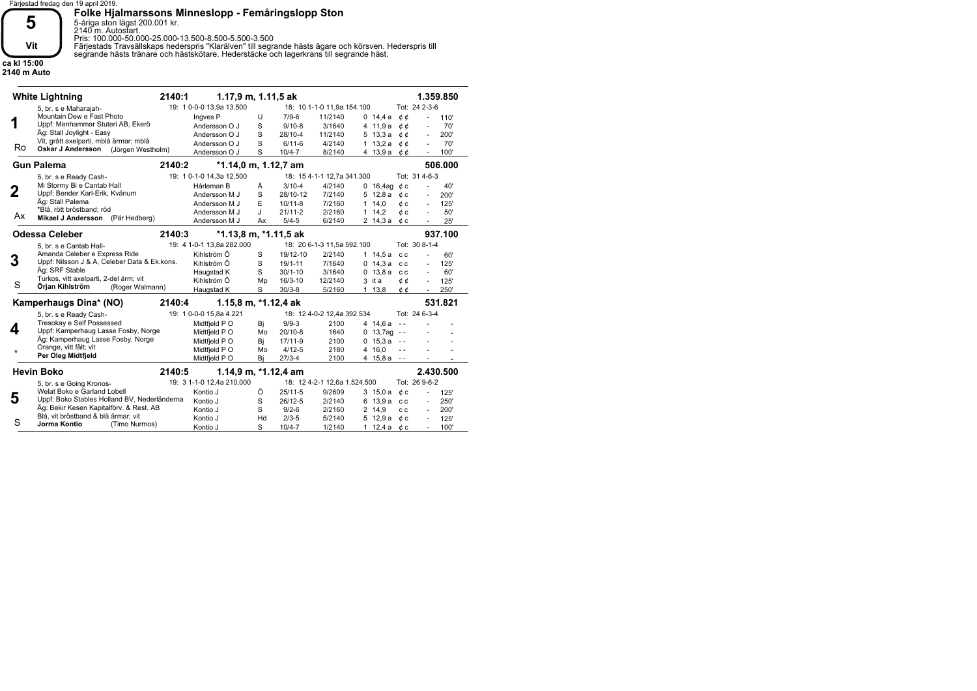

5-åriga ston lägst 200.001 kr. 2140 m. Autostart.

Pris: 100.000-50.000-25.000-13.500-8.500-5.500-3.500

**Folke Hjalmarssons Minneslopp - Femåringslopp Ston**

Färjestads Travsällskaps hederspris "Klarälven" till segrande hästs ägare och körsven. Hederspris till

segrande hästs tränare och hästskötare. Hederstäcke och lagerkrans till segrande häst.

**ca kl 15:00 2140 m Auto**

> **1 2 3 4 5 White Lightning Gun Palema Odessa Celeber Kamperhaugs Dina\* (NO) Hevin Boko** 5, br. s e Maharajah-5, br. s e Ready Cash-5, br. s e Cantab Hall-5, br. s e Ready Cash-5, br. s e Going Kronos-Mountain Dew e Fast Photo Mi Stormy Bi e Cantab Hall Amanda Celeber e Express Ride Tresokay e Self Possessed Welat Boko e Garland Lobell Ingves P Andersson O J Andersson O J Andersson O J Andersson O J Hårleman B Andersson M J Andersson M J Andersson M J Andersson M J Kihlström Ö Kihlström Ö Haugstad K Kihlström Ö Haugstad K Midtfjeld P O Midtfjeld P O Midtfjeld P O Midtfjeld P O Midtfjeld P O Kontio J Kontio J Kontio J Kontio J Kontio J 110' - 70' - 200' - 70' - 100' - 40' 200' - 125' 50' 25' 60' - 125' - 60' 125' 250' - - - - - - 125' - 250' - 200' - 125' - 100' - Uppf: Menhammar Stuteri AB, Ekerö Uppf: Bender Karl-Erik, Kvänum Uppf: Nilsson J & A, Celeber Data & Ek.kons. Uppf: Kamperhaug Lasse Fosby, Norge Uppf: Boko Stables Holland BV, Nederländerna Äg: Stall Joylight - Easy Äg: Stall Palema Äg: SRF Stable Äg: Kamperhaug Lasse Fosby, Norge Äg: Bekir Kesen Kapitalförv. & Rest. AB Vit, grått axelparti, mblå ärmar; mblå \*Blå, rött bröstband; röd Turkos, vitt axelparti, 2-del ärm; vit Orange, vitt fält; vit Blå, vit bröstband & blå ärmar; vit **Oskar J Andersson** (Jörgen Westholm) **Mikael J Andersson** (Pär Hedberg) **Örjan Kihlström Per Oleg Midtfjeld Jorma Kontio 1.359.850 506.000 937.100 531.821 2.430.500 2140:1 2140:2 2140:3 2140:4 2140:5 1.17,9 m, 1.11,5 ak \*1.14,0 m, 1.12,7 am \*1.13,8 m, \*1.11,5 ak 1.15,8 m, \*1.12,4 ak 1.14,9 m, \*1.12,4 am** (Roger Walmann) (Timo Nurmos) Ro Ax S \* S  $\mathbf{U}$ S S S S Å S E J Ax S S S Mp S Bj Mo Bj Mo Bj Ö S S Hd S 0 14,4 a ¢¢ ¢ ¢ 4 11,9 a ¢ ¢ 5 13,3 a 1 13,2 a  $\phi \phi$ ¢ ¢ 4 13,9 a 0 16,4ag ¢c ¢ c 5 12,8 a 1 14,0  $\phi$  c 1 14,2  $\phi$  c 2 14,3 a ¢c 1 14,5 a c c 0 14,3 a cc 0 13,8 a cc 3 it a  $\phi \phi$ ¢ ¢ - - 4 14,6 a 0 13,7ag --0 15,3 a --- - 4 16,0 - - 4 15,8 a 3 15,0 a ¢ c 6 13,9 a cc 2 14,9 cc ¢ c 5 12,9 a 1 12,4 a ¢ c 7/ 9-6 9/ 10-8 28/ 10-4 6/ 11-6 10/ 4-7 3/ 10-4 28/ 10-12 10/ 11-8 21/ 11-2 5/ 4-5 19/ 12-10 19/ 1-11 30/ 1-10 16/ 3-10 30/ 3-8 9/ 9-3 20/ 10-8 17/11-9 4/ 12-5 27/ 3-4 25/ 11-5 26/ 12-5 9/ 2-6 2/ 3-5 10/ 4-7 11/2140 3/1640 11/2140 4/2140 8/2140 4/2140 7/2140 7/2160 2/2160 6/2140 2/2140 7/1640 3/1640 12/2140 5/2160 2100 1640 2100 2180 2100 9/2609 2/2140 2/2160 5/2140 1/2140 - - - - - - - - - - - 1 13,8 Tot: 24 2-3-6 Tot: 31 4-6-3 Tot: 30 8-1-4 Tot: 24 6-3-4 Tot: 26 9-6-2 18: 10 1-1-0 11,9a 154.100 18: 15 4-1-1 12,7a 341.300 18: 20 6-1-3 11,5a 592.100 18: 12 4-0-2 12,4a 392.534 18: 12 4-2-1 12,6a 1.524.500 19: 1 0-0-0 13,9a 13.500 19: 1 0-1-0 14,3a 12.500 19: 4 1-0-1 13,8a 282.000 19: 1 0-0-0 15,8a 4.221 19: 3 1-1-0 12,4a 210.000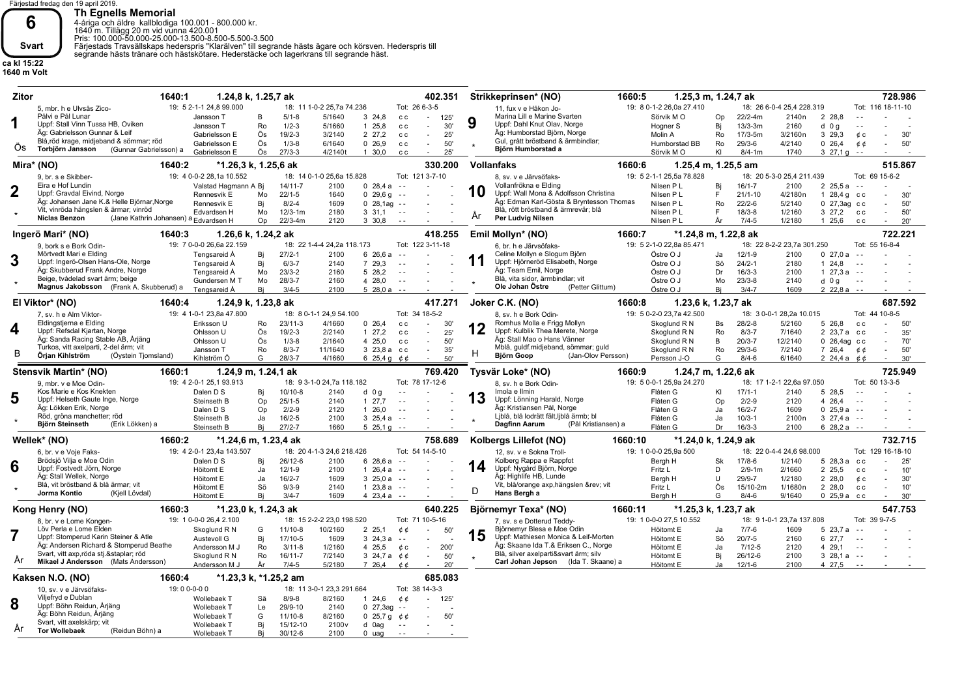

**Th Egnells Memorial**<br>4-åriga och äldre kallblodiga 100.001 - 800.000 kr.<br>1640 m. Tillägg 20 m vid vunna 420.001 - 800.000 kr.<br>Pris: 100.000-50.000-25.000-13.500-8.500-5.500-3.500<br>Färjestads Travsällskaps hederspris "Klarä

Wollebaek T Wollebaek T

Bj Bj

15/ 12-10 30/ 12-6

2100 v 2100

(Reidun Böhn) a

**ca kl 15:22 1640 m Volt**

**Tor Wollebaek** År

| <b>Zitor</b> |                                                      | 1640:1<br>1.24,8 k, 1.25,7 ak         |          |                         |                            |                                    | 402.351                    |    | Strikkeprinsen* (NO)                                     | 1660:5                        | 1.25,3 m, 1.24,7 ak  |                         |                            |                        |                                | 728.986           |
|--------------|------------------------------------------------------|---------------------------------------|----------|-------------------------|----------------------------|------------------------------------|----------------------------|----|----------------------------------------------------------|-------------------------------|----------------------|-------------------------|----------------------------|------------------------|--------------------------------|-------------------|
|              | 5. mbr. h e Ulvsås Zico-                             | 19: 5 2-1-1 24.8 99.000               |          |                         | 18: 11 1-0-2 25.7a 74.236  |                                    | Tot: 26 6-3-5              |    | 11. fux v e Håkon Jo-                                    | 19: 8 0-1-2 26.0a 27.410      |                      |                         | 18: 26 6-0-4 25.4 228.319  |                        |                                | Tot: 116 18-11-10 |
|              | Pâlvi e Pâl Lunar                                    | Jansson T                             | B        | $5/1 - 8$               | 5/1640                     | 3, 24, 8                           | 125'<br>c c<br>$\sim$      |    | Marina Lill e Marine Svarten                             | Sörvik MO                     | Op                   | 22/2-4m                 | 2140 <sub>n</sub>          | 2 28.8                 | $\sim$ $\sim$                  |                   |
| 1            | Uppf: Stall Vinn Tussa HB, Oviken                    | Jansson T                             | Ro       | $1/2 - 3$               | 5/1660                     | 125.8                              | 30'<br>c c<br>$\sim$       | 9  | Uppf: Dahl Knut Olav, Norge                              | Hogner S                      | Bi                   | $13/3 - 3m$             | 2160                       | $d$ 0 g                | $\sim$ $\sim$                  |                   |
|              | Äg: Gabrielsson Gunnar & Leif                        | Gabrielsson E                         | Ös       | $19/2 - 3$              | 3/2140                     | 2 27.2                             | 25'<br>c c<br>$\sim$       |    | Äg: Humborstad Björn, Norge                              | Molin A                       | Ro                   | $17/3 - 5m$             | 3/2160n                    | 3 29.3                 | ¢с                             | 30'               |
|              | Blå,röd krage, midjeband & sömmar; röd               | Gabrielsson E                         | Ös       | $1/3 - 8$               | 6/1640                     | 0, 26.9                            | 50'<br>c c<br>$\sim$       |    | Gul, grått bröstband & ärmbindlar;                       | Humborstad BB                 | Ro                   | $29/3 - 6$              | 4/2140                     | 026,4                  | ¢¢                             | 50'               |
| Os.          | Torbjörn Jansson<br>(Gunnar Gabrielsson) a           | Gabrielsson E                         | Ös       | $27/3-3$                | 4/2140t                    | 1 30,0                             | 25'<br>c c<br>$\sim$       |    | Björn Humborstad a                                       | Sörvik MO                     | KI                   | $8/4 - 1m$              | 1740                       | $327.19 - -$           |                                |                   |
|              |                                                      |                                       |          |                         |                            |                                    |                            |    |                                                          |                               |                      |                         |                            |                        |                                |                   |
|              | Mira* (NO)                                           | *1.26,3 k, 1.25,6 ak<br>1640:2        |          |                         |                            |                                    | 330.200                    |    | <b>Vollanfaks</b>                                        | 1660:6                        | 1.25,4 m, 1.25,5 am  |                         |                            |                        |                                | 515.867           |
|              | 9, br. s e Skibber-                                  | 19: 4 0-0-2 28,1a 10.552              |          |                         | 18: 14 0-1-0 25,6a 15.828  |                                    | Tot: 121 3-7-10            |    | 8, sv. v e Järvsöfaks-                                   | 19: 5 2-1-1 25,5a 78.828      |                      |                         | 18: 20 5-3-0 25,4 211.439  |                        | Tot: 69 15-6-2                 |                   |
|              | Eira e Hof Lundin                                    | Valstad Hagmann A Bi                  |          | $14/11-7$               | 2100                       | 0, 28.4a                           | $\sim$ $\sim$              |    | Vollanfrökna e Elding                                    | Nilsen P L                    | Bi                   | $16/1 - 7$              | 2100                       | 225.5a                 | $\sim$ $\sim$                  |                   |
|              | Uppf: Gravdal Eivind, Norge                          | Rennesvik E                           | Mo       | $22/1 - 5$              | 1640                       | $0\;29,6q$                         | $\sim$ $\sim$              | 10 | Uppf: Wall Mona & Adolfsson Christina                    | Nilsen P L                    | F                    | $21/1 - 10$             | 4/2180n                    | 1 28,4 $q$ cc          |                                | 30'               |
|              | Äg: Johansen Jane K.& Helle Björnar, Norge           | Rennesvik E                           | Bi       | $8/2 - 4$               | 1609                       | $0, 28, 1$ ag                      | $\sim$ $\sim$              |    | Äg: Edman Karl-Gösta & Bryntesson Thomas                 | Nilsen P L                    | Ro                   | $22/2-6$                | 5/2140                     | 0 27,3ag cc            |                                | 50'               |
|              | Vit, vinröda hängslen & ärmar; vinröd                | Edvardsen H                           | Mo       | $12/3 - 1m$             | 2180                       | 3, 31.1                            | $\sim$ $-$                 |    | Blå, rött bröstband & ärmrevär; blå                      | Nilsen P L                    | F.                   | $18/3 - 8$              | 1/2160                     | 3 27,2 cc              |                                | 50'               |
|              | <b>Niclas Benzon</b>                                 | (Jane Kathrin Johansen) a Edvardsen H | Op       | 22/3-4m                 | 2120                       | 3 30,8                             | $\sim$ $\sim$              | Ar | Per Ludvig Nilsen                                        | Nilsen P L                    | År                   | $7/4 - 5$               | 1/2180                     | $1\,25.6$              | C C                            | 20'               |
|              |                                                      |                                       |          |                         |                            |                                    |                            |    |                                                          |                               |                      |                         |                            |                        |                                | 722.221           |
|              | Ingerö Mari* (NO)                                    | 1640:3<br>1.26,6 k, 1.24,2 ak         |          |                         |                            |                                    | 418.255                    |    | Emil Mollyn* (NO)                                        | 1660:7                        | *1.24,8 m, 1.22,8 ak |                         |                            |                        |                                |                   |
|              | 9. bork s e Bork Odin-                               | 19: 7 0-0-0 26,6a 22.159              |          |                         | 18: 22 1-4-4 24,2a 118.173 |                                    | Tot: 122 3-11-18           |    | 6. br. h e Järvsöfaks-                                   | 19: 5 2-1-0 22,8a 85.471      |                      |                         | 18: 22 8-2-2 23,7a 301.250 |                        | Tot: 55 16-8-4                 |                   |
| 3            | Mörtvedt Mari e Elding                               | Tengsareid Å                          | Bi       | $27/2 - 1$              | 2100                       | 6 26,6 a                           | $\sim$ $\sim$              | 11 | Celine Mollyn e Slogum Björn                             | Östre O J                     | Ja                   | $12/1 - 9$              | 2100                       | 027,0a                 | $\sim$ $\sim$                  |                   |
|              | Uppf: Ingerö-Olsen Hans-Ole, Norge                   | Tengsareid Å                          | Bi       | $6/3 - 7$               | 2140                       | 7 29.3                             | $\sim$ $\sim$              |    | Uppf: Hjörneröd Elisabeth, Norge                         | Östre O J                     | Sö                   | $24/2 - 1$              | 2180                       | 124.8                  | $\sim$ $\sim$                  |                   |
|              | Äg: Skubberud Frank Andre, Norge                     | Tengsareid Å                          | Mo       | $23/3-2$                | 2160                       | 5 28.2                             | $\sim$ $\sim$              |    | Äg: Team Emil, Norge                                     | Östre O J                     | Dr                   | $16/3-3$                | 2100                       | $127.3a - -$           |                                |                   |
|              | Beige, tvådelad svart ärm; beige                     | Gundersen M T                         | Mo       | $28/3 - 7$              | 2160                       | 4 28,0                             | $\sim$ $\sim$              |    | Blå, vita sidor, ärmbindlar; vit<br>Ole Johan Östre      | Östre O J                     | Mo                   | $23/3 - 8$              | 2140                       | $d$ 0 g                | $\sim$ $\sim$                  |                   |
|              | Magnus Jakobsson (Frank A. Skubberud) a              | Tengsareid Å                          | Bi       | $3/4 - 5$               | 2100                       | $528.0a - -$                       |                            |    | (Petter Glittum)                                         | Östre O J                     | Bi                   | $3/4 - 7$               | 1609                       | $22.8a - -$            |                                |                   |
|              | El Viktor* (NO)                                      | 1640:4<br>1.24,9 k, 1.23,8 ak         |          |                         |                            |                                    | 417.271                    |    | Joker C.K. (NO)                                          | 1660:8                        | 1.23,6 k, 1.23,7 ak  |                         |                            |                        |                                | 687.592           |
|              | 7, sv. h e Alm Viktor-                               | 19: 4 1-0-1 23,8a 47.800              |          |                         | 18: 8 0-1-1 24,9 54.100    |                                    | Tot: 34 18-5-2             |    | 8. sv. h e Bork Odin-                                    | 19: 5 0-2-0 23,7a 42.500      |                      |                         | 18: 3 0-0-1 28,2a 10.015   |                        | Tot: 44 10-8-5                 |                   |
|              | Eldingstjerna e Elding                               | Eriksson U                            | Ro       | $23/11-3$               | 4/1660                     | 0, 26.4                            | 30'<br>c c<br>$\sim$       |    | Romhus Molla e Frigg Mollyn                              | Skoglund R N                  | <b>Bs</b>            | $28/2 - 8$              | 5/2160                     | 5 26.8                 | c c                            | 50                |
| 4            | Uppf: Refsdal Kjartan, Norge                         | Ohlsson U                             | Ös       | $19/2 - 3$              | 2/2140                     | 127.2                              | 25'<br>c c<br>$\sim$       | 12 | Uppf: Kulblik Thea Merete, Norge                         | Skoglund R N                  | Ro                   | $8/3 - 7$               | 7/1640                     | 2 23.7 a cc            |                                | 35'               |
|              | Äg: Sanda Racing Stable AB, Arjäng                   | Ohlsson U                             | Ös       | $1/3 - 8$               | 2/1640                     | 4 25,0                             | 50'<br>c c<br>$\sim$       |    | Äg: Stall Mao o Hans Vänner                              | Skoglund R N                  | B                    | $20/3 - 7$              | 12/2140                    | $0$ 26,4ag $cc$        |                                | 70'               |
|              | Turkos, vitt axelparti, 2-del ärm; vit               | Jansson T                             | Ro       | $8/3 - 7$               | 11/1640                    | 3 23,8 a cc                        | 35'<br>$\sim$              |    | Mblå, guldf.midjeband, sömmar; guld                      | Skoglund R N                  | Ro                   | $29/3 - 6$              | 7/2140                     | 7 26,4                 | ¢¢                             | 50'               |
| B            | Örjan Kihlström<br>(Öystein Tjomsland)               | Kihlström Ö                           | G        | $28/3 - 7$              | 4/1660                     |                                    |                            | н  | (Jan-Olov Persson)<br><b>Björn Goop</b>                  | Persson J-O                   | G                    | $8/4 - 6$               | 6/1640                     | 2 24,4 a $\phi$        |                                | 30'               |
|              |                                                      |                                       |          |                         |                            | 6 25.4 g $0,6$                     | 50'                        |    |                                                          |                               |                      |                         |                            |                        |                                |                   |
|              |                                                      |                                       |          |                         |                            |                                    |                            |    |                                                          |                               |                      |                         |                            |                        |                                |                   |
|              | Stensvik Martin* (NO)                                | 1.24.9 m. 1.24.1 ak<br>1660:1         |          |                         |                            |                                    | 769.420                    |    | Tysvär Loke* (NO)                                        | 1660:9                        | 1.24,7 m, 1.22,6 ak  |                         |                            |                        |                                | 725.949           |
|              | 9. mbr. v e Moe Odin-                                | 19: 4 2-0-1 25,1 93.913               |          |                         | 18: 9 3-1-0 24.7a 118.182  |                                    | Tot: 78 17-12-6            |    | 8, sv. h e Bork Odin-                                    | 19: 5 0-0-1 25.9a 24.270      |                      |                         | 18: 17 1-2-1 22.6a 97.050  |                        | Tot: 50 13-3-5                 |                   |
|              | Kos Marie e Kos Knekten                              | Dalen D S                             | Bj       | 10/10-8                 | 2140                       | $d$ 0 g                            | $\sim$ $\sim$              |    | Imola e Ilmin                                            | Flåten G                      | KI                   | $17/1 - 1$              | 2140                       | 5 28.5                 |                                |                   |
| 5            | Uppf: Helseth Gaute Inge, Norge                      | Steinseth B                           | Op       | $25/1 - 5$              | 2140                       | 127,7                              | $\sim$ $\sim$              | 13 | Uppf: Lönning Harald, Norge                              | Flåten G                      | Op                   | $2/2-9$                 | 2120                       | 4 26.4                 | $\sim$ $\sim$                  |                   |
|              | Äg: Lökken Erik, Norge                               | Dalen D S                             | Op       | $2/2-9$                 | 2120                       | 126.0                              | $\sim$ $\sim$              |    | Äg: Kristiansen Pål, Norge                               | Flåten G                      | Ja                   | $16/2 - 7$              | 1609                       | 0, 25.9a               | $\sim$ $\sim$                  |                   |
|              | Röd, gröna manchetter; röd                           | Steinseth B                           | Ja       | $16/2-5$                | 2100                       | $3\;25.4a$                         | $\sim$ .                   |    | Ljblå, blå lodrätt fält, ljblå ärmb; bl                  | Flåten G                      | Ja                   | $10/3 - 1$              | 2100 <sub>n</sub>          | $3\;27.4a$             | $\sim$ $\sim$                  |                   |
|              | Björn Steinseth<br>(Erik Lökken) a                   | Steinseth B                           | Bi       | $27/2 - 7$              | 1660                       | $525,19 -$                         |                            |    | <b>Dagfinn Aarum</b><br>(Pål Kristiansen) a              | Flåten G                      | Dr                   | $16/3-3$                | 2100                       | $628.2a - -$           |                                |                   |
|              | Wellek* (NO)                                         | 1660:2<br>*1.24,6 m, 1.23,4 ak        |          |                         |                            |                                    | 758.689                    |    | Kolbergs Lillefot (NO)                                   | 1660:10                       | *1.24,0 k, 1.24,9 ak |                         |                            |                        |                                | 732.715           |
|              | 6, br. v e Voje Faks-                                | 19: 4 2-0-1 23.4a 143.507             |          |                         | 18: 20 4-1-3 24.6 218.426  |                                    | Tot: 54 14-5-10            |    | 12, sv. v e Sokna Troll-                                 | 19: 1 0-0-0 25.9a 500         |                      |                         | 18: 22 0-4-4 24.6 98.000   |                        |                                | Tot: 129 16-18-10 |
|              | Brödsjö Vilja e Moe Odin                             | Dalen D S                             | Bi       | 26/12-6                 | 2100                       | 6 28,6 a                           | $\sim$ $\sim$              |    | Kolberg Rappa e Rappfot                                  | Bergh H                       | <b>Sk</b>            | $17/8 - 6$              | 1/2140                     | 528,3a                 | c c                            | 25'               |
| 6            | Uppf: Fostvedt Jörn, Norge                           | Höitomt E                             | Ja       | $12/1-9$                | 2100                       | $126.4a - -$                       |                            | 14 | Uppf: Nygård Björn, Norge                                | Fritz L                       | D                    | $2/9 - 1m$              | 2/1660                     | 2 25,5                 | c c                            | 10'               |
|              | Äg: Stall Wellek, Norge                              | Höitomt E                             | Ja.      | $16/2 - 7$              | 1609                       | $3\;25.0a$                         | $\sim$ $\sim$              |    | Äg: Highlife HB, Lunde                                   | Bergh H                       | U                    | $29/9 - 7$              | 1/2180                     | 2 28,0                 | ¢ c                            | 30'               |
|              | Blå, vit bröstband & blå ärmar; vit                  | Höitomt E                             | Sö       | $9/3 - 9$               | 2140                       | 1 $23,8a$                          | $\sim$ $\sim$              |    | Vit, blå/orange axp, hängslen &rev vit                   | Fritz L                       | Ös                   | 15/10-2m                | 1/1680n                    | 2 28,0                 | c c                            | 10'               |
|              | Jorma Kontio<br>(Kjell Lövdal)                       | Höitomt E                             | Bi       | $3/4 - 7$               | 1609                       | $423.4a - -$                       |                            | D  | Hans Bergh a                                             | Bergh H                       | G                    | $8/4 - 6$               | 9/1640                     | $0, 25.9a$ cc          |                                | 30'               |
|              |                                                      |                                       |          |                         |                            |                                    |                            |    |                                                          |                               |                      |                         |                            |                        |                                |                   |
|              | Kong Henry (NO)                                      | 1660:3<br>*1.23,0 k, 1.24,3 ak        |          |                         |                            |                                    | 640.225                    |    | Björnemyr Texa* (NO)                                     | 1660:11                       | *1.25,3 k, 1.23,7 ak |                         |                            |                        |                                | 547.753           |
|              | 8, br. v e Lome Kongen-<br>Löv Perla e Lome Elden    | 19: 1 0-0-0 26,4 2.100                |          |                         | 18: 15 2-2-2 23,0 198.520  |                                    | Tot: 71 10-5-16            |    | 7, sv. s e Dotterud Teddy-<br>Biörnemvr Blesa e Moe Odin | 19: 1 0-0-0 27,5 10.552       |                      |                         | 18: 9 1-0-1 23,7a 137.808  |                        | Tot: 39 9-7-5<br>$\sim$ $\sim$ |                   |
|              | Uppf: Stomperud Karin Steiner & Atle                 | Skoglund R N                          | G        | $11/10-8$               | 10/2160                    | 2 2 5.1                            | ¢φ<br>50'<br>$\sim$ $\sim$ |    | Uppf: Mathiesen Monica & Leif-Morten                     | Höitomt E                     | Ja                   | $7/7 - 6$               | 1609                       | 5 23.7 a               |                                |                   |
|              | Äg: Andersen Richard & Stomperud Beathe              | Austevoll G                           | Bj       | 17/10-5                 | 1609                       | $3\;24.3a$                         | $\sim$                     | 15 | Äg: Skaane Ida T.& Eriksen C., Norge                     | Höitomt E                     | Sö                   | $20/7 - 5$              | 2160                       | 6 27,7                 | $\sim$ $\sim$                  |                   |
|              | Svart, vitt axp, röda stj.&staplar röd               | Andersson M J                         | Ro       | $3/11 - 8$<br>$16/11-7$ | 1/2160                     | 4 25,5                             | ¢с<br>200'<br>$\sim$       |    | Blå, silver axelparti&svart ärm; silv                    | Höitomt E                     | Ja                   | $7/12 - 5$              | 2120                       | 4 29.1                 | $\sim$ $\sim$                  |                   |
| Ar           | Mikael J Andersson (Mats Andersson)                  | Skoglund R N<br>Andersson M J         | Ro<br>År | $7/4 - 5$               | 7/2140<br>5/2180           | 3 24,7 a $\phi$ $\phi$<br>7 26,4   | 50'<br>20'<br>c c          |    | Carl Johan Jepson (Ida T. Skaane) a                      | Höitomt E<br><b>Höitomt E</b> | Bi<br>Ja             | $26/12-6$<br>$12/1 - 6$ | 2100<br>2100               | $328.1a - -$<br>4 27,5 | $\sim$ $\sim$                  |                   |
|              |                                                      |                                       |          |                         |                            |                                    |                            |    |                                                          |                               |                      |                         |                            |                        |                                |                   |
|              | Kaksen N.O. (NO)                                     | 1660:4<br>*1.23,3 k, *1.25,2 am       |          |                         |                            |                                    | 685.083                    |    |                                                          |                               |                      |                         |                            |                        |                                |                   |
|              | 10. sv. v e Järvsöfaks-                              | 19:00-0-00                            |          |                         | 18: 11 3-0-1 23,3 291.664  |                                    | Tot: 38 14-3-3             |    |                                                          |                               |                      |                         |                            |                        |                                |                   |
|              | Viljefryd e Dublan                                   | Wollebaek T                           | Sä       | $8/9 - 8$               | 8/2160                     | 1, 24, 6                           | ¢¢<br>125'                 |    |                                                          |                               |                      |                         |                            |                        |                                |                   |
| 8            | Uppf: Böhn Reidun, Arjäng<br>Äg: Böhn Reidun, Årjäng | Wollebaek T<br>Wollebaek T            | Le<br>G  | 29/9-10<br>$11/10-8$    | 2140<br>8/2160             | $0$ 27,3ag<br>0 25,7 g $\phi \phi$ | $\sim$ $\sim$<br>50'       |    |                                                          |                               |                      |                         |                            |                        |                                |                   |

- -

- -

- - d 0ag - -

0 uag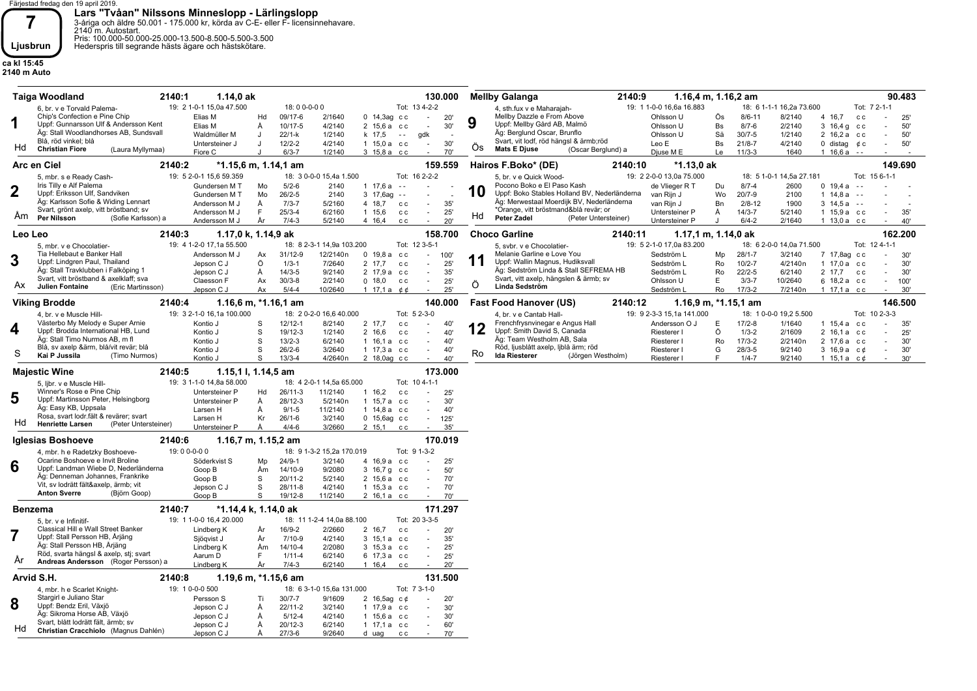**7**<br> **Ears "Tvåan" Nilssons Minneslopp - Lärlingslopp**<br>
<sup>2-áriga och äldre 50.001 - 175.000 kr, körda av C-E- eller F- licensinnehavare.<br> **Ljusbrun** Pris: 100.000-50.000-25.000-13.500-8.500-5.500-3.500<br>
Hederspris till seg</sup>

**ca kl 15:45 2140 m Auto**

|             | 2140:1<br><b>Taiga Woodland</b>                                             | 1.14,0 ak                                                                                                                                                                                                                                                                                                                                                                                                                                                                                                                                                                                                                                                                                                                                                                                                                                                                                                                                                                                                                                                                                                                                                                                                                                                                                                                                                                                                                                                                                                                                                                                                                                                                                                                                                                                                                                                                                                                                                                                                                                                                                                                                                                                                                                                                                                                                                                                                                                                                                                                                                                                                                                                                                                                                                                                                                                                                                                                                                                                                                                                                                                                                                                                                                                                                                                                                                                                                                                                                                                                                                                                                                                                                                                                                                                                                                                                                                                                                                                                                                                                                                                                                                                                                                                                                                    |                      |                           |                    |                             | 130.000                     |            | <b>Mellby Galanga</b><br>2140:9        |                          | 1.16,4 m, 1.16,2 am |                          |                   |              | 90.483        |
|-------------|-----------------------------------------------------------------------------|----------------------------------------------------------------------------------------------------------------------------------------------------------------------------------------------------------------------------------------------------------------------------------------------------------------------------------------------------------------------------------------------------------------------------------------------------------------------------------------------------------------------------------------------------------------------------------------------------------------------------------------------------------------------------------------------------------------------------------------------------------------------------------------------------------------------------------------------------------------------------------------------------------------------------------------------------------------------------------------------------------------------------------------------------------------------------------------------------------------------------------------------------------------------------------------------------------------------------------------------------------------------------------------------------------------------------------------------------------------------------------------------------------------------------------------------------------------------------------------------------------------------------------------------------------------------------------------------------------------------------------------------------------------------------------------------------------------------------------------------------------------------------------------------------------------------------------------------------------------------------------------------------------------------------------------------------------------------------------------------------------------------------------------------------------------------------------------------------------------------------------------------------------------------------------------------------------------------------------------------------------------------------------------------------------------------------------------------------------------------------------------------------------------------------------------------------------------------------------------------------------------------------------------------------------------------------------------------------------------------------------------------------------------------------------------------------------------------------------------------------------------------------------------------------------------------------------------------------------------------------------------------------------------------------------------------------------------------------------------------------------------------------------------------------------------------------------------------------------------------------------------------------------------------------------------------------------------------------------------------------------------------------------------------------------------------------------------------------------------------------------------------------------------------------------------------------------------------------------------------------------------------------------------------------------------------------------------------------------------------------------------------------------------------------------------------------------------------------------------------------------------------------------------------------------------------------------------------------------------------------------------------------------------------------------------------------------------------------------------------------------------------------------------------------------------------------------------------------------------------------------------------------------------------------------------------------------------------------------------------------------------------------------------------|----------------------|---------------------------|--------------------|-----------------------------|-----------------------------|------------|----------------------------------------|--------------------------|---------------------|--------------------------|-------------------|--------------|---------------|
|             | 6, br. v e Torvald Palema-                                                  | 19: 2 1-0-1 15,0a 47.500                                                                                                                                                                                                                                                                                                                                                                                                                                                                                                                                                                                                                                                                                                                                                                                                                                                                                                                                                                                                                                                                                                                                                                                                                                                                                                                                                                                                                                                                                                                                                                                                                                                                                                                                                                                                                                                                                                                                                                                                                                                                                                                                                                                                                                                                                                                                                                                                                                                                                                                                                                                                                                                                                                                                                                                                                                                                                                                                                                                                                                                                                                                                                                                                                                                                                                                                                                                                                                                                                                                                                                                                                                                                                                                                                                                                                                                                                                                                                                                                                                                                                                                                                                                                                                                                     |                      | 18:00-0-00                |                    |                             | Tot: 13 4-2-2               |            | 4, sth.fux v e Maharajah-              | 19: 1 1-0-0 16,6a 16.883 |                     | 18: 6 1-1-1 16,2a 73.600 |                   | Tot: 7 2-1-1 |               |
|             | Chip's Confection e Pine Chip                                               | Elias M                                                                                                                                                                                                                                                                                                                                                                                                                                                                                                                                                                                                                                                                                                                                                                                                                                                                                                                                                                                                                                                                                                                                                                                                                                                                                                                                                                                                                                                                                                                                                                                                                                                                                                                                                                                                                                                                                                                                                                                                                                                                                                                                                                                                                                                                                                                                                                                                                                                                                                                                                                                                                                                                                                                                                                                                                                                                                                                                                                                                                                                                                                                                                                                                                                                                                                                                                                                                                                                                                                                                                                                                                                                                                                                                                                                                                                                                                                                                                                                                                                                                                                                                                                                                                                                                                      | Hd                   | 09/17-6                   | 2/1640             | $0$ 14,3ag $cc$             | $\sim$                      | 20'        | Mellby Dazzle e From Above             | Ohlsson U                | Ös<br>$8/6 - 11$    | 8/2140                   | 4 16,7            | c c          | 25'           |
|             | Uppf: Gunnarsson Ulf & Andersson Kent                                       | Elias M                                                                                                                                                                                                                                                                                                                                                                                                                                                                                                                                                                                                                                                                                                                                                                                                                                                                                                                                                                                                                                                                                                                                                                                                                                                                                                                                                                                                                                                                                                                                                                                                                                                                                                                                                                                                                                                                                                                                                                                                                                                                                                                                                                                                                                                                                                                                                                                                                                                                                                                                                                                                                                                                                                                                                                                                                                                                                                                                                                                                                                                                                                                                                                                                                                                                                                                                                                                                                                                                                                                                                                                                                                                                                                                                                                                                                                                                                                                                                                                                                                                                                                                                                                                                                                                                                      | Å                    | 10/17-5                   | 4/2140             | 2 15,6 а сс                 |                             | 9<br>30'   | Uppf: Mellby Gård AB, Malmö            | Ohlsson U                | Bs<br>$8/7 - 6$     | 2/2140                   | 3, 16, 4g         | c c          | 50'           |
|             | Äg: Stall Woodlandhorses AB, Sundsvall                                      | Waldmüller M                                                                                                                                                                                                                                                                                                                                                                                                                                                                                                                                                                                                                                                                                                                                                                                                                                                                                                                                                                                                                                                                                                                                                                                                                                                                                                                                                                                                                                                                                                                                                                                                                                                                                                                                                                                                                                                                                                                                                                                                                                                                                                                                                                                                                                                                                                                                                                                                                                                                                                                                                                                                                                                                                                                                                                                                                                                                                                                                                                                                                                                                                                                                                                                                                                                                                                                                                                                                                                                                                                                                                                                                                                                                                                                                                                                                                                                                                                                                                                                                                                                                                                                                                                                                                                                                                 | J                    | $22/1-k$                  | 1/2140             | k 17,5                      | gdk<br>$\sim$ $\sim$ $\sim$ |            | Äg: Berglund Oscar, Brunflo            | Ohlsson U                | Sä<br>$30/7 - 5$    | 1/2140                   | 2 16,2 а сс       |              | 50'           |
| Hd          | Blå, röd vinkel; blå                                                        | Untersteiner J                                                                                                                                                                                                                                                                                                                                                                                                                                                                                                                                                                                                                                                                                                                                                                                                                                                                                                                                                                                                                                                                                                                                                                                                                                                                                                                                                                                                                                                                                                                                                                                                                                                                                                                                                                                                                                                                                                                                                                                                                                                                                                                                                                                                                                                                                                                                                                                                                                                                                                                                                                                                                                                                                                                                                                                                                                                                                                                                                                                                                                                                                                                                                                                                                                                                                                                                                                                                                                                                                                                                                                                                                                                                                                                                                                                                                                                                                                                                                                                                                                                                                                                                                                                                                                                                               | J                    | $12/2 - 2$                | 4/2140             | $1\,15,0a\,c\,c$            | $\sim$                      |            | Svart, vit lodf, röd hängsl & ärmb;röd | Leo E                    | Bs<br>$21/8 - 7$    | 4/2140                   | 0 distag $\phi$ c |              | 50'<br>$\sim$ |
|             | <b>Christian Fiore</b>                                                      | Fiore C                                                                                                                                                                                                                                                                                                                                                                                                                                                                                                                                                                                                                                                                                                                                                                                                                                                                                                                                                                                                                                                                                                                                                                                                                                                                                                                                                                                                                                                                                                                                                                                                                                                                                                                                                                                                                                                                                                                                                                                                                                                                                                                                                                                                                                                                                                                                                                                                                                                                                                                                                                                                                                                                                                                                                                                                                                                                                                                                                                                                                                                                                                                                                                                                                                                                                                                                                                                                                                                                                                                                                                                                                                                                                                                                                                                                                                                                                                                                                                                                                                                                                                                                                                                                                                                                                      |                      |                           |                    |                             |                             |            |                                        | Djuse M E                | Le                  | 1640                     |                   |              |               |
|             | Arc en Ciel                                                                 | 30'<br>Õs<br><b>Mats E Djuse</b><br>(Laura Myllymaa)<br>(Oscar Berglund) a<br>$6/3 - 7$<br>1/2140<br>3 15,8 a cc<br>$11/3-3$<br>$1.16,6a --$<br>70'<br>149.690<br>159.559<br>2140:2<br>*1.15,6 m, 1.14,1 am<br>Hairos F.Boko* (DE)<br>2140:10<br>*1.13,0 ak<br>Tot: 16 2-2-2<br>19: 2 2-0-0 13,0a 75.000<br>19: 5 2-0-1 15,6 59.359<br>18: 3 0-0-0 15,4a 1.500<br>18: 5 1-0-1 14,5a 27.181<br>Tot: 15 6-1-1<br>5, br. v e Quick Wood-<br>Pocono Boko e El Paso Kash<br>$5/2 - 6$<br>2140<br>$117.6a -$<br>de Vlieger R T<br>$8/7 - 4$<br>2600<br>$0$ 19,4 a<br>Gundersen M T<br>Mo<br>Du<br>$\sim$ $\sim$<br>10<br>Uppf: Boko Stables Holland BV, Nederländerna<br>Mo<br>$26/2 - 5$<br>2140<br>3 17,6ag<br>van Rijn J<br>Wo<br>$20/7 - 9$<br>1, 14.8a<br>Gundersen M T<br>2100<br>$\sim$ $\sim$<br>$\sim$ $\sim$<br>Äg: Merwestaal Moerdijk BV, Nederländerna<br>4 18.7<br>$7/3 - 7$<br>35'<br>$2/8 - 12$<br>3, 14.5a<br>Andersson M J<br>Ă<br>5/2160<br>van Riin J<br>Bn<br>1900<br>$\sim$ $\sim$<br>c c<br>$\sim$<br>*Orange, vitt bröstmand&blå revär; or<br>Svart, grönt axelp, vitt bröstband; sv<br>F<br>$25/3 - 4$<br>$14/3 - 7$<br>Andersson M J<br>6/2160<br>1 15,6<br>25'<br>Untersteiner P<br>Å<br>5/2140<br>$1.15.9a$ cc<br>35'<br>c c<br>$\sim$<br>Hd<br>(Sofie Karlsson) a<br><b>Peter Zadel</b><br>(Peter Untersteiner)<br>Andersson M J<br>År<br>$7/4-3$<br>5/2140<br>4 16,4<br>20'<br>Untersteiner P<br>$6/4 - 2$<br>2/1640<br>$1\,13,0a\,c\,c$<br>c c<br>40'<br>162.200<br>2140:3<br>1.17,0 k, 1.14,9 ak<br>158.700<br><b>Choco Garline</b><br>2140:11<br>1.17,1 m, 1.14,0 ak<br>Tot: 12 3-5-1<br>19: 5 2-1-0 17,0a 83.200<br>19: 4 1-2-0 17,1a 55.500<br>18: 8 2-3-1 14,9a 103.200<br>18: 6 2-0-0 14,0a 71.500<br>Tot: 12 4-1-1<br>5. svbr. v e Chocolatier-<br>Melanie Garline e Love You<br>Andersson M J<br>$31/12 - 9$<br>12/2140n<br>$0$ 19,8 a $cc$<br>$28/1 - 7$<br>3/2140<br>7 17,8ag cc<br>Ax<br>100'<br>Sedström L<br>Mp<br>30'<br>$\sim$<br>Uppf: Wallin Magnus, Hudiksvall<br>Ö<br>7/2640<br>Ro<br>$10/2 - 7$<br>4/2140n<br>Jepson C J<br>$1/3 - 1$<br>2 17,7<br>25'<br>Sedström L<br>1 17,0 a cc<br>c c<br>30'<br>$\sim$<br>Äg: Stall Travklubben i Falköping<br>Äg: Sedström Linda & Stall SEFREMA HB<br>Ro<br>$22/2-5$<br>Jepson C J<br>Å<br>$14/3 - 5$<br>9/2140<br>2 17,9 а сс<br>35'<br>Sedström L<br>6/2140<br>2 17,7<br>$\sim$<br>c c<br>30'<br>Svart, vitt bröstband & axelklaff; sva<br>Svart, vitt axelp, hängslen & ärmb; sv<br>$30/3 - 8$<br>E<br>Claesson F<br>2/2140<br>0, 18, 0<br>25'<br>Ohlsson U<br>$3/3 - 7$<br>10/2640<br>6 18,2 а сс<br>100<br>Ax<br>c c<br>$\sim$<br>$\sim$<br>Ö<br>Linda Sedström<br>(Eric Martinsson)<br>Ro<br>$17/3-2$<br>Jepson C J<br>$5/4 - 4$<br>10/2640<br>1 17,1 a $\phi \phi$<br>25'<br>Sedström L<br>7/2140n<br>$1.17, 1a$ cc<br>Ax<br>30'<br>÷.<br>146.500<br>140.000<br><b>Fast Food Hanover (US)</b><br>2140:12<br>2140:4<br>1.16,6 m, *1.16,1 am<br>1.16,9 m, *1.15,1 am<br>19: 3 2-1-0 16,1a 100.000<br>18: 2 0-2-0 16,6 40.000<br>Tot: 5 2-3-0<br>19: 9 2-3-3 15,1a 141.000<br>18: 1 0-0-0 19,2 5.500<br>Tot: 10 2-3-3<br>4, br. v e Cantab Hall-<br>Västerbo My Melody e Super Arnie<br>Frenchfrysnvinegar e Angus Hall<br>Kontio J<br>$12/12 - 1$<br>8/2140<br>2 17,7<br>$17/2 - 8$<br>1/1640<br>S<br>Andersson O J<br>E<br>1 15.4a c<br>c c<br>40'<br>35'<br>12<br>Uppf: Smith David S, Canada<br>Uppf: Brodda International HB, Lund<br>Ö<br>S<br>$19/12 - 3$<br>1/2140<br>2 16.6<br>$1/3 - 2$<br>2 16.1 a cc<br>Kontio J<br>c c<br>40'<br>Riesterer I<br>2/1609<br>25'<br>Äg: Team Westholm AB, Sala<br>6/2140<br>Kontio J<br>S<br>1 16,1 a cc<br>Ro<br>$17/3-2$<br>2/2140n<br>2 17,6 а сс<br>$13/2-3$<br>40'<br>Riesterer I<br>30'<br>$\sim$<br>$\sim$<br>Röd, ljusblått axelp, ljblå ärm; röd<br>Kontio J<br>S<br>$26/2-6$<br>3/2640<br>$1.17,3a$ cc<br>G<br>$28/3 - 5$<br>9/2140<br>$3\ 16.9a\ c$<br>40'<br>Riesterer I<br>30'<br>$\sim$<br>$\sim$<br>Ro<br><b>Ida Riesterer</b><br>(Timo Nurmos)<br>(Jörgen Westholm)<br>Kontio J<br>S<br>$13/3 - 4$<br>4/2640n<br>2 18,0ag cc<br>Riesterer I<br>F.<br>$1/4 - 7$<br>9/2140<br>40'<br>1 15,1 a $c \phi$<br>30'<br>$\sim$<br>2140:5<br>1.15,1 l, 1.14,5 am<br>173.000<br>19: 3 1-1-0 14,8a 58.000<br>18: 4 2-0-1 14,5a 65.000<br>Tot: 10 4-1-1 |                      |                           |                    |                             |                             |            |                                        |                          |                     |                          |                   |              |               |
|             | 5, mbr. s e Ready Cash-                                                     |                                                                                                                                                                                                                                                                                                                                                                                                                                                                                                                                                                                                                                                                                                                                                                                                                                                                                                                                                                                                                                                                                                                                                                                                                                                                                                                                                                                                                                                                                                                                                                                                                                                                                                                                                                                                                                                                                                                                                                                                                                                                                                                                                                                                                                                                                                                                                                                                                                                                                                                                                                                                                                                                                                                                                                                                                                                                                                                                                                                                                                                                                                                                                                                                                                                                                                                                                                                                                                                                                                                                                                                                                                                                                                                                                                                                                                                                                                                                                                                                                                                                                                                                                                                                                                                                                              |                      |                           |                    |                             |                             |            |                                        |                          |                     |                          |                   |              |               |
| $\mathbf 2$ | Iris Tilly e Alf Palema                                                     |                                                                                                                                                                                                                                                                                                                                                                                                                                                                                                                                                                                                                                                                                                                                                                                                                                                                                                                                                                                                                                                                                                                                                                                                                                                                                                                                                                                                                                                                                                                                                                                                                                                                                                                                                                                                                                                                                                                                                                                                                                                                                                                                                                                                                                                                                                                                                                                                                                                                                                                                                                                                                                                                                                                                                                                                                                                                                                                                                                                                                                                                                                                                                                                                                                                                                                                                                                                                                                                                                                                                                                                                                                                                                                                                                                                                                                                                                                                                                                                                                                                                                                                                                                                                                                                                                              |                      |                           |                    |                             |                             |            |                                        |                          |                     |                          |                   |              |               |
|             | Uppf: Eriksson Ulf, Sandviken                                               |                                                                                                                                                                                                                                                                                                                                                                                                                                                                                                                                                                                                                                                                                                                                                                                                                                                                                                                                                                                                                                                                                                                                                                                                                                                                                                                                                                                                                                                                                                                                                                                                                                                                                                                                                                                                                                                                                                                                                                                                                                                                                                                                                                                                                                                                                                                                                                                                                                                                                                                                                                                                                                                                                                                                                                                                                                                                                                                                                                                                                                                                                                                                                                                                                                                                                                                                                                                                                                                                                                                                                                                                                                                                                                                                                                                                                                                                                                                                                                                                                                                                                                                                                                                                                                                                                              |                      |                           |                    |                             |                             |            |                                        |                          |                     |                          |                   |              |               |
|             | Äg: Karlsson Sofie & Widing Lennart                                         |                                                                                                                                                                                                                                                                                                                                                                                                                                                                                                                                                                                                                                                                                                                                                                                                                                                                                                                                                                                                                                                                                                                                                                                                                                                                                                                                                                                                                                                                                                                                                                                                                                                                                                                                                                                                                                                                                                                                                                                                                                                                                                                                                                                                                                                                                                                                                                                                                                                                                                                                                                                                                                                                                                                                                                                                                                                                                                                                                                                                                                                                                                                                                                                                                                                                                                                                                                                                                                                                                                                                                                                                                                                                                                                                                                                                                                                                                                                                                                                                                                                                                                                                                                                                                                                                                              |                      |                           |                    |                             |                             |            |                                        |                          |                     |                          |                   |              |               |
| Am          | <b>Per Nilsson</b>                                                          |                                                                                                                                                                                                                                                                                                                                                                                                                                                                                                                                                                                                                                                                                                                                                                                                                                                                                                                                                                                                                                                                                                                                                                                                                                                                                                                                                                                                                                                                                                                                                                                                                                                                                                                                                                                                                                                                                                                                                                                                                                                                                                                                                                                                                                                                                                                                                                                                                                                                                                                                                                                                                                                                                                                                                                                                                                                                                                                                                                                                                                                                                                                                                                                                                                                                                                                                                                                                                                                                                                                                                                                                                                                                                                                                                                                                                                                                                                                                                                                                                                                                                                                                                                                                                                                                                              |                      |                           |                    |                             |                             |            |                                        |                          |                     |                          |                   |              |               |
|             |                                                                             |                                                                                                                                                                                                                                                                                                                                                                                                                                                                                                                                                                                                                                                                                                                                                                                                                                                                                                                                                                                                                                                                                                                                                                                                                                                                                                                                                                                                                                                                                                                                                                                                                                                                                                                                                                                                                                                                                                                                                                                                                                                                                                                                                                                                                                                                                                                                                                                                                                                                                                                                                                                                                                                                                                                                                                                                                                                                                                                                                                                                                                                                                                                                                                                                                                                                                                                                                                                                                                                                                                                                                                                                                                                                                                                                                                                                                                                                                                                                                                                                                                                                                                                                                                                                                                                                                              |                      |                           |                    |                             |                             |            |                                        |                          |                     |                          |                   |              |               |
| Leo Leo     |                                                                             |                                                                                                                                                                                                                                                                                                                                                                                                                                                                                                                                                                                                                                                                                                                                                                                                                                                                                                                                                                                                                                                                                                                                                                                                                                                                                                                                                                                                                                                                                                                                                                                                                                                                                                                                                                                                                                                                                                                                                                                                                                                                                                                                                                                                                                                                                                                                                                                                                                                                                                                                                                                                                                                                                                                                                                                                                                                                                                                                                                                                                                                                                                                                                                                                                                                                                                                                                                                                                                                                                                                                                                                                                                                                                                                                                                                                                                                                                                                                                                                                                                                                                                                                                                                                                                                                                              |                      |                           |                    |                             |                             |            |                                        |                          |                     |                          |                   |              |               |
|             | 5, mbr. v e Chocolatier-                                                    |                                                                                                                                                                                                                                                                                                                                                                                                                                                                                                                                                                                                                                                                                                                                                                                                                                                                                                                                                                                                                                                                                                                                                                                                                                                                                                                                                                                                                                                                                                                                                                                                                                                                                                                                                                                                                                                                                                                                                                                                                                                                                                                                                                                                                                                                                                                                                                                                                                                                                                                                                                                                                                                                                                                                                                                                                                                                                                                                                                                                                                                                                                                                                                                                                                                                                                                                                                                                                                                                                                                                                                                                                                                                                                                                                                                                                                                                                                                                                                                                                                                                                                                                                                                                                                                                                              |                      |                           |                    |                             |                             |            |                                        |                          |                     |                          |                   |              |               |
| 3           | Tia Hellebaut e Banker Hall                                                 |                                                                                                                                                                                                                                                                                                                                                                                                                                                                                                                                                                                                                                                                                                                                                                                                                                                                                                                                                                                                                                                                                                                                                                                                                                                                                                                                                                                                                                                                                                                                                                                                                                                                                                                                                                                                                                                                                                                                                                                                                                                                                                                                                                                                                                                                                                                                                                                                                                                                                                                                                                                                                                                                                                                                                                                                                                                                                                                                                                                                                                                                                                                                                                                                                                                                                                                                                                                                                                                                                                                                                                                                                                                                                                                                                                                                                                                                                                                                                                                                                                                                                                                                                                                                                                                                                              |                      |                           |                    |                             |                             |            |                                        |                          |                     |                          |                   |              |               |
|             | Uppf: Lindgren Paul, Thailand                                               |                                                                                                                                                                                                                                                                                                                                                                                                                                                                                                                                                                                                                                                                                                                                                                                                                                                                                                                                                                                                                                                                                                                                                                                                                                                                                                                                                                                                                                                                                                                                                                                                                                                                                                                                                                                                                                                                                                                                                                                                                                                                                                                                                                                                                                                                                                                                                                                                                                                                                                                                                                                                                                                                                                                                                                                                                                                                                                                                                                                                                                                                                                                                                                                                                                                                                                                                                                                                                                                                                                                                                                                                                                                                                                                                                                                                                                                                                                                                                                                                                                                                                                                                                                                                                                                                                              |                      |                           |                    |                             |                             |            |                                        |                          |                     |                          |                   |              |               |
|             |                                                                             |                                                                                                                                                                                                                                                                                                                                                                                                                                                                                                                                                                                                                                                                                                                                                                                                                                                                                                                                                                                                                                                                                                                                                                                                                                                                                                                                                                                                                                                                                                                                                                                                                                                                                                                                                                                                                                                                                                                                                                                                                                                                                                                                                                                                                                                                                                                                                                                                                                                                                                                                                                                                                                                                                                                                                                                                                                                                                                                                                                                                                                                                                                                                                                                                                                                                                                                                                                                                                                                                                                                                                                                                                                                                                                                                                                                                                                                                                                                                                                                                                                                                                                                                                                                                                                                                                              |                      |                           |                    |                             |                             |            |                                        |                          |                     |                          |                   |              |               |
| Ax          | Julien Fontaine                                                             |                                                                                                                                                                                                                                                                                                                                                                                                                                                                                                                                                                                                                                                                                                                                                                                                                                                                                                                                                                                                                                                                                                                                                                                                                                                                                                                                                                                                                                                                                                                                                                                                                                                                                                                                                                                                                                                                                                                                                                                                                                                                                                                                                                                                                                                                                                                                                                                                                                                                                                                                                                                                                                                                                                                                                                                                                                                                                                                                                                                                                                                                                                                                                                                                                                                                                                                                                                                                                                                                                                                                                                                                                                                                                                                                                                                                                                                                                                                                                                                                                                                                                                                                                                                                                                                                                              |                      |                           |                    |                             |                             |            |                                        |                          |                     |                          |                   |              |               |
|             |                                                                             |                                                                                                                                                                                                                                                                                                                                                                                                                                                                                                                                                                                                                                                                                                                                                                                                                                                                                                                                                                                                                                                                                                                                                                                                                                                                                                                                                                                                                                                                                                                                                                                                                                                                                                                                                                                                                                                                                                                                                                                                                                                                                                                                                                                                                                                                                                                                                                                                                                                                                                                                                                                                                                                                                                                                                                                                                                                                                                                                                                                                                                                                                                                                                                                                                                                                                                                                                                                                                                                                                                                                                                                                                                                                                                                                                                                                                                                                                                                                                                                                                                                                                                                                                                                                                                                                                              |                      |                           |                    |                             |                             |            |                                        |                          |                     |                          |                   |              |               |
|             | <b>Viking Brodde</b>                                                        |                                                                                                                                                                                                                                                                                                                                                                                                                                                                                                                                                                                                                                                                                                                                                                                                                                                                                                                                                                                                                                                                                                                                                                                                                                                                                                                                                                                                                                                                                                                                                                                                                                                                                                                                                                                                                                                                                                                                                                                                                                                                                                                                                                                                                                                                                                                                                                                                                                                                                                                                                                                                                                                                                                                                                                                                                                                                                                                                                                                                                                                                                                                                                                                                                                                                                                                                                                                                                                                                                                                                                                                                                                                                                                                                                                                                                                                                                                                                                                                                                                                                                                                                                                                                                                                                                              |                      |                           |                    |                             |                             |            |                                        |                          |                     |                          |                   |              |               |
|             | 4, br. v e Muscle Hill-                                                     |                                                                                                                                                                                                                                                                                                                                                                                                                                                                                                                                                                                                                                                                                                                                                                                                                                                                                                                                                                                                                                                                                                                                                                                                                                                                                                                                                                                                                                                                                                                                                                                                                                                                                                                                                                                                                                                                                                                                                                                                                                                                                                                                                                                                                                                                                                                                                                                                                                                                                                                                                                                                                                                                                                                                                                                                                                                                                                                                                                                                                                                                                                                                                                                                                                                                                                                                                                                                                                                                                                                                                                                                                                                                                                                                                                                                                                                                                                                                                                                                                                                                                                                                                                                                                                                                                              |                      |                           |                    |                             |                             |            |                                        |                          |                     |                          |                   |              |               |
| 4           |                                                                             |                                                                                                                                                                                                                                                                                                                                                                                                                                                                                                                                                                                                                                                                                                                                                                                                                                                                                                                                                                                                                                                                                                                                                                                                                                                                                                                                                                                                                                                                                                                                                                                                                                                                                                                                                                                                                                                                                                                                                                                                                                                                                                                                                                                                                                                                                                                                                                                                                                                                                                                                                                                                                                                                                                                                                                                                                                                                                                                                                                                                                                                                                                                                                                                                                                                                                                                                                                                                                                                                                                                                                                                                                                                                                                                                                                                                                                                                                                                                                                                                                                                                                                                                                                                                                                                                                              |                      |                           |                    |                             |                             |            |                                        |                          |                     |                          |                   |              |               |
|             | Äg: Stall Timo Nurmos AB, m fl                                              |                                                                                                                                                                                                                                                                                                                                                                                                                                                                                                                                                                                                                                                                                                                                                                                                                                                                                                                                                                                                                                                                                                                                                                                                                                                                                                                                                                                                                                                                                                                                                                                                                                                                                                                                                                                                                                                                                                                                                                                                                                                                                                                                                                                                                                                                                                                                                                                                                                                                                                                                                                                                                                                                                                                                                                                                                                                                                                                                                                                                                                                                                                                                                                                                                                                                                                                                                                                                                                                                                                                                                                                                                                                                                                                                                                                                                                                                                                                                                                                                                                                                                                                                                                                                                                                                                              |                      |                           |                    |                             |                             |            |                                        |                          |                     |                          |                   |              |               |
|             | Blå, sv axelp &ärm, blå/vit revär; blå                                      |                                                                                                                                                                                                                                                                                                                                                                                                                                                                                                                                                                                                                                                                                                                                                                                                                                                                                                                                                                                                                                                                                                                                                                                                                                                                                                                                                                                                                                                                                                                                                                                                                                                                                                                                                                                                                                                                                                                                                                                                                                                                                                                                                                                                                                                                                                                                                                                                                                                                                                                                                                                                                                                                                                                                                                                                                                                                                                                                                                                                                                                                                                                                                                                                                                                                                                                                                                                                                                                                                                                                                                                                                                                                                                                                                                                                                                                                                                                                                                                                                                                                                                                                                                                                                                                                                              |                      |                           |                    |                             |                             |            |                                        |                          |                     |                          |                   |              |               |
| S           | Kai P Jussila                                                               |                                                                                                                                                                                                                                                                                                                                                                                                                                                                                                                                                                                                                                                                                                                                                                                                                                                                                                                                                                                                                                                                                                                                                                                                                                                                                                                                                                                                                                                                                                                                                                                                                                                                                                                                                                                                                                                                                                                                                                                                                                                                                                                                                                                                                                                                                                                                                                                                                                                                                                                                                                                                                                                                                                                                                                                                                                                                                                                                                                                                                                                                                                                                                                                                                                                                                                                                                                                                                                                                                                                                                                                                                                                                                                                                                                                                                                                                                                                                                                                                                                                                                                                                                                                                                                                                                              |                      |                           |                    |                             |                             |            |                                        |                          |                     |                          |                   |              |               |
|             |                                                                             |                                                                                                                                                                                                                                                                                                                                                                                                                                                                                                                                                                                                                                                                                                                                                                                                                                                                                                                                                                                                                                                                                                                                                                                                                                                                                                                                                                                                                                                                                                                                                                                                                                                                                                                                                                                                                                                                                                                                                                                                                                                                                                                                                                                                                                                                                                                                                                                                                                                                                                                                                                                                                                                                                                                                                                                                                                                                                                                                                                                                                                                                                                                                                                                                                                                                                                                                                                                                                                                                                                                                                                                                                                                                                                                                                                                                                                                                                                                                                                                                                                                                                                                                                                                                                                                                                              |                      |                           |                    |                             |                             |            |                                        |                          |                     |                          |                   |              |               |
|             |                                                                             |                                                                                                                                                                                                                                                                                                                                                                                                                                                                                                                                                                                                                                                                                                                                                                                                                                                                                                                                                                                                                                                                                                                                                                                                                                                                                                                                                                                                                                                                                                                                                                                                                                                                                                                                                                                                                                                                                                                                                                                                                                                                                                                                                                                                                                                                                                                                                                                                                                                                                                                                                                                                                                                                                                                                                                                                                                                                                                                                                                                                                                                                                                                                                                                                                                                                                                                                                                                                                                                                                                                                                                                                                                                                                                                                                                                                                                                                                                                                                                                                                                                                                                                                                                                                                                                                                              |                      |                           |                    |                             |                             |            |                                        |                          |                     |                          |                   |              |               |
|             | <b>Majestic Wine</b>                                                        |                                                                                                                                                                                                                                                                                                                                                                                                                                                                                                                                                                                                                                                                                                                                                                                                                                                                                                                                                                                                                                                                                                                                                                                                                                                                                                                                                                                                                                                                                                                                                                                                                                                                                                                                                                                                                                                                                                                                                                                                                                                                                                                                                                                                                                                                                                                                                                                                                                                                                                                                                                                                                                                                                                                                                                                                                                                                                                                                                                                                                                                                                                                                                                                                                                                                                                                                                                                                                                                                                                                                                                                                                                                                                                                                                                                                                                                                                                                                                                                                                                                                                                                                                                                                                                                                                              |                      |                           |                    |                             |                             |            |                                        |                          |                     |                          |                   |              |               |
|             | 5, libr. v e Muscle Hill-                                                   |                                                                                                                                                                                                                                                                                                                                                                                                                                                                                                                                                                                                                                                                                                                                                                                                                                                                                                                                                                                                                                                                                                                                                                                                                                                                                                                                                                                                                                                                                                                                                                                                                                                                                                                                                                                                                                                                                                                                                                                                                                                                                                                                                                                                                                                                                                                                                                                                                                                                                                                                                                                                                                                                                                                                                                                                                                                                                                                                                                                                                                                                                                                                                                                                                                                                                                                                                                                                                                                                                                                                                                                                                                                                                                                                                                                                                                                                                                                                                                                                                                                                                                                                                                                                                                                                                              |                      |                           |                    |                             |                             |            |                                        |                          |                     |                          |                   |              |               |
| 5           | Winner's Rose e Pine Chip<br>Uppf: Martinsson Peter, Helsingborg            | Untersteiner P                                                                                                                                                                                                                                                                                                                                                                                                                                                                                                                                                                                                                                                                                                                                                                                                                                                                                                                                                                                                                                                                                                                                                                                                                                                                                                                                                                                                                                                                                                                                                                                                                                                                                                                                                                                                                                                                                                                                                                                                                                                                                                                                                                                                                                                                                                                                                                                                                                                                                                                                                                                                                                                                                                                                                                                                                                                                                                                                                                                                                                                                                                                                                                                                                                                                                                                                                                                                                                                                                                                                                                                                                                                                                                                                                                                                                                                                                                                                                                                                                                                                                                                                                                                                                                                                               | Hd                   | $26/11-3$                 | 11/2140            | $1 \t16.2$                  | c c                         | 25'        |                                        |                          |                     |                          |                   |              |               |
|             | Äg: Easy KB, Uppsala                                                        | Untersteiner P                                                                                                                                                                                                                                                                                                                                                                                                                                                                                                                                                                                                                                                                                                                                                                                                                                                                                                                                                                                                                                                                                                                                                                                                                                                                                                                                                                                                                                                                                                                                                                                                                                                                                                                                                                                                                                                                                                                                                                                                                                                                                                                                                                                                                                                                                                                                                                                                                                                                                                                                                                                                                                                                                                                                                                                                                                                                                                                                                                                                                                                                                                                                                                                                                                                                                                                                                                                                                                                                                                                                                                                                                                                                                                                                                                                                                                                                                                                                                                                                                                                                                                                                                                                                                                                                               | Å<br>Å               | 28/12-3<br>$9/1 - 5$      | 5/2140n<br>11/2140 | 1 15,7 a cc                 | $\sim$                      | 30'        |                                        |                          |                     |                          |                   |              |               |
|             | Rosa, svart lodr.fält & revärer; svart                                      | Larsen H                                                                                                                                                                                                                                                                                                                                                                                                                                                                                                                                                                                                                                                                                                                                                                                                                                                                                                                                                                                                                                                                                                                                                                                                                                                                                                                                                                                                                                                                                                                                                                                                                                                                                                                                                                                                                                                                                                                                                                                                                                                                                                                                                                                                                                                                                                                                                                                                                                                                                                                                                                                                                                                                                                                                                                                                                                                                                                                                                                                                                                                                                                                                                                                                                                                                                                                                                                                                                                                                                                                                                                                                                                                                                                                                                                                                                                                                                                                                                                                                                                                                                                                                                                                                                                                                                     |                      |                           |                    | $1.14,8a$ cc                | $\sim$                      | 40'        |                                        |                          |                     |                          |                   |              |               |
| Hd          | <b>Henriette Larsen</b><br>(Peter Untersteiner)                             | Larsen H<br>Untersteiner P                                                                                                                                                                                                                                                                                                                                                                                                                                                                                                                                                                                                                                                                                                                                                                                                                                                                                                                                                                                                                                                                                                                                                                                                                                                                                                                                                                                                                                                                                                                                                                                                                                                                                                                                                                                                                                                                                                                                                                                                                                                                                                                                                                                                                                                                                                                                                                                                                                                                                                                                                                                                                                                                                                                                                                                                                                                                                                                                                                                                                                                                                                                                                                                                                                                                                                                                                                                                                                                                                                                                                                                                                                                                                                                                                                                                                                                                                                                                                                                                                                                                                                                                                                                                                                                                   | Kr<br>Å              | $26/1-6$<br>$4/4 - 6$     | 3/2140<br>3/2660   | $0$ 15,6ag $cc$<br>2, 15, 1 | 125'<br>c c                 | 35'        |                                        |                          |                     |                          |                   |              |               |
|             | 2140:6<br>Iglesias Boshoeve                                                 | 1.16,7 m, 1.15,2 am                                                                                                                                                                                                                                                                                                                                                                                                                                                                                                                                                                                                                                                                                                                                                                                                                                                                                                                                                                                                                                                                                                                                                                                                                                                                                                                                                                                                                                                                                                                                                                                                                                                                                                                                                                                                                                                                                                                                                                                                                                                                                                                                                                                                                                                                                                                                                                                                                                                                                                                                                                                                                                                                                                                                                                                                                                                                                                                                                                                                                                                                                                                                                                                                                                                                                                                                                                                                                                                                                                                                                                                                                                                                                                                                                                                                                                                                                                                                                                                                                                                                                                                                                                                                                                                                          |                      |                           |                    |                             | 170.019                     |            |                                        |                          |                     |                          |                   |              |               |
|             | 4, mbr. h e Radetzky Boshoeve-                                              | 19:00-0-00                                                                                                                                                                                                                                                                                                                                                                                                                                                                                                                                                                                                                                                                                                                                                                                                                                                                                                                                                                                                                                                                                                                                                                                                                                                                                                                                                                                                                                                                                                                                                                                                                                                                                                                                                                                                                                                                                                                                                                                                                                                                                                                                                                                                                                                                                                                                                                                                                                                                                                                                                                                                                                                                                                                                                                                                                                                                                                                                                                                                                                                                                                                                                                                                                                                                                                                                                                                                                                                                                                                                                                                                                                                                                                                                                                                                                                                                                                                                                                                                                                                                                                                                                                                                                                                                                   |                      | 18: 9 1-3-2 15,2a 170.019 |                    |                             | Tot: 9 1-3-2                |            |                                        |                          |                     |                          |                   |              |               |
|             | Ocarine Boshoeve e Invit Broline                                            | Söderkvist S                                                                                                                                                                                                                                                                                                                                                                                                                                                                                                                                                                                                                                                                                                                                                                                                                                                                                                                                                                                                                                                                                                                                                                                                                                                                                                                                                                                                                                                                                                                                                                                                                                                                                                                                                                                                                                                                                                                                                                                                                                                                                                                                                                                                                                                                                                                                                                                                                                                                                                                                                                                                                                                                                                                                                                                                                                                                                                                                                                                                                                                                                                                                                                                                                                                                                                                                                                                                                                                                                                                                                                                                                                                                                                                                                                                                                                                                                                                                                                                                                                                                                                                                                                                                                                                                                 | Mp                   | $24/9 - 1$                | 3/2140             | 4 16.9 a cc                 |                             | 25'        |                                        |                          |                     |                          |                   |              |               |
| 6           | Uppf: Landman Wiebe D, Nederländerna                                        | Goop B                                                                                                                                                                                                                                                                                                                                                                                                                                                                                                                                                                                                                                                                                                                                                                                                                                                                                                                                                                                                                                                                                                                                                                                                                                                                                                                                                                                                                                                                                                                                                                                                                                                                                                                                                                                                                                                                                                                                                                                                                                                                                                                                                                                                                                                                                                                                                                                                                                                                                                                                                                                                                                                                                                                                                                                                                                                                                                                                                                                                                                                                                                                                                                                                                                                                                                                                                                                                                                                                                                                                                                                                                                                                                                                                                                                                                                                                                                                                                                                                                                                                                                                                                                                                                                                                                       | Åm                   | 14/10-9                   | 9/2080             | 3 16,7 g cc                 |                             | 50'        |                                        |                          |                     |                          |                   |              |               |
|             | Äg: Denneman Johannes, Frankrike                                            | Goop B                                                                                                                                                                                                                                                                                                                                                                                                                                                                                                                                                                                                                                                                                                                                                                                                                                                                                                                                                                                                                                                                                                                                                                                                                                                                                                                                                                                                                                                                                                                                                                                                                                                                                                                                                                                                                                                                                                                                                                                                                                                                                                                                                                                                                                                                                                                                                                                                                                                                                                                                                                                                                                                                                                                                                                                                                                                                                                                                                                                                                                                                                                                                                                                                                                                                                                                                                                                                                                                                                                                                                                                                                                                                                                                                                                                                                                                                                                                                                                                                                                                                                                                                                                                                                                                                                       | S                    | $20/11-2$                 | 5/2140             | 2 15,6 а сс                 | $\sim$                      | 70'        |                                        |                          |                     |                          |                   |              |               |
|             | Vit, sv lodrätt fält&axelp, ärmb; vit                                       | Jepson C J                                                                                                                                                                                                                                                                                                                                                                                                                                                                                                                                                                                                                                                                                                                                                                                                                                                                                                                                                                                                                                                                                                                                                                                                                                                                                                                                                                                                                                                                                                                                                                                                                                                                                                                                                                                                                                                                                                                                                                                                                                                                                                                                                                                                                                                                                                                                                                                                                                                                                                                                                                                                                                                                                                                                                                                                                                                                                                                                                                                                                                                                                                                                                                                                                                                                                                                                                                                                                                                                                                                                                                                                                                                                                                                                                                                                                                                                                                                                                                                                                                                                                                                                                                                                                                                                                   | S                    | $28/11 - 8$               | 4/2140             | $1\,15.3\,a\,c\,c$          | $\sim$                      | 70'        |                                        |                          |                     |                          |                   |              |               |
|             | <b>Anton Sverre</b><br>(Björn Goop)                                         | Goop B                                                                                                                                                                                                                                                                                                                                                                                                                                                                                                                                                                                                                                                                                                                                                                                                                                                                                                                                                                                                                                                                                                                                                                                                                                                                                                                                                                                                                                                                                                                                                                                                                                                                                                                                                                                                                                                                                                                                                                                                                                                                                                                                                                                                                                                                                                                                                                                                                                                                                                                                                                                                                                                                                                                                                                                                                                                                                                                                                                                                                                                                                                                                                                                                                                                                                                                                                                                                                                                                                                                                                                                                                                                                                                                                                                                                                                                                                                                                                                                                                                                                                                                                                                                                                                                                                       | S                    | 19/12-8                   | 11/2140            | 2 16,1 a cc                 |                             | 70'        |                                        |                          |                     |                          |                   |              |               |
|             | <b>Benzema</b><br>2140:7                                                    |                                                                                                                                                                                                                                                                                                                                                                                                                                                                                                                                                                                                                                                                                                                                                                                                                                                                                                                                                                                                                                                                                                                                                                                                                                                                                                                                                                                                                                                                                                                                                                                                                                                                                                                                                                                                                                                                                                                                                                                                                                                                                                                                                                                                                                                                                                                                                                                                                                                                                                                                                                                                                                                                                                                                                                                                                                                                                                                                                                                                                                                                                                                                                                                                                                                                                                                                                                                                                                                                                                                                                                                                                                                                                                                                                                                                                                                                                                                                                                                                                                                                                                                                                                                                                                                                                              | *1.14,4 k, 1.14,0 ak |                           |                    |                             | 171.297                     |            |                                        |                          |                     |                          |                   |              |               |
|             | 5, br. v e Infinitif-                                                       | 19: 1 1-0-0 16.4 20.000                                                                                                                                                                                                                                                                                                                                                                                                                                                                                                                                                                                                                                                                                                                                                                                                                                                                                                                                                                                                                                                                                                                                                                                                                                                                                                                                                                                                                                                                                                                                                                                                                                                                                                                                                                                                                                                                                                                                                                                                                                                                                                                                                                                                                                                                                                                                                                                                                                                                                                                                                                                                                                                                                                                                                                                                                                                                                                                                                                                                                                                                                                                                                                                                                                                                                                                                                                                                                                                                                                                                                                                                                                                                                                                                                                                                                                                                                                                                                                                                                                                                                                                                                                                                                                                                      |                      | 18: 11 1-2-4 14,0a 88.100 |                    |                             | Tot: 20 3-3-5               |            |                                        |                          |                     |                          |                   |              |               |
|             | Classical Hill e Wall Street Banker                                         | Lindberg K                                                                                                                                                                                                                                                                                                                                                                                                                                                                                                                                                                                                                                                                                                                                                                                                                                                                                                                                                                                                                                                                                                                                                                                                                                                                                                                                                                                                                                                                                                                                                                                                                                                                                                                                                                                                                                                                                                                                                                                                                                                                                                                                                                                                                                                                                                                                                                                                                                                                                                                                                                                                                                                                                                                                                                                                                                                                                                                                                                                                                                                                                                                                                                                                                                                                                                                                                                                                                                                                                                                                                                                                                                                                                                                                                                                                                                                                                                                                                                                                                                                                                                                                                                                                                                                                                   | År                   | $16/9-2$                  | 2/2660             | 2 16,7                      | c c                         | 20'        |                                        |                          |                     |                          |                   |              |               |
|             | Uppf: Stall Persson HB, Arjäng                                              | Sjöqvist J                                                                                                                                                                                                                                                                                                                                                                                                                                                                                                                                                                                                                                                                                                                                                                                                                                                                                                                                                                                                                                                                                                                                                                                                                                                                                                                                                                                                                                                                                                                                                                                                                                                                                                                                                                                                                                                                                                                                                                                                                                                                                                                                                                                                                                                                                                                                                                                                                                                                                                                                                                                                                                                                                                                                                                                                                                                                                                                                                                                                                                                                                                                                                                                                                                                                                                                                                                                                                                                                                                                                                                                                                                                                                                                                                                                                                                                                                                                                                                                                                                                                                                                                                                                                                                                                                   | År                   | $7/10-9$                  | 4/2140             | 3 15,1 a cc                 | $\sim$                      | 35'        |                                        |                          |                     |                          |                   |              |               |
|             | Äg: Stall Persson HB, Årjäng                                                | Lindberg K                                                                                                                                                                                                                                                                                                                                                                                                                                                                                                                                                                                                                                                                                                                                                                                                                                                                                                                                                                                                                                                                                                                                                                                                                                                                                                                                                                                                                                                                                                                                                                                                                                                                                                                                                                                                                                                                                                                                                                                                                                                                                                                                                                                                                                                                                                                                                                                                                                                                                                                                                                                                                                                                                                                                                                                                                                                                                                                                                                                                                                                                                                                                                                                                                                                                                                                                                                                                                                                                                                                                                                                                                                                                                                                                                                                                                                                                                                                                                                                                                                                                                                                                                                                                                                                                                   | Åm                   | 14/10-4                   | 2/2080             | 3 15,3 а сс                 | $\sim$                      | 25'        |                                        |                          |                     |                          |                   |              |               |
| Ar          | Röd, svarta hängsl & axelp, stj; svart                                      | Aarum D                                                                                                                                                                                                                                                                                                                                                                                                                                                                                                                                                                                                                                                                                                                                                                                                                                                                                                                                                                                                                                                                                                                                                                                                                                                                                                                                                                                                                                                                                                                                                                                                                                                                                                                                                                                                                                                                                                                                                                                                                                                                                                                                                                                                                                                                                                                                                                                                                                                                                                                                                                                                                                                                                                                                                                                                                                                                                                                                                                                                                                                                                                                                                                                                                                                                                                                                                                                                                                                                                                                                                                                                                                                                                                                                                                                                                                                                                                                                                                                                                                                                                                                                                                                                                                                                                      | F                    | $1/11-4$                  | 6/2140             | 6 17,3 а сс                 | $\sim$                      | 25'        |                                        |                          |                     |                          |                   |              |               |
|             | Andreas Andersson (Roger Persson) a                                         | Lindberg K                                                                                                                                                                                                                                                                                                                                                                                                                                                                                                                                                                                                                                                                                                                                                                                                                                                                                                                                                                                                                                                                                                                                                                                                                                                                                                                                                                                                                                                                                                                                                                                                                                                                                                                                                                                                                                                                                                                                                                                                                                                                                                                                                                                                                                                                                                                                                                                                                                                                                                                                                                                                                                                                                                                                                                                                                                                                                                                                                                                                                                                                                                                                                                                                                                                                                                                                                                                                                                                                                                                                                                                                                                                                                                                                                                                                                                                                                                                                                                                                                                                                                                                                                                                                                                                                                   | År                   | $7/4-3$                   | 6/2140             | $1 \t16,4$                  | c c<br>$\sim$               | 20'        |                                        |                          |                     |                          |                   |              |               |
|             | Arvid S.H.<br>2140:8                                                        | 1.19,6 m, *1.15,6 am                                                                                                                                                                                                                                                                                                                                                                                                                                                                                                                                                                                                                                                                                                                                                                                                                                                                                                                                                                                                                                                                                                                                                                                                                                                                                                                                                                                                                                                                                                                                                                                                                                                                                                                                                                                                                                                                                                                                                                                                                                                                                                                                                                                                                                                                                                                                                                                                                                                                                                                                                                                                                                                                                                                                                                                                                                                                                                                                                                                                                                                                                                                                                                                                                                                                                                                                                                                                                                                                                                                                                                                                                                                                                                                                                                                                                                                                                                                                                                                                                                                                                                                                                                                                                                                                         |                      |                           |                    |                             | 131.500                     |            |                                        |                          |                     |                          |                   |              |               |
|             | 4, mbr. h e Scarlet Knight-                                                 | 19: 1 0-0-0 500                                                                                                                                                                                                                                                                                                                                                                                                                                                                                                                                                                                                                                                                                                                                                                                                                                                                                                                                                                                                                                                                                                                                                                                                                                                                                                                                                                                                                                                                                                                                                                                                                                                                                                                                                                                                                                                                                                                                                                                                                                                                                                                                                                                                                                                                                                                                                                                                                                                                                                                                                                                                                                                                                                                                                                                                                                                                                                                                                                                                                                                                                                                                                                                                                                                                                                                                                                                                                                                                                                                                                                                                                                                                                                                                                                                                                                                                                                                                                                                                                                                                                                                                                                                                                                                                              |                      | 18: 6 3-1-0 15,6a 131.000 |                    |                             | Tot: 7 3-1-0                |            |                                        |                          |                     |                          |                   |              |               |
|             | Stargirl e Juliano Star                                                     | Persson S                                                                                                                                                                                                                                                                                                                                                                                                                                                                                                                                                                                                                                                                                                                                                                                                                                                                                                                                                                                                                                                                                                                                                                                                                                                                                                                                                                                                                                                                                                                                                                                                                                                                                                                                                                                                                                                                                                                                                                                                                                                                                                                                                                                                                                                                                                                                                                                                                                                                                                                                                                                                                                                                                                                                                                                                                                                                                                                                                                                                                                                                                                                                                                                                                                                                                                                                                                                                                                                                                                                                                                                                                                                                                                                                                                                                                                                                                                                                                                                                                                                                                                                                                                                                                                                                                    | Ti                   | $30/7 - 7$                | 9/1609             | 2 16,5ag $c \notin$         |                             | 20'        |                                        |                          |                     |                          |                   |              |               |
| 8           | Uppf: Bendz Eril, Växjö                                                     | Jepson C J                                                                                                                                                                                                                                                                                                                                                                                                                                                                                                                                                                                                                                                                                                                                                                                                                                                                                                                                                                                                                                                                                                                                                                                                                                                                                                                                                                                                                                                                                                                                                                                                                                                                                                                                                                                                                                                                                                                                                                                                                                                                                                                                                                                                                                                                                                                                                                                                                                                                                                                                                                                                                                                                                                                                                                                                                                                                                                                                                                                                                                                                                                                                                                                                                                                                                                                                                                                                                                                                                                                                                                                                                                                                                                                                                                                                                                                                                                                                                                                                                                                                                                                                                                                                                                                                                   | Å                    | $22/11-2$                 | 3/2140             | $1.17,9a$ cc                | $\sim$                      | 30'        |                                        |                          |                     |                          |                   |              |               |
|             | Äg: Sikroma Horse AB, Växjö                                                 | Jepson C J                                                                                                                                                                                                                                                                                                                                                                                                                                                                                                                                                                                                                                                                                                                                                                                                                                                                                                                                                                                                                                                                                                                                                                                                                                                                                                                                                                                                                                                                                                                                                                                                                                                                                                                                                                                                                                                                                                                                                                                                                                                                                                                                                                                                                                                                                                                                                                                                                                                                                                                                                                                                                                                                                                                                                                                                                                                                                                                                                                                                                                                                                                                                                                                                                                                                                                                                                                                                                                                                                                                                                                                                                                                                                                                                                                                                                                                                                                                                                                                                                                                                                                                                                                                                                                                                                   | Å                    | $5/12 - 4$                | 4/2140             | 1 15.6 a cc                 | $\sim$                      | 30'        |                                        |                          |                     |                          |                   |              |               |
| Hd          | Svart, blått lodrätt fält, ärmb; sv<br>Christian Cracchiolo (Magnus Dahlén) | Jepson C J<br>Jepson C J                                                                                                                                                                                                                                                                                                                                                                                                                                                                                                                                                                                                                                                                                                                                                                                                                                                                                                                                                                                                                                                                                                                                                                                                                                                                                                                                                                                                                                                                                                                                                                                                                                                                                                                                                                                                                                                                                                                                                                                                                                                                                                                                                                                                                                                                                                                                                                                                                                                                                                                                                                                                                                                                                                                                                                                                                                                                                                                                                                                                                                                                                                                                                                                                                                                                                                                                                                                                                                                                                                                                                                                                                                                                                                                                                                                                                                                                                                                                                                                                                                                                                                                                                                                                                                                                     | Ă<br>Ă               | $20/12 - 3$<br>$27/3 - 6$ | 6/2140<br>9/2640   | 1 17,1 a cc<br>d uag        | $\sim$<br>c c               | 60'<br>70' |                                        |                          |                     |                          |                   |              |               |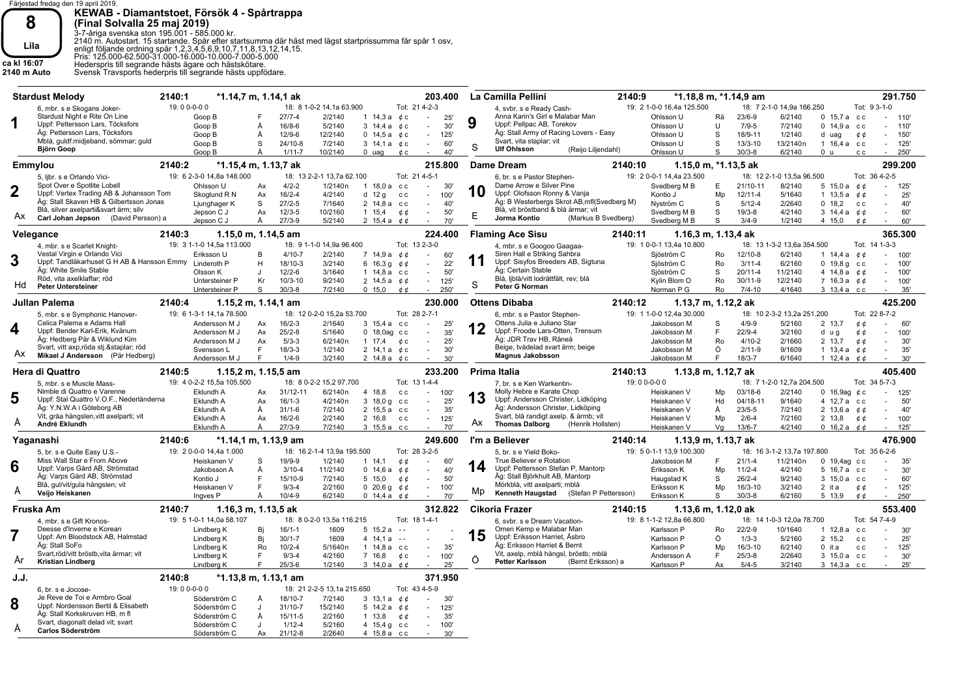

**KEWAB - Diamantstoet, Försök 4 - Spårtrappa**

**8**<br> **Eina Solvalla 25 maj 2019)**<br>
13-7-åriga svenska ston 195.001 - 585.000 kr.<br> **Eila**<br>
2140 m. Autotstart. 15 startande. Spår efter startsumma där häst med lägst startprissumma får spår 1 osv,<br>
eris: 125.000-62.500-31.0

Söderström C

Ax 21/ 12-8

2/2640

|                | <b>Stardust Melody</b>                                                    | 2140:1                              | *1.14,7 m, 1.14,1 ak            |                            |                        | 203.400                  |    | La Camilla Pellini<br>2140:9                 | *1.18,8 m, *1.14,9 am                           |    |             |                            |                                 |               | 291.750        |
|----------------|---------------------------------------------------------------------------|-------------------------------------|---------------------------------|----------------------------|------------------------|--------------------------|----|----------------------------------------------|-------------------------------------------------|----|-------------|----------------------------|---------------------------------|---------------|----------------|
|                | 6. mbr. s e Skogans Joker-                                                | 19:00-0-00                          |                                 | 18: 8 1-0-2 14.1a 63.900   |                        | Tot: 21 4-2-3            |    | 4. svbr. s e Ready Cash-                     | 19: 2 1-0-0 16,4a 125.500                       |    |             | 18: 7 2-1-0 14.9a 166.250  |                                 | Tot: 9 3-1-0  |                |
|                | Stardust Night e Rite On Line                                             | Goop B                              | $27/7-4$                        | 2/2140                     | 1 $14,3a$              | 25'<br>¢ c<br>$\sim$     |    | Anna Karin's Girl e Malabar Man              | Ohlsson U                                       | Rä | $23/6 - 9$  | 6/2140                     | $0.15.7a$ cc                    |               | $-110'$        |
| 1              | Uppf: Pettersson Lars, Töcksfors                                          | Goop B                              | Å<br>$16/8-6$                   | 5/2140                     | $3\;14,4a$             | 30'<br>¢ c<br>$\sim$     | 9  | Uppf: Pellpac AB, Torekov                    | Ohlsson U                                       | U  | $7/9-5$     | 7/2140                     | $0.14.9a$ cc                    |               | 110'<br>$\sim$ |
|                | Äg: Pettersson Lars, Töcksfors                                            |                                     |                                 |                            |                        |                          |    | Äg: Stall Army of Racing Lovers - Easy       |                                                 |    |             |                            |                                 |               |                |
|                |                                                                           | Goop B                              | Å<br>$12/9 - 6$                 | 12/2140                    | 0 14,5 a $\phi$ c      | 125'<br>$\sim$           |    | Svart, vita staplar; vit                     | Ohlsson U                                       | S  | 18/9-11     | 1/2140                     | d uag                           | ¢¢            | 150<br>$\sim$  |
|                | Mblå, guldf.midjeband, sömmar; guld                                       | Goop B                              | S<br>$24/10-8$                  | 7/2140                     | 3 14.1 a <i>č</i> c    | 60'<br>$\sim$            | S  | <b>Ulf Ohlsson</b>                           | Ohlsson U                                       | S  | $13/3 - 10$ | 13/2140n                   | 1 16.4 a cc                     |               | 125'<br>×      |
|                | <b>Björn Goop</b>                                                         | Goop B                              | $1/11-7$<br>Ă                   | 10/2140                    | $0$ uag                | 40'<br>¢ c               |    | (Reijo Liljendahl)                           | Ohlsson U                                       | S  | $30/3 - 8$  | 6/2140                     | 0 <sub>u</sub>                  | c c           | 250<br>$\sim$  |
|                | Emmylou                                                                   | 2140:2                              | *1.15,4 m, 1.13,7 ak            |                            |                        | 215.800                  |    | <b>Dame Dream</b><br>2140:10                 | 1.15,0 m, *1.13,5 ak                            |    |             |                            |                                 |               | 299.200        |
|                | 5, libr. s e Orlando Vici-                                                | 19: 6 2-3-0 14,8a 148.000           |                                 | 18: 13 2-2-1 13.7a 62.100  |                        | Tot: 21 4-5-1            |    | 6, br. s e Pastor Stephen-                   | 19: 2 0-0-1 14.4a 23.500                        |    |             | 18: 12 2-1-0 13.5a 96.500  |                                 | Tot: 36 4-2-5 |                |
|                | Spot Over e Spotlite Lobell                                               | Ohlsson U                           | $4/2 - 2$<br>Ax                 | 1/2140n                    | 1 18.0 a cc            | 30'<br>$\sim$            |    | Dame Arrow e Silver Pine                     | Svedberg M B                                    | Е  | 21/10-11    | 8/2140                     | 5 15,0 a $\phi \phi$            |               | 125<br>$\sim$  |
| $\overline{2}$ | Uppf: Vertex Trading AB & Johansson Tom                                   | Skoglund R N                        | $16/2 - 4$<br>Ax                | 4/2140                     | d $12g$                | 100'<br>C C<br>$\sim$    | 10 | Uppf: Olofsson Ronny & Vanja                 | Kontio J                                        | Mp | $12/11 - 4$ | 5/1640                     | 1 13.5 a $0.6$                  |               | 25'            |
|                | Äg: Stall Skaven HB & Gilbertsson Jonas                                   | Ljunghager K                        | S<br>$27/2-5$                   | 7/1640                     | 2 14,8 а сс            | 40'<br>$\sim$            |    | Äg: B Westerbergs Skrot AB, mfl (Svedberg M) | Nyström C                                       | S  | $5/12 - 4$  | 2/2640                     | 0, 18.2                         | C C           | 40'            |
|                | Blå, silver axelparti&svart ärm; silv                                     | Jepson C J                          | $12/3 - 5$<br>Ax                | 10/2160                    | $1 \t15.4$             | 50'<br>¢¢<br>$\sim$      |    | Blå, vit bröstband & blå ärmar; vit          | Svedberg M B                                    | S  | $19/3 - 8$  | 4/2140                     | 3 14.4 a $\phi \phi$            |               | 60'<br>$\sim$  |
| Ax.            | Carl Johan Jepson (David Persson) a                                       | Jepson C J                          | Å<br>$27/3 - 9$                 | 5/2140                     | 2 15,4 a $\phi \phi$   | 70'                      | Ε  | Jorma Kontio<br>(Markus B Svedberg)          | Svedberg M B                                    | S  | $3/4 - 9$   | 1/2140                     | 4 15,0                          | ¢ ¢           | 60'            |
|                |                                                                           |                                     |                                 |                            |                        |                          |    |                                              |                                                 |    |             |                            |                                 |               |                |
|                | Velegance                                                                 | 2140:3<br>19: 3 1-1-0 14,5a 113.000 | 1.15,0 m, 1.14,5 am             | 18: 9 1-1-0 14,9a 96.400   |                        | 224.400<br>Tot: 13 2-3-0 |    | <b>Flaming Ace Sisu</b><br>2140:11           | 1.16,3 m, 1.13,4 ak<br>19: 1 0-0-1 13,4a 10.800 |    |             | 18: 13 1-3-2 13,6a 354.500 |                                 | Tot: 14 1-3-3 | 365,300        |
|                | 4, mbr. s e Scarlet Knight-                                               |                                     |                                 |                            |                        |                          |    | 4, mbr. s e Googoo Gaagaa-                   |                                                 |    |             |                            |                                 |               |                |
| 3              | Vestal Virgin e Orlando Vici                                              | Eriksson U                          | $4/10-7$<br><b>B</b>            | 2/2140                     | 7 14,9 a               | 60'<br>¢ ¢<br>$\sim$     | 11 | Siren Hall e Striking Sahbra                 | Sjöström C                                      | Ro | 12/10-8     | 6/2140                     | 1 14,4 a $\phi$ $\phi$          |               | 100'<br>÷.     |
|                | Uppf: Tandläkarhuset G H AB & Hansson Emmy Linderoth P                    |                                     | H<br>18/10-3                    | 3/2140                     | $6\;16,3\;g$           | 22'<br>¢φ<br>$\sim$      |    | Uppf: Sisyfos Breeders AB, Sigtuna           | Sjöström C                                      | Ro | $3/11 - 4$  | 6/2160                     | $0$ 19,8 $q$ cc                 |               | 100'           |
|                | Äg: White Smile Stable                                                    | Olsson K                            | 12/2-6<br>$\mathbf{J}$          | 3/1640                     | $1.14, 8a$ cc          | 50'<br>$\sim$            |    | Äg: Certain Stable                           | Sjöström C                                      | S  | $20/11 - 4$ | 11/2140                    | 4 14,8 a $\phi \phi$            |               | 100'           |
|                | Röd, vita axelklaffar; röd                                                | Untersteiner P                      | $10/3 - 10$<br>Kr               | 9/2140                     | 2 14,5 a $\phi \phi$   | 125'<br>$\sim$           | S  | Blå, ljblå/vitt lodrättfält, rev; blå        | Kylin Blom O                                    | Ro | $30/11 - 9$ | 12/2140                    | 7 16,3 a $66$                   |               | 100'<br>$\sim$ |
|                | <b>Peter Untersteiner</b>                                                 | Untersteiner P                      | S<br>$30/3 - 8$                 | 7/2140                     | 0, 15, 0               | 250<br>¢φ                |    | Peter G Norman                               | Norman P G                                      | Ro | $7/4 - 10$  | 4/1640                     | 3 13,4 а сс                     |               | 35'            |
|                | Julian Palema                                                             | 2140:4                              | 1.15,2 m, 1.14,1 am             |                            |                        | 230.000                  |    | <b>Ottens Dibaba</b><br>2140:12              | 1.13,7 m, 1.12,2 ak                             |    |             |                            |                                 |               | 425.200        |
|                | 5, mbr. s e Symphonic Hanover-                                            | 19: 6 1-3-1 14,1a 78.500            |                                 | 18: 12 0-2-0 15,2a 53.700  |                        | Tot: 28 2-7-1            |    | 6, mbr. s e Pastor Stephen-                  | 19: 1 1-0-0 12,4a 30.000                        |    |             | 18: 10 2-3-2 13,2a 251.200 |                                 | Tot: 22 8-7-2 |                |
|                | Celica Palema e Adams Hall                                                | Andersson M J                       | $16/2-3$<br>Ax                  | 2/1640                     | 3 15,4 а сс            | 25'                      |    | Ottens Julia e Juliano Star                  | Jakobsson M                                     | S  | $4/9 - 9$   | 5/2160                     | 2 13,7                          | ¢¢            | 60'            |
| 4              | Uppf: Bender Karl-Erik, Kvänum                                            |                                     | $25/2 - 8$<br>Ax                | 5/1640                     | $0$ 18,0ag $cc$        |                          | 12 | Uppf: Froode Lars-Otten, Trensum             |                                                 | F  | $22/9 - 4$  | 3/2160                     |                                 |               | $\sim$         |
|                | Äg: Hedberg Pär & Wiklund Kim                                             | Andersson M J                       |                                 |                            |                        | 35'<br>$\sim$            |    | Äg: JDR Trav HB, Råneå                       | Jakobsson M                                     |    |             |                            | d ug                            | ¢¢            | 100'           |
|                |                                                                           | Andersson M J                       | $5/3-3$<br>Ax                   | 6/2140n                    | $1 \t17.4$             | 25'<br>¢с<br>$\sim$      |    | Beige, tvådelad svart ärm; beige             | Jakobsson M                                     | Ro | $4/10-2$    | 2/1660                     | 2 13,7                          | ¢¢            | 30'<br>$\sim$  |
| Ax             | Svart, vitt axp,röda stj.&staplar röd<br>Mikael J Andersson (Pär Hedberg) | Svensson L                          | E<br>$18/3 - 3$                 | 1/2140                     | 2 14,1 a $\phi$ c      | 30'<br>$\sim$            |    | <b>Magnus Jakobsson</b>                      | Jakobsson M                                     | Ö  | $2/11-9$    | 9/1609                     | 1 13,4 a $\phi \phi$            |               | 35'<br>×       |
|                |                                                                           | Andersson M J                       | E<br>$1/4 - 9$                  | 3/2140                     | 2 14,8 a $\phi$ c      | 30'<br>$\sim$            |    |                                              | Jakobsson M                                     | F. | $18/3 - 7$  | 6/1640                     | 1 12,4 a $\phi \phi$            |               | 30'<br>$\sim$  |
|                | <b>Hera di Quattro</b>                                                    | 2140:5                              | $1.15, 2 \text{ m}$ , 1.15,5 am |                            |                        | 233.200                  |    | 2140:13<br>Prima Italia                      | 1.13,8 m, 1.12,7 ak                             |    |             |                            |                                 |               | 405.400        |
|                | 5, mbr. s e Muscle Mass-                                                  | 19: 4 0-2-2 15.5a 105.500           |                                 | 18: 8 0-2-2 15.2 97.700    |                        | Tot: 13 1-4-4            |    | 7. br. s e Ken Warkentin-                    | 19:00-0-00                                      |    |             | 18: 7 1-2-0 12.7a 204.500  |                                 | Tot: 34 5-7-3 |                |
|                | Nimble di Quattro e Varenne                                               | Eklundh A                           | 31/12-11<br>Ax                  | 6/2140n                    | 4 18,8                 | 100'<br>c.c.             |    | Molly Hebre e Karate Chop                    | Heiskanen V                                     | Mp | 03/18-6     | 2/2140                     | 16,9aq $\phi$ c<br>$\mathbf{0}$ |               | 125'           |
| 5              | Uppf: Stal Quattro V.O.F., Nederländerna                                  | Eklundh A                           | $16/1-3$<br>Ax                  | 4/2140n                    | $3\;18,0\;g$           | 25'<br>c c<br>$\sim$     | 13 | Uppf: Andersson Christer, Lidköping          | Heiskanen V                                     | Hd | 04/18-11    | 9/1640                     | 4 12,7 a cc                     |               | 50             |
|                | Äg: Y.N.W.A i Göteborg AB                                                 | Eklundh A                           | Å<br>$31/1 - 6$                 | 7/2140                     | 2 15,5 а сс            | 35'<br>$\sim$            |    | Äg: Andersson Christer, Lidköping            | Heiskanen V                                     | Å  | $23/5 - 5$  | 7/2140                     | 2 13,6 a $\phi \phi$            |               | 40'            |
|                |                                                                           |                                     |                                 | 2/2140                     | 2 16.8                 | 125'<br>c c<br>$\sim$    |    | Svart, blå randigt axelp. & ärmb; vit        | Heiskanen V                                     | Mp | $2/6 - 4$   | 7/2160                     | 2 13,8                          | ¢¢            | 100'<br>÷      |
|                | Vit, gråa hängslen, vitt axelparti; vit                                   |                                     |                                 |                            |                        |                          | Ax | <b>Thomas Dalborg</b><br>(Henrik Hollsten)   |                                                 |    | $13/6 - 7$  |                            |                                 |               | 125'           |
| A              | André Eklundh                                                             | Eklundh A                           | Ax<br>$16/2-6$                  |                            |                        |                          |    |                                              |                                                 |    |             |                            |                                 |               |                |
|                |                                                                           | Eklundh A                           | $27/3 - 9$<br>A                 | 7/2140                     | 3 15.5 а сс            | 70'                      |    |                                              | Heiskanen V                                     | Va |             | 4/2140                     | 0 16.2 a $0$ $0$                |               |                |
|                | Yaganashi                                                                 | 2140:6                              | *1.14,1 m, 1.13,9 am            |                            |                        | 249.600                  |    | I'm a Believer<br>2140:14                    | 1.13,9 m, 1.13,7 ak                             |    |             |                            |                                 |               | 476.900        |
|                | 5, br. s e Quite Easy U.S.-                                               | 19: 2 0-0-0 14,4a 1.000             |                                 | 18: 16 2-1-4 13.9a 195.500 |                        | Tot: 28 3-2-5            |    | 5. br. s e Yield Boko-                       | 19: 5 0-1-1 13.9 100.300                        |    |             | 18: 16 3-1-2 13,7a 197.800 |                                 | Tot: 35 6-2-6 |                |
|                | Miss Wall Star e From Above                                               | Heiskanen V                         | 19/9-9<br>S                     | 1/2140                     | $1 \t14.1$             | 60'<br>¢¢<br>$\sim$      |    | True Believer e Rotation                     | Jakobsson M                                     | F  | $21/1 - 4$  | 11/2140n                   | 0 19,4ag cc                     |               | 35'            |
| 6              | Uppf: Varps Gård AB, Strömstad                                            | Jakobsson A                         | Å<br>$3/10 - 4$                 | 11/2140                    | 0.14.6a                | ¢ ¢<br>40'<br>$\sim$     | 14 | Uppf: Pettersson Stefan P, Mantorp           | Eriksson K                                      | Mp | $11/2 - 4$  | 4/2140                     | 5 16.7 а сс                     |               | 30'            |
|                | Äg: Varps Gård AB, Strömstad                                              | Kontio J                            | E<br>15/10-9                    | 7/2140                     | 5 15.0                 | 50'<br>¢¢<br>$\sim$      |    | Äg: Stall Björkhult AB, Mantorp              | Haugstad K                                      | S  | $26/2 - 4$  | 9/2140                     | 3 15.0 a cc                     |               | 60'            |
|                | Blå, gul/vit/gula hängslen; vit                                           | Heiskanen V                         | F<br>$9/3 - 4$                  | 2/2160                     | $0\;20,6\;g$           | ¢ ¢<br>100'<br>$\sim$    |    | Mörkblå, vitt axelparti; mblå                | Eriksson K                                      | Mp | $16/3 - 10$ | 3/2140                     | 2 it a                          | ¢φ            | 125'<br>$\sim$ |
| A              | Veijo Heiskanen                                                           | Ingves <sub>P</sub>                 | $10/4 - 9$<br>Ă                 | 6/2140                     | 0 14,4 a $0$ $0$       | 70'                      | Mp | Kenneth Haugstad<br>(Stefan P Pettersson)    | Eriksson K                                      | S  | $30/3 - 8$  | 6/2160                     | 5 13,9                          | ¢¢            | 250<br>$\sim$  |
|                |                                                                           |                                     |                                 |                            |                        |                          |    |                                              |                                                 |    |             |                            |                                 |               |                |
|                | Fruska Am                                                                 | 2140:7<br>19: 5 1-0-1 14,0a 58.107  | 1.16,3 m, 1.13,5 ak             | 18: 8 0-2-0 13,5a 116.215  |                        | 312.822<br>Tot: 18 1-4-1 |    | <b>Cikoria Frazer</b><br>2140:15             | 1.13,6 m, 1.12,0 ak<br>19: 8 1-1-2 12,8a 66.800 |    |             | 18: 14 1-0-3 12,0a 78.700  |                                 | Tot: 54 7-4-9 | 553.400        |
|                | 4. mbr. s e Gift Kronos-                                                  |                                     |                                 |                            |                        |                          |    | 6, svbr. s e Dream Vacation-                 |                                                 |    |             |                            |                                 |               |                |
|                | Deesse d'Inverne e Korean                                                 | Lindberg K                          | $16/1 - 1$<br>Bj                | 1609                       | 5, 15.2a               |                          |    | Omen Kemp e Malabar Man                      | Karlsson P                                      | Ro | $22/2-9$    | 10/1640                    | 1 12.8 a cc                     |               | 30'            |
|                | Uppf: Am Bloodstock AB, Halmstad                                          | Lindberg K                          | Bi<br>$30/1 - 7$                | 1609                       | $4$ 14,1 a             | $\sim$ $\sim$            | 15 | Uppf: Eriksson Harriet, Åsbro                | Karlsson P                                      | Ö  | $1/3 - 3$   | 5/2160                     | 2 15,2                          | c c           | 25'<br>$\sim$  |
|                | Äg: Stall SoFo                                                            | Lindberg K                          | Ro<br>$10/2 - 4$                | 5/1640n                    | $1.14,8a$ cc           | 35'<br>$\sim$            |    | Äg: Eriksson Harriet & Bernt                 | Karlsson P                                      | Mp | $16/3 - 10$ | 6/2140                     | $0$ it a                        | c c           | 125'<br>$\sim$ |
| Ar             | Svart, röd/vitt bröstb, vita ärmar; vit                                   | Lindberg K                          | F.<br>$9/3 - 4$                 | 4/2160                     | 7 16,8                 | 100'<br>¢с<br>$\sim$     | Õ  | Vit, axelp, mblå hängsl, bröstb; mblå        | Andersson A                                     | F  | $25/3 - 8$  | 2/2640                     | 3 15,0 a cc                     |               | 30'            |
|                | <b>Kristian Lindberg</b>                                                  | Lindberg K                          | $25/3 - 6$<br>F                 | 1/2140                     | 3 14,0 a $\phi$ $\phi$ | 25'                      |    | <b>Petter Karlsson</b><br>(Bernt Eriksson) a | Karlsson P                                      | Ax | $5/4 - 5$   | 3/2140                     | 3 14,3 а сс                     |               | 25'<br>$\sim$  |
| J.J.           |                                                                           | 2140:8                              | *1.13,8 m, 1.13,1 am            |                            |                        | 371.950                  |    |                                              |                                                 |    |             |                            |                                 |               |                |
|                | 6, br. s e Jocose-                                                        | 19:00-0-00                          |                                 | 18: 21 2-2-5 13,1a 215.650 |                        | Tot: 43 4-5-9            |    |                                              |                                                 |    |             |                            |                                 |               |                |
|                | Je Reve de Toi e Armbro Goal                                              | Söderström C                        | 18/10-7<br>Ă                    | 7/2140                     | $3\;13.1a$             | ¢φ<br>30'                |    |                                              |                                                 |    |             |                            |                                 |               |                |
| 8              | Uppf: Nordensson Bertil & Elisabeth                                       | Söderström C                        | $31/10-7$<br>$\mathbf{J}$       | 15/2140                    | 5 14,2 a $0.6$         | 125'<br>$\sim$           |    |                                              |                                                 |    |             |                            |                                 |               |                |
|                | Äg: Stall Korkskruven HB, m fl                                            | Söderström C                        | 15/11-5<br>Å                    | 2/2160                     | $1 \t13.8$             | 35'<br>¢ ¢<br>$\sim$     |    |                                              |                                                 |    |             |                            |                                 |               |                |
| A              | Svart, diagonalt delad vit; svart                                         | Söderström C                        | $1/12 - 4$<br>$\mathbf{J}$      | 5/2160                     | 4 15,4 g c c           | 100<br>$\sim$            |    |                                              |                                                 |    |             |                            |                                 |               |                |

4 15,8 a c c - 30'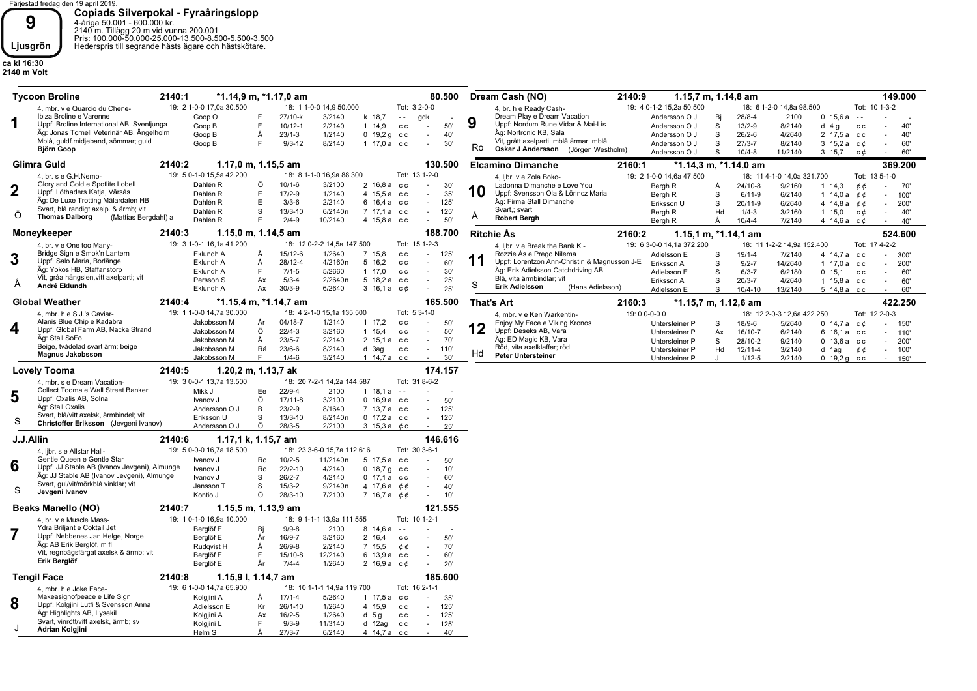Färjestad fredag den 19 april 2019. **9**<br> **19**<br> **19**<br> **1999**<br> **1999**<br> **1999**<br> **1999**<br> **1999**<br> **1999**<br> **1999**<br> **1999**<br> **1999**<br> **1999**<br> **1999**<br> **1999**<br> **1999**<br> **1999**<br> **1999**<br> **1999**<br> **1999**<br> **1999**<br> **1999**<br> **1999**<br> **1999**<br> **1999**<br> **1999**<br> **1999**<br> **1999**<br> **1999** 

**ca kl 16:30 2140 m Volt**

|                  | 2140:1<br><b>Tycoon Broline</b>                                    |                                                                                                                                                                                                                                                                                                                                                                                                                                                                                                                                                                                                                                                                                                                                                                                                                                                                                                                                                                                                                                                                                                                                                                                                                                                                                                                                                                                                                                                                                                                                                                                                                                                                                                                                                                                                                                                                                                                                                                                                                                                                                                                                                                                                                                                                                                                                                                                                                                                                                                                                                                                                                                                                                                                                                                                                                                                                                                                                                                                                                                                                                                                                                                                                                                                                                                                                                                                                                                                                                                                                                                                                                                                                | *1.14,9 m, *1.17,0 am |                                              |                      | 80.500                                         | Dream Cash (NO)                              | 2140:9 | 1.15,7 m, 1.14,8 am      |            |                          |             | 149.000       |     |
|------------------|--------------------------------------------------------------------|----------------------------------------------------------------------------------------------------------------------------------------------------------------------------------------------------------------------------------------------------------------------------------------------------------------------------------------------------------------------------------------------------------------------------------------------------------------------------------------------------------------------------------------------------------------------------------------------------------------------------------------------------------------------------------------------------------------------------------------------------------------------------------------------------------------------------------------------------------------------------------------------------------------------------------------------------------------------------------------------------------------------------------------------------------------------------------------------------------------------------------------------------------------------------------------------------------------------------------------------------------------------------------------------------------------------------------------------------------------------------------------------------------------------------------------------------------------------------------------------------------------------------------------------------------------------------------------------------------------------------------------------------------------------------------------------------------------------------------------------------------------------------------------------------------------------------------------------------------------------------------------------------------------------------------------------------------------------------------------------------------------------------------------------------------------------------------------------------------------------------------------------------------------------------------------------------------------------------------------------------------------------------------------------------------------------------------------------------------------------------------------------------------------------------------------------------------------------------------------------------------------------------------------------------------------------------------------------------------------------------------------------------------------------------------------------------------------------------------------------------------------------------------------------------------------------------------------------------------------------------------------------------------------------------------------------------------------------------------------------------------------------------------------------------------------------------------------------------------------------------------------------------------------------------------------------------------------------------------------------------------------------------------------------------------------------------------------------------------------------------------------------------------------------------------------------------------------------------------------------------------------------------------------------------------------------------------------------------------------------------------------------------------------|-----------------------|----------------------------------------------|----------------------|------------------------------------------------|----------------------------------------------|--------|--------------------------|------------|--------------------------|-------------|---------------|-----|
|                  | 4, mbr. v e Quarcio du Chene-                                      | 19: 2 1-0-0 17,0a 30.500                                                                                                                                                                                                                                                                                                                                                                                                                                                                                                                                                                                                                                                                                                                                                                                                                                                                                                                                                                                                                                                                                                                                                                                                                                                                                                                                                                                                                                                                                                                                                                                                                                                                                                                                                                                                                                                                                                                                                                                                                                                                                                                                                                                                                                                                                                                                                                                                                                                                                                                                                                                                                                                                                                                                                                                                                                                                                                                                                                                                                                                                                                                                                                                                                                                                                                                                                                                                                                                                                                                                                                                                                                       |                       | 18: 1 1-0-0 14,9 50.000                      |                      | Tot: 3 2-0-0                                   | 4, br. h e Ready Cash-                       |        | 19: 4 0-1-2 15,2a 50.500 |            | 18: 6 1-2-0 14,8a 98.500 |             | Tot: 10 1-3-2 |     |
|                  | Ibiza Broline e Varenne                                            | Goop O                                                                                                                                                                                                                                                                                                                                                                                                                                                                                                                                                                                                                                                                                                                                                                                                                                                                                                                                                                                                                                                                                                                                                                                                                                                                                                                                                                                                                                                                                                                                                                                                                                                                                                                                                                                                                                                                                                                                                                                                                                                                                                                                                                                                                                                                                                                                                                                                                                                                                                                                                                                                                                                                                                                                                                                                                                                                                                                                                                                                                                                                                                                                                                                                                                                                                                                                                                                                                                                                                                                                                                                                                                                         |                       | 27/10-k<br>3/2140                            | k 18,7               | gdk<br>$\sim$ $-$                              | Dream Play e Dream Vacation                  |        | Andersson O J<br>Bj      | $28/8 - 4$ | 2100                     | 0, 15, 6a   | $\sim$ $\sim$ |     |
| 1                | Uppf: Broline International AB, Svenljunga                         | Goop B                                                                                                                                                                                                                                                                                                                                                                                                                                                                                                                                                                                                                                                                                                                                                                                                                                                                                                                                                                                                                                                                                                                                                                                                                                                                                                                                                                                                                                                                                                                                                                                                                                                                                                                                                                                                                                                                                                                                                                                                                                                                                                                                                                                                                                                                                                                                                                                                                                                                                                                                                                                                                                                                                                                                                                                                                                                                                                                                                                                                                                                                                                                                                                                                                                                                                                                                                                                                                                                                                                                                                                                                                                                         | F                     | $10/12 - 1$<br>2/2140                        | $1 \t14.9$           | 50'<br>c c<br>$\sim$                           | 9<br>Uppf: Nordum Rune Vidar & Mai-Lis       |        | Andersson O J<br>S       | $13/2 - 9$ | 8/2140                   | $d$ 4 g     | c c           | 40' |
|                  | Äg: Jonas Tornell Veterinär AB, Ängelholm                          | Goop B                                                                                                                                                                                                                                                                                                                                                                                                                                                                                                                                                                                                                                                                                                                                                                                                                                                                                                                                                                                                                                                                                                                                                                                                                                                                                                                                                                                                                                                                                                                                                                                                                                                                                                                                                                                                                                                                                                                                                                                                                                                                                                                                                                                                                                                                                                                                                                                                                                                                                                                                                                                                                                                                                                                                                                                                                                                                                                                                                                                                                                                                                                                                                                                                                                                                                                                                                                                                                                                                                                                                                                                                                                                         | Å                     | $23/1-3$<br>1/2140                           | $0, 19, 2g$ cc       | 40'<br>$\overline{\phantom{a}}$                | Äg: Nortronic KB, Sala                       |        | Andersson O J<br>S       | $26/2 - 6$ | 4/2640                   | 2 17,5 а сс |               | 40' |
|                  | Mblå, guldf.midjeband, sömmar; guld                                | Goop B                                                                                                                                                                                                                                                                                                                                                                                                                                                                                                                                                                                                                                                                                                                                                                                                                                                                                                                                                                                                                                                                                                                                                                                                                                                                                                                                                                                                                                                                                                                                                                                                                                                                                                                                                                                                                                                                                                                                                                                                                                                                                                                                                                                                                                                                                                                                                                                                                                                                                                                                                                                                                                                                                                                                                                                                                                                                                                                                                                                                                                                                                                                                                                                                                                                                                                                                                                                                                                                                                                                                                                                                                                                         | F                     | $9/3 - 12$<br>8/2140                         | 1 17,0 a cc          | 30'<br>$\sim$                                  | Vit, grått axelparti, mblå ärmar; mblå<br>Ro |        | Andersson O J<br>S       | $27/3 - 7$ | 8/2140                   | $3\;15,2a$  | с¢<br>$\sim$  | 60' |
|                  | Björn Goop                                                         |                                                                                                                                                                                                                                                                                                                                                                                                                                                                                                                                                                                                                                                                                                                                                                                                                                                                                                                                                                                                                                                                                                                                                                                                                                                                                                                                                                                                                                                                                                                                                                                                                                                                                                                                                                                                                                                                                                                                                                                                                                                                                                                                                                                                                                                                                                                                                                                                                                                                                                                                                                                                                                                                                                                                                                                                                                                                                                                                                                                                                                                                                                                                                                                                                                                                                                                                                                                                                                                                                                                                                                                                                                                                |                       |                                              |                      |                                                | Oskar J Andersson (Jörgen Westholm)          |        | Andersson O J<br>S       | $10/4 - 8$ | 11/2140                  | 3 15,7      | с¢<br>$\sim$  | 60' |
|                  | Glimra Guld                                                        | 2140:2<br>1.17,0 m, 1.15,5 am<br>130,500<br>369.200<br><b>Elcamino Dimanche</b><br>2160:1<br>*1.14,3 m, *1.14,0 am<br>19: 5 0-1-0 15,5a 42.200<br>18: 8 1-1-0 16,9a 88.300<br>Tot: 13 1-2-0<br>19: 2 1-0-0 14,6a 47.500<br>18: 11 4-1-0 14,0a 321.700<br>Tot: 13 5-1-0<br>4, libr. v e Zola Boko-<br>Ö<br>$10/1 - 6$<br>3/2100<br>Dahlén R<br>2 16,8 а сс<br>30'<br>Ladonna Dimanche e Love You<br>$\mathbf{r}$<br>$24/10-8$<br>9/2160<br>Bergh R<br>$1 \t14.3$<br>A<br>¢φ<br>70'<br>10<br>E<br>Uppf: Svensson Ola & Lörincz Maria<br>Dahlén R<br>$17/2 - 9$<br>1/2140<br>4 15,5 a cc<br>35'<br>$6/11-9$<br>6/2140<br>÷<br>Bergh R<br>S<br>1 $14.0a$<br>¢φ<br>100'<br>Äg: De Luxe Trotting Mälardalen HB<br>Äg: Firma Stall Dimanche<br>Ε<br>$3/3-6$<br>2/2140<br>6 16,4 а сс<br>Dahlén R<br>125'<br>$\sim$<br>S<br>$20/11-9$<br>6/2640<br>Eriksson U<br>4 14,8 a $\phi$<br>200'<br>Svart, blå randigt axelp. & ärmb; vit<br>Svart,; svart<br>Dahlén R<br>S<br>$13/3 - 10$<br>6/2140n<br>7 17,1 a cc<br>125<br>$\sim$<br>$1/4 - 3$<br>Bergh R<br>Hd<br>3/2160<br>$1 \t15.0$<br>с¢<br>40'<br>A<br><b>Thomas Dalborg</b><br>(Mattias Bergdahl) a<br><b>Robert Bergh</b><br>Dahlén R<br>E<br>$2/4 - 9$<br>10/2140<br>4 15,8 a cc<br>50'<br>$\sim$<br>Bergh R<br>$10/4 - 4$<br>7/2140<br>4 14,6 a $c$ $d$<br>Å<br>40'<br>2140:3<br>1.15,0 m, 1.14,5 am<br>188.700<br>524.600<br><b>Ritchie As</b><br>1.15,1 m, $*1.14,1$ am<br>2160:2<br>19: 3 1-0-1 16,1a 41.200<br>18: 12 0-2-2 14,5a 147.500<br>Tot: 15 1-2-3<br>Tot: 17 4-2-2<br>19: 6 3-0-0 14.1a 372.200<br>18: 11 1-2-2 14,9a 152.400<br>4, libr. v e Break the Bank K.-<br>Bridge Sign e Smok'n Lantern<br>$15/12 - 6$<br>1/2640<br>Eklundh A<br>Å<br>7 15,8<br>Rozzie Ås e Prego Nilema<br>c c<br>$\omega$<br>125'<br>S<br>$19/1 - 4$<br>7/2140<br>Adielsson E<br>4 14.7 a<br>300'<br>c c<br>11<br>Uppf: Salo Maria, Borlänge<br>Eklundh A<br>Å<br>28/12-4<br>4/2160n<br>5 16,2<br>60'<br>Uppf: Lorentzon Ann-Christin & Magnusson J-E<br>c c<br>Eriksson A<br>S<br>$9/2 - 7$<br>14/2640<br>$1.17.0a$ cc<br>$\sim$<br>200'<br>Äg: Yokos HB, Staffanstorp<br>Äg: Erik Adielsson Catchdriving AB<br>Eklundh A<br>E<br>$7/1 - 5$<br>5/2660<br>$1 \t17.0$<br>30'<br>$\sim$<br>Adielsson E<br>S<br>$6/3 - 7$<br>6/2180<br>0, 15, 1<br>c c<br>C C<br>60'<br>Vit, gråa hängslen, vitt axelparti; vit<br>Blå, vita ärmbindlar; vit<br>$5/3-4$<br>Persson S<br>Ax<br>2/2640n<br>5 18,2 a<br>25'<br>c c<br>$\sim$<br>Eriksson A<br>S<br>$20/3 - 7$<br>4/2640<br>$1.15.8a$ cc<br>60'<br>S<br><b>Erik Adielsson</b><br>(Hans Adielsson)<br>$30/3 - 9$<br>25'<br>Eklundh A<br>6/2640<br>3 16, 1a c<br>Ax<br>Adielsson E<br>S<br>$10/4 - 10$<br>13/2140<br>5 14,8 а сс<br>60'<br>165.500<br>2140:4<br>*1.15,4 m, *1.14,7 am<br><b>That's Art</b><br>422.250<br>2160:3<br>*1.15,7 m, 1.12,6 am<br>19: 1 1-0-0 14,7a 30.000<br>18: 4 2-1-0 15,1a 135.500<br>Tot: 53-1-0<br>4, mbr. h e S.J.'s Caviar-<br>19:00-0-00<br>18: 12 2-0-3 12,6a 422.250<br>Tot: 12 2-0-3<br>4. mbr. v e Ken Warkentin-<br>Alanis Blue Chip e Kadabra<br>04/18-7<br>1/2140<br>Enjoy My Face e Viking Kronos<br>Jakobsson M<br>År<br>$1 \t17.2$<br>50'<br>C C<br>18/9-6<br>5/2640<br>0 14,7 a $c \notin$<br>Untersteiner P<br>S<br>150<br>12<br>Uppf: Global Farm AB, Nacka Strand<br>Ö<br>$22/4-3$<br>Uppf: Deseks AB, Vara<br>3/2160<br>1 15.4<br>Jakobsson M<br>50'<br>C C<br>Ax<br>16/10-7<br>6/2140<br>6 16.1 а сс<br>Untersteiner P<br>110'<br>$\sim$<br>Äg: ED Magic KB, Vara<br>Å<br>$23/5 - 7$<br>2/2140<br>70'<br>2 15.1 a cc<br>Jakobsson M<br>$\sim$<br>S<br>28/10-2<br>9/2140<br>$0$ 13.6 a $cc$<br>Untersteiner P<br>200'<br>$\sim$ |                       |                                              |                      |                                                |                                              |        |                          |            |                          |             |               |     |
|                  | 4, br. s e G.H.Nemo-                                               |                                                                                                                                                                                                                                                                                                                                                                                                                                                                                                                                                                                                                                                                                                                                                                                                                                                                                                                                                                                                                                                                                                                                                                                                                                                                                                                                                                                                                                                                                                                                                                                                                                                                                                                                                                                                                                                                                                                                                                                                                                                                                                                                                                                                                                                                                                                                                                                                                                                                                                                                                                                                                                                                                                                                                                                                                                                                                                                                                                                                                                                                                                                                                                                                                                                                                                                                                                                                                                                                                                                                                                                                                                                                |                       |                                              |                      |                                                |                                              |        |                          |            |                          |             |               |     |
|                  | Glory and Gold e Spotlite Lobell                                   |                                                                                                                                                                                                                                                                                                                                                                                                                                                                                                                                                                                                                                                                                                                                                                                                                                                                                                                                                                                                                                                                                                                                                                                                                                                                                                                                                                                                                                                                                                                                                                                                                                                                                                                                                                                                                                                                                                                                                                                                                                                                                                                                                                                                                                                                                                                                                                                                                                                                                                                                                                                                                                                                                                                                                                                                                                                                                                                                                                                                                                                                                                                                                                                                                                                                                                                                                                                                                                                                                                                                                                                                                                                                |                       |                                              |                      |                                                |                                              |        |                          |            |                          |             |               |     |
|                  | Uppf: Löthaders Katja, Värsås                                      |                                                                                                                                                                                                                                                                                                                                                                                                                                                                                                                                                                                                                                                                                                                                                                                                                                                                                                                                                                                                                                                                                                                                                                                                                                                                                                                                                                                                                                                                                                                                                                                                                                                                                                                                                                                                                                                                                                                                                                                                                                                                                                                                                                                                                                                                                                                                                                                                                                                                                                                                                                                                                                                                                                                                                                                                                                                                                                                                                                                                                                                                                                                                                                                                                                                                                                                                                                                                                                                                                                                                                                                                                                                                |                       |                                              |                      |                                                |                                              |        |                          |            |                          |             |               |     |
|                  |                                                                    |                                                                                                                                                                                                                                                                                                                                                                                                                                                                                                                                                                                                                                                                                                                                                                                                                                                                                                                                                                                                                                                                                                                                                                                                                                                                                                                                                                                                                                                                                                                                                                                                                                                                                                                                                                                                                                                                                                                                                                                                                                                                                                                                                                                                                                                                                                                                                                                                                                                                                                                                                                                                                                                                                                                                                                                                                                                                                                                                                                                                                                                                                                                                                                                                                                                                                                                                                                                                                                                                                                                                                                                                                                                                |                       |                                              |                      |                                                |                                              |        |                          |            |                          |             |               |     |
| O                |                                                                    |                                                                                                                                                                                                                                                                                                                                                                                                                                                                                                                                                                                                                                                                                                                                                                                                                                                                                                                                                                                                                                                                                                                                                                                                                                                                                                                                                                                                                                                                                                                                                                                                                                                                                                                                                                                                                                                                                                                                                                                                                                                                                                                                                                                                                                                                                                                                                                                                                                                                                                                                                                                                                                                                                                                                                                                                                                                                                                                                                                                                                                                                                                                                                                                                                                                                                                                                                                                                                                                                                                                                                                                                                                                                |                       |                                              |                      |                                                |                                              |        |                          |            |                          |             |               |     |
|                  |                                                                    |                                                                                                                                                                                                                                                                                                                                                                                                                                                                                                                                                                                                                                                                                                                                                                                                                                                                                                                                                                                                                                                                                                                                                                                                                                                                                                                                                                                                                                                                                                                                                                                                                                                                                                                                                                                                                                                                                                                                                                                                                                                                                                                                                                                                                                                                                                                                                                                                                                                                                                                                                                                                                                                                                                                                                                                                                                                                                                                                                                                                                                                                                                                                                                                                                                                                                                                                                                                                                                                                                                                                                                                                                                                                |                       |                                              |                      |                                                |                                              |        |                          |            |                          |             |               |     |
|                  | Moneykeeper                                                        |                                                                                                                                                                                                                                                                                                                                                                                                                                                                                                                                                                                                                                                                                                                                                                                                                                                                                                                                                                                                                                                                                                                                                                                                                                                                                                                                                                                                                                                                                                                                                                                                                                                                                                                                                                                                                                                                                                                                                                                                                                                                                                                                                                                                                                                                                                                                                                                                                                                                                                                                                                                                                                                                                                                                                                                                                                                                                                                                                                                                                                                                                                                                                                                                                                                                                                                                                                                                                                                                                                                                                                                                                                                                |                       |                                              |                      |                                                |                                              |        |                          |            |                          |             |               |     |
|                  | 4, br. v e One too Many-                                           |                                                                                                                                                                                                                                                                                                                                                                                                                                                                                                                                                                                                                                                                                                                                                                                                                                                                                                                                                                                                                                                                                                                                                                                                                                                                                                                                                                                                                                                                                                                                                                                                                                                                                                                                                                                                                                                                                                                                                                                                                                                                                                                                                                                                                                                                                                                                                                                                                                                                                                                                                                                                                                                                                                                                                                                                                                                                                                                                                                                                                                                                                                                                                                                                                                                                                                                                                                                                                                                                                                                                                                                                                                                                |                       |                                              |                      |                                                |                                              |        |                          |            |                          |             |               |     |
| 3                |                                                                    |                                                                                                                                                                                                                                                                                                                                                                                                                                                                                                                                                                                                                                                                                                                                                                                                                                                                                                                                                                                                                                                                                                                                                                                                                                                                                                                                                                                                                                                                                                                                                                                                                                                                                                                                                                                                                                                                                                                                                                                                                                                                                                                                                                                                                                                                                                                                                                                                                                                                                                                                                                                                                                                                                                                                                                                                                                                                                                                                                                                                                                                                                                                                                                                                                                                                                                                                                                                                                                                                                                                                                                                                                                                                |                       |                                              |                      |                                                |                                              |        |                          |            |                          |             |               |     |
|                  |                                                                    |                                                                                                                                                                                                                                                                                                                                                                                                                                                                                                                                                                                                                                                                                                                                                                                                                                                                                                                                                                                                                                                                                                                                                                                                                                                                                                                                                                                                                                                                                                                                                                                                                                                                                                                                                                                                                                                                                                                                                                                                                                                                                                                                                                                                                                                                                                                                                                                                                                                                                                                                                                                                                                                                                                                                                                                                                                                                                                                                                                                                                                                                                                                                                                                                                                                                                                                                                                                                                                                                                                                                                                                                                                                                |                       |                                              |                      |                                                |                                              |        |                          |            |                          |             |               |     |
|                  |                                                                    |                                                                                                                                                                                                                                                                                                                                                                                                                                                                                                                                                                                                                                                                                                                                                                                                                                                                                                                                                                                                                                                                                                                                                                                                                                                                                                                                                                                                                                                                                                                                                                                                                                                                                                                                                                                                                                                                                                                                                                                                                                                                                                                                                                                                                                                                                                                                                                                                                                                                                                                                                                                                                                                                                                                                                                                                                                                                                                                                                                                                                                                                                                                                                                                                                                                                                                                                                                                                                                                                                                                                                                                                                                                                |                       |                                              |                      |                                                |                                              |        |                          |            |                          |             |               |     |
|                  | André Eklundh                                                      |                                                                                                                                                                                                                                                                                                                                                                                                                                                                                                                                                                                                                                                                                                                                                                                                                                                                                                                                                                                                                                                                                                                                                                                                                                                                                                                                                                                                                                                                                                                                                                                                                                                                                                                                                                                                                                                                                                                                                                                                                                                                                                                                                                                                                                                                                                                                                                                                                                                                                                                                                                                                                                                                                                                                                                                                                                                                                                                                                                                                                                                                                                                                                                                                                                                                                                                                                                                                                                                                                                                                                                                                                                                                |                       |                                              |                      |                                                |                                              |        |                          |            |                          |             |               |     |
|                  |                                                                    |                                                                                                                                                                                                                                                                                                                                                                                                                                                                                                                                                                                                                                                                                                                                                                                                                                                                                                                                                                                                                                                                                                                                                                                                                                                                                                                                                                                                                                                                                                                                                                                                                                                                                                                                                                                                                                                                                                                                                                                                                                                                                                                                                                                                                                                                                                                                                                                                                                                                                                                                                                                                                                                                                                                                                                                                                                                                                                                                                                                                                                                                                                                                                                                                                                                                                                                                                                                                                                                                                                                                                                                                                                                                |                       |                                              |                      |                                                |                                              |        |                          |            |                          |             |               |     |
|                  | <b>Global Weather</b>                                              |                                                                                                                                                                                                                                                                                                                                                                                                                                                                                                                                                                                                                                                                                                                                                                                                                                                                                                                                                                                                                                                                                                                                                                                                                                                                                                                                                                                                                                                                                                                                                                                                                                                                                                                                                                                                                                                                                                                                                                                                                                                                                                                                                                                                                                                                                                                                                                                                                                                                                                                                                                                                                                                                                                                                                                                                                                                                                                                                                                                                                                                                                                                                                                                                                                                                                                                                                                                                                                                                                                                                                                                                                                                                |                       |                                              |                      |                                                |                                              |        |                          |            |                          |             |               |     |
|                  |                                                                    |                                                                                                                                                                                                                                                                                                                                                                                                                                                                                                                                                                                                                                                                                                                                                                                                                                                                                                                                                                                                                                                                                                                                                                                                                                                                                                                                                                                                                                                                                                                                                                                                                                                                                                                                                                                                                                                                                                                                                                                                                                                                                                                                                                                                                                                                                                                                                                                                                                                                                                                                                                                                                                                                                                                                                                                                                                                                                                                                                                                                                                                                                                                                                                                                                                                                                                                                                                                                                                                                                                                                                                                                                                                                |                       |                                              |                      |                                                |                                              |        |                          |            |                          |             |               |     |
| 4                |                                                                    | Röd, vita axelklaffar; röd<br>Jakobsson M<br>Rä<br>$23/6 - 6$<br>8/2140<br>d 3ag<br>110'<br>$12/11 - 4$<br>c c<br>$\sim$<br>Hd<br>3/2140<br>Untersteiner P<br>d 1ag<br>¢¢<br>100'<br>$\sim$<br>Hd<br><b>Peter Untersteiner</b><br>F.<br>$1/4 - 6$<br>3/2140<br>30'<br>Jakobsson M<br>1 14,7 а сс<br>$1/12 - 5$<br>2/2140<br>Untersteiner P<br>$0, 19, 2g$ cc<br>150<br>$\sim$                                                                                                                                                                                                                                                                                                                                                                                                                                                                                                                                                                                                                                                                                                                                                                                                                                                                                                                                                                                                                                                                                                                                                                                                                                                                                                                                                                                                                                                                                                                                                                                                                                                                                                                                                                                                                                                                                                                                                                                                                                                                                                                                                                                                                                                                                                                                                                                                                                                                                                                                                                                                                                                                                                                                                                                                                                                                                                                                                                                                                                                                                                                                                                                                                                                                                  |                       |                                              |                      |                                                |                                              |        |                          |            |                          |             |               |     |
|                  | Äg: Stall SoFo                                                     |                                                                                                                                                                                                                                                                                                                                                                                                                                                                                                                                                                                                                                                                                                                                                                                                                                                                                                                                                                                                                                                                                                                                                                                                                                                                                                                                                                                                                                                                                                                                                                                                                                                                                                                                                                                                                                                                                                                                                                                                                                                                                                                                                                                                                                                                                                                                                                                                                                                                                                                                                                                                                                                                                                                                                                                                                                                                                                                                                                                                                                                                                                                                                                                                                                                                                                                                                                                                                                                                                                                                                                                                                                                                |                       |                                              |                      |                                                |                                              |        |                          |            |                          |             |               |     |
|                  | Beige, tvådelad svart ärm; beige                                   |                                                                                                                                                                                                                                                                                                                                                                                                                                                                                                                                                                                                                                                                                                                                                                                                                                                                                                                                                                                                                                                                                                                                                                                                                                                                                                                                                                                                                                                                                                                                                                                                                                                                                                                                                                                                                                                                                                                                                                                                                                                                                                                                                                                                                                                                                                                                                                                                                                                                                                                                                                                                                                                                                                                                                                                                                                                                                                                                                                                                                                                                                                                                                                                                                                                                                                                                                                                                                                                                                                                                                                                                                                                                |                       |                                              |                      |                                                |                                              |        |                          |            |                          |             |               |     |
|                  | <b>Magnus Jakobsson</b>                                            |                                                                                                                                                                                                                                                                                                                                                                                                                                                                                                                                                                                                                                                                                                                                                                                                                                                                                                                                                                                                                                                                                                                                                                                                                                                                                                                                                                                                                                                                                                                                                                                                                                                                                                                                                                                                                                                                                                                                                                                                                                                                                                                                                                                                                                                                                                                                                                                                                                                                                                                                                                                                                                                                                                                                                                                                                                                                                                                                                                                                                                                                                                                                                                                                                                                                                                                                                                                                                                                                                                                                                                                                                                                                |                       |                                              |                      |                                                |                                              |        |                          |            |                          |             |               |     |
|                  | Lovely Tooma                                                       | 2140:5<br>174.157<br>1.20,2 m, 1.13,7 ak<br>19: 3 0-0-1 13,7a 13.500<br>18: 20 7-2-1 14,2a 144.587<br>Tot: 31 8-6-2<br>4, mbr. s e Dream Vacation-<br>$22/9 - 4$<br>Mikk J<br>2100<br>1 $18,1a$<br>Ee<br>$\sim$ $\sim$                                                                                                                                                                                                                                                                                                                                                                                                                                                                                                                                                                                                                                                                                                                                                                                                                                                                                                                                                                                                                                                                                                                                                                                                                                                                                                                                                                                                                                                                                                                                                                                                                                                                                                                                                                                                                                                                                                                                                                                                                                                                                                                                                                                                                                                                                                                                                                                                                                                                                                                                                                                                                                                                                                                                                                                                                                                                                                                                                                                                                                                                                                                                                                                                                                                                                                                                                                                                                                         |                       |                                              |                      |                                                |                                              |        |                          |            |                          |             |               |     |
|                  |                                                                    |                                                                                                                                                                                                                                                                                                                                                                                                                                                                                                                                                                                                                                                                                                                                                                                                                                                                                                                                                                                                                                                                                                                                                                                                                                                                                                                                                                                                                                                                                                                                                                                                                                                                                                                                                                                                                                                                                                                                                                                                                                                                                                                                                                                                                                                                                                                                                                                                                                                                                                                                                                                                                                                                                                                                                                                                                                                                                                                                                                                                                                                                                                                                                                                                                                                                                                                                                                                                                                                                                                                                                                                                                                                                |                       |                                              |                      |                                                |                                              |        |                          |            |                          |             |               |     |
|                  | Collect Tooma e Wall Street Banker                                 |                                                                                                                                                                                                                                                                                                                                                                                                                                                                                                                                                                                                                                                                                                                                                                                                                                                                                                                                                                                                                                                                                                                                                                                                                                                                                                                                                                                                                                                                                                                                                                                                                                                                                                                                                                                                                                                                                                                                                                                                                                                                                                                                                                                                                                                                                                                                                                                                                                                                                                                                                                                                                                                                                                                                                                                                                                                                                                                                                                                                                                                                                                                                                                                                                                                                                                                                                                                                                                                                                                                                                                                                                                                                |                       |                                              |                      |                                                |                                              |        |                          |            |                          |             |               |     |
| 5                | Uppf: Oxalis AB, Solna                                             | Ivanov J                                                                                                                                                                                                                                                                                                                                                                                                                                                                                                                                                                                                                                                                                                                                                                                                                                                                                                                                                                                                                                                                                                                                                                                                                                                                                                                                                                                                                                                                                                                                                                                                                                                                                                                                                                                                                                                                                                                                                                                                                                                                                                                                                                                                                                                                                                                                                                                                                                                                                                                                                                                                                                                                                                                                                                                                                                                                                                                                                                                                                                                                                                                                                                                                                                                                                                                                                                                                                                                                                                                                                                                                                                                       | Ö                     | $17/11 - 8$<br>3/2100                        | $0, 16.9a$ cc        | 50'                                            |                                              |        |                          |            |                          |             |               |     |
|                  | Ag: Stall Oxalis                                                   | Andersson O J                                                                                                                                                                                                                                                                                                                                                                                                                                                                                                                                                                                                                                                                                                                                                                                                                                                                                                                                                                                                                                                                                                                                                                                                                                                                                                                                                                                                                                                                                                                                                                                                                                                                                                                                                                                                                                                                                                                                                                                                                                                                                                                                                                                                                                                                                                                                                                                                                                                                                                                                                                                                                                                                                                                                                                                                                                                                                                                                                                                                                                                                                                                                                                                                                                                                                                                                                                                                                                                                                                                                                                                                                                                  | B                     | $23/2 - 9$<br>8/1640                         | 7 13,7 a cc          | 125'<br>$\sim$                                 |                                              |        |                          |            |                          |             |               |     |
|                  | Svart, blå/vitt axelsk, ärmbindel; vit                             | Eriksson U                                                                                                                                                                                                                                                                                                                                                                                                                                                                                                                                                                                                                                                                                                                                                                                                                                                                                                                                                                                                                                                                                                                                                                                                                                                                                                                                                                                                                                                                                                                                                                                                                                                                                                                                                                                                                                                                                                                                                                                                                                                                                                                                                                                                                                                                                                                                                                                                                                                                                                                                                                                                                                                                                                                                                                                                                                                                                                                                                                                                                                                                                                                                                                                                                                                                                                                                                                                                                                                                                                                                                                                                                                                     | S                     | $13/3 - 10$<br>8/2140n                       | $0$ 17,2 a $cc$      | 125<br>$\sim$                                  |                                              |        |                          |            |                          |             |               |     |
| S                | Christoffer Eriksson (Jevgeni Ivanov)                              | Andersson O J                                                                                                                                                                                                                                                                                                                                                                                                                                                                                                                                                                                                                                                                                                                                                                                                                                                                                                                                                                                                                                                                                                                                                                                                                                                                                                                                                                                                                                                                                                                                                                                                                                                                                                                                                                                                                                                                                                                                                                                                                                                                                                                                                                                                                                                                                                                                                                                                                                                                                                                                                                                                                                                                                                                                                                                                                                                                                                                                                                                                                                                                                                                                                                                                                                                                                                                                                                                                                                                                                                                                                                                                                                                  | Ö                     | $28/3 - 5$<br>2/2100                         | 3 15,3 a $\&c$       | 25'                                            |                                              |        |                          |            |                          |             |               |     |
| <b>J.J.Allin</b> | 2140:6                                                             |                                                                                                                                                                                                                                                                                                                                                                                                                                                                                                                                                                                                                                                                                                                                                                                                                                                                                                                                                                                                                                                                                                                                                                                                                                                                                                                                                                                                                                                                                                                                                                                                                                                                                                                                                                                                                                                                                                                                                                                                                                                                                                                                                                                                                                                                                                                                                                                                                                                                                                                                                                                                                                                                                                                                                                                                                                                                                                                                                                                                                                                                                                                                                                                                                                                                                                                                                                                                                                                                                                                                                                                                                                                                | 1.17,1 k, 1.15,7 am   |                                              |                      | 146.616                                        |                                              |        |                          |            |                          |             |               |     |
|                  | 4, libr. s e Allstar Hall-                                         | 19: 5 0-0-0 16,7a 18.500                                                                                                                                                                                                                                                                                                                                                                                                                                                                                                                                                                                                                                                                                                                                                                                                                                                                                                                                                                                                                                                                                                                                                                                                                                                                                                                                                                                                                                                                                                                                                                                                                                                                                                                                                                                                                                                                                                                                                                                                                                                                                                                                                                                                                                                                                                                                                                                                                                                                                                                                                                                                                                                                                                                                                                                                                                                                                                                                                                                                                                                                                                                                                                                                                                                                                                                                                                                                                                                                                                                                                                                                                                       |                       | 18: 23 3-6-0 15,7a 112.616                   |                      |                                                |                                              |        |                          |            |                          |             |               |     |
|                  | Gentle Queen e Gentle Star                                         |                                                                                                                                                                                                                                                                                                                                                                                                                                                                                                                                                                                                                                                                                                                                                                                                                                                                                                                                                                                                                                                                                                                                                                                                                                                                                                                                                                                                                                                                                                                                                                                                                                                                                                                                                                                                                                                                                                                                                                                                                                                                                                                                                                                                                                                                                                                                                                                                                                                                                                                                                                                                                                                                                                                                                                                                                                                                                                                                                                                                                                                                                                                                                                                                                                                                                                                                                                                                                                                                                                                                                                                                                                                                |                       |                                              |                      | Tot: 30 3-6-1                                  |                                              |        |                          |            |                          |             |               |     |
| 6                |                                                                    | Ivanov J                                                                                                                                                                                                                                                                                                                                                                                                                                                                                                                                                                                                                                                                                                                                                                                                                                                                                                                                                                                                                                                                                                                                                                                                                                                                                                                                                                                                                                                                                                                                                                                                                                                                                                                                                                                                                                                                                                                                                                                                                                                                                                                                                                                                                                                                                                                                                                                                                                                                                                                                                                                                                                                                                                                                                                                                                                                                                                                                                                                                                                                                                                                                                                                                                                                                                                                                                                                                                                                                                                                                                                                                                                                       | Ro                    | $10/2 - 5$<br>11/2140n                       | 5 17.5 a cc          | 50'                                            |                                              |        |                          |            |                          |             |               |     |
|                  | Uppf: JJ Stable AB (Ivanov Jevgeni), Almunge                       | Ivanov J                                                                                                                                                                                                                                                                                                                                                                                                                                                                                                                                                                                                                                                                                                                                                                                                                                                                                                                                                                                                                                                                                                                                                                                                                                                                                                                                                                                                                                                                                                                                                                                                                                                                                                                                                                                                                                                                                                                                                                                                                                                                                                                                                                                                                                                                                                                                                                                                                                                                                                                                                                                                                                                                                                                                                                                                                                                                                                                                                                                                                                                                                                                                                                                                                                                                                                                                                                                                                                                                                                                                                                                                                                                       | Ro                    | $22/2 - 10$<br>4/2140                        | 0 18,7 g c c         | 10'                                            |                                              |        |                          |            |                          |             |               |     |
|                  | Äg: JJ Stable AB (Ivanov Jevgeni), Almunge                         | Ivanov J                                                                                                                                                                                                                                                                                                                                                                                                                                                                                                                                                                                                                                                                                                                                                                                                                                                                                                                                                                                                                                                                                                                                                                                                                                                                                                                                                                                                                                                                                                                                                                                                                                                                                                                                                                                                                                                                                                                                                                                                                                                                                                                                                                                                                                                                                                                                                                                                                                                                                                                                                                                                                                                                                                                                                                                                                                                                                                                                                                                                                                                                                                                                                                                                                                                                                                                                                                                                                                                                                                                                                                                                                                                       | S                     | $26/2 - 7$<br>4/2140                         | $0$ 17,1 a $cc$      | 60'<br>÷                                       |                                              |        |                          |            |                          |             |               |     |
|                  | Svart, gul/vit/mörkblå vinklar; vit                                | Jansson T                                                                                                                                                                                                                                                                                                                                                                                                                                                                                                                                                                                                                                                                                                                                                                                                                                                                                                                                                                                                                                                                                                                                                                                                                                                                                                                                                                                                                                                                                                                                                                                                                                                                                                                                                                                                                                                                                                                                                                                                                                                                                                                                                                                                                                                                                                                                                                                                                                                                                                                                                                                                                                                                                                                                                                                                                                                                                                                                                                                                                                                                                                                                                                                                                                                                                                                                                                                                                                                                                                                                                                                                                                                      | S                     | $15/3 - 2$<br>9/2140n                        | 4 17,6 a $\phi \phi$ | 40'<br>$\sim$                                  |                                              |        |                          |            |                          |             |               |     |
| S                | Jevgeni Ivanov                                                     | Kontio J                                                                                                                                                                                                                                                                                                                                                                                                                                                                                                                                                                                                                                                                                                                                                                                                                                                                                                                                                                                                                                                                                                                                                                                                                                                                                                                                                                                                                                                                                                                                                                                                                                                                                                                                                                                                                                                                                                                                                                                                                                                                                                                                                                                                                                                                                                                                                                                                                                                                                                                                                                                                                                                                                                                                                                                                                                                                                                                                                                                                                                                                                                                                                                                                                                                                                                                                                                                                                                                                                                                                                                                                                                                       | Ö                     | 28/3-10<br>7/2100                            | 7 16,7 a $\phi \phi$ | 10'                                            |                                              |        |                          |            |                          |             |               |     |
|                  | <b>Beaks Manello (NO)</b><br>2140:7                                |                                                                                                                                                                                                                                                                                                                                                                                                                                                                                                                                                                                                                                                                                                                                                                                                                                                                                                                                                                                                                                                                                                                                                                                                                                                                                                                                                                                                                                                                                                                                                                                                                                                                                                                                                                                                                                                                                                                                                                                                                                                                                                                                                                                                                                                                                                                                                                                                                                                                                                                                                                                                                                                                                                                                                                                                                                                                                                                                                                                                                                                                                                                                                                                                                                                                                                                                                                                                                                                                                                                                                                                                                                                                | 1.15,5 m, 1.13,9 am   |                                              |                      | 121.555                                        |                                              |        |                          |            |                          |             |               |     |
|                  | 4, br. v e Muscle Mass-                                            | 19: 1 0-1-0 16,9a 10.000                                                                                                                                                                                                                                                                                                                                                                                                                                                                                                                                                                                                                                                                                                                                                                                                                                                                                                                                                                                                                                                                                                                                                                                                                                                                                                                                                                                                                                                                                                                                                                                                                                                                                                                                                                                                                                                                                                                                                                                                                                                                                                                                                                                                                                                                                                                                                                                                                                                                                                                                                                                                                                                                                                                                                                                                                                                                                                                                                                                                                                                                                                                                                                                                                                                                                                                                                                                                                                                                                                                                                                                                                                       |                       | 18: 9 1-1-1 13,9a 111.555                    |                      | Tot: 10 1-2-1                                  |                                              |        |                          |            |                          |             |               |     |
|                  | Ydra Briljant e Coktail Jet                                        | Berglöf E                                                                                                                                                                                                                                                                                                                                                                                                                                                                                                                                                                                                                                                                                                                                                                                                                                                                                                                                                                                                                                                                                                                                                                                                                                                                                                                                                                                                                                                                                                                                                                                                                                                                                                                                                                                                                                                                                                                                                                                                                                                                                                                                                                                                                                                                                                                                                                                                                                                                                                                                                                                                                                                                                                                                                                                                                                                                                                                                                                                                                                                                                                                                                                                                                                                                                                                                                                                                                                                                                                                                                                                                                                                      | Bi                    | $9/9 - 8$<br>2100                            | 8 14,6 a             | $\sim$ $\sim$                                  |                                              |        |                          |            |                          |             |               |     |
|                  | Uppf: Nebbenes Jan Helge, Norge                                    | Berglöf E                                                                                                                                                                                                                                                                                                                                                                                                                                                                                                                                                                                                                                                                                                                                                                                                                                                                                                                                                                                                                                                                                                                                                                                                                                                                                                                                                                                                                                                                                                                                                                                                                                                                                                                                                                                                                                                                                                                                                                                                                                                                                                                                                                                                                                                                                                                                                                                                                                                                                                                                                                                                                                                                                                                                                                                                                                                                                                                                                                                                                                                                                                                                                                                                                                                                                                                                                                                                                                                                                                                                                                                                                                                      | År                    | $16/9 - 7$<br>3/2160                         | 2 16,4               | 50'<br>C C                                     |                                              |        |                          |            |                          |             |               |     |
|                  | Äg: AB Erik Berglöf, m fl                                          | Rudgvist H                                                                                                                                                                                                                                                                                                                                                                                                                                                                                                                                                                                                                                                                                                                                                                                                                                                                                                                                                                                                                                                                                                                                                                                                                                                                                                                                                                                                                                                                                                                                                                                                                                                                                                                                                                                                                                                                                                                                                                                                                                                                                                                                                                                                                                                                                                                                                                                                                                                                                                                                                                                                                                                                                                                                                                                                                                                                                                                                                                                                                                                                                                                                                                                                                                                                                                                                                                                                                                                                                                                                                                                                                                                     | Å                     | $26/9 - 8$<br>2/2140                         | 7 15.5               | 70'<br>¢¢<br>$\sim$                            |                                              |        |                          |            |                          |             |               |     |
|                  | Vit, regnbågsfärgat axelsk & ärmb; vit                             | Berglöf E                                                                                                                                                                                                                                                                                                                                                                                                                                                                                                                                                                                                                                                                                                                                                                                                                                                                                                                                                                                                                                                                                                                                                                                                                                                                                                                                                                                                                                                                                                                                                                                                                                                                                                                                                                                                                                                                                                                                                                                                                                                                                                                                                                                                                                                                                                                                                                                                                                                                                                                                                                                                                                                                                                                                                                                                                                                                                                                                                                                                                                                                                                                                                                                                                                                                                                                                                                                                                                                                                                                                                                                                                                                      | E                     | $15/10-8$<br>12/2140                         | 6 13,9 а сс          | 60'<br>$\omega$                                |                                              |        |                          |            |                          |             |               |     |
|                  | Erik Berglöf                                                       | Berglöf E                                                                                                                                                                                                                                                                                                                                                                                                                                                                                                                                                                                                                                                                                                                                                                                                                                                                                                                                                                                                                                                                                                                                                                                                                                                                                                                                                                                                                                                                                                                                                                                                                                                                                                                                                                                                                                                                                                                                                                                                                                                                                                                                                                                                                                                                                                                                                                                                                                                                                                                                                                                                                                                                                                                                                                                                                                                                                                                                                                                                                                                                                                                                                                                                                                                                                                                                                                                                                                                                                                                                                                                                                                                      | År                    | $7/4 - 4$<br>1/2640                          | 2 16,9 a $c$ $d$     | 20'                                            |                                              |        |                          |            |                          |             |               |     |
|                  | <b>Tengil Face</b><br>2140:8                                       |                                                                                                                                                                                                                                                                                                                                                                                                                                                                                                                                                                                                                                                                                                                                                                                                                                                                                                                                                                                                                                                                                                                                                                                                                                                                                                                                                                                                                                                                                                                                                                                                                                                                                                                                                                                                                                                                                                                                                                                                                                                                                                                                                                                                                                                                                                                                                                                                                                                                                                                                                                                                                                                                                                                                                                                                                                                                                                                                                                                                                                                                                                                                                                                                                                                                                                                                                                                                                                                                                                                                                                                                                                                                | 1.15,9 l, 1.14,7 am   |                                              |                      | 185,600                                        |                                              |        |                          |            |                          |             |               |     |
|                  | 4, mbr. h e Joke Face-                                             | 19: 6 1-0-0 14,7a 65.900                                                                                                                                                                                                                                                                                                                                                                                                                                                                                                                                                                                                                                                                                                                                                                                                                                                                                                                                                                                                                                                                                                                                                                                                                                                                                                                                                                                                                                                                                                                                                                                                                                                                                                                                                                                                                                                                                                                                                                                                                                                                                                                                                                                                                                                                                                                                                                                                                                                                                                                                                                                                                                                                                                                                                                                                                                                                                                                                                                                                                                                                                                                                                                                                                                                                                                                                                                                                                                                                                                                                                                                                                                       |                       | 18: 10 1-1-1 14,9a 119.700                   |                      | Tot: 16 2-1-1                                  |                                              |        |                          |            |                          |             |               |     |
|                  | Makeasignofpeace e Life Sign                                       | Kolgjini A                                                                                                                                                                                                                                                                                                                                                                                                                                                                                                                                                                                                                                                                                                                                                                                                                                                                                                                                                                                                                                                                                                                                                                                                                                                                                                                                                                                                                                                                                                                                                                                                                                                                                                                                                                                                                                                                                                                                                                                                                                                                                                                                                                                                                                                                                                                                                                                                                                                                                                                                                                                                                                                                                                                                                                                                                                                                                                                                                                                                                                                                                                                                                                                                                                                                                                                                                                                                                                                                                                                                                                                                                                                     | A                     | $17/1 - 4$<br>5/2640                         | 1 17.5 a cc          | 35'                                            |                                              |        |                          |            |                          |             |               |     |
| 8                | Uppf: Kolgjini Lutfi & Svensson Anna                               | Adielsson E                                                                                                                                                                                                                                                                                                                                                                                                                                                                                                                                                                                                                                                                                                                                                                                                                                                                                                                                                                                                                                                                                                                                                                                                                                                                                                                                                                                                                                                                                                                                                                                                                                                                                                                                                                                                                                                                                                                                                                                                                                                                                                                                                                                                                                                                                                                                                                                                                                                                                                                                                                                                                                                                                                                                                                                                                                                                                                                                                                                                                                                                                                                                                                                                                                                                                                                                                                                                                                                                                                                                                                                                                                                    | Kr                    | $26/1-10$<br>1/2640                          | 4 15,9               | 125'<br>C C<br>$\sim$                          |                                              |        |                          |            |                          |             |               |     |
|                  | Äg: Highlights AB, Lysekil<br>Svart, vinrött/vitt axelsk, ärmb; sv | Kolgjini A<br>Kolgjini L                                                                                                                                                                                                                                                                                                                                                                                                                                                                                                                                                                                                                                                                                                                                                                                                                                                                                                                                                                                                                                                                                                                                                                                                                                                                                                                                                                                                                                                                                                                                                                                                                                                                                                                                                                                                                                                                                                                                                                                                                                                                                                                                                                                                                                                                                                                                                                                                                                                                                                                                                                                                                                                                                                                                                                                                                                                                                                                                                                                                                                                                                                                                                                                                                                                                                                                                                                                                                                                                                                                                                                                                                                       | Ax<br>F               | $16/2 - 5$<br>1/2640<br>$9/3 - 9$<br>11/3140 | $d$ 5 g<br>$d$ 12ag  | 125'<br>c c<br>$\sim$<br>125'<br>$\sim$<br>c c |                                              |        |                          |            |                          |             |               |     |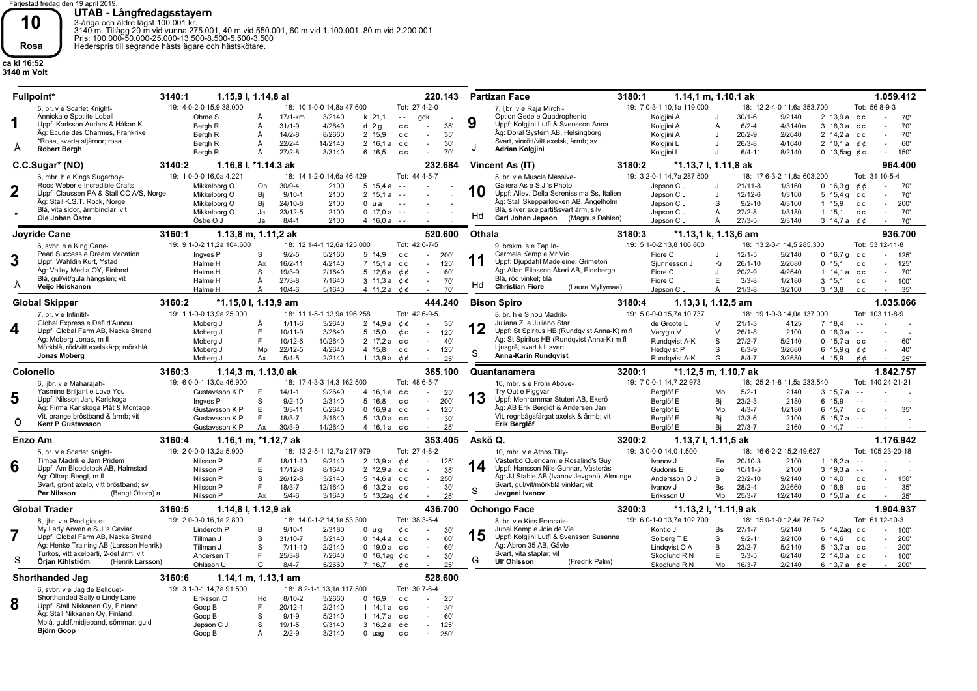Färjestad fredag den 19 april 2019. **UTAB - Långfredagsstayern**<br>3-åriga och äldre lägst 100.001 kr.<br>3140 m. Tillägg 20 m vid vunna 275.001, 40 m vid 550.001, 60 m vid 1.100.001, 80 m vid 2.200.001<br>Pris: 100.000-50.000-25.000-13.500-8.500-5.500-3.500<br>Hederspr

**Björn Goop**

Goop B

S Å

19/ 1-5 2/ 2-9 9/3140 3/2140

**10 Rosa**

**ca kl 16:52 3140 m Volt**

| <b>Fullpoint*</b>                                                                                                                                                                                                                    | 3140:1                                                                                                | 1.15,9 l, 1.14,8 al                                                                             |                                                                                                                                                                                                                  | 220.143                                                                                              | <b>Partizan Face</b>                                                                                                                                                                                                                     | 3180:1                                                                                                | 1.14,1 m, 1.10,1 ak                                                                                      |                                                                                                                                                                                             | 1.059.412                                                                                      |
|--------------------------------------------------------------------------------------------------------------------------------------------------------------------------------------------------------------------------------------|-------------------------------------------------------------------------------------------------------|-------------------------------------------------------------------------------------------------|------------------------------------------------------------------------------------------------------------------------------------------------------------------------------------------------------------------|------------------------------------------------------------------------------------------------------|------------------------------------------------------------------------------------------------------------------------------------------------------------------------------------------------------------------------------------------|-------------------------------------------------------------------------------------------------------|----------------------------------------------------------------------------------------------------------|---------------------------------------------------------------------------------------------------------------------------------------------------------------------------------------------|------------------------------------------------------------------------------------------------|
| 5, br. v e Scarlet Knight-<br>Annicka e Spotlite Lobell<br>1<br>Uppf: Karlsson Anders & Håkan K<br>Äg: Ecurie des Charmes, Frankrike<br>*Rosa, svarta stjärnor; rosa<br>A<br><b>Robert Bergh</b>                                     | 19: 4 0-2-0 15.9 38.000<br>Ohme S<br>Bergh R<br>Bergh R<br>Bergh R<br>Bergh R                         | $17/1$ -km<br>A<br>Å<br>$31/1 - 9$<br>Å<br>$14/2 - 8$<br>$22/2 - 4$<br>Å<br>$27/2 - 8$<br>Å     | 18: 10 1-0-0 14.8a 47.600<br>3/2140<br>$k$ 21,1<br>$\sim$ $\sim$<br>4/2640<br>d <sub>2</sub> q<br>$\mathtt{c}\mathtt{c}$<br>8/2660<br>2 15.9<br>c c<br>14/2140<br>2 16,1 a cc<br>3/3140<br>6 16,5<br>c c         | Tot: 27 4-2-0<br>gdk<br>35'<br>$\sim$<br>35'<br>$\sim$<br>30'<br>$\sim$<br>70'                       | 7, libr. v e Raja Mirchi-<br>Option Gede e Quadrophenio<br>9<br>Uppf: Kolgjini Lutfi & Svensson Anna<br>Äg: Doral System AB, Helsingborg<br>Svart, vinrött/vitt axelsk, ärmb; sv<br>Adrian Kolgjini                                      | 19: 7 0-3-1 10.1a 119.000<br>Kolgjini A<br>Kolgjini A<br>Kolgjini A<br>Kolgjini L<br>Kolgjini L       | $30/1 - 6$<br>$6/2 - 4$<br>Ă<br>$20/2 - 9$<br>$\cdot$<br>$26/3-8$<br>$6/4 - 11$                          | 18: 12 2-4-0 11.6a 353.700<br>9/2140<br>2 13.9 а сс<br>4/3140n<br>3 18,3 а сс<br>2/2640<br>2 14.2 a cc<br>4/1640<br>2 10.1 a $\phi$ $\phi$<br>8/2140<br>0 13,5ag $\phi$ c                   | Tot: 56 8-9-3<br>70'<br>70'<br>70'<br>60'<br>150'                                              |
| C.C.Sugar* (NO)                                                                                                                                                                                                                      | 3140:2                                                                                                | 1.16,8 l, *1.14,3 ak                                                                            |                                                                                                                                                                                                                  | 232.684                                                                                              | Vincent As (IT)                                                                                                                                                                                                                          | 3180:2                                                                                                | *1.13,7 l, 1.11,8 ak                                                                                     |                                                                                                                                                                                             | 964.400                                                                                        |
| 6, mbr. h e Kings Sugarboy-<br>Roos Weber e Incredible Crafts<br>$\mathbf 2$<br>Uppf: Claussen PA & Stall CC A/S, Norge<br>Äg: Stall K.S.T. Rock, Norge<br>Blå, vita sidor, ärmbindlar; vit<br>Ole Johan Östre                       | 19: 1 0-0-0 16,0a 4.221<br>Mikkelborg O<br>Mikkelborg O<br>Mikkelborg O<br>Mikkelborg O<br>Östre O J  | $30/9 - 4$<br>Op<br>Bi<br>$9/10 - 1$<br>Bj<br>$24/10-8$<br>$23/12 - 5$<br>Ja<br>Ja<br>$8/4 - 1$ | Tot: 44 4-5-7<br>18: 14 1-2-0 14,6a 46.429<br>2100<br>$5\;15.4a$<br>$\sim$ $\sim$<br>2100<br>2, 15.1a<br>$\sim$ $\sim$<br>2100<br>0 <sub>u</sub> a<br>$\sim$ $-$<br>2100<br>$0$ 17,0 a $-$<br>$416.0a -$<br>2100 |                                                                                                      | 5, br. v e Muscle Massive-<br>Galiera As e S.J.'s Photo<br>10<br>Uppf: Allev. Della Serenissima Ss, Italien<br>Äg: Stall Skepparkroken AB, Ängelholm<br>Blå, silver axelparti&svart ärm; silv<br>Hd<br>Carl Johan Jepson (Magnus Dahlén) | 19: 3 2-0-1 14,7a 287.500<br>Jepson C J<br>Jepson C J<br>Jepson C J<br>Jepson C J<br>Jepson C J       | $21/11-8$<br>J<br>12/12-6<br>J<br>S<br>$9/2 - 10$<br>$27/2 - 8$<br>Ă<br>$27/3 - 5$<br>Ă                  | 18: 17 6-3-2 11,8a 603.200<br>1/3160<br>0 16,3 g $\phi \phi$<br>1/3160<br>5 $15,4g$<br>c c<br>4/3160<br>1 15,9<br>c c<br>1/3180<br>$1 \t15,1$<br>c c<br>2/3140<br>3 14.7 a <i>c</i> c       | Tot: 31 10-5-4<br>70'<br>70'<br>$\sim$<br>200'<br>$\sim$<br>70'<br>$\omega$<br>70'             |
| Joyride Cane                                                                                                                                                                                                                         | 3160:1                                                                                                | 1.13.8 m. 1.11.2 ak                                                                             |                                                                                                                                                                                                                  | 520.600                                                                                              | Othala                                                                                                                                                                                                                                   | 3180:3                                                                                                | *1.13,1 k, 1.13,6 am                                                                                     |                                                                                                                                                                                             | 936.700                                                                                        |
| 6, svbr. h e King Cane-<br>Pearl Success e Dream Vacation<br>3<br>Uppf: Wahldin Kurt, Ystad<br>Äg: Valley Media OY, Finland<br>Blå, gul/vit/gula hängslen; vit<br>A<br>Veijo Heiskanen                                               | 19: 9 1-0-2 11,2a 104.600<br>Ingves <sub>P</sub><br>Halme H<br>Halme H<br>Halme H<br>Halme H          | S<br>$9/2 - 5$<br>$16/2 - 11$<br>Ax<br>S<br>$19/3-9$<br>$27/3 - 8$<br>Ă<br>$10/4 - 6$<br>Å      | 18: 12 1-4-1 12,6a 125.000<br>Tot: 42 6-7-5<br>5/2160<br>5 14.9<br>c c<br>4/2140<br>7 15,1 a cc<br>2/1640<br>5 12,6 a $\phi \phi$<br>7/1640<br>3 11,3 a $\phi \phi$<br>5/1640<br>4 11,2 a $\phi \phi$            | $\sim$<br>200'<br>125'<br>$\sim$<br>60'<br>$\sim$<br>70'<br>$\sim$<br>70'                            | 9. brskm, s e Tap In-<br>Carmela Kemp e Mr Vic<br>Uppf: Djupdahl Madeleine, Grimeton<br>Äg: Allan Eliasson Åkeri AB, Eldsberga<br>Blå, röd vinkel: blå<br>Hd<br><b>Christian Fiore</b><br>(Laura Myllymaa)                               | 19: 5 1-0-2 13.8 106.800<br>Fiore C<br>Sjunnesson J<br>Fiore C<br>Fiore C<br>Jepson C J               | $12/1 - 5$<br>$26/1 - 10$<br>Кr<br>$20/2 - 9$<br>$\cdot$<br>$3/3-8$<br>Е<br>$21/3 - 8$<br>Ă              | 18: 13 2-3-1 14.5 285.300<br>5/2140<br>0, 16, 7, q<br>c c<br>2/2680<br>0, 15, 1<br>c c<br>4/2640<br>1 14.1 a cc<br>1/2180<br>$3 \t15.1$<br>c c<br>3/2160<br>$3 \t13,8$<br>c c               | Tot: 53 12-11-8<br>125<br>125<br>$\sim$<br>70'<br>$\sim$<br>100'<br>$\sim$<br>35'<br>$\sim$    |
| <b>Global Skipper</b>                                                                                                                                                                                                                | 3160:2                                                                                                | *1.15,0 l, 1.13,9 am                                                                            |                                                                                                                                                                                                                  | 444.240                                                                                              | <b>Bison Spiro</b>                                                                                                                                                                                                                       | 3180:4                                                                                                | 1.13,3 l, 1.12,5 am                                                                                      |                                                                                                                                                                                             | 1.035.066                                                                                      |
| 7. br. v e Infinitif-<br>Global Express e Defi d'Aunou<br>4<br>Uppf: Global Farm AB, Nacka Strand<br>Äg: Moberg Jonas, m fl<br>Mörkblå, röd/vitt axelskärp; mörkblå                                                                  | 19: 1 1-0-0 13,9a 25.000<br>Moberg J<br>Moberg J<br>Moberg J<br>Moberg J                              | Å<br>$1/11 - 6$<br>Е<br>$10/11-9$<br>F.<br>$10/12 - 6$<br>$22/12 - 5$<br>Mp                     | 18: 11 1-5-1 13,9a 196.258<br>3/2640<br>2 14.9 a $0$ $0$<br>3/2640<br>5 15.0<br>¢с<br>10/2640<br>2 17,2 a cc<br>4/2640<br>4 15,8<br>c c                                                                          | Tot: 42 6-9-5<br>35'<br>125'<br>$\sim$<br>40'<br>$\sim$<br>125'<br>$\sim$                            | 8, br. h e Sinou Madrik-<br>Juliana Z. e Juliano Star<br>12<br>Uppf: St Spiritus HB (Rundqvist Anna-K) m fl<br>Äg: St Spiritus HB (Rundqvist Anna-K) m fl<br>Ljusgrå, svart kil; svart                                                   | 19: 5 0-0-0 15,7a 10.737<br>de Groote L<br>Varygin V<br>Rundqvist A-K<br>Hedqvist P                   | $21/1-3$<br>$\mathsf{V}$<br>$26/1 - 8$<br>$\vee$<br>S<br>$27/2 - 7$<br>$6/3-9$<br>S.                     | 18: 19 1-0-3 14,0a 137.000<br>7 18.4<br>4125<br>2100<br>0, 18.3a<br>$\sim$ $\sim$<br>5/2140<br>$0$ 15,7 a $cc$<br>3/2680<br>6 15,9 g $66$                                                   | Tot: 103 11-8-9<br>60'<br>40'<br>$\sim$                                                        |
| Jonas Moberg                                                                                                                                                                                                                         | Mobera J                                                                                              | $5/4 - 5$<br>Ax                                                                                 | 2/2140                                                                                                                                                                                                           | $\sim$                                                                                               | S<br>Anna-Karin Rundqvist                                                                                                                                                                                                                | Rundavist A-K                                                                                         | G<br>$8/4 - 7$                                                                                           | 3/2680<br>4 15.9 $\acute{c}$ $\acute{c}$                                                                                                                                                    |                                                                                                |
| <b>Colonello</b>                                                                                                                                                                                                                     | 3160:3                                                                                                | 1.14,3 m, 1.13,0 ak                                                                             | 1 13,9 a $\phi$                                                                                                                                                                                                  | 25'<br>365.100                                                                                       | Quantanamera                                                                                                                                                                                                                             | 3200:1                                                                                                | *1.12.5 m. 1.10.7 ak                                                                                     |                                                                                                                                                                                             | 25'<br>1.842.757                                                                               |
| 6. libr. v e Maharaiah-<br>Yasmine Briljant e Love You<br>5<br>Uppf: Nilsson Jan, Karlskoga<br>Äg: Firma Karlskoga Plåt & Montage<br>Vit, orange bröstband & ärmb; vit<br>Ő<br><b>Kent P Gustavsson</b>                              | 19: 6 0-0-1 13,0a 46.900<br>Gustavsson K P<br>Ingves <sub>P</sub><br>Gustavsson K P<br>Gustavsson K P | $14/1 - 1$<br>S<br>$9/2 - 10$<br>E<br>$3/3 - 11$<br>F.<br>$18/3 - 7$                            | 18: 17 4-3-3 14,3 162.500<br>Tot: 48 6-5-7<br>9/2640<br>4 16.1 a<br>c c<br>2/3140<br>5 16,8<br>c c<br>6/2640<br>$0$ 16.9 a $cc$<br>3/1640<br>5 13,0 a cc                                                         | 25'<br>200'<br>$\omega$<br>125'<br>$\sim 10$<br>30'<br>$\sim$<br>$\sim$                              | 10. mbr. s e From Above-<br>Try Out e Piggvar<br>13<br>Uppf: Menhammar Stuteri AB, Ekerö<br>Äg: AB Erik Berglöf & Andersen Jan<br>Vit, regnbågsfärgat axelsk & ärmb; vit<br>Erik Berglöf                                                 | 19: 7 0-0-1 14.7 22.973<br>Berglöf E<br>Berglöf E<br>Berglöf E<br>Berglöf E                           | $5/2 - 1$<br>Mo<br>Bi<br>$23/2-3$<br>$4/3 - 7$<br>Mp<br>Bi<br>$13/3 - 6$                                 | 18: 25 2-1-8 11,5a 233.540<br>2140<br>3 15.7 a<br>$\sim$ $\sim$<br>6 15,9<br>2180<br>$\sim$ $\sim$<br>1/2180<br>6 15.7<br>c c<br>2100<br>$5\;15.7a$<br>$\sim$ $-$<br>$\sim$ $\sim$          | Tot: 140 24-21-21<br>35'                                                                       |
| Enzo Am                                                                                                                                                                                                                              | Gustavsson K P<br>3160:4                                                                              | $30/3 - 9$<br>Ax<br>1.16,1 m, *1.12,7 ak                                                        | 14/2640<br>4 16,1 а сс                                                                                                                                                                                           | 25'<br>353.405                                                                                       | Askö Q.                                                                                                                                                                                                                                  | Berglöf E<br>3200:2                                                                                   | $27/3 - 7$<br>Bj<br>1.13,7 l, 1.11,5 ak                                                                  | 2160<br>0, 14, 7                                                                                                                                                                            | 1.176.942                                                                                      |
| 5, br. v e Scarlet Knight-<br>Timba Madrik e Jam Pridem<br>6<br>Uppf: Am Bloodstock AB, Halmstad<br>Äg: Oltorp Bengt, m fl<br>Svart, grönt axelp, vitt bröstband; sv<br>Per Nilsson<br>(Bengt Oltorp) a                              | 19: 2 0-0-0 13,2a 5.900<br>Nilsson P<br>Nilsson P<br>Nilsson P<br>Nilsson P<br>Nilsson P              | F<br>18/11-10<br>E<br>$17/12 - 8$<br>S<br>$26/12 - 8$<br>F.<br>$18/3 - 7$<br>$5/4 - 6$<br>Ax    | 18: 13 2-5-1 12,7a 217.979<br>9/2140<br>$2\;13.9a\;00$<br>8/1640<br>2 12.9 a cc<br>3/2140<br>5 14,6 а сс<br>12/1640<br>6 13,2 а сс<br>3/1640<br>5 13,2ag $66$                                                    | Tot: 27 4-8-2<br>125'<br>$\sim$<br>35'<br>$\sim$<br>250'<br>$\sim$<br>30'<br>$\sim$<br>25'<br>$\sim$ | 10, mbr. v e Athos Tilly-<br>Västerbo Queridami e Rosalind's Guy<br>14<br>Uppf: Hansson Nils-Gunnar, Västerås<br>Äg: JJ Stable AB (Ivanov Jevgeni), Almunge<br>Svart, gul/vit/mörkblå vinklar; vit<br>S<br>Jevgeni Ivanov                | 19: 3 0-0-0 14,0 1.500<br>Ivanov J<br>Gudonis E<br>Andersson O J<br>Ivanov J<br>Eriksson U            | $20/10-3$<br>Ee.<br>$10/11 - 5$<br>Ee<br>$23/2 - 10$<br>B<br>$28/2 - 4$<br><b>Bs</b><br>Mp<br>$25/3 - 7$ | 18: 16 6-2-2 15,2 49.627<br>2100<br>$1 \t16.2 a$<br>$\sim$ $\sim$<br>2100<br>$3\;19.3a$<br>$\sim$ $-$<br>9/2140<br>0, 14.0<br>c c<br>2/2660<br>0, 16, 8<br>c c<br>12/2140<br>0 15,0 a $\&c$ | Tot: 105 23-20-18<br>150<br>$\omega$<br>35'<br>$\sim$<br>25'                                   |
| <b>Global Trader</b>                                                                                                                                                                                                                 | 3160:5                                                                                                | 1.14,8 l, 1.12,9 ak                                                                             |                                                                                                                                                                                                                  | 436.700                                                                                              | <b>Ochongo Face</b>                                                                                                                                                                                                                      | 3200:3                                                                                                | *1.13,2 l, *1.11,9 ak                                                                                    |                                                                                                                                                                                             | 1.904.937                                                                                      |
| 6, libr. v e Prodigious-<br>My Lady Arwen e S.J.'s Caviar<br>7<br>Uppf: Global Farm AB, Nacka Strand<br>Äg: Henke Training AB (Larsson Henrik)<br>Turkos, vitt axelparti, 2-del ärm; vit<br>S<br>Örian Kihlström<br>(Henrik Larsson) | 19: 2 0-0-0 16,1a 2.800<br>Linderoth P<br>Tillman J<br>Tillman J<br>Andersen T<br>Ohlsson U           | $9/10-1$<br>B<br>S<br>31/10-7<br>S<br>$7/11 - 10$<br>$25/3 - 8$<br>F.<br>G<br>$8/4 - 7$         | 18: 14 0-1-2 14,1a 53.300<br>2/3180<br>0 <sub>u</sub> q<br>¢c<br>3/2140<br>$0$ 14,4 a $cc$<br>2/2140<br>$0$ 19.0 a $cc$<br>7/2640<br>0 16,1ag $\phi$ c<br>5/2660<br>7 16,7<br>¢с                                 | Tot: 38 3-5-4<br>30'<br>$\sim$<br>60'<br>60'<br>$\sim$<br>30'<br>$\sim$<br>25'<br>$\sim$             | 8, br. v e Kiss Francais-<br>Jubel Kemp e Joie de Vie<br>15<br>Uppf: Kolgjini Lutfi & Svensson Susanne<br>Äg: Abron 35 AB, Gävle<br>Svart, vita staplar; vit<br>G<br><b>Ulf Ohlsson</b><br>(Fredrik Palm)                                | 19: 6 0-1-0 13,7a 102.700<br>Kontio J<br>Solberg T E<br>Lindqvist O A<br>Skoglund R N<br>Skoglund R N | $27/1 - 7$<br>Bs<br>S<br>$9/2 - 11$<br>$23/2 - 7$<br>B<br>E<br>$3/3-5$<br>Mp<br>$16/3 - 7$               | 18: 15 0-1-0 12,4a 76.742<br>5/2140<br>5 14,2ag c c<br>2/2160<br>6 14,6<br>C C<br>5/2140<br>5 13.7 a cc<br>6/2140<br>2 14,0 a cc<br>2/2140<br>6 13,7 a $\phi$ c                             | Tot: 61 12-10-3<br>100'<br>$\sim$<br>200'<br>$\sim$<br>200<br>$\sim$<br>100'<br>$\sim$<br>200' |
| <b>Shorthanded Jag</b>                                                                                                                                                                                                               | 3160:6<br>19: 3 1-0-1 14,7a 91.500                                                                    | 1.14, 1 m, 1.13, 1 am                                                                           | 18: 8 2-1-1 13,1a 117.500                                                                                                                                                                                        | 528.600<br>Tot: 30 7-6-4                                                                             |                                                                                                                                                                                                                                          |                                                                                                       |                                                                                                          |                                                                                                                                                                                             |                                                                                                |

0 uag cc

250' -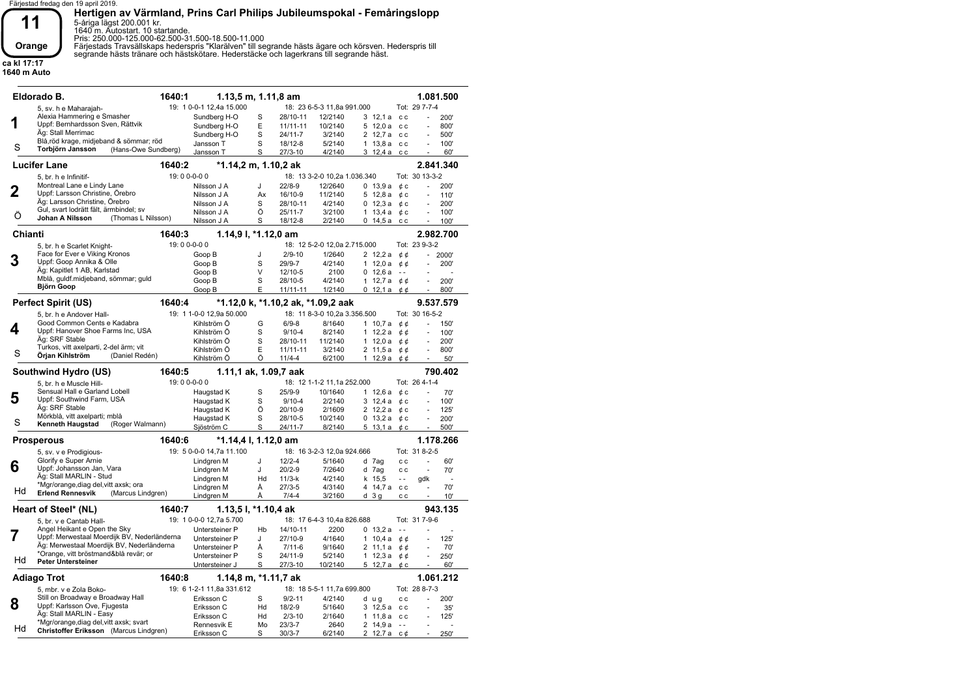

**Hertigen av Värmland, Prins Carl Philips Jubileumspokal - Femåringslopp**<br>5-åriga lägst 200.001 kr.<br>1640 m. Autostart. 10 startande.<br>Pris: 250.000-125.000-62.500-31.500-18.500-11.000<br>Färjestads Travsällskaps hederspris "Kl

**ca kl 17:17 1640 m Auto**

|         | Eldorado B.                                  | 1640:1     | $1.13, 5$ m, $1.11, 8$ am |    |              |                                    |   |                      |               |                | 1.081.500      |
|---------|----------------------------------------------|------------|---------------------------|----|--------------|------------------------------------|---|----------------------|---------------|----------------|----------------|
|         | 5, sv. h e Maharajah-                        |            | 19: 1 0-0-1 12,4a 15.000  |    |              | 18: 23 6-5-3 11.8a 991.000         |   |                      |               | Tot: 29 7-7-4  |                |
|         | Alexia Hammering e Smasher                   |            | Sundberg H-O              | S  | 28/10-11     | 12/2140                            |   | 3 12.1 a cc          |               |                | 200'           |
|         | Uppf: Bernhardsson Sven, Rättvik             |            | Sundberg H-O              | E  | $11/11 - 11$ | 10/2140                            |   | $5\;12.0a$           | c c           |                | 800'           |
|         | Äg: Stall Merrimac                           |            | Sundberg H-O              | S  | $24/11-7$    | 3/2140                             |   | 2 12,7 a cc          |               |                | 500'           |
|         | Blå, röd krage, midjeband & sömmar; röd      |            | Jansson T                 | S  | 18/12-8      | 5/2140                             |   | $1\,13.8\,a$ cc      |               |                | 100'           |
| S       | Torbjörn Jansson<br>(Hans-Owe Sundberg)      |            | Jansson T                 | S  | 27/3-10      | 4/2140                             |   | 3 12,4 а сс          |               |                | 60'            |
|         | <b>Lucifer Lane</b>                          | 1640:2     | *1.14,2 m, 1.10,2 ak      |    |              |                                    |   |                      |               |                | 2.841.340      |
|         | 5, br. h e Infinitif-                        | 19:00-0-00 |                           |    |              | 18: 13 3-2-0 10,2a 1.036.340       |   |                      |               | Tot: 30 13-3-2 |                |
|         | Montreal Lane e Lindy Lane                   |            | Nilsson J A               | J  | $22/8-9$     | 12/2640                            |   | 0, 13.9a             | ¢с            |                | 200'           |
| 2       | Uppf: Larsson Christine, Örebro              |            | Nilsson J A               | Ax | 16/10-9      | 11/2140                            |   | 5 12.8 a             | ¢с            |                | 110'           |
|         | Äg: Larsson Christine, Örebro                |            | Nilsson J A               | S  | 28/10-11     | 4/2140                             |   | $0\;12.3a$           | ¢с            | L.             | 200'           |
|         | Gul, svart lodrätt fält, ärmbindel; sv       |            | Nilsson J A               | Ö  | $25/11 - 7$  | 3/2100                             |   | 1 13,4 a $\phi$ c    |               |                | 100            |
| Ö       | Johan A Nilsson<br>(Thomas L Nilsson)        |            | Nilsson J A               | S  | 18/12-8      | 2/2140                             |   | $0\;14,5a$           | c c           |                | 100'           |
| Chianti |                                              | 1640:3     | 1.14,9 l, *1.12,0 am      |    |              |                                    |   |                      |               |                | 2.982.700      |
|         | 5, br. h e Scarlet Knight-                   | 19:00-0-00 |                           |    |              | 18: 12 5-2-0 12,0a 2.715.000       |   |                      |               | Tot: 23 9-3-2  |                |
|         | Face for Ever e Viking Kronos                |            | Goop B                    | J  | $2/9 - 10$   | 1/2640                             |   | 2 $12,2a$            | ¢¢            | ÷.             | 2000'          |
| 3       | Uppf: Goop Annika & Olle                     |            | Goop B                    | S  | 29/9-7       | 4/2140                             |   | 1 $12.0a$            | ¢¢            |                | 200'           |
|         | Äg: Kapitlet 1 AB, Karlstad                  |            | Goop B                    | V  | 12/10-5      | 2100                               |   | 0, 12, 6a            | $\sim$ $\sim$ |                |                |
|         | Mblå, guldf.midjeband, sömmar; guld          |            | Goop B                    | S  | 28/10-5      | 4/2140                             |   | 1 12,7 a $\phi \phi$ |               | L.             | 200'           |
|         | <b>Björn Goop</b>                            |            | Goop B                    | E  | 11/11-11     | 1/2140                             |   | $0\;12.1\,a$         | ¢¢            |                | 800            |
|         | <b>Perfect Spirit (US)</b>                   | 1640:4     |                           |    |              | *1.12,0 k, *1.10,2 ak, *1.09,2 aak |   |                      |               |                | 9.537.579      |
|         | 5, br. h e Andover Hall-                     |            | 19: 1 1-0-0 12,9a 50.000  |    |              | 18: 11 8-3-0 10,2a 3.356.500       |   |                      |               | Tot: 30 16-5-2 |                |
|         | Good Common Cents e Kadabra                  |            | Kihlström Ö               | G  | $6/9-8$      | 8/1640                             |   | 1 $10,7a$            | ¢¢            | ä,             | 150            |
| 4       | Uppf: Hanover Shoe Farms Inc, USA            |            | Kihlström Ö               | S  | $9/10 - 4$   | 8/2140                             |   | 1 $12,2a$            | ¢¢            |                | 100'           |
|         | Äg: SRF Stable                               |            | Kihlström Ö               | S  | 28/10-11     | 11/2140                            |   | 1 $12.0a$            | ¢¢            |                | 200'           |
|         | Turkos, vitt axelparti, 2-del ärm; vit       |            | Kihlström Ö               | E  | 11/11-11     | 3/2140                             |   | $2\;11,5a$           | ¢¢            |                | 800            |
| S       | Örjan Kihlström<br>(Daniel Redén)            |            | Kihlström Ö               | Ö  | $11/4 - 4$   | 6/2100                             |   | 1 12,9 a             | ¢¢            |                | 50'            |
|         | Southwind Hydro (US)                         | 1640:5     | 1.11,1 ak, 1.09,7 aak     |    |              |                                    |   |                      |               |                | 790.402        |
|         | 5. br. h e Muscle Hill-                      | 19:00-0-00 |                           |    |              | 18: 12 1-1-2 11,1a 252.000         |   |                      |               | Tot: 26 4-1-4  |                |
| 5       | Sensual Hall e Garland Lobell                |            | Haugstad K                | S  | $25/9-9$     | 10/1640                            |   | 1 $12.6a$            | ¢с            |                | 70'            |
|         | Uppf: Southwind Farm, USA                    |            | Haugstad K                | S  | $9/10 - 4$   | 2/2140                             |   | $3\;12.4a$           | ¢с            |                | 100'           |
|         | Äg: SRF Stable                               |            | Haugstad K                | Ö  | 20/10-9      | 2/1609                             |   | 2 12,2 a $\phi$ c    |               | Ĭ.             | 125'           |
| S       | Mörkblå, vitt axelparti; mblå                |            | Haugstad K                | S  | 28/10-5      | 10/2140                            |   | 0 13,2 a $&c$        |               |                | 200'           |
|         | Kenneth Haugstad<br>(Roger Walmann)          |            | Sjöström C                | S  | 24/11-7      | 8/2140                             |   | 5 13,1 a             | ¢с            |                | 500'           |
|         | <b>Prosperous</b>                            | 1640:6     | *1.14,4 l, 1.12,0 am      |    |              |                                    |   |                      |               |                | 1.178.266      |
|         | 5, sv. v e Prodigious-                       |            | 19: 5 0-0-0 14.7a 11.100  |    |              | 18: 16 3-2-3 12,0a 924.666         |   |                      |               | Tot: 31 8-2-5  |                |
|         | Glorify e Super Arnie                        |            | Lindgren M                | J  | $12/2 - 4$   | 5/1640                             |   | d 7ag                | c c           |                | 60'            |
| 6       | Uppf: Johansson Jan, Vara                    |            | Lindgren M                | J  | $20/2 - 9$   | 7/2640                             |   | d 7ag                | c c           | L,             | 70'            |
|         | Äg: Stall MARLIN - Stud                      |            | Lindgren M                | Hd | $11/3-k$     | 4/2140                             |   | k 15.5               | $\sim$ $\sim$ | gdk            | ÷.             |
| Hd      | *Mgr/orange, diag del, vitt axsk; ora        |            | Lindgren M                | Å  | $27/3 - 5$   | 4/3140                             | 4 | 14,7 a               | c c           | ä,             | 70'            |
|         | <b>Erlend Rennesvik</b><br>(Marcus Lindgren) |            | Lindgren M                | Å  | $7/4 - 4$    | 3/2160                             |   | d 3g                 | c c           |                | 10'            |
|         | Heart of Steel* (NL)                         | 1640:7     | 1.13,5 l, *1.10,4 ak      |    |              |                                    |   |                      |               |                | 943.135        |
|         | 5, br. v e Cantab Hall-                      |            | 19: 1 0-0-0 12,7a 5.700   |    |              | 18: 17 6-4-3 10,4a 826.688         |   |                      |               | Tot: 31 7-9-6  |                |
|         | Angel Heikant e Open the Sky                 |            | Untersteiner P            | Hb | 14/10-11     | 2200                               |   | 0, 13.2a             | $\sim$ $\sim$ |                |                |
| 7       | Uppf: Merwestaal Moerdijk BV, Nederländerna  |            | Untersteiner P            | J  | 27/10-9      | 4/1640                             |   | $1 \t10.4a$          | ¢¢            |                | 125'           |
|         | Äg: Merwestaal Moerdijk BV, Nederländerna    |            | Untersteiner P            | Å  | $7/11-6$     | 9/1640                             |   | 2 11,1 a             | ¢¢            |                | 70'            |
| Hd      | *Orange, vitt bröstmand&blå revär; or        |            | Untersteiner P            | S  | 24/11-9      | 5/2140                             |   | 1 $12,3a$            | ¢¢            |                | 250            |
|         | <b>Peter Untersteiner</b>                    |            | Untersteiner J            | S  | 27/3-10      | 10/2140                            |   | 5 12,7 a $\phi$ c    |               | ÷,             | 60'            |
|         | Adiago Trot                                  | 1640:8     | 1.14,8 m, *1.11,7 ak      |    |              |                                    |   |                      |               |                | 1.061.212      |
|         | 5, mbr. v e Zola Boko-                       |            | 19: 6 1-2-1 11,8a 331.612 |    |              | 18: 18 5-5-1 11,7a 699.800         |   |                      |               | Tot: 28 8-7-3  |                |
|         | Still on Broadway e Broadway Hall            |            | Eriksson C                | S  | $9/2 - 11$   | 4/2140                             |   | d ug                 | c c           |                | 200'           |
| 8       | Uppf: Karlsson Ove, Fjugesta                 |            | Eriksson C                | Hd | $18/2 - 9$   | 5/1640                             |   | 3 12,5 a             | c c           |                | 35'            |
|         | Äg: Stall MARLIN - Easy                      |            | Eriksson C                | Hd | $2/3 - 10$   | 2/1640                             |   | 1 11.8a c            |               |                | 125'           |
|         | *Mgr/orange, diag del, vitt axsk; svart      |            | Rennesvik E               | Mo | $23/3 - 7$   | 2640                               |   | 2 $14,9a$            | $\sim$ $\sim$ |                | $\overline{a}$ |
| Hd      | Christoffer Eriksson (Marcus Lindgren)       |            | Eriksson C                | S  | $30/3 - 7$   | 6/2140                             | 2 | 12.7a                | с¢            |                | 250'           |